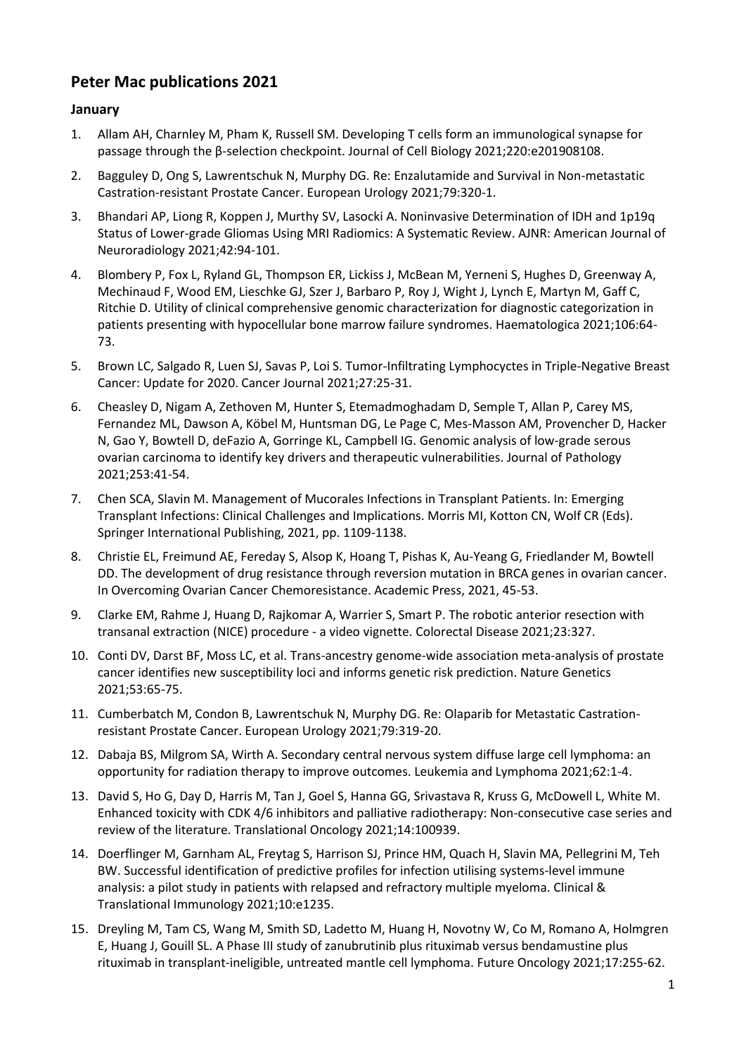# **Peter Mac publications 2021**

# **January**

- 1. Allam AH, Charnley M, Pham K, Russell SM. Developing T cells form an immunological synapse for passage through the β-selection checkpoint. Journal of Cell Biology 2021;220:e201908108.
- 2. Bagguley D, Ong S, Lawrentschuk N, Murphy DG. Re: Enzalutamide and Survival in Non-metastatic Castration-resistant Prostate Cancer. European Urology 2021;79:320-1.
- 3. Bhandari AP, Liong R, Koppen J, Murthy SV, Lasocki A. Noninvasive Determination of IDH and 1p19q Status of Lower-grade Gliomas Using MRI Radiomics: A Systematic Review. AJNR: American Journal of Neuroradiology 2021;42:94-101.
- 4. Blombery P, Fox L, Ryland GL, Thompson ER, Lickiss J, McBean M, Yerneni S, Hughes D, Greenway A, Mechinaud F, Wood EM, Lieschke GJ, Szer J, Barbaro P, Roy J, Wight J, Lynch E, Martyn M, Gaff C, Ritchie D. Utility of clinical comprehensive genomic characterization for diagnostic categorization in patients presenting with hypocellular bone marrow failure syndromes. Haematologica 2021;106:64- 73.
- 5. Brown LC, Salgado R, Luen SJ, Savas P, Loi S. Tumor-Infiltrating Lymphocyctes in Triple-Negative Breast Cancer: Update for 2020. Cancer Journal 2021;27:25-31.
- 6. Cheasley D, Nigam A, Zethoven M, Hunter S, Etemadmoghadam D, Semple T, Allan P, Carey MS, Fernandez ML, Dawson A, Köbel M, Huntsman DG, Le Page C, Mes-Masson AM, Provencher D, Hacker N, Gao Y, Bowtell D, deFazio A, Gorringe KL, Campbell IG. Genomic analysis of low-grade serous ovarian carcinoma to identify key drivers and therapeutic vulnerabilities. Journal of Pathology 2021;253:41-54.
- 7. Chen SCA, Slavin M. Management of Mucorales Infections in Transplant Patients. In: Emerging Transplant Infections: Clinical Challenges and Implications. Morris MI, Kotton CN, Wolf CR (Eds). Springer International Publishing, 2021, pp. 1109-1138.
- 8. Christie EL, Freimund AE, Fereday S, Alsop K, Hoang T, Pishas K, Au-Yeang G, Friedlander M, Bowtell DD. The development of drug resistance through reversion mutation in BRCA genes in ovarian cancer. In Overcoming Ovarian Cancer Chemoresistance. Academic Press, 2021, 45-53.
- 9. Clarke EM, Rahme J, Huang D, Rajkomar A, Warrier S, Smart P. The robotic anterior resection with transanal extraction (NICE) procedure - a video vignette. Colorectal Disease 2021;23:327.
- 10. Conti DV, Darst BF, Moss LC, et al. Trans-ancestry genome-wide association meta-analysis of prostate cancer identifies new susceptibility loci and informs genetic risk prediction. Nature Genetics 2021;53:65-75.
- 11. Cumberbatch M, Condon B, Lawrentschuk N, Murphy DG. Re: Olaparib for Metastatic Castrationresistant Prostate Cancer. European Urology 2021;79:319-20.
- 12. Dabaja BS, Milgrom SA, Wirth A. Secondary central nervous system diffuse large cell lymphoma: an opportunity for radiation therapy to improve outcomes. Leukemia and Lymphoma 2021;62:1-4.
- 13. David S, Ho G, Day D, Harris M, Tan J, Goel S, Hanna GG, Srivastava R, Kruss G, McDowell L, White M. Enhanced toxicity with CDK 4/6 inhibitors and palliative radiotherapy: Non-consecutive case series and review of the literature. Translational Oncology 2021;14:100939.
- 14. Doerflinger M, Garnham AL, Freytag S, Harrison SJ, Prince HM, Quach H, Slavin MA, Pellegrini M, Teh BW. Successful identification of predictive profiles for infection utilising systems-level immune analysis: a pilot study in patients with relapsed and refractory multiple myeloma. Clinical & Translational Immunology 2021;10:e1235.
- 15. Dreyling M, Tam CS, Wang M, Smith SD, Ladetto M, Huang H, Novotny W, Co M, Romano A, Holmgren E, Huang J, Gouill SL. A Phase III study of zanubrutinib plus rituximab versus bendamustine plus rituximab in transplant-ineligible, untreated mantle cell lymphoma. Future Oncology 2021;17:255-62.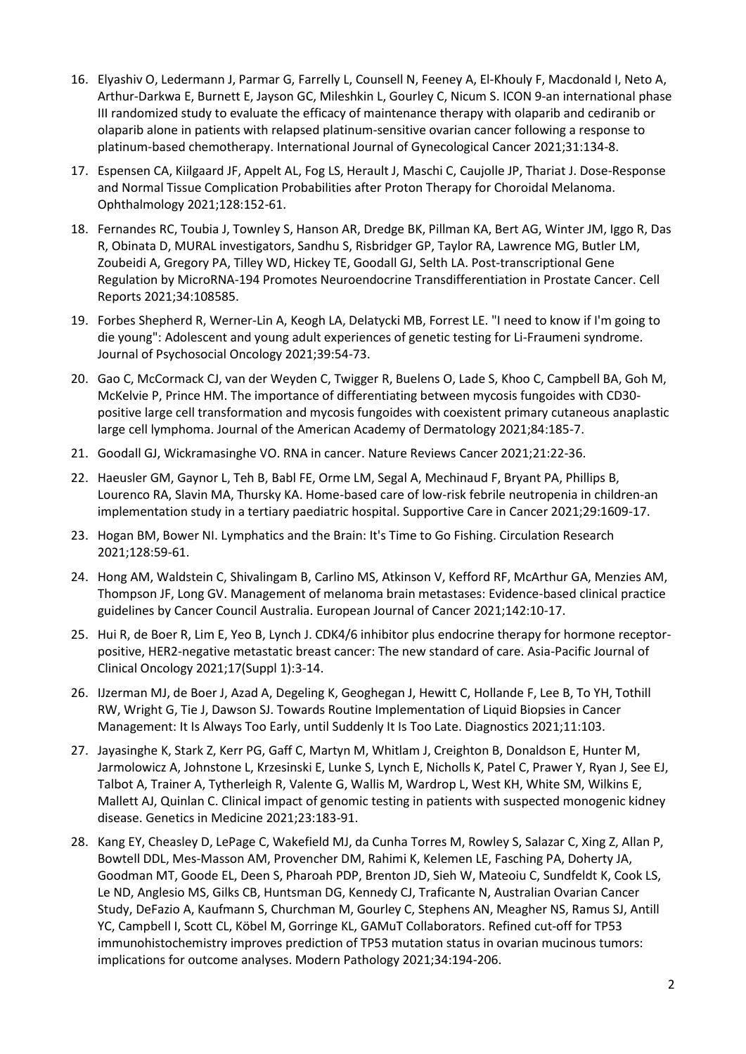- 16. Elyashiv O, Ledermann J, Parmar G, Farrelly L, Counsell N, Feeney A, El-Khouly F, Macdonald I, Neto A, Arthur-Darkwa E, Burnett E, Jayson GC, Mileshkin L, Gourley C, Nicum S. ICON 9-an international phase III randomized study to evaluate the efficacy of maintenance therapy with olaparib and cediranib or olaparib alone in patients with relapsed platinum-sensitive ovarian cancer following a response to platinum-based chemotherapy. International Journal of Gynecological Cancer 2021;31:134-8.
- 17. Espensen CA, Kiilgaard JF, Appelt AL, Fog LS, Herault J, Maschi C, Caujolle JP, Thariat J. Dose-Response and Normal Tissue Complication Probabilities after Proton Therapy for Choroidal Melanoma. Ophthalmology 2021;128:152-61.
- 18. Fernandes RC, Toubia J, Townley S, Hanson AR, Dredge BK, Pillman KA, Bert AG, Winter JM, Iggo R, Das R, Obinata D, MURAL investigators, Sandhu S, Risbridger GP, Taylor RA, Lawrence MG, Butler LM, Zoubeidi A, Gregory PA, Tilley WD, Hickey TE, Goodall GJ, Selth LA. Post-transcriptional Gene Regulation by MicroRNA-194 Promotes Neuroendocrine Transdifferentiation in Prostate Cancer. Cell Reports 2021;34:108585.
- 19. Forbes Shepherd R, Werner-Lin A, Keogh LA, Delatycki MB, Forrest LE. "I need to know if I'm going to die young": Adolescent and young adult experiences of genetic testing for Li-Fraumeni syndrome. Journal of Psychosocial Oncology 2021;39:54-73.
- 20. Gao C, McCormack CJ, van der Weyden C, Twigger R, Buelens O, Lade S, Khoo C, Campbell BA, Goh M, McKelvie P, Prince HM. The importance of differentiating between mycosis fungoides with CD30 positive large cell transformation and mycosis fungoides with coexistent primary cutaneous anaplastic large cell lymphoma. Journal of the American Academy of Dermatology 2021;84:185-7.
- 21. Goodall GJ, Wickramasinghe VO. RNA in cancer. Nature Reviews Cancer 2021;21:22-36.
- 22. Haeusler GM, Gaynor L, Teh B, Babl FE, Orme LM, Segal A, Mechinaud F, Bryant PA, Phillips B, Lourenco RA, Slavin MA, Thursky KA. Home-based care of low-risk febrile neutropenia in children-an implementation study in a tertiary paediatric hospital. Supportive Care in Cancer 2021;29:1609-17.
- 23. Hogan BM, Bower NI. Lymphatics and the Brain: It's Time to Go Fishing. Circulation Research 2021;128:59-61.
- 24. Hong AM, Waldstein C, Shivalingam B, Carlino MS, Atkinson V, Kefford RF, McArthur GA, Menzies AM, Thompson JF, Long GV. Management of melanoma brain metastases: Evidence-based clinical practice guidelines by Cancer Council Australia. European Journal of Cancer 2021;142:10-17.
- 25. Hui R, de Boer R, Lim E, Yeo B, Lynch J. CDK4/6 inhibitor plus endocrine therapy for hormone receptorpositive, HER2-negative metastatic breast cancer: The new standard of care. Asia-Pacific Journal of Clinical Oncology 2021;17(Suppl 1):3-14.
- 26. IJzerman MJ, de Boer J, Azad A, Degeling K, Geoghegan J, Hewitt C, Hollande F, Lee B, To YH, Tothill RW, Wright G, Tie J, Dawson SJ. Towards Routine Implementation of Liquid Biopsies in Cancer Management: It Is Always Too Early, until Suddenly It Is Too Late. Diagnostics 2021;11:103.
- 27. Jayasinghe K, Stark Z, Kerr PG, Gaff C, Martyn M, Whitlam J, Creighton B, Donaldson E, Hunter M, Jarmolowicz A, Johnstone L, Krzesinski E, Lunke S, Lynch E, Nicholls K, Patel C, Prawer Y, Ryan J, See EJ, Talbot A, Trainer A, Tytherleigh R, Valente G, Wallis M, Wardrop L, West KH, White SM, Wilkins E, Mallett AJ, Quinlan C. Clinical impact of genomic testing in patients with suspected monogenic kidney disease. Genetics in Medicine 2021;23:183-91.
- 28. Kang EY, Cheasley D, LePage C, Wakefield MJ, da Cunha Torres M, Rowley S, Salazar C, Xing Z, Allan P, Bowtell DDL, Mes-Masson AM, Provencher DM, Rahimi K, Kelemen LE, Fasching PA, Doherty JA, Goodman MT, Goode EL, Deen S, Pharoah PDP, Brenton JD, Sieh W, Mateoiu C, Sundfeldt K, Cook LS, Le ND, Anglesio MS, Gilks CB, Huntsman DG, Kennedy CJ, Traficante N, Australian Ovarian Cancer Study, DeFazio A, Kaufmann S, Churchman M, Gourley C, Stephens AN, Meagher NS, Ramus SJ, Antill YC, Campbell I, Scott CL, Köbel M, Gorringe KL, GAMuT Collaborators. Refined cut-off for TP53 immunohistochemistry improves prediction of TP53 mutation status in ovarian mucinous tumors: implications for outcome analyses. Modern Pathology 2021;34:194-206.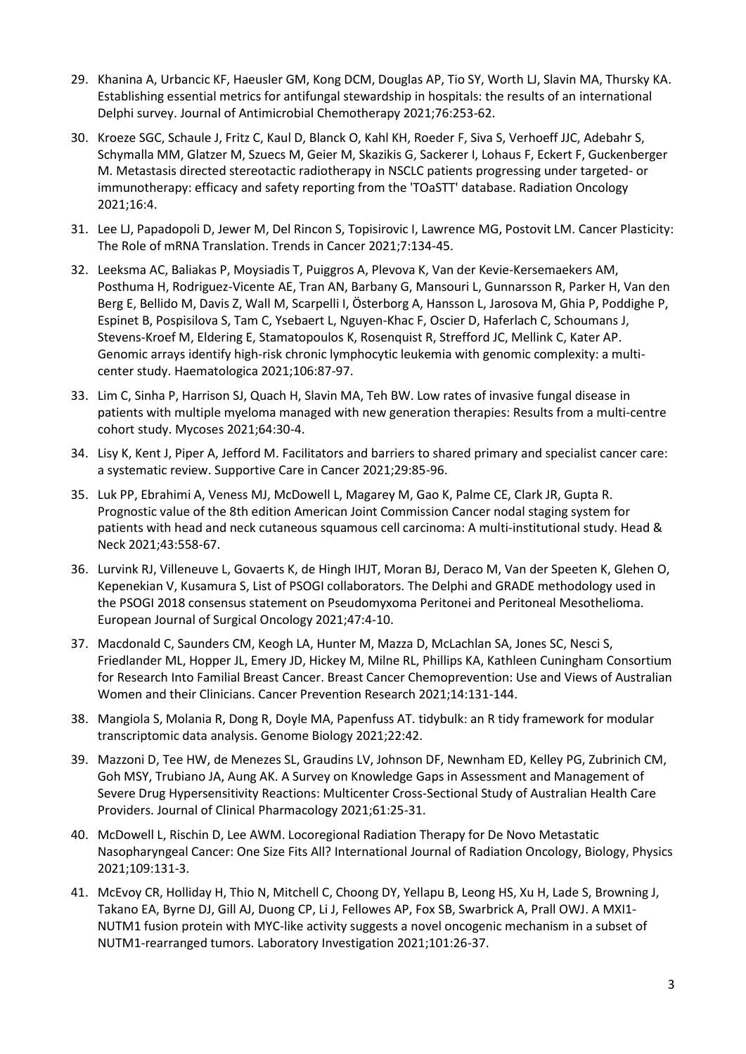- 29. Khanina A, Urbancic KF, Haeusler GM, Kong DCM, Douglas AP, Tio SY, Worth LJ, Slavin MA, Thursky KA. Establishing essential metrics for antifungal stewardship in hospitals: the results of an international Delphi survey. Journal of Antimicrobial Chemotherapy 2021;76:253-62.
- 30. Kroeze SGC, Schaule J, Fritz C, Kaul D, Blanck O, Kahl KH, Roeder F, Siva S, Verhoeff JJC, Adebahr S, Schymalla MM, Glatzer M, Szuecs M, Geier M, Skazikis G, Sackerer I, Lohaus F, Eckert F, Guckenberger M. Metastasis directed stereotactic radiotherapy in NSCLC patients progressing under targeted- or immunotherapy: efficacy and safety reporting from the 'TOaSTT' database. Radiation Oncology 2021;16:4.
- 31. Lee LJ, Papadopoli D, Jewer M, Del Rincon S, Topisirovic I, Lawrence MG, Postovit LM. Cancer Plasticity: The Role of mRNA Translation. Trends in Cancer 2021;7:134-45.
- 32. Leeksma AC, Baliakas P, Moysiadis T, Puiggros A, Plevova K, Van der Kevie-Kersemaekers AM, Posthuma H, Rodriguez-Vicente AE, Tran AN, Barbany G, Mansouri L, Gunnarsson R, Parker H, Van den Berg E, Bellido M, Davis Z, Wall M, Scarpelli I, Österborg A, Hansson L, Jarosova M, Ghia P, Poddighe P, Espinet B, Pospisilova S, Tam C, Ysebaert L, Nguyen-Khac F, Oscier D, Haferlach C, Schoumans J, Stevens-Kroef M, Eldering E, Stamatopoulos K, Rosenquist R, Strefford JC, Mellink C, Kater AP. Genomic arrays identify high-risk chronic lymphocytic leukemia with genomic complexity: a multicenter study. Haematologica 2021;106:87-97.
- 33. Lim C, Sinha P, Harrison SJ, Quach H, Slavin MA, Teh BW. Low rates of invasive fungal disease in patients with multiple myeloma managed with new generation therapies: Results from a multi-centre cohort study. Mycoses 2021;64:30-4.
- 34. Lisy K, Kent J, Piper A, Jefford M. Facilitators and barriers to shared primary and specialist cancer care: a systematic review. Supportive Care in Cancer 2021;29:85-96.
- 35. Luk PP, Ebrahimi A, Veness MJ, McDowell L, Magarey M, Gao K, Palme CE, Clark JR, Gupta R. Prognostic value of the 8th edition American Joint Commission Cancer nodal staging system for patients with head and neck cutaneous squamous cell carcinoma: A multi-institutional study. Head & Neck 2021;43:558-67.
- 36. Lurvink RJ, Villeneuve L, Govaerts K, de Hingh IHJT, Moran BJ, Deraco M, Van der Speeten K, Glehen O, Kepenekian V, Kusamura S, List of PSOGI collaborators. The Delphi and GRADE methodology used in the PSOGI 2018 consensus statement on Pseudomyxoma Peritonei and Peritoneal Mesothelioma. European Journal of Surgical Oncology 2021;47:4-10.
- 37. Macdonald C, Saunders CM, Keogh LA, Hunter M, Mazza D, McLachlan SA, Jones SC, Nesci S, Friedlander ML, Hopper JL, Emery JD, Hickey M, Milne RL, Phillips KA, Kathleen Cuningham Consortium for Research Into Familial Breast Cancer. Breast Cancer Chemoprevention: Use and Views of Australian Women and their Clinicians. Cancer Prevention Research 2021;14:131-144.
- 38. Mangiola S, Molania R, Dong R, Doyle MA, Papenfuss AT. tidybulk: an R tidy framework for modular transcriptomic data analysis. Genome Biology 2021;22:42.
- 39. Mazzoni D, Tee HW, de Menezes SL, Graudins LV, Johnson DF, Newnham ED, Kelley PG, Zubrinich CM, Goh MSY, Trubiano JA, Aung AK. A Survey on Knowledge Gaps in Assessment and Management of Severe Drug Hypersensitivity Reactions: Multicenter Cross-Sectional Study of Australian Health Care Providers. Journal of Clinical Pharmacology 2021;61:25-31.
- 40. McDowell L, Rischin D, Lee AWM. Locoregional Radiation Therapy for De Novo Metastatic Nasopharyngeal Cancer: One Size Fits All? International Journal of Radiation Oncology, Biology, Physics 2021;109:131-3.
- 41. McEvoy CR, Holliday H, Thio N, Mitchell C, Choong DY, Yellapu B, Leong HS, Xu H, Lade S, Browning J, Takano EA, Byrne DJ, Gill AJ, Duong CP, Li J, Fellowes AP, Fox SB, Swarbrick A, Prall OWJ. A MXI1- NUTM1 fusion protein with MYC-like activity suggests a novel oncogenic mechanism in a subset of NUTM1-rearranged tumors. Laboratory Investigation 2021;101:26-37.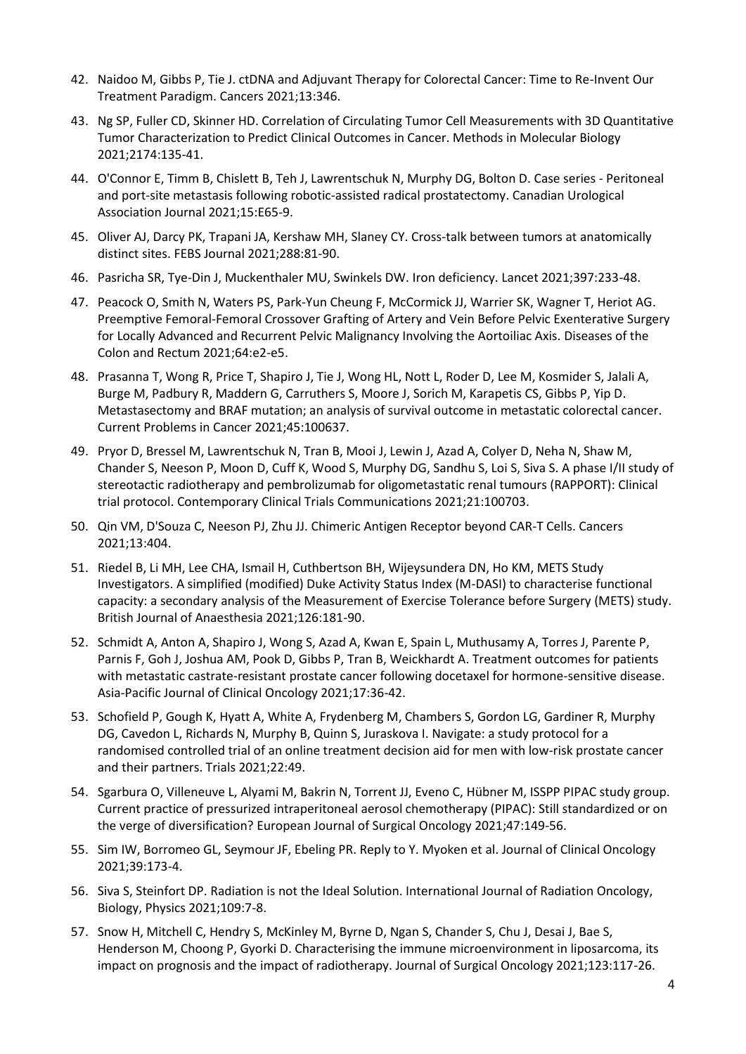- 42. Naidoo M, Gibbs P, Tie J. ctDNA and Adjuvant Therapy for Colorectal Cancer: Time to Re-Invent Our Treatment Paradigm. Cancers 2021;13:346.
- 43. Ng SP, Fuller CD, Skinner HD. Correlation of Circulating Tumor Cell Measurements with 3D Quantitative Tumor Characterization to Predict Clinical Outcomes in Cancer. Methods in Molecular Biology 2021;2174:135-41.
- 44. O'Connor E, Timm B, Chislett B, Teh J, Lawrentschuk N, Murphy DG, Bolton D. Case series Peritoneal and port-site metastasis following robotic-assisted radical prostatectomy. Canadian Urological Association Journal 2021;15:E65-9.
- 45. Oliver AJ, Darcy PK, Trapani JA, Kershaw MH, Slaney CY. Cross-talk between tumors at anatomically distinct sites. FEBS Journal 2021;288:81-90.
- 46. Pasricha SR, Tye-Din J, Muckenthaler MU, Swinkels DW. Iron deficiency. Lancet 2021;397:233-48.
- 47. Peacock O, Smith N, Waters PS, Park-Yun Cheung F, McCormick JJ, Warrier SK, Wagner T, Heriot AG. Preemptive Femoral-Femoral Crossover Grafting of Artery and Vein Before Pelvic Exenterative Surgery for Locally Advanced and Recurrent Pelvic Malignancy Involving the Aortoiliac Axis. Diseases of the Colon and Rectum 2021;64:e2-e5.
- 48. Prasanna T, Wong R, Price T, Shapiro J, Tie J, Wong HL, Nott L, Roder D, Lee M, Kosmider S, Jalali A, Burge M, Padbury R, Maddern G, Carruthers S, Moore J, Sorich M, Karapetis CS, Gibbs P, Yip D. Metastasectomy and BRAF mutation; an analysis of survival outcome in metastatic colorectal cancer. Current Problems in Cancer 2021;45:100637.
- 49. Pryor D, Bressel M, Lawrentschuk N, Tran B, Mooi J, Lewin J, Azad A, Colyer D, Neha N, Shaw M, Chander S, Neeson P, Moon D, Cuff K, Wood S, Murphy DG, Sandhu S, Loi S, Siva S. A phase I/II study of stereotactic radiotherapy and pembrolizumab for oligometastatic renal tumours (RAPPORT): Clinical trial protocol. Contemporary Clinical Trials Communications 2021;21:100703.
- 50. Qin VM, D'Souza C, Neeson PJ, Zhu JJ. Chimeric Antigen Receptor beyond CAR-T Cells. Cancers 2021;13:404.
- 51. Riedel B, Li MH, Lee CHA, Ismail H, Cuthbertson BH, Wijeysundera DN, Ho KM, METS Study Investigators. A simplified (modified) Duke Activity Status Index (M-DASI) to characterise functional capacity: a secondary analysis of the Measurement of Exercise Tolerance before Surgery (METS) study. British Journal of Anaesthesia 2021;126:181-90.
- 52. Schmidt A, Anton A, Shapiro J, Wong S, Azad A, Kwan E, Spain L, Muthusamy A, Torres J, Parente P, Parnis F, Goh J, Joshua AM, Pook D, Gibbs P, Tran B, Weickhardt A. Treatment outcomes for patients with metastatic castrate-resistant prostate cancer following docetaxel for hormone-sensitive disease. Asia-Pacific Journal of Clinical Oncology 2021;17:36-42.
- 53. Schofield P, Gough K, Hyatt A, White A, Frydenberg M, Chambers S, Gordon LG, Gardiner R, Murphy DG, Cavedon L, Richards N, Murphy B, Quinn S, Juraskova I. Navigate: a study protocol for a randomised controlled trial of an online treatment decision aid for men with low-risk prostate cancer and their partners. Trials 2021;22:49.
- 54. Sgarbura O, Villeneuve L, Alyami M, Bakrin N, Torrent JJ, Eveno C, Hübner M, ISSPP PIPAC study group. Current practice of pressurized intraperitoneal aerosol chemotherapy (PIPAC): Still standardized or on the verge of diversification? European Journal of Surgical Oncology 2021;47:149-56.
- 55. Sim IW, Borromeo GL, Seymour JF, Ebeling PR. Reply to Y. Myoken et al. Journal of Clinical Oncology 2021;39:173-4.
- 56. Siva S, Steinfort DP. Radiation is not the Ideal Solution. International Journal of Radiation Oncology, Biology, Physics 2021;109:7-8.
- 57. Snow H, Mitchell C, Hendry S, McKinley M, Byrne D, Ngan S, Chander S, Chu J, Desai J, Bae S, Henderson M, Choong P, Gyorki D. Characterising the immune microenvironment in liposarcoma, its impact on prognosis and the impact of radiotherapy. Journal of Surgical Oncology 2021;123:117-26.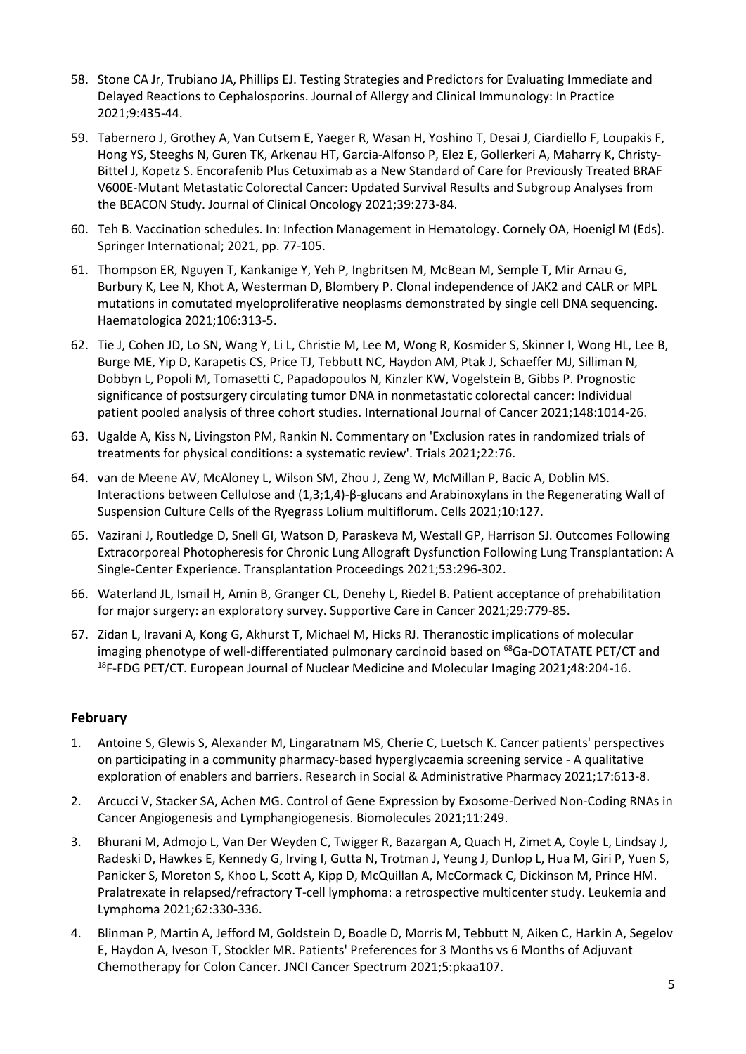- 58. Stone CA Jr, Trubiano JA, Phillips EJ. Testing Strategies and Predictors for Evaluating Immediate and Delayed Reactions to Cephalosporins. Journal of Allergy and Clinical Immunology: In Practice 2021;9:435-44.
- 59. Tabernero J, Grothey A, Van Cutsem E, Yaeger R, Wasan H, Yoshino T, Desai J, Ciardiello F, Loupakis F, Hong YS, Steeghs N, Guren TK, Arkenau HT, Garcia-Alfonso P, Elez E, Gollerkeri A, Maharry K, Christy-Bittel J, Kopetz S. Encorafenib Plus Cetuximab as a New Standard of Care for Previously Treated BRAF V600E-Mutant Metastatic Colorectal Cancer: Updated Survival Results and Subgroup Analyses from the BEACON Study. Journal of Clinical Oncology 2021;39:273-84.
- 60. Teh B. Vaccination schedules. In: Infection Management in Hematology. Cornely OA, Hoenigl M (Eds). Springer International; 2021, pp. 77-105.
- 61. Thompson ER, Nguyen T, Kankanige Y, Yeh P, Ingbritsen M, McBean M, Semple T, Mir Arnau G, Burbury K, Lee N, Khot A, Westerman D, Blombery P. Clonal independence of JAK2 and CALR or MPL mutations in comutated myeloproliferative neoplasms demonstrated by single cell DNA sequencing. Haematologica 2021;106:313-5.
- 62. Tie J, Cohen JD, Lo SN, Wang Y, Li L, Christie M, Lee M, Wong R, Kosmider S, Skinner I, Wong HL, Lee B, Burge ME, Yip D, Karapetis CS, Price TJ, Tebbutt NC, Haydon AM, Ptak J, Schaeffer MJ, Silliman N, Dobbyn L, Popoli M, Tomasetti C, Papadopoulos N, Kinzler KW, Vogelstein B, Gibbs P. Prognostic significance of postsurgery circulating tumor DNA in nonmetastatic colorectal cancer: Individual patient pooled analysis of three cohort studies. International Journal of Cancer 2021;148:1014-26.
- 63. Ugalde A, Kiss N, Livingston PM, Rankin N. Commentary on 'Exclusion rates in randomized trials of treatments for physical conditions: a systematic review'. Trials 2021;22:76.
- 64. van de Meene AV, McAloney L, Wilson SM, Zhou J, Zeng W, McMillan P, Bacic A, Doblin MS. Interactions between Cellulose and (1,3;1,4)-β-glucans and Arabinoxylans in the Regenerating Wall of Suspension Culture Cells of the Ryegrass Lolium multiflorum. Cells 2021;10:127.
- 65. Vazirani J, Routledge D, Snell GI, Watson D, Paraskeva M, Westall GP, Harrison SJ. Outcomes Following Extracorporeal Photopheresis for Chronic Lung Allograft Dysfunction Following Lung Transplantation: A Single-Center Experience. Transplantation Proceedings 2021;53:296-302.
- 66. Waterland JL, Ismail H, Amin B, Granger CL, Denehy L, Riedel B. Patient acceptance of prehabilitation for major surgery: an exploratory survey. Supportive Care in Cancer 2021;29:779-85.
- 67. Zidan L, Iravani A, Kong G, Akhurst T, Michael M, Hicks RJ. Theranostic implications of molecular imaging phenotype of well-differentiated pulmonary carcinoid based on  $^{68}$ Ga-DOTATATE PET/CT and <sup>18</sup>F-FDG PET/CT. European Journal of Nuclear Medicine and Molecular Imaging 2021;48:204-16.

## **February**

- 1. Antoine S, Glewis S, Alexander M, Lingaratnam MS, Cherie C, Luetsch K. Cancer patients' perspectives on participating in a community pharmacy-based hyperglycaemia screening service - A qualitative exploration of enablers and barriers. Research in Social & Administrative Pharmacy 2021;17:613-8.
- 2. Arcucci V, Stacker SA, Achen MG. Control of Gene Expression by Exosome-Derived Non-Coding RNAs in Cancer Angiogenesis and Lymphangiogenesis. Biomolecules 2021;11:249.
- 3. Bhurani M, Admojo L, Van Der Weyden C, Twigger R, Bazargan A, Quach H, Zimet A, Coyle L, Lindsay J, Radeski D, Hawkes E, Kennedy G, Irving I, Gutta N, Trotman J, Yeung J, Dunlop L, Hua M, Giri P, Yuen S, Panicker S, Moreton S, Khoo L, Scott A, Kipp D, McQuillan A, McCormack C, Dickinson M, Prince HM. Pralatrexate in relapsed/refractory T-cell lymphoma: a retrospective multicenter study. Leukemia and Lymphoma 2021;62:330-336.
- 4. Blinman P, Martin A, Jefford M, Goldstein D, Boadle D, Morris M, Tebbutt N, Aiken C, Harkin A, Segelov E, Haydon A, Iveson T, Stockler MR. Patients' Preferences for 3 Months vs 6 Months of Adjuvant Chemotherapy for Colon Cancer. JNCI Cancer Spectrum 2021;5:pkaa107.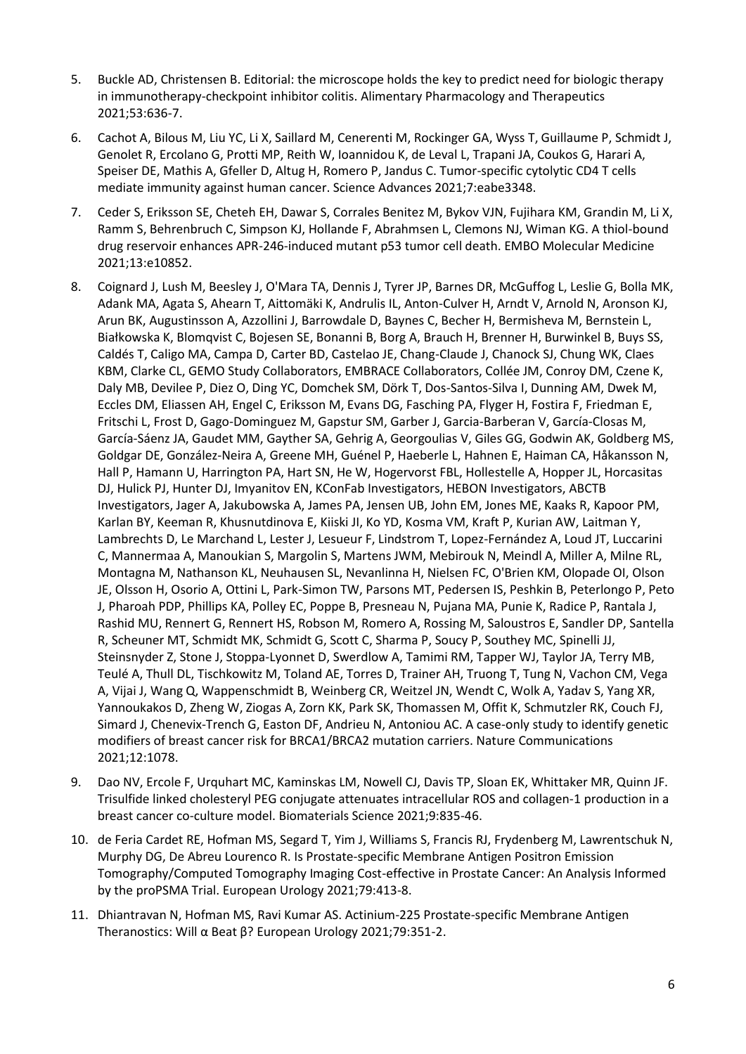- 5. Buckle AD, Christensen B. Editorial: the microscope holds the key to predict need for biologic therapy in immunotherapy-checkpoint inhibitor colitis. Alimentary Pharmacology and Therapeutics 2021;53:636-7.
- 6. Cachot A, Bilous M, Liu YC, Li X, Saillard M, Cenerenti M, Rockinger GA, Wyss T, Guillaume P, Schmidt J, Genolet R, Ercolano G, Protti MP, Reith W, Ioannidou K, de Leval L, Trapani JA, Coukos G, Harari A, Speiser DE, Mathis A, Gfeller D, Altug H, Romero P, Jandus C. Tumor-specific cytolytic CD4 T cells mediate immunity against human cancer. Science Advances 2021;7:eabe3348.
- 7. Ceder S, Eriksson SE, Cheteh EH, Dawar S, Corrales Benitez M, Bykov VJN, Fujihara KM, Grandin M, Li X, Ramm S, Behrenbruch C, Simpson KJ, Hollande F, Abrahmsen L, Clemons NJ, Wiman KG. A thiol-bound drug reservoir enhances APR-246-induced mutant p53 tumor cell death. EMBO Molecular Medicine 2021;13:e10852.
- 8. Coignard J, Lush M, Beesley J, O'Mara TA, Dennis J, Tyrer JP, Barnes DR, McGuffog L, Leslie G, Bolla MK, Adank MA, Agata S, Ahearn T, Aittomäki K, Andrulis IL, Anton-Culver H, Arndt V, Arnold N, Aronson KJ, Arun BK, Augustinsson A, Azzollini J, Barrowdale D, Baynes C, Becher H, Bermisheva M, Bernstein L, Białkowska K, Blomqvist C, Bojesen SE, Bonanni B, Borg A, Brauch H, Brenner H, Burwinkel B, Buys SS, Caldés T, Caligo MA, Campa D, Carter BD, Castelao JE, Chang-Claude J, Chanock SJ, Chung WK, Claes KBM, Clarke CL, GEMO Study Collaborators, EMBRACE Collaborators, Collée JM, Conroy DM, Czene K, Daly MB, Devilee P, Diez O, Ding YC, Domchek SM, Dörk T, Dos-Santos-Silva I, Dunning AM, Dwek M, Eccles DM, Eliassen AH, Engel C, Eriksson M, Evans DG, Fasching PA, Flyger H, Fostira F, Friedman E, Fritschi L, Frost D, Gago-Dominguez M, Gapstur SM, Garber J, Garcia-Barberan V, García-Closas M, García-Sáenz JA, Gaudet MM, Gayther SA, Gehrig A, Georgoulias V, Giles GG, Godwin AK, Goldberg MS, Goldgar DE, González-Neira A, Greene MH, Guénel P, Haeberle L, Hahnen E, Haiman CA, Håkansson N, Hall P, Hamann U, Harrington PA, Hart SN, He W, Hogervorst FBL, Hollestelle A, Hopper JL, Horcasitas DJ, Hulick PJ, Hunter DJ, Imyanitov EN, KConFab Investigators, HEBON Investigators, ABCTB Investigators, Jager A, Jakubowska A, James PA, Jensen UB, John EM, Jones ME, Kaaks R, Kapoor PM, Karlan BY, Keeman R, Khusnutdinova E, Kiiski JI, Ko YD, Kosma VM, Kraft P, Kurian AW, Laitman Y, Lambrechts D, Le Marchand L, Lester J, Lesueur F, Lindstrom T, Lopez-Fernández A, Loud JT, Luccarini C, Mannermaa A, Manoukian S, Margolin S, Martens JWM, Mebirouk N, Meindl A, Miller A, Milne RL, Montagna M, Nathanson KL, Neuhausen SL, Nevanlinna H, Nielsen FC, O'Brien KM, Olopade OI, Olson JE, Olsson H, Osorio A, Ottini L, Park-Simon TW, Parsons MT, Pedersen IS, Peshkin B, Peterlongo P, Peto J, Pharoah PDP, Phillips KA, Polley EC, Poppe B, Presneau N, Pujana MA, Punie K, Radice P, Rantala J, Rashid MU, Rennert G, Rennert HS, Robson M, Romero A, Rossing M, Saloustros E, Sandler DP, Santella R, Scheuner MT, Schmidt MK, Schmidt G, Scott C, Sharma P, Soucy P, Southey MC, Spinelli JJ, Steinsnyder Z, Stone J, Stoppa-Lyonnet D, Swerdlow A, Tamimi RM, Tapper WJ, Taylor JA, Terry MB, Teulé A, Thull DL, Tischkowitz M, Toland AE, Torres D, Trainer AH, Truong T, Tung N, Vachon CM, Vega A, Vijai J, Wang Q, Wappenschmidt B, Weinberg CR, Weitzel JN, Wendt C, Wolk A, Yadav S, Yang XR, Yannoukakos D, Zheng W, Ziogas A, Zorn KK, Park SK, Thomassen M, Offit K, Schmutzler RK, Couch FJ, Simard J, Chenevix-Trench G, Easton DF, Andrieu N, Antoniou AC. A case-only study to identify genetic modifiers of breast cancer risk for BRCA1/BRCA2 mutation carriers. Nature Communications 2021;12:1078.
- 9. Dao NV, Ercole F, Urquhart MC, Kaminskas LM, Nowell CJ, Davis TP, Sloan EK, Whittaker MR, Quinn JF. Trisulfide linked cholesteryl PEG conjugate attenuates intracellular ROS and collagen-1 production in a breast cancer co-culture model. Biomaterials Science 2021;9:835-46.
- 10. de Feria Cardet RE, Hofman MS, Segard T, Yim J, Williams S, Francis RJ, Frydenberg M, Lawrentschuk N, Murphy DG, De Abreu Lourenco R. Is Prostate-specific Membrane Antigen Positron Emission Tomography/Computed Tomography Imaging Cost-effective in Prostate Cancer: An Analysis Informed by the proPSMA Trial. European Urology 2021;79:413-8.
- 11. Dhiantravan N, Hofman MS, Ravi Kumar AS. Actinium-225 Prostate-specific Membrane Antigen Theranostics: Will α Beat β? European Urology 2021;79:351-2.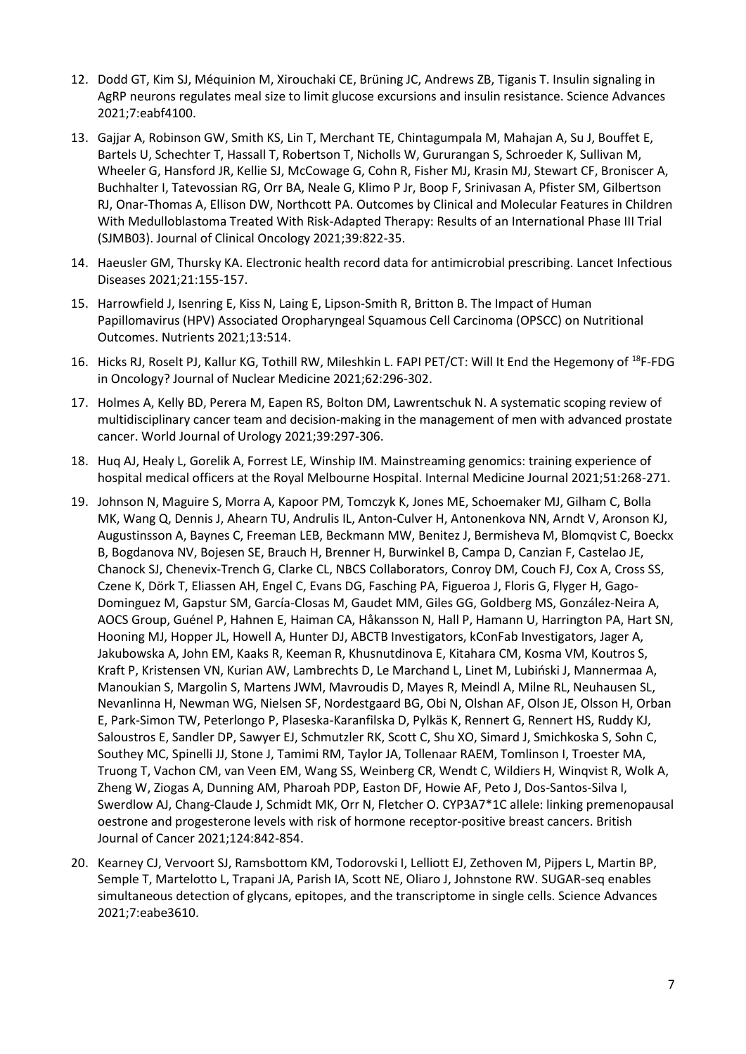- 12. Dodd GT, Kim SJ, Méquinion M, Xirouchaki CE, Brüning JC, Andrews ZB, Tiganis T. Insulin signaling in AgRP neurons regulates meal size to limit glucose excursions and insulin resistance. Science Advances 2021;7:eabf4100.
- 13. Gajjar A, Robinson GW, Smith KS, Lin T, Merchant TE, Chintagumpala M, Mahajan A, Su J, Bouffet E, Bartels U, Schechter T, Hassall T, Robertson T, Nicholls W, Gururangan S, Schroeder K, Sullivan M, Wheeler G, Hansford JR, Kellie SJ, McCowage G, Cohn R, Fisher MJ, Krasin MJ, Stewart CF, Broniscer A, Buchhalter I, Tatevossian RG, Orr BA, Neale G, Klimo P Jr, Boop F, Srinivasan A, Pfister SM, Gilbertson RJ, Onar-Thomas A, Ellison DW, Northcott PA. Outcomes by Clinical and Molecular Features in Children With Medulloblastoma Treated With Risk-Adapted Therapy: Results of an International Phase III Trial (SJMB03). Journal of Clinical Oncology 2021;39:822-35.
- 14. Haeusler GM, Thursky KA. Electronic health record data for antimicrobial prescribing. Lancet Infectious Diseases 2021;21:155-157.
- 15. Harrowfield J, Isenring E, Kiss N, Laing E, Lipson-Smith R, Britton B. The Impact of Human Papillomavirus (HPV) Associated Oropharyngeal Squamous Cell Carcinoma (OPSCC) on Nutritional Outcomes. Nutrients 2021;13:514.
- 16. Hicks RJ, Roselt PJ, Kallur KG, Tothill RW, Mileshkin L. FAPI PET/CT: Will It End the Hegemony of <sup>18</sup>F-FDG in Oncology? Journal of Nuclear Medicine 2021;62:296-302.
- 17. Holmes A, Kelly BD, Perera M, Eapen RS, Bolton DM, Lawrentschuk N. A systematic scoping review of multidisciplinary cancer team and decision-making in the management of men with advanced prostate cancer. World Journal of Urology 2021;39:297-306.
- 18. Huq AJ, Healy L, Gorelik A, Forrest LE, Winship IM. Mainstreaming genomics: training experience of hospital medical officers at the Royal Melbourne Hospital. Internal Medicine Journal 2021;51:268-271.
- 19. Johnson N, Maguire S, Morra A, Kapoor PM, Tomczyk K, Jones ME, Schoemaker MJ, Gilham C, Bolla MK, Wang Q, Dennis J, Ahearn TU, Andrulis IL, Anton-Culver H, Antonenkova NN, Arndt V, Aronson KJ, Augustinsson A, Baynes C, Freeman LEB, Beckmann MW, Benitez J, Bermisheva M, Blomqvist C, Boeckx B, Bogdanova NV, Bojesen SE, Brauch H, Brenner H, Burwinkel B, Campa D, Canzian F, Castelao JE, Chanock SJ, Chenevix-Trench G, Clarke CL, NBCS Collaborators, Conroy DM, Couch FJ, Cox A, Cross SS, Czene K, Dörk T, Eliassen AH, Engel C, Evans DG, Fasching PA, Figueroa J, Floris G, Flyger H, Gago-Dominguez M, Gapstur SM, García-Closas M, Gaudet MM, Giles GG, Goldberg MS, González-Neira A, AOCS Group, Guénel P, Hahnen E, Haiman CA, Håkansson N, Hall P, Hamann U, Harrington PA, Hart SN, Hooning MJ, Hopper JL, Howell A, Hunter DJ, ABCTB Investigators, kConFab Investigators, Jager A, Jakubowska A, John EM, Kaaks R, Keeman R, Khusnutdinova E, Kitahara CM, Kosma VM, Koutros S, Kraft P, Kristensen VN, Kurian AW, Lambrechts D, Le Marchand L, Linet M, Lubiński J, Mannermaa A, Manoukian S, Margolin S, Martens JWM, Mavroudis D, Mayes R, Meindl A, Milne RL, Neuhausen SL, Nevanlinna H, Newman WG, Nielsen SF, Nordestgaard BG, Obi N, Olshan AF, Olson JE, Olsson H, Orban E, Park-Simon TW, Peterlongo P, Plaseska-Karanfilska D, Pylkäs K, Rennert G, Rennert HS, Ruddy KJ, Saloustros E, Sandler DP, Sawyer EJ, Schmutzler RK, Scott C, Shu XO, Simard J, Smichkoska S, Sohn C, Southey MC, Spinelli JJ, Stone J, Tamimi RM, Taylor JA, Tollenaar RAEM, Tomlinson I, Troester MA, Truong T, Vachon CM, van Veen EM, Wang SS, Weinberg CR, Wendt C, Wildiers H, Winqvist R, Wolk A, Zheng W, Ziogas A, Dunning AM, Pharoah PDP, Easton DF, Howie AF, Peto J, Dos-Santos-Silva I, Swerdlow AJ, Chang-Claude J, Schmidt MK, Orr N, Fletcher O. CYP3A7\*1C allele: linking premenopausal oestrone and progesterone levels with risk of hormone receptor-positive breast cancers. British Journal of Cancer 2021;124:842-854.
- 20. Kearney CJ, Vervoort SJ, Ramsbottom KM, Todorovski I, Lelliott EJ, Zethoven M, Pijpers L, Martin BP, Semple T, Martelotto L, Trapani JA, Parish IA, Scott NE, Oliaro J, Johnstone RW. SUGAR-seq enables simultaneous detection of glycans, epitopes, and the transcriptome in single cells. Science Advances 2021;7:eabe3610.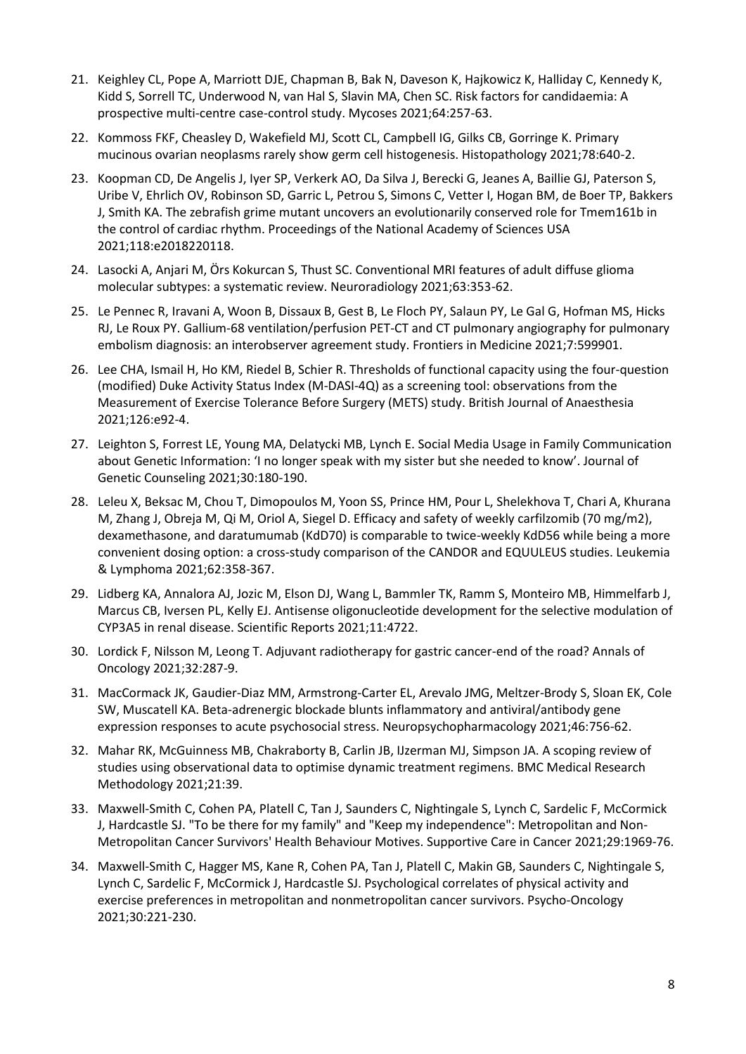- 21. Keighley CL, Pope A, Marriott DJE, Chapman B, Bak N, Daveson K, Hajkowicz K, Halliday C, Kennedy K, Kidd S, Sorrell TC, Underwood N, van Hal S, Slavin MA, Chen SC. Risk factors for candidaemia: A prospective multi-centre case-control study. Mycoses 2021;64:257-63.
- 22. Kommoss FKF, Cheasley D, Wakefield MJ, Scott CL, Campbell IG, Gilks CB, Gorringe K. Primary mucinous ovarian neoplasms rarely show germ cell histogenesis. Histopathology 2021;78:640-2.
- 23. Koopman CD, De Angelis J, Iyer SP, Verkerk AO, Da Silva J, Berecki G, Jeanes A, Baillie GJ, Paterson S, Uribe V, Ehrlich OV, Robinson SD, Garric L, Petrou S, Simons C, Vetter I, Hogan BM, de Boer TP, Bakkers J, Smith KA. The zebrafish grime mutant uncovers an evolutionarily conserved role for Tmem161b in the control of cardiac rhythm. Proceedings of the National Academy of Sciences USA 2021;118:e2018220118.
- 24. Lasocki A, Anjari M, Ӧrs Kokurcan S, Thust SC. Conventional MRI features of adult diffuse glioma molecular subtypes: a systematic review. Neuroradiology 2021;63:353-62.
- 25. Le Pennec R, Iravani A, Woon B, Dissaux B, Gest B, Le Floch PY, Salaun PY, Le Gal G, Hofman MS, Hicks RJ, Le Roux PY. Gallium-68 ventilation/perfusion PET-CT and CT pulmonary angiography for pulmonary embolism diagnosis: an interobserver agreement study. Frontiers in Medicine 2021;7:599901.
- 26. Lee CHA, Ismail H, Ho KM, Riedel B, Schier R. Thresholds of functional capacity using the four-question (modified) Duke Activity Status Index (M-DASI-4Q) as a screening tool: observations from the Measurement of Exercise Tolerance Before Surgery (METS) study. British Journal of Anaesthesia 2021;126:e92-4.
- 27. Leighton S, Forrest LE, Young MA, Delatycki MB, Lynch E. Social Media Usage in Family Communication about Genetic Information: 'I no longer speak with my sister but she needed to know'. Journal of Genetic Counseling 2021;30:180-190.
- 28. Leleu X, Beksac M, Chou T, Dimopoulos M, Yoon SS, Prince HM, Pour L, Shelekhova T, Chari A, Khurana M, Zhang J, Obreja M, Qi M, Oriol A, Siegel D. Efficacy and safety of weekly carfilzomib (70 mg/m2), dexamethasone, and daratumumab (KdD70) is comparable to twice-weekly KdD56 while being a more convenient dosing option: a cross-study comparison of the CANDOR and EQUULEUS studies. Leukemia & Lymphoma 2021;62:358-367.
- 29. Lidberg KA, Annalora AJ, Jozic M, Elson DJ, Wang L, Bammler TK, Ramm S, Monteiro MB, Himmelfarb J, Marcus CB, Iversen PL, Kelly EJ. Antisense oligonucleotide development for the selective modulation of CYP3A5 in renal disease. Scientific Reports 2021;11:4722.
- 30. Lordick F, Nilsson M, Leong T. Adjuvant radiotherapy for gastric cancer-end of the road? Annals of Oncology 2021;32:287-9.
- 31. MacCormack JK, Gaudier-Diaz MM, Armstrong-Carter EL, Arevalo JMG, Meltzer-Brody S, Sloan EK, Cole SW, Muscatell KA. Beta-adrenergic blockade blunts inflammatory and antiviral/antibody gene expression responses to acute psychosocial stress. Neuropsychopharmacology 2021;46:756-62.
- 32. Mahar RK, McGuinness MB, Chakraborty B, Carlin JB, IJzerman MJ, Simpson JA. A scoping review of studies using observational data to optimise dynamic treatment regimens. BMC Medical Research Methodology 2021;21:39.
- 33. Maxwell-Smith C, Cohen PA, Platell C, Tan J, Saunders C, Nightingale S, Lynch C, Sardelic F, McCormick J, Hardcastle SJ. "To be there for my family" and "Keep my independence": Metropolitan and Non-Metropolitan Cancer Survivors' Health Behaviour Motives. Supportive Care in Cancer 2021;29:1969-76.
- 34. Maxwell-Smith C, Hagger MS, Kane R, Cohen PA, Tan J, Platell C, Makin GB, Saunders C, Nightingale S, Lynch C, Sardelic F, McCormick J, Hardcastle SJ. Psychological correlates of physical activity and exercise preferences in metropolitan and nonmetropolitan cancer survivors. Psycho-Oncology 2021;30:221-230.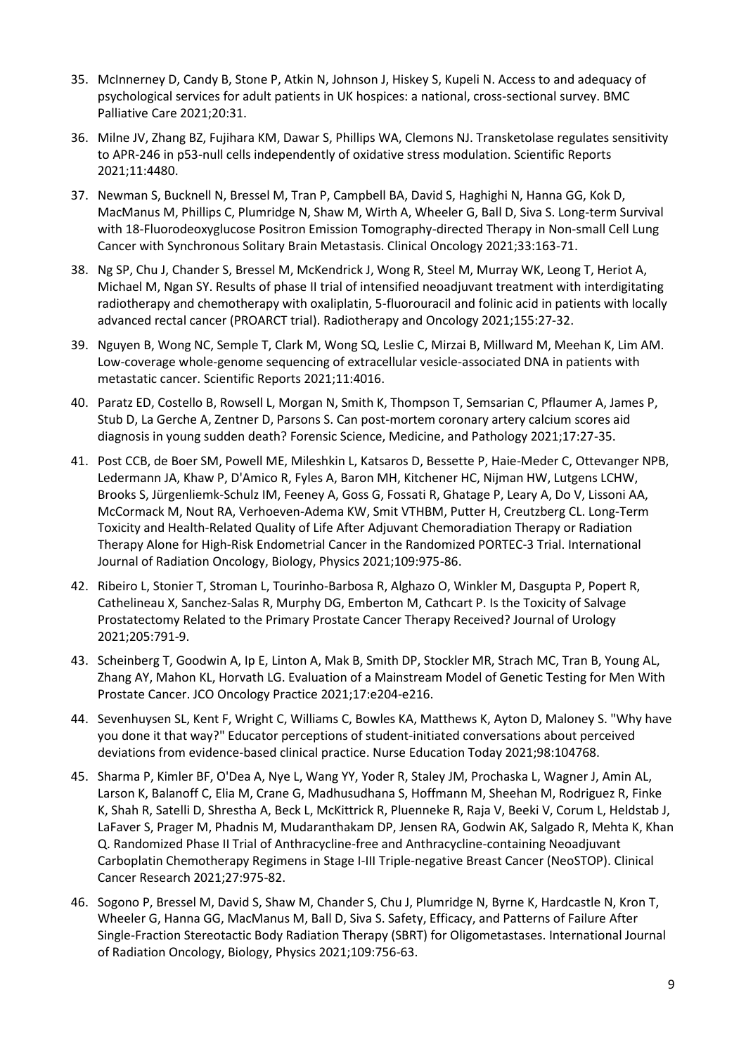- 35. McInnerney D, Candy B, Stone P, Atkin N, Johnson J, Hiskey S, Kupeli N. Access to and adequacy of psychological services for adult patients in UK hospices: a national, cross-sectional survey. BMC Palliative Care 2021;20:31.
- 36. Milne JV, Zhang BZ, Fujihara KM, Dawar S, Phillips WA, Clemons NJ. Transketolase regulates sensitivity to APR-246 in p53-null cells independently of oxidative stress modulation. Scientific Reports 2021;11:4480.
- 37. Newman S, Bucknell N, Bressel M, Tran P, Campbell BA, David S, Haghighi N, Hanna GG, Kok D, MacManus M, Phillips C, Plumridge N, Shaw M, Wirth A, Wheeler G, Ball D, Siva S. Long-term Survival with 18-Fluorodeoxyglucose Positron Emission Tomography-directed Therapy in Non-small Cell Lung Cancer with Synchronous Solitary Brain Metastasis. Clinical Oncology 2021;33:163-71.
- 38. Ng SP, Chu J, Chander S, Bressel M, McKendrick J, Wong R, Steel M, Murray WK, Leong T, Heriot A, Michael M, Ngan SY. Results of phase II trial of intensified neoadjuvant treatment with interdigitating radiotherapy and chemotherapy with oxaliplatin, 5-fluorouracil and folinic acid in patients with locally advanced rectal cancer (PROARCT trial). Radiotherapy and Oncology 2021;155:27-32.
- 39. Nguyen B, Wong NC, Semple T, Clark M, Wong SQ, Leslie C, Mirzai B, Millward M, Meehan K, Lim AM. Low-coverage whole-genome sequencing of extracellular vesicle-associated DNA in patients with metastatic cancer. Scientific Reports 2021;11:4016.
- 40. Paratz ED, Costello B, Rowsell L, Morgan N, Smith K, Thompson T, Semsarian C, Pflaumer A, James P, Stub D, La Gerche A, Zentner D, Parsons S. Can post-mortem coronary artery calcium scores aid diagnosis in young sudden death? Forensic Science, Medicine, and Pathology 2021;17:27-35.
- 41. Post CCB, de Boer SM, Powell ME, Mileshkin L, Katsaros D, Bessette P, Haie-Meder C, Ottevanger NPB, Ledermann JA, Khaw P, D'Amico R, Fyles A, Baron MH, Kitchener HC, Nijman HW, Lutgens LCHW, Brooks S, Jürgenliemk-Schulz IM, Feeney A, Goss G, Fossati R, Ghatage P, Leary A, Do V, Lissoni AA, McCormack M, Nout RA, Verhoeven-Adema KW, Smit VTHBM, Putter H, Creutzberg CL. Long-Term Toxicity and Health-Related Quality of Life After Adjuvant Chemoradiation Therapy or Radiation Therapy Alone for High-Risk Endometrial Cancer in the Randomized PORTEC-3 Trial. International Journal of Radiation Oncology, Biology, Physics 2021;109:975-86.
- 42. Ribeiro L, Stonier T, Stroman L, Tourinho-Barbosa R, Alghazo O, Winkler M, Dasgupta P, Popert R, Cathelineau X, Sanchez-Salas R, Murphy DG, Emberton M, Cathcart P. Is the Toxicity of Salvage Prostatectomy Related to the Primary Prostate Cancer Therapy Received? Journal of Urology 2021;205:791-9.
- 43. Scheinberg T, Goodwin A, Ip E, Linton A, Mak B, Smith DP, Stockler MR, Strach MC, Tran B, Young AL, Zhang AY, Mahon KL, Horvath LG. Evaluation of a Mainstream Model of Genetic Testing for Men With Prostate Cancer. JCO Oncology Practice 2021;17:e204-e216.
- 44. Sevenhuysen SL, Kent F, Wright C, Williams C, Bowles KA, Matthews K, Ayton D, Maloney S. "Why have you done it that way?" Educator perceptions of student-initiated conversations about perceived deviations from evidence-based clinical practice. Nurse Education Today 2021;98:104768.
- 45. Sharma P, Kimler BF, O'Dea A, Nye L, Wang YY, Yoder R, Staley JM, Prochaska L, Wagner J, Amin AL, Larson K, Balanoff C, Elia M, Crane G, Madhusudhana S, Hoffmann M, Sheehan M, Rodriguez R, Finke K, Shah R, Satelli D, Shrestha A, Beck L, McKittrick R, Pluenneke R, Raja V, Beeki V, Corum L, Heldstab J, LaFaver S, Prager M, Phadnis M, Mudaranthakam DP, Jensen RA, Godwin AK, Salgado R, Mehta K, Khan Q. Randomized Phase II Trial of Anthracycline-free and Anthracycline-containing Neoadjuvant Carboplatin Chemotherapy Regimens in Stage I-III Triple-negative Breast Cancer (NeoSTOP). Clinical Cancer Research 2021;27:975-82.
- 46. Sogono P, Bressel M, David S, Shaw M, Chander S, Chu J, Plumridge N, Byrne K, Hardcastle N, Kron T, Wheeler G, Hanna GG, MacManus M, Ball D, Siva S. Safety, Efficacy, and Patterns of Failure After Single-Fraction Stereotactic Body Radiation Therapy (SBRT) for Oligometastases. International Journal of Radiation Oncology, Biology, Physics 2021;109:756-63.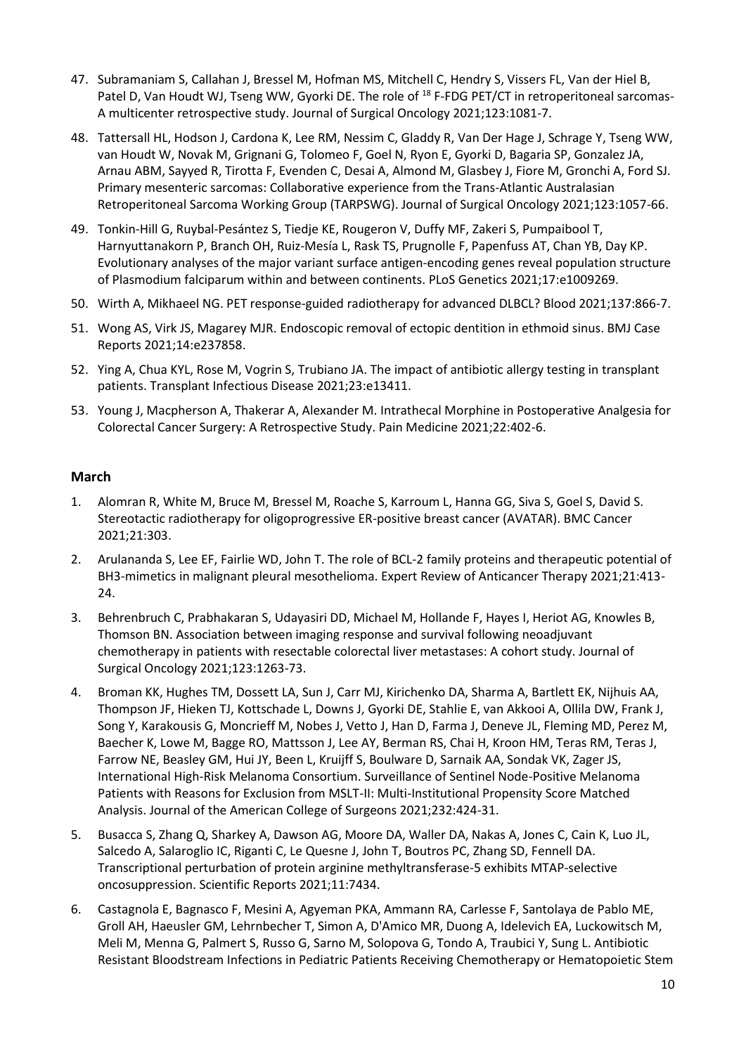- 47. Subramaniam S, Callahan J, Bressel M, Hofman MS, Mitchell C, Hendry S, Vissers FL, Van der Hiel B, Patel D, Van Houdt WJ, Tseng WW, Gyorki DE. The role of <sup>18</sup> F-FDG PET/CT in retroperitoneal sarcomas-A multicenter retrospective study. Journal of Surgical Oncology 2021;123:1081-7.
- 48. Tattersall HL, Hodson J, Cardona K, Lee RM, Nessim C, Gladdy R, Van Der Hage J, Schrage Y, Tseng WW, van Houdt W, Novak M, Grignani G, Tolomeo F, Goel N, Ryon E, Gyorki D, Bagaria SP, Gonzalez JA, Arnau ABM, Sayyed R, Tirotta F, Evenden C, Desai A, Almond M, Glasbey J, Fiore M, Gronchi A, Ford SJ. Primary mesenteric sarcomas: Collaborative experience from the Trans-Atlantic Australasian Retroperitoneal Sarcoma Working Group (TARPSWG). Journal of Surgical Oncology 2021;123:1057-66.
- 49. Tonkin-Hill G, Ruybal-Pesántez S, Tiedje KE, Rougeron V, Duffy MF, Zakeri S, Pumpaibool T, Harnyuttanakorn P, Branch OH, Ruiz-Mesía L, Rask TS, Prugnolle F, Papenfuss AT, Chan YB, Day KP. Evolutionary analyses of the major variant surface antigen-encoding genes reveal population structure of Plasmodium falciparum within and between continents. PLoS Genetics 2021;17:e1009269.
- 50. Wirth A, Mikhaeel NG. PET response-guided radiotherapy for advanced DLBCL? Blood 2021;137:866-7.
- 51. Wong AS, Virk JS, Magarey MJR. Endoscopic removal of ectopic dentition in ethmoid sinus. BMJ Case Reports 2021;14:e237858.
- 52. Ying A, Chua KYL, Rose M, Vogrin S, Trubiano JA. The impact of antibiotic allergy testing in transplant patients. Transplant Infectious Disease 2021;23:e13411.
- 53. Young J, Macpherson A, Thakerar A, Alexander M. Intrathecal Morphine in Postoperative Analgesia for Colorectal Cancer Surgery: A Retrospective Study. Pain Medicine 2021;22:402-6.

# **March**

- 1. Alomran R, White M, Bruce M, Bressel M, Roache S, Karroum L, Hanna GG, Siva S, Goel S, David S. Stereotactic radiotherapy for oligoprogressive ER-positive breast cancer (AVATAR). BMC Cancer 2021;21:303.
- 2. Arulananda S, Lee EF, Fairlie WD, John T. The role of BCL-2 family proteins and therapeutic potential of BH3-mimetics in malignant pleural mesothelioma. Expert Review of Anticancer Therapy 2021;21:413- 24.
- 3. Behrenbruch C, Prabhakaran S, Udayasiri DD, Michael M, Hollande F, Hayes I, Heriot AG, Knowles B, Thomson BN. Association between imaging response and survival following neoadjuvant chemotherapy in patients with resectable colorectal liver metastases: A cohort study. Journal of Surgical Oncology 2021;123:1263-73.
- 4. Broman KK, Hughes TM, Dossett LA, Sun J, Carr MJ, Kirichenko DA, Sharma A, Bartlett EK, Nijhuis AA, Thompson JF, Hieken TJ, Kottschade L, Downs J, Gyorki DE, Stahlie E, van Akkooi A, Ollila DW, Frank J, Song Y, Karakousis G, Moncrieff M, Nobes J, Vetto J, Han D, Farma J, Deneve JL, Fleming MD, Perez M, Baecher K, Lowe M, Bagge RO, Mattsson J, Lee AY, Berman RS, Chai H, Kroon HM, Teras RM, Teras J, Farrow NE, Beasley GM, Hui JY, Been L, Kruijff S, Boulware D, Sarnaik AA, Sondak VK, Zager JS, International High-Risk Melanoma Consortium. Surveillance of Sentinel Node-Positive Melanoma Patients with Reasons for Exclusion from MSLT-II: Multi-Institutional Propensity Score Matched Analysis. Journal of the American College of Surgeons 2021;232:424-31.
- 5. Busacca S, Zhang Q, Sharkey A, Dawson AG, Moore DA, Waller DA, Nakas A, Jones C, Cain K, Luo JL, Salcedo A, Salaroglio IC, Riganti C, Le Quesne J, John T, Boutros PC, Zhang SD, Fennell DA. Transcriptional perturbation of protein arginine methyltransferase-5 exhibits MTAP-selective oncosuppression. Scientific Reports 2021;11:7434.
- 6. Castagnola E, Bagnasco F, Mesini A, Agyeman PKA, Ammann RA, Carlesse F, Santolaya de Pablo ME, Groll AH, Haeusler GM, Lehrnbecher T, Simon A, D'Amico MR, Duong A, Idelevich EA, Luckowitsch M, Meli M, Menna G, Palmert S, Russo G, Sarno M, Solopova G, Tondo A, Traubici Y, Sung L. Antibiotic Resistant Bloodstream Infections in Pediatric Patients Receiving Chemotherapy or Hematopoietic Stem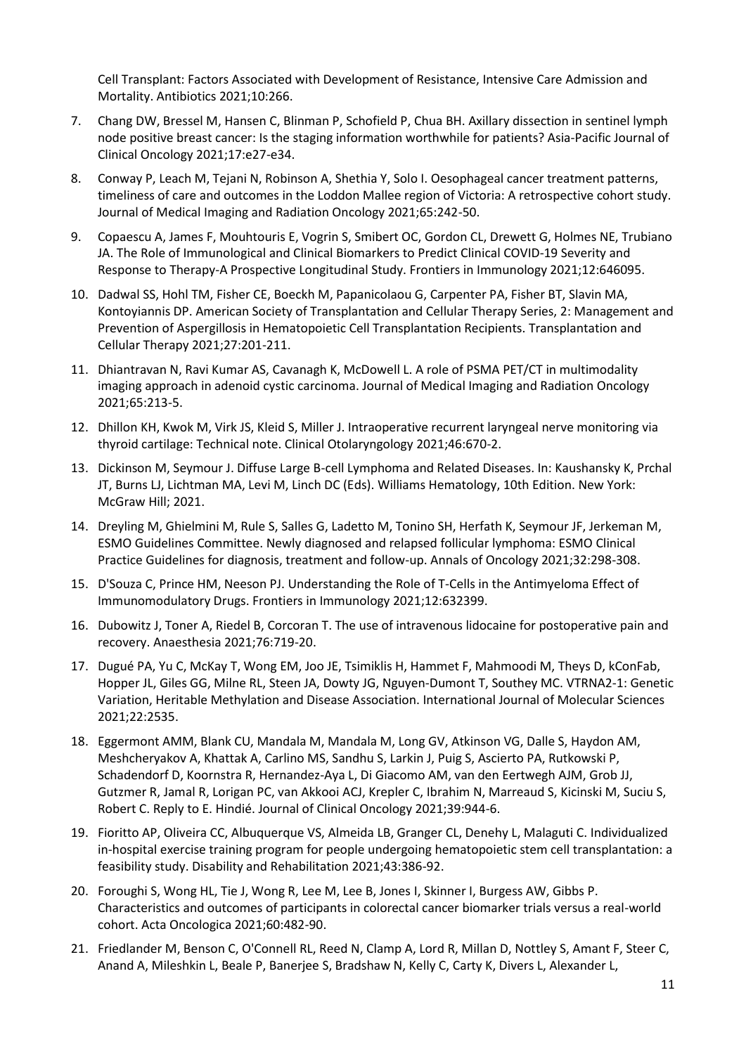Cell Transplant: Factors Associated with Development of Resistance, Intensive Care Admission and Mortality. Antibiotics 2021;10:266.

- 7. Chang DW, Bressel M, Hansen C, Blinman P, Schofield P, Chua BH. Axillary dissection in sentinel lymph node positive breast cancer: Is the staging information worthwhile for patients? Asia-Pacific Journal of Clinical Oncology 2021;17:e27-e34.
- 8. Conway P, Leach M, Tejani N, Robinson A, Shethia Y, Solo I. Oesophageal cancer treatment patterns, timeliness of care and outcomes in the Loddon Mallee region of Victoria: A retrospective cohort study. Journal of Medical Imaging and Radiation Oncology 2021;65:242-50.
- 9. Copaescu A, James F, Mouhtouris E, Vogrin S, Smibert OC, Gordon CL, Drewett G, Holmes NE, Trubiano JA. The Role of Immunological and Clinical Biomarkers to Predict Clinical COVID-19 Severity and Response to Therapy-A Prospective Longitudinal Study. Frontiers in Immunology 2021;12:646095.
- 10. Dadwal SS, Hohl TM, Fisher CE, Boeckh M, Papanicolaou G, Carpenter PA, Fisher BT, Slavin MA, Kontoyiannis DP. American Society of Transplantation and Cellular Therapy Series, 2: Management and Prevention of Aspergillosis in Hematopoietic Cell Transplantation Recipients. Transplantation and Cellular Therapy 2021;27:201-211.
- 11. Dhiantravan N, Ravi Kumar AS, Cavanagh K, McDowell L. A role of PSMA PET/CT in multimodality imaging approach in adenoid cystic carcinoma. Journal of Medical Imaging and Radiation Oncology 2021;65:213-5.
- 12. Dhillon KH, Kwok M, Virk JS, Kleid S, Miller J. Intraoperative recurrent laryngeal nerve monitoring via thyroid cartilage: Technical note. Clinical Otolaryngology 2021;46:670-2.
- 13. Dickinson M, Seymour J. Diffuse Large B-cell Lymphoma and Related Diseases. In: Kaushansky K, Prchal JT, Burns LJ, Lichtman MA, Levi M, Linch DC (Eds). Williams Hematology, 10th Edition. New York: McGraw Hill; 2021.
- 14. Dreyling M, Ghielmini M, Rule S, Salles G, Ladetto M, Tonino SH, Herfath K, Seymour JF, Jerkeman M, ESMO Guidelines Committee. Newly diagnosed and relapsed follicular lymphoma: ESMO Clinical Practice Guidelines for diagnosis, treatment and follow-up. Annals of Oncology 2021;32:298-308.
- 15. D'Souza C, Prince HM, Neeson PJ. Understanding the Role of T-Cells in the Antimyeloma Effect of Immunomodulatory Drugs. Frontiers in Immunology 2021;12:632399.
- 16. Dubowitz J, Toner A, Riedel B, Corcoran T. The use of intravenous lidocaine for postoperative pain and recovery. Anaesthesia 2021;76:719-20.
- 17. Dugué PA, Yu C, McKay T, Wong EM, Joo JE, Tsimiklis H, Hammet F, Mahmoodi M, Theys D, kConFab, Hopper JL, Giles GG, Milne RL, Steen JA, Dowty JG, Nguyen-Dumont T, Southey MC. VTRNA2-1: Genetic Variation, Heritable Methylation and Disease Association. International Journal of Molecular Sciences 2021;22:2535.
- 18. Eggermont AMM, Blank CU, Mandala M, Mandala M, Long GV, Atkinson VG, Dalle S, Haydon AM, Meshcheryakov A, Khattak A, Carlino MS, Sandhu S, Larkin J, Puig S, Ascierto PA, Rutkowski P, Schadendorf D, Koornstra R, Hernandez-Aya L, Di Giacomo AM, van den Eertwegh AJM, Grob JJ, Gutzmer R, Jamal R, Lorigan PC, van Akkooi ACJ, Krepler C, Ibrahim N, Marreaud S, Kicinski M, Suciu S, Robert C. Reply to E. Hindié. Journal of Clinical Oncology 2021;39:944-6.
- 19. Fioritto AP, Oliveira CC, Albuquerque VS, Almeida LB, Granger CL, Denehy L, Malaguti C. Individualized in-hospital exercise training program for people undergoing hematopoietic stem cell transplantation: a feasibility study. Disability and Rehabilitation 2021;43:386-92.
- 20. Foroughi S, Wong HL, Tie J, Wong R, Lee M, Lee B, Jones I, Skinner I, Burgess AW, Gibbs P. Characteristics and outcomes of participants in colorectal cancer biomarker trials versus a real-world cohort. Acta Oncologica 2021;60:482-90.
- 21. Friedlander M, Benson C, O'Connell RL, Reed N, Clamp A, Lord R, Millan D, Nottley S, Amant F, Steer C, Anand A, Mileshkin L, Beale P, Banerjee S, Bradshaw N, Kelly C, Carty K, Divers L, Alexander L,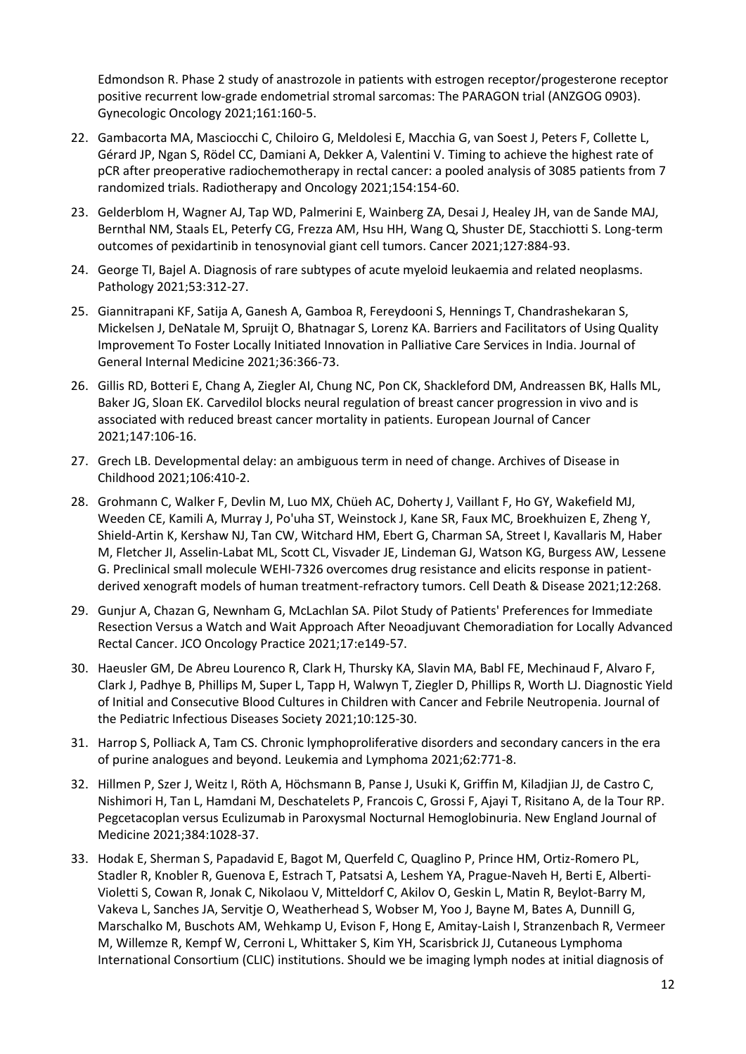Edmondson R. Phase 2 study of anastrozole in patients with estrogen receptor/progesterone receptor positive recurrent low-grade endometrial stromal sarcomas: The PARAGON trial (ANZGOG 0903). Gynecologic Oncology 2021;161:160-5.

- 22. Gambacorta MA, Masciocchi C, Chiloiro G, Meldolesi E, Macchia G, van Soest J, Peters F, Collette L, Gérard JP, Ngan S, Rödel CC, Damiani A, Dekker A, Valentini V. Timing to achieve the highest rate of pCR after preoperative radiochemotherapy in rectal cancer: a pooled analysis of 3085 patients from 7 randomized trials. Radiotherapy and Oncology 2021;154:154-60.
- 23. Gelderblom H, Wagner AJ, Tap WD, Palmerini E, Wainberg ZA, Desai J, Healey JH, van de Sande MAJ, Bernthal NM, Staals EL, Peterfy CG, Frezza AM, Hsu HH, Wang Q, Shuster DE, Stacchiotti S. Long-term outcomes of pexidartinib in tenosynovial giant cell tumors. Cancer 2021;127:884-93.
- 24. George TI, Bajel A. Diagnosis of rare subtypes of acute myeloid leukaemia and related neoplasms. Pathology 2021;53:312-27.
- 25. Giannitrapani KF, Satija A, Ganesh A, Gamboa R, Fereydooni S, Hennings T, Chandrashekaran S, Mickelsen J, DeNatale M, Spruijt O, Bhatnagar S, Lorenz KA. Barriers and Facilitators of Using Quality Improvement To Foster Locally Initiated Innovation in Palliative Care Services in India. Journal of General Internal Medicine 2021;36:366-73.
- 26. Gillis RD, Botteri E, Chang A, Ziegler AI, Chung NC, Pon CK, Shackleford DM, Andreassen BK, Halls ML, Baker JG, Sloan EK. Carvedilol blocks neural regulation of breast cancer progression in vivo and is associated with reduced breast cancer mortality in patients. European Journal of Cancer 2021;147:106-16.
- 27. Grech LB. Developmental delay: an ambiguous term in need of change. Archives of Disease in Childhood 2021;106:410-2.
- 28. Grohmann C, Walker F, Devlin M, Luo MX, Chüeh AC, Doherty J, Vaillant F, Ho GY, Wakefield MJ, Weeden CE, Kamili A, Murray J, Po'uha ST, Weinstock J, Kane SR, Faux MC, Broekhuizen E, Zheng Y, Shield-Artin K, Kershaw NJ, Tan CW, Witchard HM, Ebert G, Charman SA, Street I, Kavallaris M, Haber M, Fletcher JI, Asselin-Labat ML, Scott CL, Visvader JE, Lindeman GJ, Watson KG, Burgess AW, Lessene G. Preclinical small molecule WEHI-7326 overcomes drug resistance and elicits response in patientderived xenograft models of human treatment-refractory tumors. Cell Death & Disease 2021;12:268.
- 29. Gunjur A, Chazan G, Newnham G, McLachlan SA. Pilot Study of Patients' Preferences for Immediate Resection Versus a Watch and Wait Approach After Neoadjuvant Chemoradiation for Locally Advanced Rectal Cancer. JCO Oncology Practice 2021;17:e149-57.
- 30. Haeusler GM, De Abreu Lourenco R, Clark H, Thursky KA, Slavin MA, Babl FE, Mechinaud F, Alvaro F, Clark J, Padhye B, Phillips M, Super L, Tapp H, Walwyn T, Ziegler D, Phillips R, Worth LJ. Diagnostic Yield of Initial and Consecutive Blood Cultures in Children with Cancer and Febrile Neutropenia. Journal of the Pediatric Infectious Diseases Society 2021;10:125-30.
- 31. Harrop S, Polliack A, Tam CS. Chronic lymphoproliferative disorders and secondary cancers in the era of purine analogues and beyond. Leukemia and Lymphoma 2021;62:771-8.
- 32. Hillmen P, Szer J, Weitz I, Röth A, Höchsmann B, Panse J, Usuki K, Griffin M, Kiladjian JJ, de Castro C, Nishimori H, Tan L, Hamdani M, Deschatelets P, Francois C, Grossi F, Ajayi T, Risitano A, de la Tour RP. Pegcetacoplan versus Eculizumab in Paroxysmal Nocturnal Hemoglobinuria. New England Journal of Medicine 2021;384:1028-37.
- 33. Hodak E, Sherman S, Papadavid E, Bagot M, Querfeld C, Quaglino P, Prince HM, Ortiz-Romero PL, Stadler R, Knobler R, Guenova E, Estrach T, Patsatsi A, Leshem YA, Prague-Naveh H, Berti E, Alberti-Violetti S, Cowan R, Jonak C, Nikolaou V, Mitteldorf C, Akilov O, Geskin L, Matin R, Beylot-Barry M, Vakeva L, Sanches JA, Servitje O, Weatherhead S, Wobser M, Yoo J, Bayne M, Bates A, Dunnill G, Marschalko M, Buschots AM, Wehkamp U, Evison F, Hong E, Amitay-Laish I, Stranzenbach R, Vermeer M, Willemze R, Kempf W, Cerroni L, Whittaker S, Kim YH, Scarisbrick JJ, Cutaneous Lymphoma International Consortium (CLIC) institutions. Should we be imaging lymph nodes at initial diagnosis of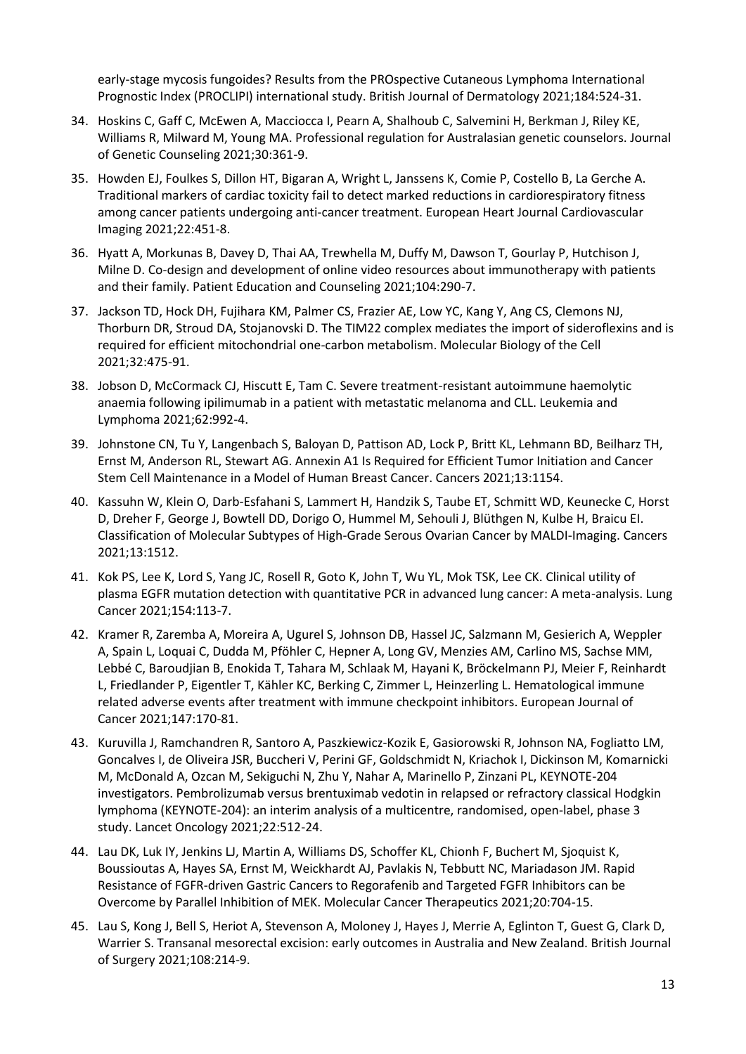early-stage mycosis fungoides? Results from the PROspective Cutaneous Lymphoma International Prognostic Index (PROCLIPI) international study. British Journal of Dermatology 2021;184:524-31.

- 34. Hoskins C, Gaff C, McEwen A, Macciocca I, Pearn A, Shalhoub C, Salvemini H, Berkman J, Riley KE, Williams R, Milward M, Young MA. Professional regulation for Australasian genetic counselors. Journal of Genetic Counseling 2021;30:361-9.
- 35. Howden EJ, Foulkes S, Dillon HT, Bigaran A, Wright L, Janssens K, Comie P, Costello B, La Gerche A. Traditional markers of cardiac toxicity fail to detect marked reductions in cardiorespiratory fitness among cancer patients undergoing anti-cancer treatment. European Heart Journal Cardiovascular Imaging 2021;22:451-8.
- 36. Hyatt A, Morkunas B, Davey D, Thai AA, Trewhella M, Duffy M, Dawson T, Gourlay P, Hutchison J, Milne D. Co-design and development of online video resources about immunotherapy with patients and their family. Patient Education and Counseling 2021;104:290-7.
- 37. Jackson TD, Hock DH, Fujihara KM, Palmer CS, Frazier AE, Low YC, Kang Y, Ang CS, Clemons NJ, Thorburn DR, Stroud DA, Stojanovski D. The TIM22 complex mediates the import of sideroflexins and is required for efficient mitochondrial one-carbon metabolism. Molecular Biology of the Cell 2021;32:475-91.
- 38. Jobson D, McCormack CJ, Hiscutt E, Tam C. Severe treatment-resistant autoimmune haemolytic anaemia following ipilimumab in a patient with metastatic melanoma and CLL. Leukemia and Lymphoma 2021;62:992-4.
- 39. Johnstone CN, Tu Y, Langenbach S, Baloyan D, Pattison AD, Lock P, Britt KL, Lehmann BD, Beilharz TH, Ernst M, Anderson RL, Stewart AG. Annexin A1 Is Required for Efficient Tumor Initiation and Cancer Stem Cell Maintenance in a Model of Human Breast Cancer. Cancers 2021;13:1154.
- 40. Kassuhn W, Klein O, Darb-Esfahani S, Lammert H, Handzik S, Taube ET, Schmitt WD, Keunecke C, Horst D, Dreher F, George J, Bowtell DD, Dorigo O, Hummel M, Sehouli J, Blüthgen N, Kulbe H, Braicu EI. Classification of Molecular Subtypes of High-Grade Serous Ovarian Cancer by MALDI-Imaging. Cancers 2021;13:1512.
- 41. Kok PS, Lee K, Lord S, Yang JC, Rosell R, Goto K, John T, Wu YL, Mok TSK, Lee CK. Clinical utility of plasma EGFR mutation detection with quantitative PCR in advanced lung cancer: A meta-analysis. Lung Cancer 2021;154:113-7.
- 42. Kramer R, Zaremba A, Moreira A, Ugurel S, Johnson DB, Hassel JC, Salzmann M, Gesierich A, Weppler A, Spain L, Loquai C, Dudda M, Pföhler C, Hepner A, Long GV, Menzies AM, Carlino MS, Sachse MM, Lebbé C, Baroudjian B, Enokida T, Tahara M, Schlaak M, Hayani K, Bröckelmann PJ, Meier F, Reinhardt L, Friedlander P, Eigentler T, Kähler KC, Berking C, Zimmer L, Heinzerling L. Hematological immune related adverse events after treatment with immune checkpoint inhibitors. European Journal of Cancer 2021;147:170-81.
- 43. Kuruvilla J, Ramchandren R, Santoro A, Paszkiewicz-Kozik E, Gasiorowski R, Johnson NA, Fogliatto LM, Goncalves I, de Oliveira JSR, Buccheri V, Perini GF, Goldschmidt N, Kriachok I, Dickinson M, Komarnicki M, McDonald A, Ozcan M, Sekiguchi N, Zhu Y, Nahar A, Marinello P, Zinzani PL, KEYNOTE-204 investigators. Pembrolizumab versus brentuximab vedotin in relapsed or refractory classical Hodgkin lymphoma (KEYNOTE-204): an interim analysis of a multicentre, randomised, open-label, phase 3 study. Lancet Oncology 2021;22:512-24.
- 44. Lau DK, Luk IY, Jenkins LJ, Martin A, Williams DS, Schoffer KL, Chionh F, Buchert M, Sjoquist K, Boussioutas A, Hayes SA, Ernst M, Weickhardt AJ, Pavlakis N, Tebbutt NC, Mariadason JM. Rapid Resistance of FGFR-driven Gastric Cancers to Regorafenib and Targeted FGFR Inhibitors can be Overcome by Parallel Inhibition of MEK. Molecular Cancer Therapeutics 2021;20:704-15.
- 45. Lau S, Kong J, Bell S, Heriot A, Stevenson A, Moloney J, Hayes J, Merrie A, Eglinton T, Guest G, Clark D, Warrier S. Transanal mesorectal excision: early outcomes in Australia and New Zealand. British Journal of Surgery 2021;108:214-9.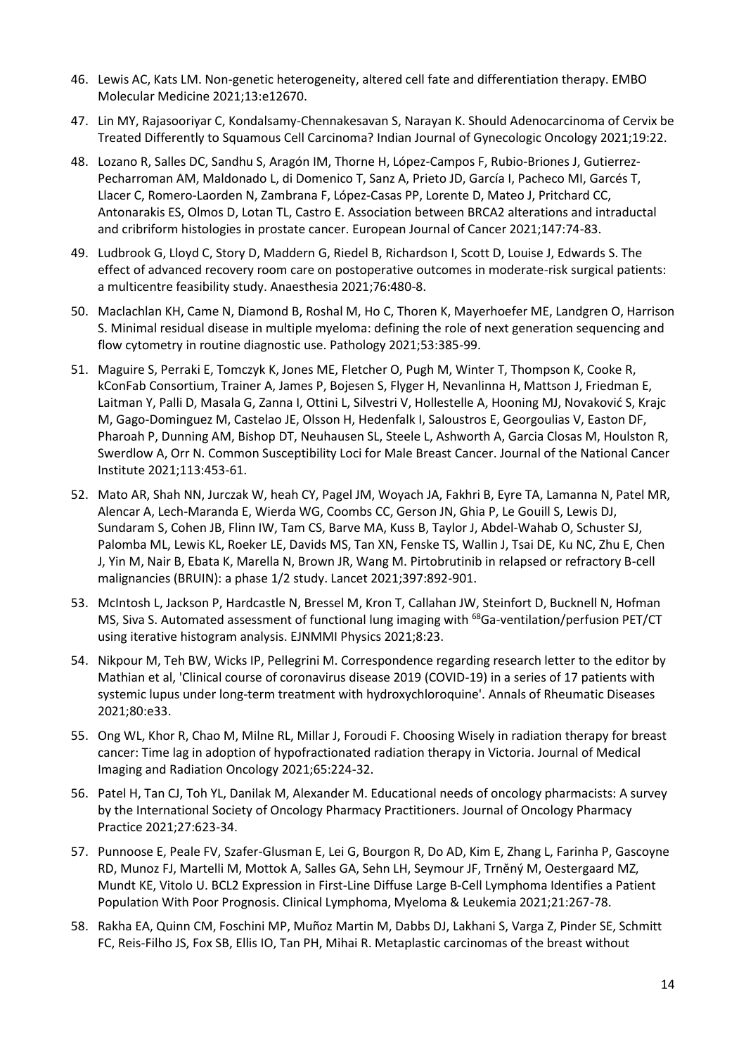- 46. Lewis AC, Kats LM. Non-genetic heterogeneity, altered cell fate and differentiation therapy. EMBO Molecular Medicine 2021;13:e12670.
- 47. Lin MY, Rajasooriyar C, Kondalsamy-Chennakesavan S, Narayan K. Should Adenocarcinoma of Cervix be Treated Differently to Squamous Cell Carcinoma? Indian Journal of Gynecologic Oncology 2021;19:22.
- 48. Lozano R, Salles DC, Sandhu S, Aragón IM, Thorne H, López-Campos F, Rubio-Briones J, Gutierrez-Pecharroman AM, Maldonado L, di Domenico T, Sanz A, Prieto JD, García I, Pacheco MI, Garcés T, Llacer C, Romero-Laorden N, Zambrana F, López-Casas PP, Lorente D, Mateo J, Pritchard CC, Antonarakis ES, Olmos D, Lotan TL, Castro E. Association between BRCA2 alterations and intraductal and cribriform histologies in prostate cancer. European Journal of Cancer 2021;147:74-83.
- 49. Ludbrook G, Lloyd C, Story D, Maddern G, Riedel B, Richardson I, Scott D, Louise J, Edwards S. The effect of advanced recovery room care on postoperative outcomes in moderate-risk surgical patients: a multicentre feasibility study. Anaesthesia 2021;76:480-8.
- 50. Maclachlan KH, Came N, Diamond B, Roshal M, Ho C, Thoren K, Mayerhoefer ME, Landgren O, Harrison S. Minimal residual disease in multiple myeloma: defining the role of next generation sequencing and flow cytometry in routine diagnostic use. Pathology 2021;53:385-99.
- 51. Maguire S, Perraki E, Tomczyk K, Jones ME, Fletcher O, Pugh M, Winter T, Thompson K, Cooke R, kConFab Consortium, Trainer A, James P, Bojesen S, Flyger H, Nevanlinna H, Mattson J, Friedman E, Laitman Y, Palli D, Masala G, Zanna I, Ottini L, Silvestri V, Hollestelle A, Hooning MJ, Novaković S, Krajc M, Gago-Dominguez M, Castelao JE, Olsson H, Hedenfalk I, Saloustros E, Georgoulias V, Easton DF, Pharoah P, Dunning AM, Bishop DT, Neuhausen SL, Steele L, Ashworth A, Garcia Closas M, Houlston R, Swerdlow A, Orr N. Common Susceptibility Loci for Male Breast Cancer. Journal of the National Cancer Institute 2021;113:453-61.
- 52. Mato AR, Shah NN, Jurczak W, heah CY, Pagel JM, Woyach JA, Fakhri B, Eyre TA, Lamanna N, Patel MR, Alencar A, Lech-Maranda E, Wierda WG, Coombs CC, Gerson JN, Ghia P, Le Gouill S, Lewis DJ, Sundaram S, Cohen JB, Flinn IW, Tam CS, Barve MA, Kuss B, Taylor J, Abdel-Wahab O, Schuster SJ, Palomba ML, Lewis KL, Roeker LE, Davids MS, Tan XN, Fenske TS, Wallin J, Tsai DE, Ku NC, Zhu E, Chen J, Yin M, Nair B, Ebata K, Marella N, Brown JR, Wang M. Pirtobrutinib in relapsed or refractory B-cell malignancies (BRUIN): a phase 1/2 study. Lancet 2021;397:892-901.
- 53. McIntosh L, Jackson P, Hardcastle N, Bressel M, Kron T, Callahan JW, Steinfort D, Bucknell N, Hofman MS, Siva S. Automated assessment of functional lung imaging with <sup>68</sup>Ga-ventilation/perfusion PET/CT using iterative histogram analysis. EJNMMI Physics 2021;8:23.
- 54. Nikpour M, Teh BW, Wicks IP, Pellegrini M. Correspondence regarding research letter to the editor by Mathian et al, 'Clinical course of coronavirus disease 2019 (COVID-19) in a series of 17 patients with systemic lupus under long-term treatment with hydroxychloroquine'. Annals of Rheumatic Diseases 2021;80:e33.
- 55. Ong WL, Khor R, Chao M, Milne RL, Millar J, Foroudi F. Choosing Wisely in radiation therapy for breast cancer: Time lag in adoption of hypofractionated radiation therapy in Victoria. Journal of Medical Imaging and Radiation Oncology 2021;65:224-32.
- 56. Patel H, Tan CJ, Toh YL, Danilak M, Alexander M. Educational needs of oncology pharmacists: A survey by the International Society of Oncology Pharmacy Practitioners. Journal of Oncology Pharmacy Practice 2021;27:623-34.
- 57. Punnoose E, Peale FV, Szafer-Glusman E, Lei G, Bourgon R, Do AD, Kim E, Zhang L, Farinha P, Gascoyne RD, Munoz FJ, Martelli M, Mottok A, Salles GA, Sehn LH, Seymour JF, Trnĕný M, Oestergaard MZ, Mundt KE, Vitolo U. BCL2 Expression in First-Line Diffuse Large B-Cell Lymphoma Identifies a Patient Population With Poor Prognosis. Clinical Lymphoma, Myeloma & Leukemia 2021;21:267-78.
- 58. Rakha EA, Quinn CM, Foschini MP, Muñoz Martin M, Dabbs DJ, Lakhani S, Varga Z, Pinder SE, Schmitt FC, Reis-Filho JS, Fox SB, Ellis IO, Tan PH, Mihai R. Metaplastic carcinomas of the breast without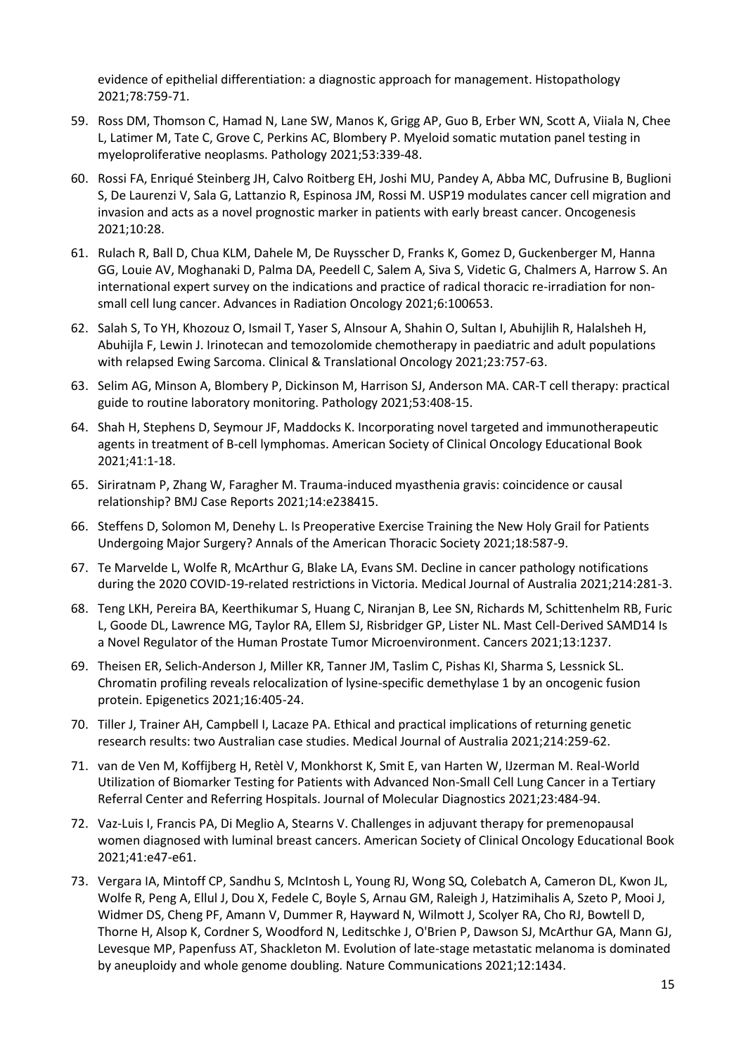evidence of epithelial differentiation: a diagnostic approach for management. Histopathology 2021;78:759-71.

- 59. Ross DM, Thomson C, Hamad N, Lane SW, Manos K, Grigg AP, Guo B, Erber WN, Scott A, Viiala N, Chee L, Latimer M, Tate C, Grove C, Perkins AC, Blombery P. Myeloid somatic mutation panel testing in myeloproliferative neoplasms. Pathology 2021;53:339-48.
- 60. Rossi FA, Enriqué Steinberg JH, Calvo Roitberg EH, Joshi MU, Pandey A, Abba MC, Dufrusine B, Buglioni S, De Laurenzi V, Sala G, Lattanzio R, Espinosa JM, Rossi M. USP19 modulates cancer cell migration and invasion and acts as a novel prognostic marker in patients with early breast cancer. Oncogenesis 2021;10:28.
- 61. Rulach R, Ball D, Chua KLM, Dahele M, De Ruysscher D, Franks K, Gomez D, Guckenberger M, Hanna GG, Louie AV, Moghanaki D, Palma DA, Peedell C, Salem A, Siva S, Videtic G, Chalmers A, Harrow S. An international expert survey on the indications and practice of radical thoracic re-irradiation for nonsmall cell lung cancer. Advances in Radiation Oncology 2021;6:100653.
- 62. Salah S, To YH, Khozouz O, Ismail T, Yaser S, Alnsour A, Shahin O, Sultan I, Abuhijlih R, Halalsheh H, Abuhijla F, Lewin J. Irinotecan and temozolomide chemotherapy in paediatric and adult populations with relapsed Ewing Sarcoma. Clinical & Translational Oncology 2021;23:757-63.
- 63. Selim AG, Minson A, Blombery P, Dickinson M, Harrison SJ, Anderson MA. CAR-T cell therapy: practical guide to routine laboratory monitoring. Pathology 2021;53:408-15.
- 64. Shah H, Stephens D, Seymour JF, Maddocks K. Incorporating novel targeted and immunotherapeutic agents in treatment of B-cell lymphomas. American Society of Clinical Oncology Educational Book 2021;41:1-18.
- 65. Siriratnam P, Zhang W, Faragher M. Trauma-induced myasthenia gravis: coincidence or causal relationship? BMJ Case Reports 2021;14:e238415.
- 66. Steffens D, Solomon M, Denehy L. Is Preoperative Exercise Training the New Holy Grail for Patients Undergoing Major Surgery? Annals of the American Thoracic Society 2021;18:587-9.
- 67. Te Marvelde L, Wolfe R, McArthur G, Blake LA, Evans SM. Decline in cancer pathology notifications during the 2020 COVID-19-related restrictions in Victoria. Medical Journal of Australia 2021;214:281-3.
- 68. Teng LKH, Pereira BA, Keerthikumar S, Huang C, Niranjan B, Lee SN, Richards M, Schittenhelm RB, Furic L, Goode DL, Lawrence MG, Taylor RA, Ellem SJ, Risbridger GP, Lister NL. Mast Cell-Derived SAMD14 Is a Novel Regulator of the Human Prostate Tumor Microenvironment. Cancers 2021;13:1237.
- 69. Theisen ER, Selich-Anderson J, Miller KR, Tanner JM, Taslim C, Pishas KI, Sharma S, Lessnick SL. Chromatin profiling reveals relocalization of lysine-specific demethylase 1 by an oncogenic fusion protein. Epigenetics 2021;16:405-24.
- 70. Tiller J, Trainer AH, Campbell I, Lacaze PA. Ethical and practical implications of returning genetic research results: two Australian case studies. Medical Journal of Australia 2021;214:259-62.
- 71. van de Ven M, Koffijberg H, Retèl V, Monkhorst K, Smit E, van Harten W, IJzerman M. Real-World Utilization of Biomarker Testing for Patients with Advanced Non-Small Cell Lung Cancer in a Tertiary Referral Center and Referring Hospitals. Journal of Molecular Diagnostics 2021;23:484-94.
- 72. Vaz-Luis I, Francis PA, Di Meglio A, Stearns V. Challenges in adjuvant therapy for premenopausal women diagnosed with luminal breast cancers. American Society of Clinical Oncology Educational Book 2021;41:e47-e61.
- 73. Vergara IA, Mintoff CP, Sandhu S, McIntosh L, Young RJ, Wong SQ, Colebatch A, Cameron DL, Kwon JL, Wolfe R, Peng A, Ellul J, Dou X, Fedele C, Boyle S, Arnau GM, Raleigh J, Hatzimihalis A, Szeto P, Mooi J, Widmer DS, Cheng PF, Amann V, Dummer R, Hayward N, Wilmott J, Scolyer RA, Cho RJ, Bowtell D, Thorne H, Alsop K, Cordner S, Woodford N, Leditschke J, O'Brien P, Dawson SJ, McArthur GA, Mann GJ, Levesque MP, Papenfuss AT, Shackleton M. Evolution of late-stage metastatic melanoma is dominated by aneuploidy and whole genome doubling. Nature Communications 2021;12:1434.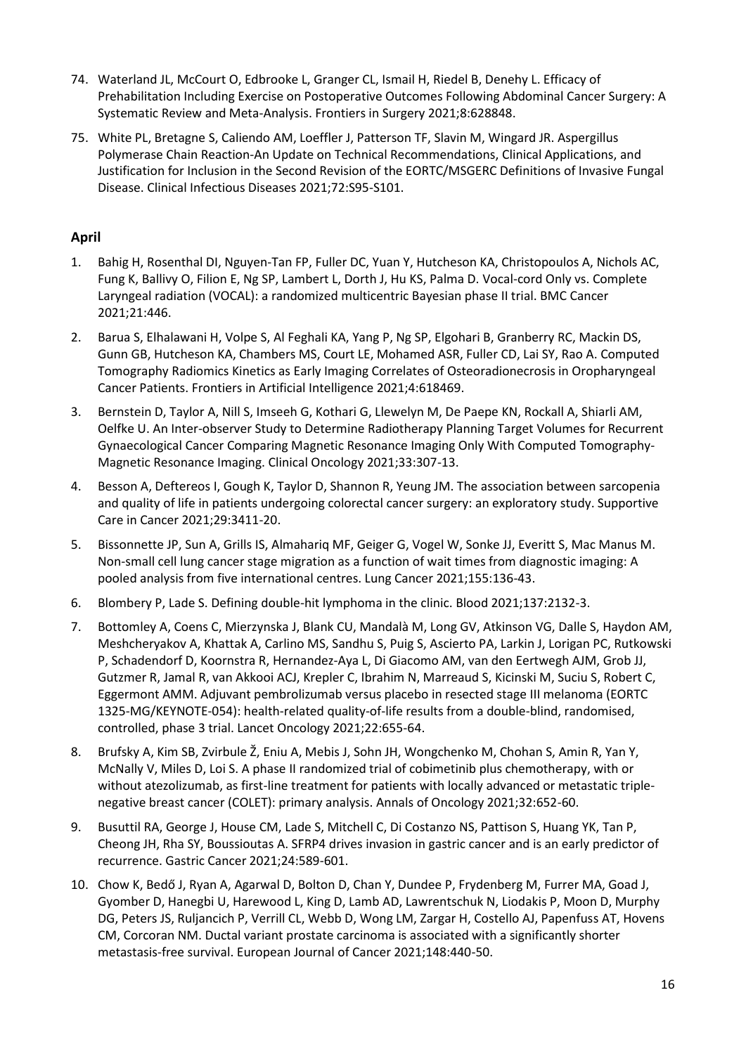- 74. Waterland JL, McCourt O, Edbrooke L, Granger CL, Ismail H, Riedel B, Denehy L. Efficacy of Prehabilitation Including Exercise on Postoperative Outcomes Following Abdominal Cancer Surgery: A Systematic Review and Meta-Analysis. Frontiers in Surgery 2021;8:628848.
- 75. White PL, Bretagne S, Caliendo AM, Loeffler J, Patterson TF, Slavin M, Wingard JR. Aspergillus Polymerase Chain Reaction-An Update on Technical Recommendations, Clinical Applications, and Justification for Inclusion in the Second Revision of the EORTC/MSGERC Definitions of Invasive Fungal Disease. Clinical Infectious Diseases 2021;72:S95-S101.

# **April**

- 1. Bahig H, Rosenthal DI, Nguyen-Tan FP, Fuller DC, Yuan Y, Hutcheson KA, Christopoulos A, Nichols AC, Fung K, Ballivy O, Filion E, Ng SP, Lambert L, Dorth J, Hu KS, Palma D. Vocal-cord Only vs. Complete Laryngeal radiation (VOCAL): a randomized multicentric Bayesian phase II trial. BMC Cancer 2021;21:446.
- 2. Barua S, Elhalawani H, Volpe S, Al Feghali KA, Yang P, Ng SP, Elgohari B, Granberry RC, Mackin DS, Gunn GB, Hutcheson KA, Chambers MS, Court LE, Mohamed ASR, Fuller CD, Lai SY, Rao A. Computed Tomography Radiomics Kinetics as Early Imaging Correlates of Osteoradionecrosis in Oropharyngeal Cancer Patients. Frontiers in Artificial Intelligence 2021;4:618469.
- 3. Bernstein D, Taylor A, Nill S, Imseeh G, Kothari G, Llewelyn M, De Paepe KN, Rockall A, Shiarli AM, Oelfke U. An Inter-observer Study to Determine Radiotherapy Planning Target Volumes for Recurrent Gynaecological Cancer Comparing Magnetic Resonance Imaging Only With Computed Tomography-Magnetic Resonance Imaging. Clinical Oncology 2021;33:307-13.
- 4. Besson A, Deftereos I, Gough K, Taylor D, Shannon R, Yeung JM. The association between sarcopenia and quality of life in patients undergoing colorectal cancer surgery: an exploratory study. Supportive Care in Cancer 2021;29:3411-20.
- 5. Bissonnette JP, Sun A, Grills IS, Almahariq MF, Geiger G, Vogel W, Sonke JJ, Everitt S, Mac Manus M. Non-small cell lung cancer stage migration as a function of wait times from diagnostic imaging: A pooled analysis from five international centres. Lung Cancer 2021;155:136-43.
- 6. Blombery P, Lade S. Defining double-hit lymphoma in the clinic. Blood 2021;137:2132-3.
- 7. Bottomley A, Coens C, Mierzynska J, Blank CU, Mandalà M, Long GV, Atkinson VG, Dalle S, Haydon AM, Meshcheryakov A, Khattak A, Carlino MS, Sandhu S, Puig S, Ascierto PA, Larkin J, Lorigan PC, Rutkowski P, Schadendorf D, Koornstra R, Hernandez-Aya L, Di Giacomo AM, van den Eertwegh AJM, Grob JJ, Gutzmer R, Jamal R, van Akkooi ACJ, Krepler C, Ibrahim N, Marreaud S, Kicinski M, Suciu S, Robert C, Eggermont AMM. Adjuvant pembrolizumab versus placebo in resected stage III melanoma (EORTC 1325-MG/KEYNOTE-054): health-related quality-of-life results from a double-blind, randomised, controlled, phase 3 trial. Lancet Oncology 2021;22:655-64.
- 8. Brufsky A, Kim SB, Zvirbule Ž, Eniu A, Mebis J, Sohn JH, Wongchenko M, Chohan S, Amin R, Yan Y, McNally V, Miles D, Loi S. A phase II randomized trial of cobimetinib plus chemotherapy, with or without atezolizumab, as first-line treatment for patients with locally advanced or metastatic triplenegative breast cancer (COLET): primary analysis. Annals of Oncology 2021;32:652-60.
- 9. Busuttil RA, George J, House CM, Lade S, Mitchell C, Di Costanzo NS, Pattison S, Huang YK, Tan P, Cheong JH, Rha SY, Boussioutas A. SFRP4 drives invasion in gastric cancer and is an early predictor of recurrence. Gastric Cancer 2021;24:589-601.
- 10. Chow K, Bedő J, Ryan A, Agarwal D, Bolton D, Chan Y, Dundee P, Frydenberg M, Furrer MA, Goad J, Gyomber D, Hanegbi U, Harewood L, King D, Lamb AD, Lawrentschuk N, Liodakis P, Moon D, Murphy DG, Peters JS, Ruljancich P, Verrill CL, Webb D, Wong LM, Zargar H, Costello AJ, Papenfuss AT, Hovens CM, Corcoran NM. Ductal variant prostate carcinoma is associated with a significantly shorter metastasis-free survival. European Journal of Cancer 2021;148:440-50.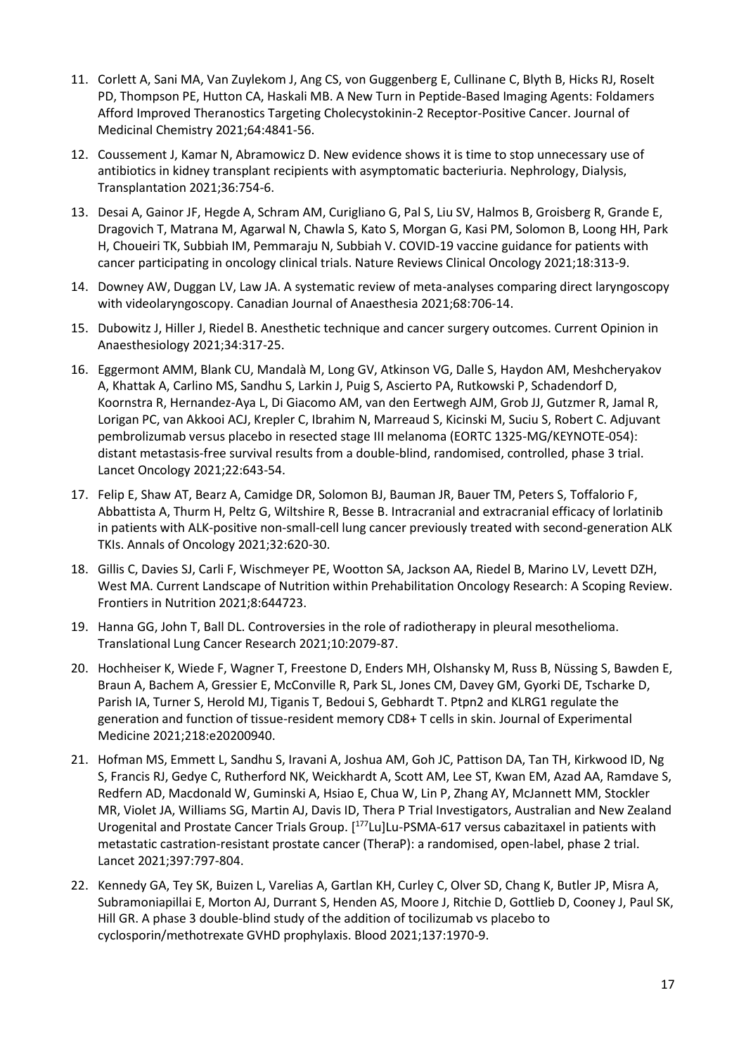- 11. Corlett A, Sani MA, Van Zuylekom J, Ang CS, von Guggenberg E, Cullinane C, Blyth B, Hicks RJ, Roselt PD, Thompson PE, Hutton CA, Haskali MB. A New Turn in Peptide-Based Imaging Agents: Foldamers Afford Improved Theranostics Targeting Cholecystokinin-2 Receptor-Positive Cancer. Journal of Medicinal Chemistry 2021;64:4841-56.
- 12. Coussement J, Kamar N, Abramowicz D. New evidence shows it is time to stop unnecessary use of antibiotics in kidney transplant recipients with asymptomatic bacteriuria. Nephrology, Dialysis, Transplantation 2021;36:754-6.
- 13. Desai A, Gainor JF, Hegde A, Schram AM, Curigliano G, Pal S, Liu SV, Halmos B, Groisberg R, Grande E, Dragovich T, Matrana M, Agarwal N, Chawla S, Kato S, Morgan G, Kasi PM, Solomon B, Loong HH, Park H, Choueiri TK, Subbiah IM, Pemmaraju N, Subbiah V. COVID-19 vaccine guidance for patients with cancer participating in oncology clinical trials. Nature Reviews Clinical Oncology 2021;18:313-9.
- 14. Downey AW, Duggan LV, Law JA. A systematic review of meta-analyses comparing direct laryngoscopy with videolaryngoscopy. Canadian Journal of Anaesthesia 2021;68:706-14.
- 15. Dubowitz J, Hiller J, Riedel B. Anesthetic technique and cancer surgery outcomes. Current Opinion in Anaesthesiology 2021;34:317-25.
- 16. Eggermont AMM, Blank CU, Mandalà M, Long GV, Atkinson VG, Dalle S, Haydon AM, Meshcheryakov A, Khattak A, Carlino MS, Sandhu S, Larkin J, Puig S, Ascierto PA, Rutkowski P, Schadendorf D, Koornstra R, Hernandez-Aya L, Di Giacomo AM, van den Eertwegh AJM, Grob JJ, Gutzmer R, Jamal R, Lorigan PC, van Akkooi ACJ, Krepler C, Ibrahim N, Marreaud S, Kicinski M, Suciu S, Robert C. Adjuvant pembrolizumab versus placebo in resected stage III melanoma (EORTC 1325-MG/KEYNOTE-054): distant metastasis-free survival results from a double-blind, randomised, controlled, phase 3 trial. Lancet Oncology 2021;22:643-54.
- 17. Felip E, Shaw AT, Bearz A, Camidge DR, Solomon BJ, Bauman JR, Bauer TM, Peters S, Toffalorio F, Abbattista A, Thurm H, Peltz G, Wiltshire R, Besse B. Intracranial and extracranial efficacy of lorlatinib in patients with ALK-positive non-small-cell lung cancer previously treated with second-generation ALK TKIs. Annals of Oncology 2021;32:620-30.
- 18. Gillis C, Davies SJ, Carli F, Wischmeyer PE, Wootton SA, Jackson AA, Riedel B, Marino LV, Levett DZH, West MA. Current Landscape of Nutrition within Prehabilitation Oncology Research: A Scoping Review. Frontiers in Nutrition 2021;8:644723.
- 19. Hanna GG, John T, Ball DL. Controversies in the role of radiotherapy in pleural mesothelioma. Translational Lung Cancer Research 2021;10:2079-87.
- 20. Hochheiser K, Wiede F, Wagner T, Freestone D, Enders MH, Olshansky M, Russ B, Nüssing S, Bawden E, Braun A, Bachem A, Gressier E, McConville R, Park SL, Jones CM, Davey GM, Gyorki DE, Tscharke D, Parish IA, Turner S, Herold MJ, Tiganis T, Bedoui S, Gebhardt T. Ptpn2 and KLRG1 regulate the generation and function of tissue-resident memory CD8+ T cells in skin. Journal of Experimental Medicine 2021;218:e20200940.
- 21. Hofman MS, Emmett L, Sandhu S, Iravani A, Joshua AM, Goh JC, Pattison DA, Tan TH, Kirkwood ID, Ng S, Francis RJ, Gedye C, Rutherford NK, Weickhardt A, Scott AM, Lee ST, Kwan EM, Azad AA, Ramdave S, Redfern AD, Macdonald W, Guminski A, Hsiao E, Chua W, Lin P, Zhang AY, McJannett MM, Stockler MR, Violet JA, Williams SG, Martin AJ, Davis ID, Thera P Trial Investigators, Australian and New Zealand Urogenital and Prostate Cancer Trials Group. [<sup>177</sup>Lu]Lu-PSMA-617 versus cabazitaxel in patients with metastatic castration-resistant prostate cancer (TheraP): a randomised, open-label, phase 2 trial. Lancet 2021;397:797-804.
- 22. Kennedy GA, Tey SK, Buizen L, Varelias A, Gartlan KH, Curley C, Olver SD, Chang K, Butler JP, Misra A, Subramoniapillai E, Morton AJ, Durrant S, Henden AS, Moore J, Ritchie D, Gottlieb D, Cooney J, Paul SK, Hill GR. A phase 3 double-blind study of the addition of tocilizumab vs placebo to cyclosporin/methotrexate GVHD prophylaxis. Blood 2021;137:1970-9.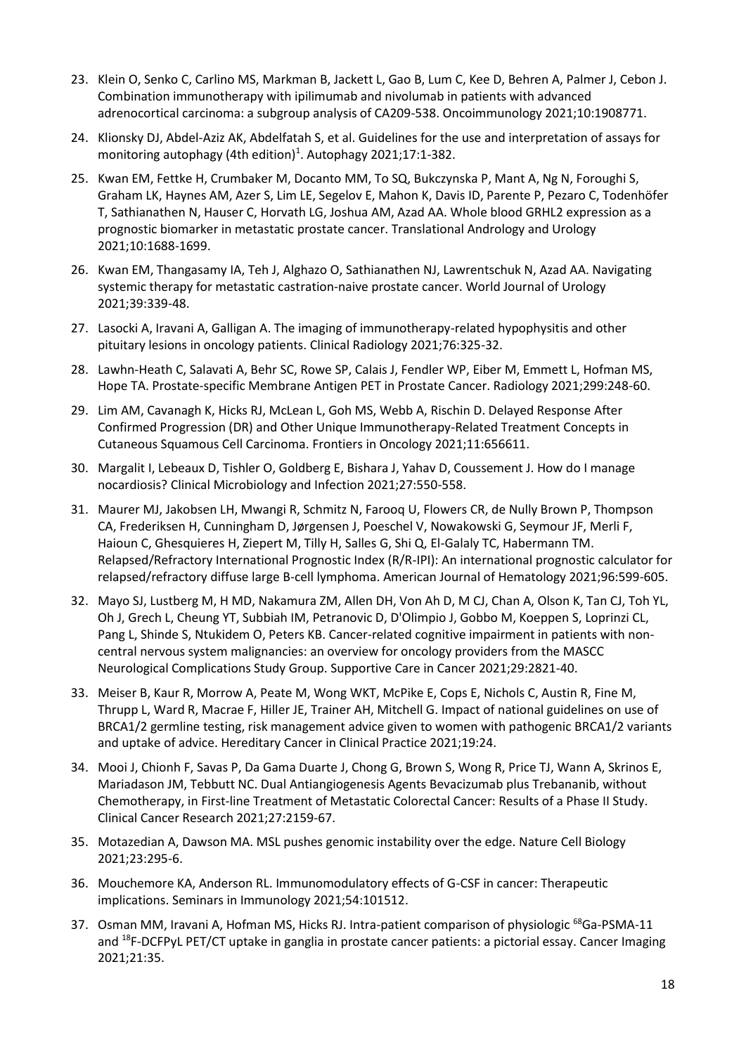- 23. Klein O, Senko C, Carlino MS, Markman B, Jackett L, Gao B, Lum C, Kee D, Behren A, Palmer J, Cebon J. Combination immunotherapy with ipilimumab and nivolumab in patients with advanced adrenocortical carcinoma: a subgroup analysis of CA209-538. Oncoimmunology 2021;10:1908771.
- 24. Klionsky DJ, Abdel-Aziz AK, Abdelfatah S, et al. Guidelines for the use and interpretation of assays for monitoring autophagy (4th edition)<sup>1</sup>. Autophagy 2021;17:1-382.
- 25. Kwan EM, Fettke H, Crumbaker M, Docanto MM, To SQ, Bukczynska P, Mant A, Ng N, Foroughi S, Graham LK, Haynes AM, Azer S, Lim LE, Segelov E, Mahon K, Davis ID, Parente P, Pezaro C, Todenhöfer T, Sathianathen N, Hauser C, Horvath LG, Joshua AM, Azad AA. Whole blood GRHL2 expression as a prognostic biomarker in metastatic prostate cancer. Translational Andrology and Urology 2021;10:1688-1699.
- 26. Kwan EM, Thangasamy IA, Teh J, Alghazo O, Sathianathen NJ, Lawrentschuk N, Azad AA. Navigating systemic therapy for metastatic castration-naive prostate cancer. World Journal of Urology 2021;39:339-48.
- 27. Lasocki A, Iravani A, Galligan A. The imaging of immunotherapy-related hypophysitis and other pituitary lesions in oncology patients. Clinical Radiology 2021;76:325-32.
- 28. Lawhn-Heath C, Salavati A, Behr SC, Rowe SP, Calais J, Fendler WP, Eiber M, Emmett L, Hofman MS, Hope TA. Prostate-specific Membrane Antigen PET in Prostate Cancer. Radiology 2021;299:248-60.
- 29. Lim AM, Cavanagh K, Hicks RJ, McLean L, Goh MS, Webb A, Rischin D. Delayed Response After Confirmed Progression (DR) and Other Unique Immunotherapy-Related Treatment Concepts in Cutaneous Squamous Cell Carcinoma. Frontiers in Oncology 2021;11:656611.
- 30. Margalit I, Lebeaux D, Tishler O, Goldberg E, Bishara J, Yahav D, Coussement J. How do I manage nocardiosis? Clinical Microbiology and Infection 2021;27:550-558.
- 31. Maurer MJ, Jakobsen LH, Mwangi R, Schmitz N, Farooq U, Flowers CR, de Nully Brown P, Thompson CA, Frederiksen H, Cunningham D, Jørgensen J, Poeschel V, Nowakowski G, Seymour JF, Merli F, Haioun C, Ghesquieres H, Ziepert M, Tilly H, Salles G, Shi Q, El-Galaly TC, Habermann TM. Relapsed/Refractory International Prognostic Index (R/R-IPI): An international prognostic calculator for relapsed/refractory diffuse large B-cell lymphoma. American Journal of Hematology 2021;96:599-605.
- 32. Mayo SJ, Lustberg M, H MD, Nakamura ZM, Allen DH, Von Ah D, M CJ, Chan A, Olson K, Tan CJ, Toh YL, Oh J, Grech L, Cheung YT, Subbiah IM, Petranovic D, D'Olimpio J, Gobbo M, Koeppen S, Loprinzi CL, Pang L, Shinde S, Ntukidem O, Peters KB. Cancer-related cognitive impairment in patients with noncentral nervous system malignancies: an overview for oncology providers from the MASCC Neurological Complications Study Group. Supportive Care in Cancer 2021;29:2821-40.
- 33. Meiser B, Kaur R, Morrow A, Peate M, Wong WKT, McPike E, Cops E, Nichols C, Austin R, Fine M, Thrupp L, Ward R, Macrae F, Hiller JE, Trainer AH, Mitchell G. Impact of national guidelines on use of BRCA1/2 germline testing, risk management advice given to women with pathogenic BRCA1/2 variants and uptake of advice. Hereditary Cancer in Clinical Practice 2021;19:24.
- 34. Mooi J, Chionh F, Savas P, Da Gama Duarte J, Chong G, Brown S, Wong R, Price TJ, Wann A, Skrinos E, Mariadason JM, Tebbutt NC. Dual Antiangiogenesis Agents Bevacizumab plus Trebananib, without Chemotherapy, in First-line Treatment of Metastatic Colorectal Cancer: Results of a Phase II Study. Clinical Cancer Research 2021;27:2159-67.
- 35. Motazedian A, Dawson MA. MSL pushes genomic instability over the edge. Nature Cell Biology 2021;23:295-6.
- 36. Mouchemore KA, Anderson RL. Immunomodulatory effects of G-CSF in cancer: Therapeutic implications. Seminars in Immunology 2021;54:101512.
- 37. Osman MM, Iravani A, Hofman MS, Hicks RJ. Intra-patient comparison of physiologic <sup>68</sup>Ga-PSMA-11 and <sup>18</sup>F-DCFPyL PET/CT uptake in ganglia in prostate cancer patients: a pictorial essay. Cancer Imaging 2021;21:35.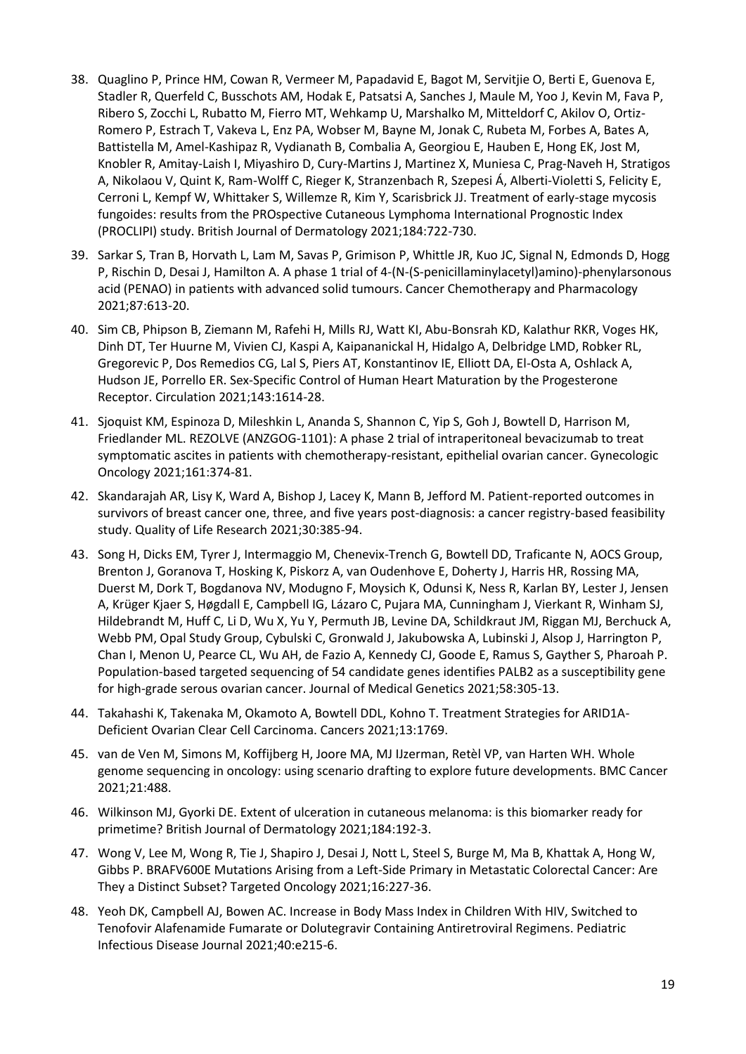- 38. Quaglino P, Prince HM, Cowan R, Vermeer M, Papadavid E, Bagot M, Servitjie O, Berti E, Guenova E, Stadler R, Querfeld C, Busschots AM, Hodak E, Patsatsi A, Sanches J, Maule M, Yoo J, Kevin M, Fava P, Ribero S, Zocchi L, Rubatto M, Fierro MT, Wehkamp U, Marshalko M, Mitteldorf C, Akilov O, Ortiz-Romero P, Estrach T, Vakeva L, Enz PA, Wobser M, Bayne M, Jonak C, Rubeta M, Forbes A, Bates A, Battistella M, Amel-Kashipaz R, Vydianath B, Combalia A, Georgiou E, Hauben E, Hong EK, Jost M, Knobler R, Amitay-Laish I, Miyashiro D, Cury-Martins J, Martinez X, Muniesa C, Prag-Naveh H, Stratigos A, Nikolaou V, Quint K, Ram-Wolff C, Rieger K, Stranzenbach R, Szepesi Á, Alberti-Violetti S, Felicity E, Cerroni L, Kempf W, Whittaker S, Willemze R, Kim Y, Scarisbrick JJ. Treatment of early-stage mycosis fungoides: results from the PROspective Cutaneous Lymphoma International Prognostic Index (PROCLIPI) study. British Journal of Dermatology 2021;184:722-730.
- 39. Sarkar S, Tran B, Horvath L, Lam M, Savas P, Grimison P, Whittle JR, Kuo JC, Signal N, Edmonds D, Hogg P, Rischin D, Desai J, Hamilton A. A phase 1 trial of 4-(N-(S-penicillaminylacetyl)amino)-phenylarsonous acid (PENAO) in patients with advanced solid tumours. Cancer Chemotherapy and Pharmacology 2021;87:613-20.
- 40. Sim CB, Phipson B, Ziemann M, Rafehi H, Mills RJ, Watt KI, Abu-Bonsrah KD, Kalathur RKR, Voges HK, Dinh DT, Ter Huurne M, Vivien CJ, Kaspi A, Kaipananickal H, Hidalgo A, Delbridge LMD, Robker RL, Gregorevic P, Dos Remedios CG, Lal S, Piers AT, Konstantinov IE, Elliott DA, El-Osta A, Oshlack A, Hudson JE, Porrello ER. Sex-Specific Control of Human Heart Maturation by the Progesterone Receptor. Circulation 2021;143:1614-28.
- 41. Sjoquist KM, Espinoza D, Mileshkin L, Ananda S, Shannon C, Yip S, Goh J, Bowtell D, Harrison M, Friedlander ML. REZOLVE (ANZGOG-1101): A phase 2 trial of intraperitoneal bevacizumab to treat symptomatic ascites in patients with chemotherapy-resistant, epithelial ovarian cancer. Gynecologic Oncology 2021;161:374-81.
- 42. Skandarajah AR, Lisy K, Ward A, Bishop J, Lacey K, Mann B, Jefford M. Patient-reported outcomes in survivors of breast cancer one, three, and five years post-diagnosis: a cancer registry-based feasibility study. Quality of Life Research 2021;30:385-94.
- 43. Song H, Dicks EM, Tyrer J, Intermaggio M, Chenevix-Trench G, Bowtell DD, Traficante N, AOCS Group, Brenton J, Goranova T, Hosking K, Piskorz A, van Oudenhove E, Doherty J, Harris HR, Rossing MA, Duerst M, Dork T, Bogdanova NV, Modugno F, Moysich K, Odunsi K, Ness R, Karlan BY, Lester J, Jensen A, Krüger Kjaer S, Høgdall E, Campbell IG, Lázaro C, Pujara MA, Cunningham J, Vierkant R, Winham SJ, Hildebrandt M, Huff C, Li D, Wu X, Yu Y, Permuth JB, Levine DA, Schildkraut JM, Riggan MJ, Berchuck A, Webb PM, Opal Study Group, Cybulski C, Gronwald J, Jakubowska A, Lubinski J, Alsop J, Harrington P, Chan I, Menon U, Pearce CL, Wu AH, de Fazio A, Kennedy CJ, Goode E, Ramus S, Gayther S, Pharoah P. Population-based targeted sequencing of 54 candidate genes identifies PALB2 as a susceptibility gene for high-grade serous ovarian cancer. Journal of Medical Genetics 2021;58:305-13.
- 44. Takahashi K, Takenaka M, Okamoto A, Bowtell DDL, Kohno T. Treatment Strategies for ARID1A-Deficient Ovarian Clear Cell Carcinoma. Cancers 2021;13:1769.
- 45. van de Ven M, Simons M, Koffijberg H, Joore MA, MJ IJzerman, Retèl VP, van Harten WH. Whole genome sequencing in oncology: using scenario drafting to explore future developments. BMC Cancer 2021;21:488.
- 46. Wilkinson MJ, Gyorki DE. Extent of ulceration in cutaneous melanoma: is this biomarker ready for primetime? British Journal of Dermatology 2021;184:192-3.
- 47. Wong V, Lee M, Wong R, Tie J, Shapiro J, Desai J, Nott L, Steel S, Burge M, Ma B, Khattak A, Hong W, Gibbs P. BRAFV600E Mutations Arising from a Left-Side Primary in Metastatic Colorectal Cancer: Are They a Distinct Subset? Targeted Oncology 2021;16:227-36.
- 48. Yeoh DK, Campbell AJ, Bowen AC. Increase in Body Mass Index in Children With HIV, Switched to Tenofovir Alafenamide Fumarate or Dolutegravir Containing Antiretroviral Regimens. Pediatric Infectious Disease Journal 2021;40:e215-6.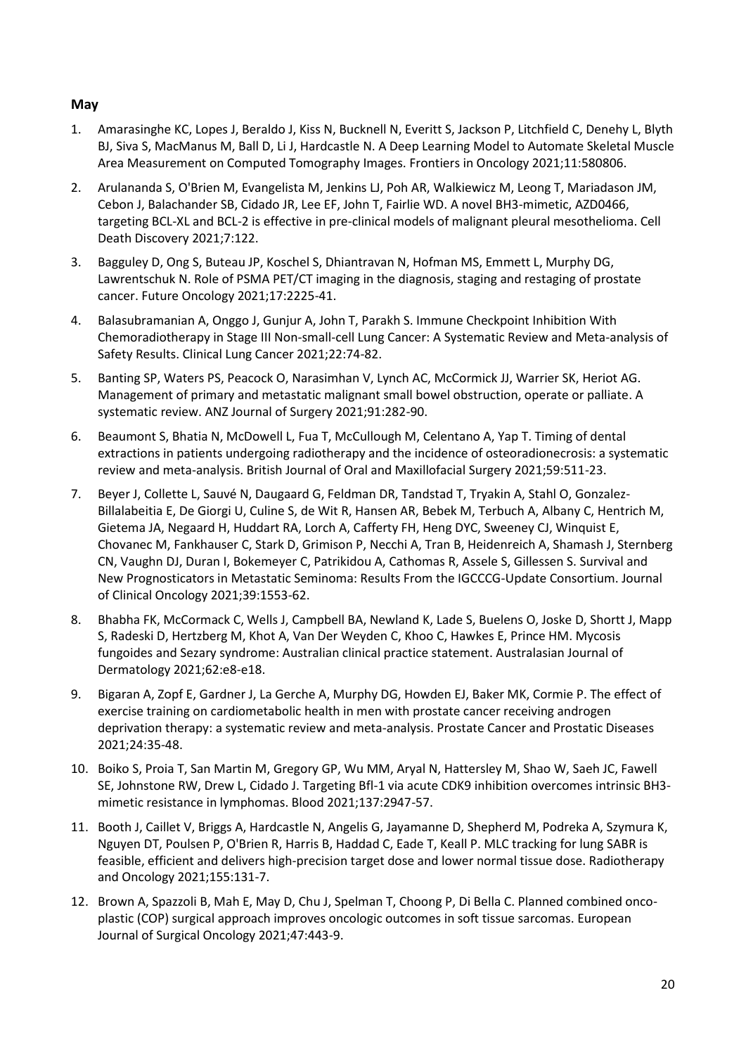# **May**

- 1. Amarasinghe KC, Lopes J, Beraldo J, Kiss N, Bucknell N, Everitt S, Jackson P, Litchfield C, Denehy L, Blyth BJ, Siva S, MacManus M, Ball D, Li J, Hardcastle N. A Deep Learning Model to Automate Skeletal Muscle Area Measurement on Computed Tomography Images. Frontiers in Oncology 2021;11:580806.
- 2. Arulananda S, O'Brien M, Evangelista M, Jenkins LJ, Poh AR, Walkiewicz M, Leong T, Mariadason JM, Cebon J, Balachander SB, Cidado JR, Lee EF, John T, Fairlie WD. A novel BH3-mimetic, AZD0466, targeting BCL-XL and BCL-2 is effective in pre-clinical models of malignant pleural mesothelioma. Cell Death Discovery 2021;7:122.
- 3. Bagguley D, Ong S, Buteau JP, Koschel S, Dhiantravan N, Hofman MS, Emmett L, Murphy DG, Lawrentschuk N. Role of PSMA PET/CT imaging in the diagnosis, staging and restaging of prostate cancer. Future Oncology 2021;17:2225-41.
- 4. Balasubramanian A, Onggo J, Gunjur A, John T, Parakh S. Immune Checkpoint Inhibition With Chemoradiotherapy in Stage III Non-small-cell Lung Cancer: A Systematic Review and Meta-analysis of Safety Results. Clinical Lung Cancer 2021;22:74-82.
- 5. Banting SP, Waters PS, Peacock O, Narasimhan V, Lynch AC, McCormick JJ, Warrier SK, Heriot AG. Management of primary and metastatic malignant small bowel obstruction, operate or palliate. A systematic review. ANZ Journal of Surgery 2021;91:282-90.
- 6. Beaumont S, Bhatia N, McDowell L, Fua T, McCullough M, Celentano A, Yap T. Timing of dental extractions in patients undergoing radiotherapy and the incidence of osteoradionecrosis: a systematic review and meta-analysis. British Journal of Oral and Maxillofacial Surgery 2021;59:511-23.
- 7. Beyer J, Collette L, Sauvé N, Daugaard G, Feldman DR, Tandstad T, Tryakin A, Stahl O, Gonzalez-Billalabeitia E, De Giorgi U, Culine S, de Wit R, Hansen AR, Bebek M, Terbuch A, Albany C, Hentrich M, Gietema JA, Negaard H, Huddart RA, Lorch A, Cafferty FH, Heng DYC, Sweeney CJ, Winquist E, Chovanec M, Fankhauser C, Stark D, Grimison P, Necchi A, Tran B, Heidenreich A, Shamash J, Sternberg CN, Vaughn DJ, Duran I, Bokemeyer C, Patrikidou A, Cathomas R, Assele S, Gillessen S. Survival and New Prognosticators in Metastatic Seminoma: Results From the IGCCCG-Update Consortium. Journal of Clinical Oncology 2021;39:1553-62.
- 8. Bhabha FK, McCormack C, Wells J, Campbell BA, Newland K, Lade S, Buelens O, Joske D, Shortt J, Mapp S, Radeski D, Hertzberg M, Khot A, Van Der Weyden C, Khoo C, Hawkes E, Prince HM. Mycosis fungoides and Sezary syndrome: Australian clinical practice statement. Australasian Journal of Dermatology 2021;62:e8-e18.
- 9. Bigaran A, Zopf E, Gardner J, La Gerche A, Murphy DG, Howden EJ, Baker MK, Cormie P. The effect of exercise training on cardiometabolic health in men with prostate cancer receiving androgen deprivation therapy: a systematic review and meta-analysis. Prostate Cancer and Prostatic Diseases 2021;24:35-48.
- 10. Boiko S, Proia T, San Martin M, Gregory GP, Wu MM, Aryal N, Hattersley M, Shao W, Saeh JC, Fawell SE, Johnstone RW, Drew L, Cidado J. Targeting Bfl-1 via acute CDK9 inhibition overcomes intrinsic BH3 mimetic resistance in lymphomas. Blood 2021;137:2947-57.
- 11. Booth J, Caillet V, Briggs A, Hardcastle N, Angelis G, Jayamanne D, Shepherd M, Podreka A, Szymura K, Nguyen DT, Poulsen P, O'Brien R, Harris B, Haddad C, Eade T, Keall P. MLC tracking for lung SABR is feasible, efficient and delivers high-precision target dose and lower normal tissue dose. Radiotherapy and Oncology 2021;155:131-7.
- 12. Brown A, Spazzoli B, Mah E, May D, Chu J, Spelman T, Choong P, Di Bella C. Planned combined oncoplastic (COP) surgical approach improves oncologic outcomes in soft tissue sarcomas. European Journal of Surgical Oncology 2021;47:443-9.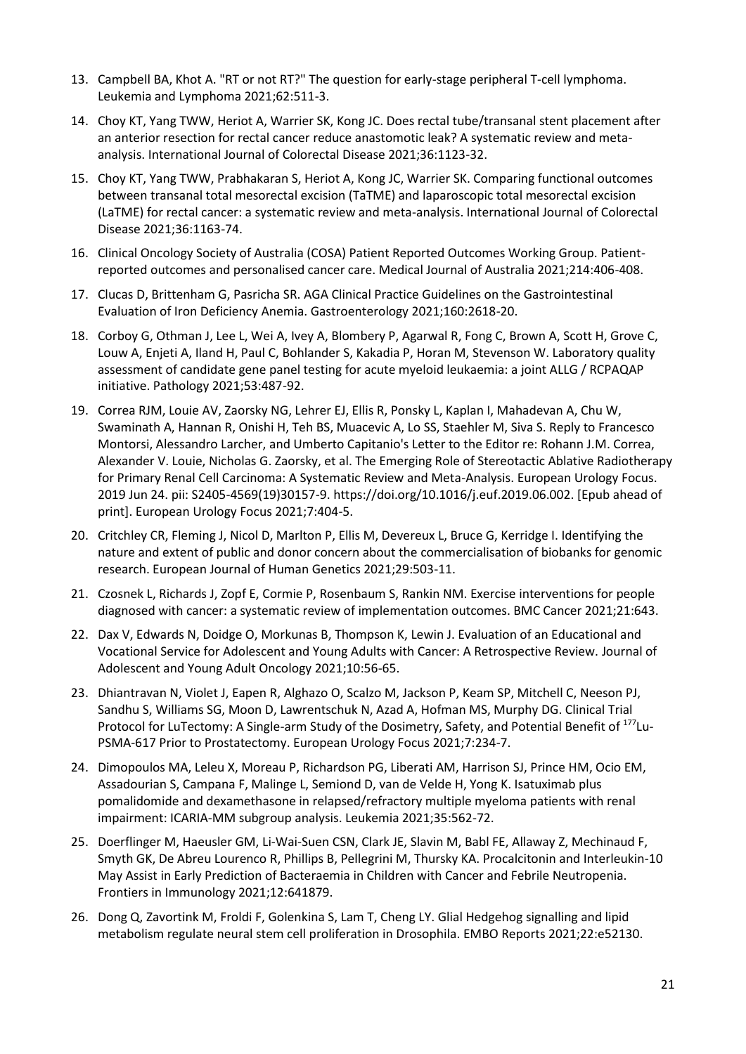- 13. Campbell BA, Khot A. "RT or not RT?" The question for early-stage peripheral T-cell lymphoma. Leukemia and Lymphoma 2021;62:511-3.
- 14. Choy KT, Yang TWW, Heriot A, Warrier SK, Kong JC. Does rectal tube/transanal stent placement after an anterior resection for rectal cancer reduce anastomotic leak? A systematic review and metaanalysis. International Journal of Colorectal Disease 2021;36:1123-32.
- 15. Choy KT, Yang TWW, Prabhakaran S, Heriot A, Kong JC, Warrier SK. Comparing functional outcomes between transanal total mesorectal excision (TaTME) and laparoscopic total mesorectal excision (LaTME) for rectal cancer: a systematic review and meta-analysis. International Journal of Colorectal Disease 2021;36:1163-74.
- 16. Clinical Oncology Society of Australia (COSA) Patient Reported Outcomes Working Group. Patientreported outcomes and personalised cancer care. Medical Journal of Australia 2021;214:406-408.
- 17. Clucas D, Brittenham G, Pasricha SR. AGA Clinical Practice Guidelines on the Gastrointestinal Evaluation of Iron Deficiency Anemia. Gastroenterology 2021;160:2618-20.
- 18. Corboy G, Othman J, Lee L, Wei A, Ivey A, Blombery P, Agarwal R, Fong C, Brown A, Scott H, Grove C, Louw A, Enjeti A, Iland H, Paul C, Bohlander S, Kakadia P, Horan M, Stevenson W. Laboratory quality assessment of candidate gene panel testing for acute myeloid leukaemia: a joint ALLG / RCPAQAP initiative. Pathology 2021;53:487-92.
- 19. Correa RJM, Louie AV, Zaorsky NG, Lehrer EJ, Ellis R, Ponsky L, Kaplan I, Mahadevan A, Chu W, Swaminath A, Hannan R, Onishi H, Teh BS, Muacevic A, Lo SS, Staehler M, Siva S. Reply to Francesco Montorsi, Alessandro Larcher, and Umberto Capitanio's Letter to the Editor re: Rohann J.M. Correa, Alexander V. Louie, Nicholas G. Zaorsky, et al. The Emerging Role of Stereotactic Ablative Radiotherapy for Primary Renal Cell Carcinoma: A Systematic Review and Meta-Analysis. European Urology Focus. 2019 Jun 24. pii: S2405-4569(19)30157-9. https://doi.org/10.1016/j.euf.2019.06.002. [Epub ahead of print]. European Urology Focus 2021;7:404-5.
- 20. Critchley CR, Fleming J, Nicol D, Marlton P, Ellis M, Devereux L, Bruce G, Kerridge I. Identifying the nature and extent of public and donor concern about the commercialisation of biobanks for genomic research. European Journal of Human Genetics 2021;29:503-11.
- 21. Czosnek L, Richards J, Zopf E, Cormie P, Rosenbaum S, Rankin NM. Exercise interventions for people diagnosed with cancer: a systematic review of implementation outcomes. BMC Cancer 2021;21:643.
- 22. Dax V, Edwards N, Doidge O, Morkunas B, Thompson K, Lewin J. Evaluation of an Educational and Vocational Service for Adolescent and Young Adults with Cancer: A Retrospective Review. Journal of Adolescent and Young Adult Oncology 2021;10:56-65.
- 23. Dhiantravan N, Violet J, Eapen R, Alghazo O, Scalzo M, Jackson P, Keam SP, Mitchell C, Neeson PJ, Sandhu S, Williams SG, Moon D, Lawrentschuk N, Azad A, Hofman MS, Murphy DG. Clinical Trial Protocol for LuTectomy: A Single-arm Study of the Dosimetry, Safety, and Potential Benefit of <sup>177</sup>Lu-PSMA-617 Prior to Prostatectomy. European Urology Focus 2021;7:234-7.
- 24. Dimopoulos MA, Leleu X, Moreau P, Richardson PG, Liberati AM, Harrison SJ, Prince HM, Ocio EM, Assadourian S, Campana F, Malinge L, Semiond D, van de Velde H, Yong K. Isatuximab plus pomalidomide and dexamethasone in relapsed/refractory multiple myeloma patients with renal impairment: ICARIA-MM subgroup analysis. Leukemia 2021;35:562-72.
- 25. Doerflinger M, Haeusler GM, Li-Wai-Suen CSN, Clark JE, Slavin M, Babl FE, Allaway Z, Mechinaud F, Smyth GK, De Abreu Lourenco R, Phillips B, Pellegrini M, Thursky KA. Procalcitonin and Interleukin-10 May Assist in Early Prediction of Bacteraemia in Children with Cancer and Febrile Neutropenia. Frontiers in Immunology 2021;12:641879.
- 26. Dong Q, Zavortink M, Froldi F, Golenkina S, Lam T, Cheng LY. Glial Hedgehog signalling and lipid metabolism regulate neural stem cell proliferation in Drosophila. EMBO Reports 2021;22:e52130.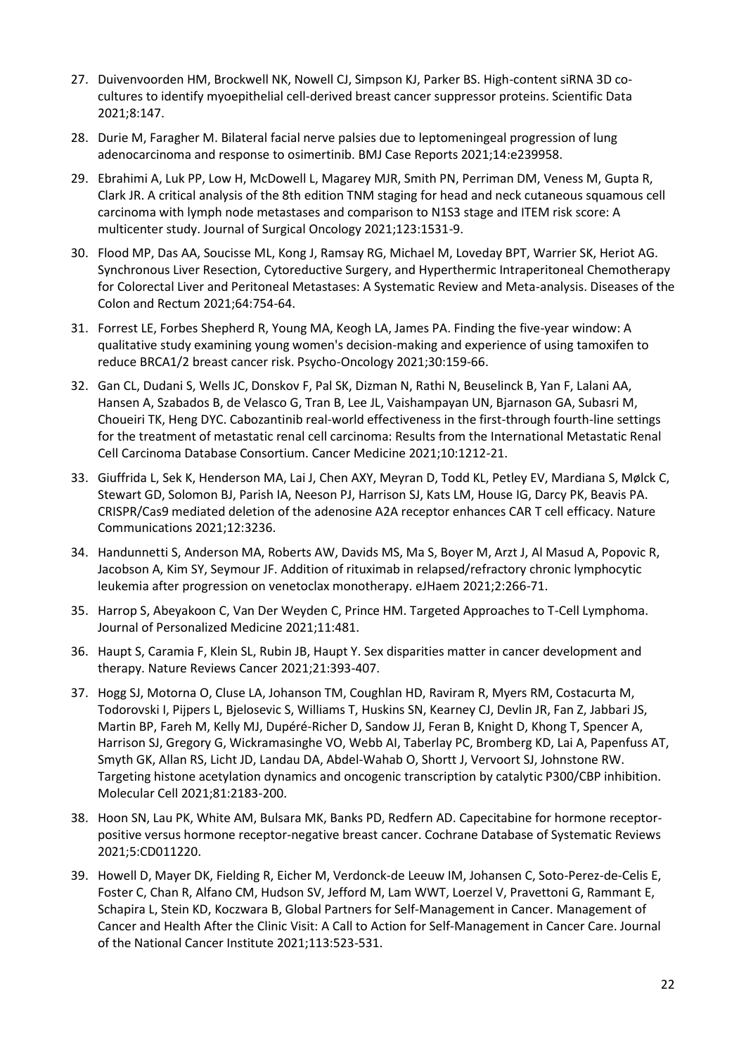- 27. Duivenvoorden HM, Brockwell NK, Nowell CJ, Simpson KJ, Parker BS. High-content siRNA 3D cocultures to identify myoepithelial cell-derived breast cancer suppressor proteins. Scientific Data 2021;8:147.
- 28. Durie M, Faragher M. Bilateral facial nerve palsies due to leptomeningeal progression of lung adenocarcinoma and response to osimertinib. BMJ Case Reports 2021;14:e239958.
- 29. Ebrahimi A, Luk PP, Low H, McDowell L, Magarey MJR, Smith PN, Perriman DM, Veness M, Gupta R, Clark JR. A critical analysis of the 8th edition TNM staging for head and neck cutaneous squamous cell carcinoma with lymph node metastases and comparison to N1S3 stage and ITEM risk score: A multicenter study. Journal of Surgical Oncology 2021;123:1531-9.
- 30. Flood MP, Das AA, Soucisse ML, Kong J, Ramsay RG, Michael M, Loveday BPT, Warrier SK, Heriot AG. Synchronous Liver Resection, Cytoreductive Surgery, and Hyperthermic Intraperitoneal Chemotherapy for Colorectal Liver and Peritoneal Metastases: A Systematic Review and Meta-analysis. Diseases of the Colon and Rectum 2021;64:754-64.
- 31. Forrest LE, Forbes Shepherd R, Young MA, Keogh LA, James PA. Finding the five-year window: A qualitative study examining young women's decision-making and experience of using tamoxifen to reduce BRCA1/2 breast cancer risk. Psycho-Oncology 2021;30:159-66.
- 32. Gan CL, Dudani S, Wells JC, Donskov F, Pal SK, Dizman N, Rathi N, Beuselinck B, Yan F, Lalani AA, Hansen A, Szabados B, de Velasco G, Tran B, Lee JL, Vaishampayan UN, Bjarnason GA, Subasri M, Choueiri TK, Heng DYC. Cabozantinib real-world effectiveness in the first-through fourth-line settings for the treatment of metastatic renal cell carcinoma: Results from the International Metastatic Renal Cell Carcinoma Database Consortium. Cancer Medicine 2021;10:1212-21.
- 33. Giuffrida L, Sek K, Henderson MA, Lai J, Chen AXY, Meyran D, Todd KL, Petley EV, Mardiana S, Mølck C, Stewart GD, Solomon BJ, Parish IA, Neeson PJ, Harrison SJ, Kats LM, House IG, Darcy PK, Beavis PA. CRISPR/Cas9 mediated deletion of the adenosine A2A receptor enhances CAR T cell efficacy. Nature Communications 2021;12:3236.
- 34. Handunnetti S, Anderson MA, Roberts AW, Davids MS, Ma S, Boyer M, Arzt J, Al Masud A, Popovic R, Jacobson A, Kim SY, Seymour JF. Addition of rituximab in relapsed/refractory chronic lymphocytic leukemia after progression on venetoclax monotherapy. eJHaem 2021;2:266-71.
- 35. Harrop S, Abeyakoon C, Van Der Weyden C, Prince HM. Targeted Approaches to T-Cell Lymphoma. Journal of Personalized Medicine 2021;11:481.
- 36. Haupt S, Caramia F, Klein SL, Rubin JB, Haupt Y. Sex disparities matter in cancer development and therapy. Nature Reviews Cancer 2021;21:393-407.
- 37. Hogg SJ, Motorna O, Cluse LA, Johanson TM, Coughlan HD, Raviram R, Myers RM, Costacurta M, Todorovski I, Pijpers L, Bjelosevic S, Williams T, Huskins SN, Kearney CJ, Devlin JR, Fan Z, Jabbari JS, Martin BP, Fareh M, Kelly MJ, Dupéré-Richer D, Sandow JJ, Feran B, Knight D, Khong T, Spencer A, Harrison SJ, Gregory G, Wickramasinghe VO, Webb AI, Taberlay PC, Bromberg KD, Lai A, Papenfuss AT, Smyth GK, Allan RS, Licht JD, Landau DA, Abdel-Wahab O, Shortt J, Vervoort SJ, Johnstone RW. Targeting histone acetylation dynamics and oncogenic transcription by catalytic P300/CBP inhibition. Molecular Cell 2021;81:2183-200.
- 38. Hoon SN, Lau PK, White AM, Bulsara MK, Banks PD, Redfern AD. Capecitabine for hormone receptorpositive versus hormone receptor-negative breast cancer. Cochrane Database of Systematic Reviews 2021;5:CD011220.
- 39. Howell D, Mayer DK, Fielding R, Eicher M, Verdonck-de Leeuw IM, Johansen C, Soto-Perez-de-Celis E, Foster C, Chan R, Alfano CM, Hudson SV, Jefford M, Lam WWT, Loerzel V, Pravettoni G, Rammant E, Schapira L, Stein KD, Koczwara B, Global Partners for Self-Management in Cancer. Management of Cancer and Health After the Clinic Visit: A Call to Action for Self-Management in Cancer Care. Journal of the National Cancer Institute 2021;113:523-531.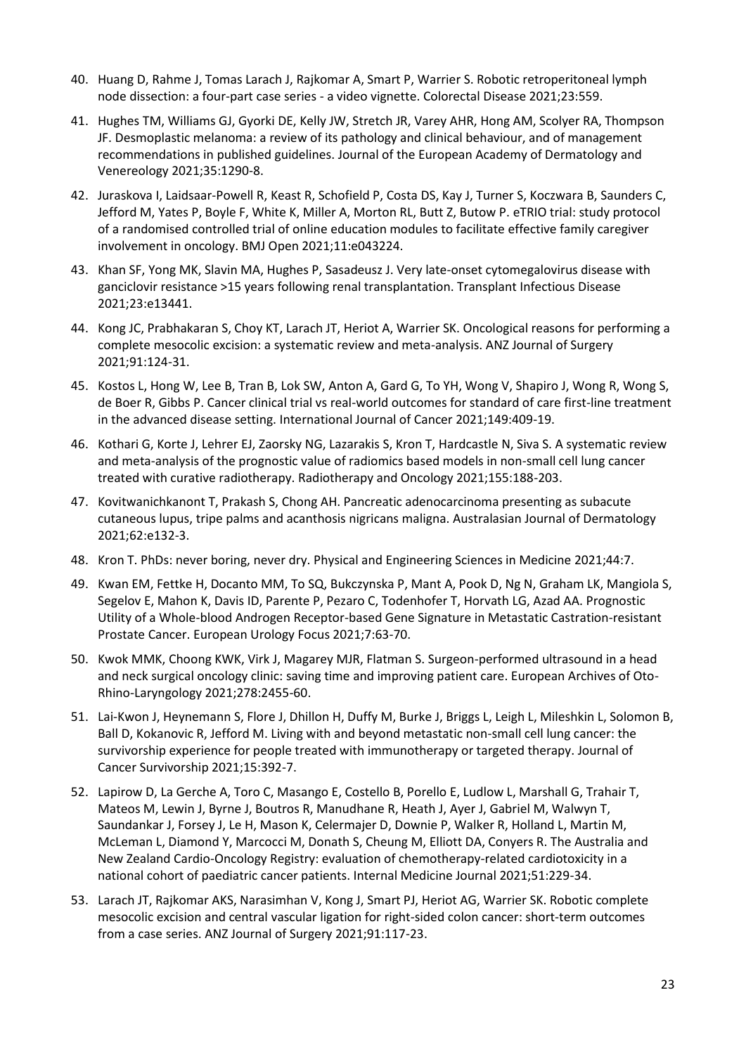- 40. Huang D, Rahme J, Tomas Larach J, Rajkomar A, Smart P, Warrier S. Robotic retroperitoneal lymph node dissection: a four-part case series - a video vignette. Colorectal Disease 2021;23:559.
- 41. Hughes TM, Williams GJ, Gyorki DE, Kelly JW, Stretch JR, Varey AHR, Hong AM, Scolyer RA, Thompson JF. Desmoplastic melanoma: a review of its pathology and clinical behaviour, and of management recommendations in published guidelines. Journal of the European Academy of Dermatology and Venereology 2021;35:1290-8.
- 42. Juraskova I, Laidsaar-Powell R, Keast R, Schofield P, Costa DS, Kay J, Turner S, Koczwara B, Saunders C, Jefford M, Yates P, Boyle F, White K, Miller A, Morton RL, Butt Z, Butow P. eTRIO trial: study protocol of a randomised controlled trial of online education modules to facilitate effective family caregiver involvement in oncology. BMJ Open 2021;11:e043224.
- 43. Khan SF, Yong MK, Slavin MA, Hughes P, Sasadeusz J. Very late-onset cytomegalovirus disease with ganciclovir resistance >15 years following renal transplantation. Transplant Infectious Disease 2021;23:e13441.
- 44. Kong JC, Prabhakaran S, Choy KT, Larach JT, Heriot A, Warrier SK. Oncological reasons for performing a complete mesocolic excision: a systematic review and meta-analysis. ANZ Journal of Surgery 2021;91:124-31.
- 45. Kostos L, Hong W, Lee B, Tran B, Lok SW, Anton A, Gard G, To YH, Wong V, Shapiro J, Wong R, Wong S, de Boer R, Gibbs P. Cancer clinical trial vs real-world outcomes for standard of care first-line treatment in the advanced disease setting. International Journal of Cancer 2021;149:409-19.
- 46. Kothari G, Korte J, Lehrer EJ, Zaorsky NG, Lazarakis S, Kron T, Hardcastle N, Siva S. A systematic review and meta-analysis of the prognostic value of radiomics based models in non-small cell lung cancer treated with curative radiotherapy. Radiotherapy and Oncology 2021;155:188-203.
- 47. Kovitwanichkanont T, Prakash S, Chong AH. Pancreatic adenocarcinoma presenting as subacute cutaneous lupus, tripe palms and acanthosis nigricans maligna. Australasian Journal of Dermatology 2021;62:e132-3.
- 48. Kron T. PhDs: never boring, never dry. Physical and Engineering Sciences in Medicine 2021;44:7.
- 49. Kwan EM, Fettke H, Docanto MM, To SQ, Bukczynska P, Mant A, Pook D, Ng N, Graham LK, Mangiola S, Segelov E, Mahon K, Davis ID, Parente P, Pezaro C, Todenhofer T, Horvath LG, Azad AA. Prognostic Utility of a Whole-blood Androgen Receptor-based Gene Signature in Metastatic Castration-resistant Prostate Cancer. European Urology Focus 2021;7:63-70.
- 50. Kwok MMK, Choong KWK, Virk J, Magarey MJR, Flatman S. Surgeon-performed ultrasound in a head and neck surgical oncology clinic: saving time and improving patient care. European Archives of Oto-Rhino-Laryngology 2021;278:2455-60.
- 51. Lai-Kwon J, Heynemann S, Flore J, Dhillon H, Duffy M, Burke J, Briggs L, Leigh L, Mileshkin L, Solomon B, Ball D, Kokanovic R, Jefford M. Living with and beyond metastatic non-small cell lung cancer: the survivorship experience for people treated with immunotherapy or targeted therapy. Journal of Cancer Survivorship 2021;15:392-7.
- 52. Lapirow D, La Gerche A, Toro C, Masango E, Costello B, Porello E, Ludlow L, Marshall G, Trahair T, Mateos M, Lewin J, Byrne J, Boutros R, Manudhane R, Heath J, Ayer J, Gabriel M, Walwyn T, Saundankar J, Forsey J, Le H, Mason K, Celermajer D, Downie P, Walker R, Holland L, Martin M, McLeman L, Diamond Y, Marcocci M, Donath S, Cheung M, Elliott DA, Conyers R. The Australia and New Zealand Cardio-Oncology Registry: evaluation of chemotherapy-related cardiotoxicity in a national cohort of paediatric cancer patients. Internal Medicine Journal 2021;51:229-34.
- 53. Larach JT, Rajkomar AKS, Narasimhan V, Kong J, Smart PJ, Heriot AG, Warrier SK. Robotic complete mesocolic excision and central vascular ligation for right-sided colon cancer: short-term outcomes from a case series. ANZ Journal of Surgery 2021;91:117-23.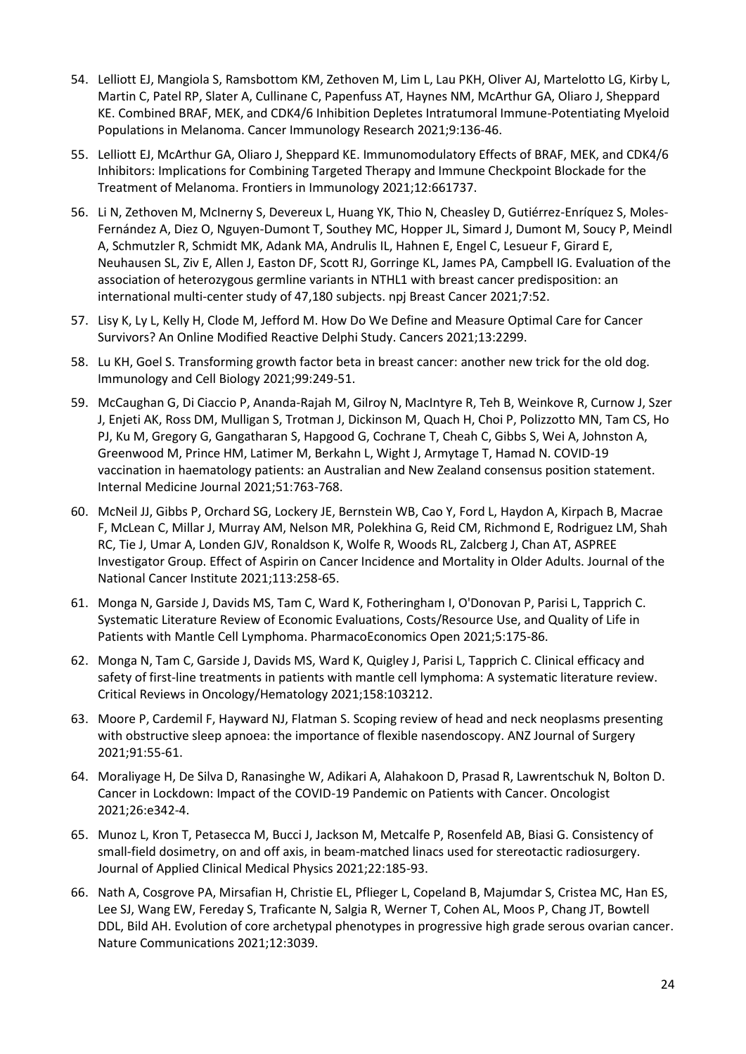- 54. Lelliott EJ, Mangiola S, Ramsbottom KM, Zethoven M, Lim L, Lau PKH, Oliver AJ, Martelotto LG, Kirby L, Martin C, Patel RP, Slater A, Cullinane C, Papenfuss AT, Haynes NM, McArthur GA, Oliaro J, Sheppard KE. Combined BRAF, MEK, and CDK4/6 Inhibition Depletes Intratumoral Immune-Potentiating Myeloid Populations in Melanoma. Cancer Immunology Research 2021;9:136-46.
- 55. Lelliott EJ, McArthur GA, Oliaro J, Sheppard KE. Immunomodulatory Effects of BRAF, MEK, and CDK4/6 Inhibitors: Implications for Combining Targeted Therapy and Immune Checkpoint Blockade for the Treatment of Melanoma. Frontiers in Immunology 2021;12:661737.
- 56. Li N, Zethoven M, McInerny S, Devereux L, Huang YK, Thio N, Cheasley D, Gutiérrez-Enríquez S, Moles-Fernández A, Diez O, Nguyen-Dumont T, Southey MC, Hopper JL, Simard J, Dumont M, Soucy P, Meindl A, Schmutzler R, Schmidt MK, Adank MA, Andrulis IL, Hahnen E, Engel C, Lesueur F, Girard E, Neuhausen SL, Ziv E, Allen J, Easton DF, Scott RJ, Gorringe KL, James PA, Campbell IG. Evaluation of the association of heterozygous germline variants in NTHL1 with breast cancer predisposition: an international multi-center study of 47,180 subjects. npj Breast Cancer 2021;7:52.
- 57. Lisy K, Ly L, Kelly H, Clode M, Jefford M. How Do We Define and Measure Optimal Care for Cancer Survivors? An Online Modified Reactive Delphi Study. Cancers 2021;13:2299.
- 58. Lu KH, Goel S. Transforming growth factor beta in breast cancer: another new trick for the old dog. Immunology and Cell Biology 2021;99:249-51.
- 59. McCaughan G, Di Ciaccio P, Ananda-Rajah M, Gilroy N, MacIntyre R, Teh B, Weinkove R, Curnow J, Szer J, Enjeti AK, Ross DM, Mulligan S, Trotman J, Dickinson M, Quach H, Choi P, Polizzotto MN, Tam CS, Ho PJ, Ku M, Gregory G, Gangatharan S, Hapgood G, Cochrane T, Cheah C, Gibbs S, Wei A, Johnston A, Greenwood M, Prince HM, Latimer M, Berkahn L, Wight J, Armytage T, Hamad N. COVID-19 vaccination in haematology patients: an Australian and New Zealand consensus position statement. Internal Medicine Journal 2021;51:763-768.
- 60. McNeil JJ, Gibbs P, Orchard SG, Lockery JE, Bernstein WB, Cao Y, Ford L, Haydon A, Kirpach B, Macrae F, McLean C, Millar J, Murray AM, Nelson MR, Polekhina G, Reid CM, Richmond E, Rodriguez LM, Shah RC, Tie J, Umar A, Londen GJV, Ronaldson K, Wolfe R, Woods RL, Zalcberg J, Chan AT, ASPREE Investigator Group. Effect of Aspirin on Cancer Incidence and Mortality in Older Adults. Journal of the National Cancer Institute 2021;113:258-65.
- 61. Monga N, Garside J, Davids MS, Tam C, Ward K, Fotheringham I, O'Donovan P, Parisi L, Tapprich C. Systematic Literature Review of Economic Evaluations, Costs/Resource Use, and Quality of Life in Patients with Mantle Cell Lymphoma. PharmacoEconomics Open 2021;5:175-86.
- 62. Monga N, Tam C, Garside J, Davids MS, Ward K, Quigley J, Parisi L, Tapprich C. Clinical efficacy and safety of first-line treatments in patients with mantle cell lymphoma: A systematic literature review. Critical Reviews in Oncology/Hematology 2021;158:103212.
- 63. Moore P, Cardemil F, Hayward NJ, Flatman S. Scoping review of head and neck neoplasms presenting with obstructive sleep apnoea: the importance of flexible nasendoscopy. ANZ Journal of Surgery 2021;91:55-61.
- 64. Moraliyage H, De Silva D, Ranasinghe W, Adikari A, Alahakoon D, Prasad R, Lawrentschuk N, Bolton D. Cancer in Lockdown: Impact of the COVID-19 Pandemic on Patients with Cancer. Oncologist 2021;26:e342-4.
- 65. Munoz L, Kron T, Petasecca M, Bucci J, Jackson M, Metcalfe P, Rosenfeld AB, Biasi G. Consistency of small-field dosimetry, on and off axis, in beam-matched linacs used for stereotactic radiosurgery. Journal of Applied Clinical Medical Physics 2021;22:185-93.
- 66. Nath A, Cosgrove PA, Mirsafian H, Christie EL, Pflieger L, Copeland B, Majumdar S, Cristea MC, Han ES, Lee SJ, Wang EW, Fereday S, Traficante N, Salgia R, Werner T, Cohen AL, Moos P, Chang JT, Bowtell DDL, Bild AH. Evolution of core archetypal phenotypes in progressive high grade serous ovarian cancer. Nature Communications 2021;12:3039.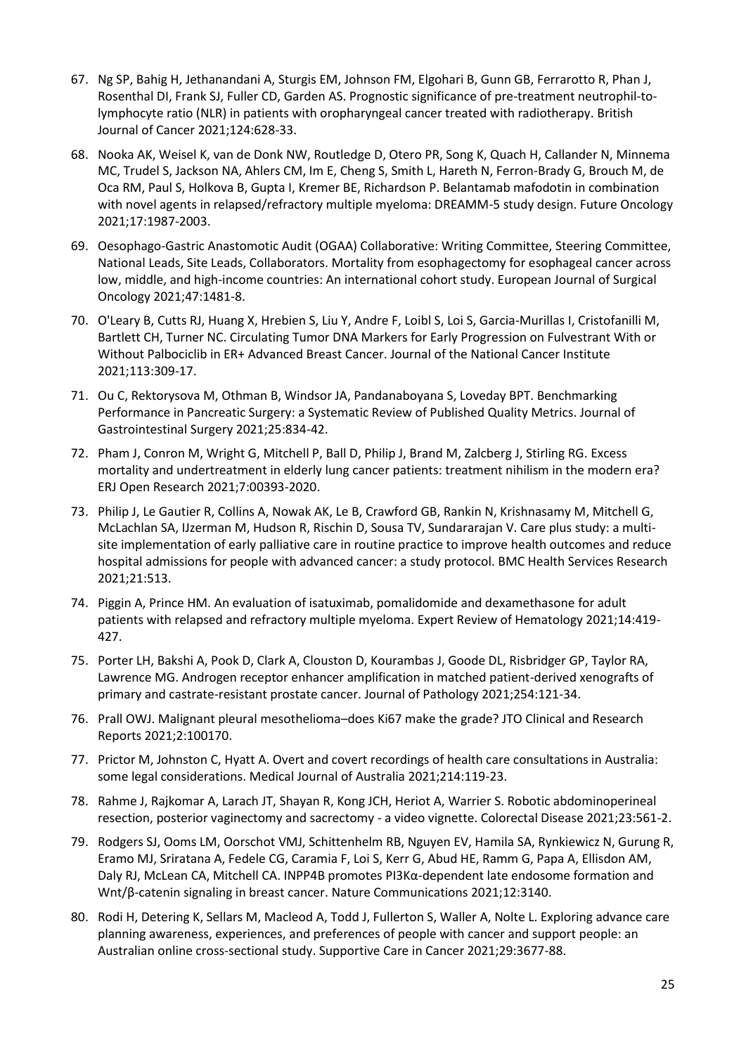- 67. Ng SP, Bahig H, Jethanandani A, Sturgis EM, Johnson FM, Elgohari B, Gunn GB, Ferrarotto R, Phan J, Rosenthal DI, Frank SJ, Fuller CD, Garden AS. Prognostic significance of pre-treatment neutrophil-tolymphocyte ratio (NLR) in patients with oropharyngeal cancer treated with radiotherapy. British Journal of Cancer 2021;124:628-33.
- 68. Nooka AK, Weisel K, van de Donk NW, Routledge D, Otero PR, Song K, Quach H, Callander N, Minnema MC, Trudel S, Jackson NA, Ahlers CM, Im E, Cheng S, Smith L, Hareth N, Ferron-Brady G, Brouch M, de Oca RM, Paul S, Holkova B, Gupta I, Kremer BE, Richardson P. Belantamab mafodotin in combination with novel agents in relapsed/refractory multiple myeloma: DREAMM-5 study design. Future Oncology 2021;17:1987-2003.
- 69. Oesophago-Gastric Anastomotic Audit (OGAA) Collaborative: Writing Committee, Steering Committee, National Leads, Site Leads, Collaborators. Mortality from esophagectomy for esophageal cancer across low, middle, and high-income countries: An international cohort study. European Journal of Surgical Oncology 2021;47:1481-8.
- 70. O'Leary B, Cutts RJ, Huang X, Hrebien S, Liu Y, Andre F, Loibl S, Loi S, Garcia-Murillas I, Cristofanilli M, Bartlett CH, Turner NC. Circulating Tumor DNA Markers for Early Progression on Fulvestrant With or Without Palbociclib in ER+ Advanced Breast Cancer. Journal of the National Cancer Institute 2021;113:309-17.
- 71. Ou C, Rektorysova M, Othman B, Windsor JA, Pandanaboyana S, Loveday BPT. Benchmarking Performance in Pancreatic Surgery: a Systematic Review of Published Quality Metrics. Journal of Gastrointestinal Surgery 2021;25:834-42.
- 72. Pham J, Conron M, Wright G, Mitchell P, Ball D, Philip J, Brand M, Zalcberg J, Stirling RG. Excess mortality and undertreatment in elderly lung cancer patients: treatment nihilism in the modern era? ERJ Open Research 2021;7:00393-2020.
- 73. Philip J, Le Gautier R, Collins A, Nowak AK, Le B, Crawford GB, Rankin N, Krishnasamy M, Mitchell G, McLachlan SA, IJzerman M, Hudson R, Rischin D, Sousa TV, Sundararajan V. Care plus study: a multisite implementation of early palliative care in routine practice to improve health outcomes and reduce hospital admissions for people with advanced cancer: a study protocol. BMC Health Services Research 2021;21:513.
- 74. Piggin A, Prince HM. An evaluation of isatuximab, pomalidomide and dexamethasone for adult patients with relapsed and refractory multiple myeloma. Expert Review of Hematology 2021;14:419- 427.
- 75. Porter LH, Bakshi A, Pook D, Clark A, Clouston D, Kourambas J, Goode DL, Risbridger GP, Taylor RA, Lawrence MG. Androgen receptor enhancer amplification in matched patient-derived xenografts of primary and castrate-resistant prostate cancer. Journal of Pathology 2021;254:121-34.
- 76. Prall OWJ. Malignant pleural mesothelioma–does Ki67 make the grade? JTO Clinical and Research Reports 2021;2:100170.
- 77. Prictor M, Johnston C, Hyatt A. Overt and covert recordings of health care consultations in Australia: some legal considerations. Medical Journal of Australia 2021;214:119-23.
- 78. Rahme J, Rajkomar A, Larach JT, Shayan R, Kong JCH, Heriot A, Warrier S. Robotic abdominoperineal resection, posterior vaginectomy and sacrectomy - a video vignette. Colorectal Disease 2021;23:561-2.
- 79. Rodgers SJ, Ooms LM, Oorschot VMJ, Schittenhelm RB, Nguyen EV, Hamila SA, Rynkiewicz N, Gurung R, Eramo MJ, Sriratana A, Fedele CG, Caramia F, Loi S, Kerr G, Abud HE, Ramm G, Papa A, Ellisdon AM, Daly RJ, McLean CA, Mitchell CA. INPP4B promotes PI3Kα-dependent late endosome formation and Wnt/β-catenin signaling in breast cancer. Nature Communications 2021;12:3140.
- 80. Rodi H, Detering K, Sellars M, Macleod A, Todd J, Fullerton S, Waller A, Nolte L. Exploring advance care planning awareness, experiences, and preferences of people with cancer and support people: an Australian online cross-sectional study. Supportive Care in Cancer 2021;29:3677-88.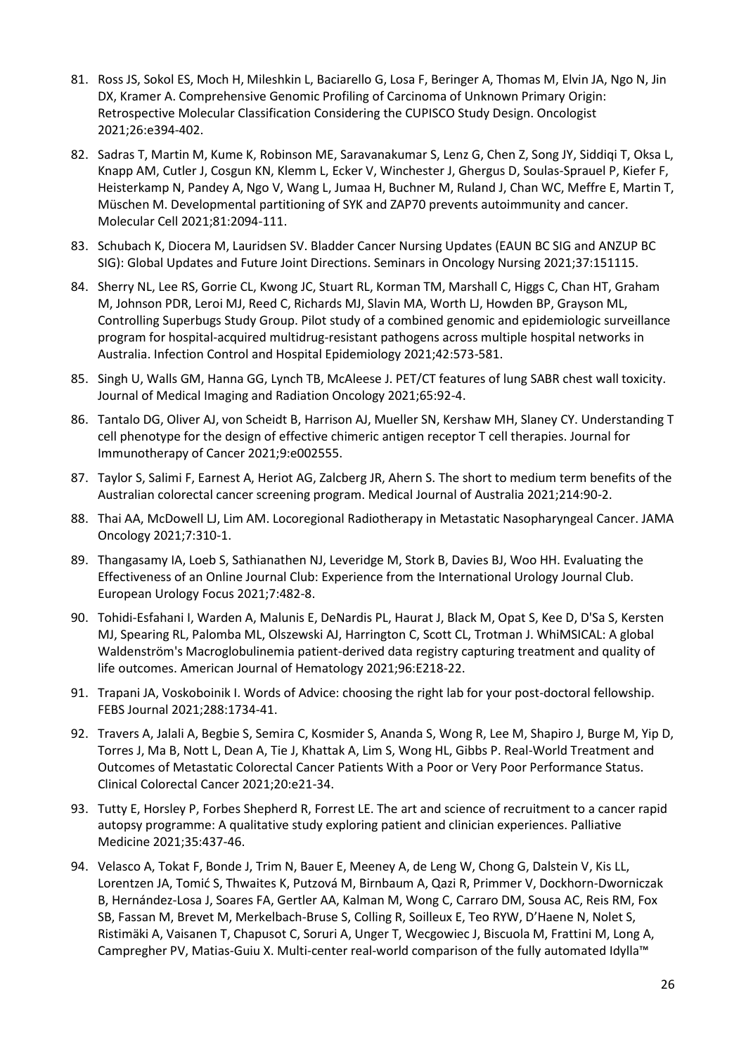- 81. Ross JS, Sokol ES, Moch H, Mileshkin L, Baciarello G, Losa F, Beringer A, Thomas M, Elvin JA, Ngo N, Jin DX, Kramer A. Comprehensive Genomic Profiling of Carcinoma of Unknown Primary Origin: Retrospective Molecular Classification Considering the CUPISCO Study Design. Oncologist 2021;26:e394-402.
- 82. Sadras T, Martin M, Kume K, Robinson ME, Saravanakumar S, Lenz G, Chen Z, Song JY, Siddiqi T, Oksa L, Knapp AM, Cutler J, Cosgun KN, Klemm L, Ecker V, Winchester J, Ghergus D, Soulas-Sprauel P, Kiefer F, Heisterkamp N, Pandey A, Ngo V, Wang L, Jumaa H, Buchner M, Ruland J, Chan WC, Meffre E, Martin T, Müschen M. Developmental partitioning of SYK and ZAP70 prevents autoimmunity and cancer. Molecular Cell 2021;81:2094-111.
- 83. Schubach K, Diocera M, Lauridsen SV. Bladder Cancer Nursing Updates (EAUN BC SIG and ANZUP BC SIG): Global Updates and Future Joint Directions. Seminars in Oncology Nursing 2021;37:151115.
- 84. Sherry NL, Lee RS, Gorrie CL, Kwong JC, Stuart RL, Korman TM, Marshall C, Higgs C, Chan HT, Graham M, Johnson PDR, Leroi MJ, Reed C, Richards MJ, Slavin MA, Worth LJ, Howden BP, Grayson ML, Controlling Superbugs Study Group. Pilot study of a combined genomic and epidemiologic surveillance program for hospital-acquired multidrug-resistant pathogens across multiple hospital networks in Australia. Infection Control and Hospital Epidemiology 2021;42:573-581.
- 85. Singh U, Walls GM, Hanna GG, Lynch TB, McAleese J. PET/CT features of lung SABR chest wall toxicity. Journal of Medical Imaging and Radiation Oncology 2021;65:92-4.
- 86. Tantalo DG, Oliver AJ, von Scheidt B, Harrison AJ, Mueller SN, Kershaw MH, Slaney CY. Understanding T cell phenotype for the design of effective chimeric antigen receptor T cell therapies. Journal for Immunotherapy of Cancer 2021;9:e002555.
- 87. Taylor S, Salimi F, Earnest A, Heriot AG, Zalcberg JR, Ahern S. The short to medium term benefits of the Australian colorectal cancer screening program. Medical Journal of Australia 2021;214:90-2.
- 88. Thai AA, McDowell LJ, Lim AM. Locoregional Radiotherapy in Metastatic Nasopharyngeal Cancer. JAMA Oncology 2021;7:310-1.
- 89. Thangasamy IA, Loeb S, Sathianathen NJ, Leveridge M, Stork B, Davies BJ, Woo HH. Evaluating the Effectiveness of an Online Journal Club: Experience from the International Urology Journal Club. European Urology Focus 2021;7:482-8.
- 90. Tohidi-Esfahani I, Warden A, Malunis E, DeNardis PL, Haurat J, Black M, Opat S, Kee D, D'Sa S, Kersten MJ, Spearing RL, Palomba ML, Olszewski AJ, Harrington C, Scott CL, Trotman J. WhiMSICAL: A global Waldenström's Macroglobulinemia patient-derived data registry capturing treatment and quality of life outcomes. American Journal of Hematology 2021;96:E218-22.
- 91. Trapani JA, Voskoboinik I. Words of Advice: choosing the right lab for your post-doctoral fellowship. FEBS Journal 2021;288:1734-41.
- 92. Travers A, Jalali A, Begbie S, Semira C, Kosmider S, Ananda S, Wong R, Lee M, Shapiro J, Burge M, Yip D, Torres J, Ma B, Nott L, Dean A, Tie J, Khattak A, Lim S, Wong HL, Gibbs P. Real-World Treatment and Outcomes of Metastatic Colorectal Cancer Patients With a Poor or Very Poor Performance Status. Clinical Colorectal Cancer 2021;20:e21-34.
- 93. Tutty E, Horsley P, Forbes Shepherd R, Forrest LE. The art and science of recruitment to a cancer rapid autopsy programme: A qualitative study exploring patient and clinician experiences. Palliative Medicine 2021;35:437-46.
- 94. Velasco A, Tokat F, Bonde J, Trim N, Bauer E, Meeney A, de Leng W, Chong G, Dalstein V, Kis LL, Lorentzen JA, Tomić S, Thwaites K, Putzová M, Birnbaum A, Qazi R, Primmer V, Dockhorn-Dworniczak B, Hernández-Losa J, Soares FA, Gertler AA, Kalman M, Wong C, Carraro DM, Sousa AC, Reis RM, Fox SB, Fassan M, Brevet M, Merkelbach-Bruse S, Colling R, Soilleux E, Teo RYW, D'Haene N, Nolet S, Ristimäki A, Vaisanen T, Chapusot C, Soruri A, Unger T, Wecgowiec J, Biscuola M, Frattini M, Long A, Campregher PV, Matias-Guiu X. Multi-center real-world comparison of the fully automated Idylla™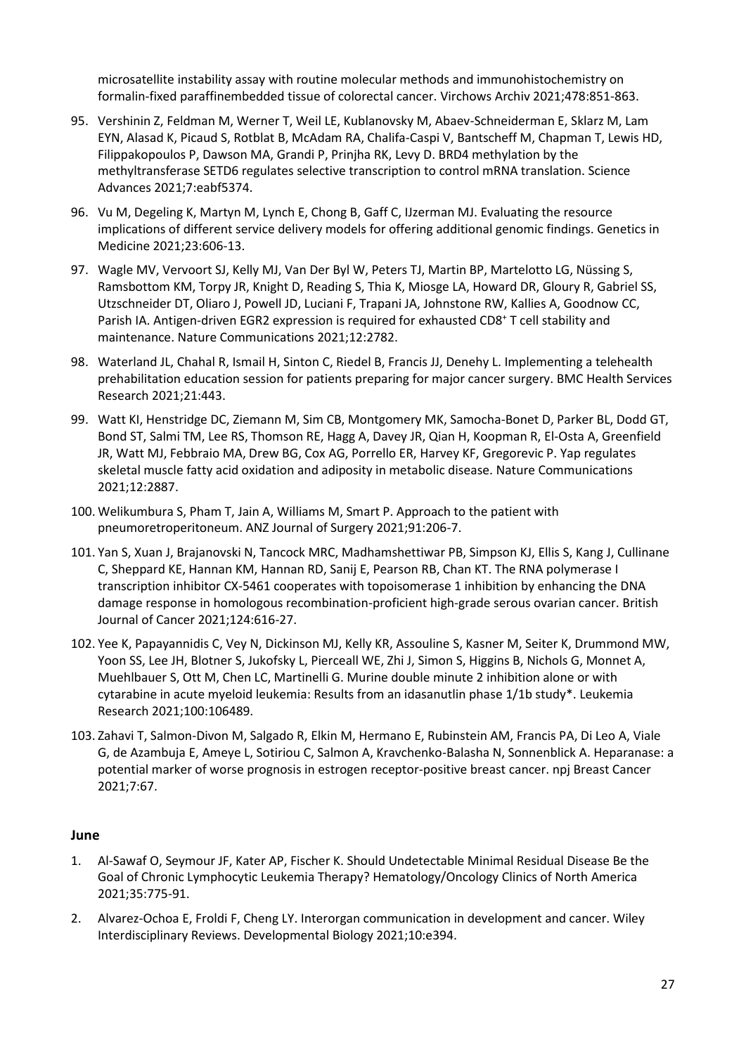microsatellite instability assay with routine molecular methods and immunohistochemistry on formalin-fixed paraffinembedded tissue of colorectal cancer. Virchows Archiv 2021;478:851-863.

- 95. Vershinin Z, Feldman M, Werner T, Weil LE, Kublanovsky M, Abaev-Schneiderman E, Sklarz M, Lam EYN, Alasad K, Picaud S, Rotblat B, McAdam RA, Chalifa-Caspi V, Bantscheff M, Chapman T, Lewis HD, Filippakopoulos P, Dawson MA, Grandi P, Prinjha RK, Levy D. BRD4 methylation by the methyltransferase SETD6 regulates selective transcription to control mRNA translation. Science Advances 2021;7:eabf5374.
- 96. Vu M, Degeling K, Martyn M, Lynch E, Chong B, Gaff C, IJzerman MJ. Evaluating the resource implications of different service delivery models for offering additional genomic findings. Genetics in Medicine 2021;23:606-13.
- 97. Wagle MV, Vervoort SJ, Kelly MJ, Van Der Byl W, Peters TJ, Martin BP, Martelotto LG, Nüssing S, Ramsbottom KM, Torpy JR, Knight D, Reading S, Thia K, Miosge LA, Howard DR, Gloury R, Gabriel SS, Utzschneider DT, Oliaro J, Powell JD, Luciani F, Trapani JA, Johnstone RW, Kallies A, Goodnow CC, Parish IA. Antigen-driven EGR2 expression is required for exhausted CD8<sup>+</sup> T cell stability and maintenance. Nature Communications 2021;12:2782.
- 98. Waterland JL, Chahal R, Ismail H, Sinton C, Riedel B, Francis JJ, Denehy L. Implementing a telehealth prehabilitation education session for patients preparing for major cancer surgery. BMC Health Services Research 2021;21:443.
- 99. Watt KI, Henstridge DC, Ziemann M, Sim CB, Montgomery MK, Samocha-Bonet D, Parker BL, Dodd GT, Bond ST, Salmi TM, Lee RS, Thomson RE, Hagg A, Davey JR, Qian H, Koopman R, El-Osta A, Greenfield JR, Watt MJ, Febbraio MA, Drew BG, Cox AG, Porrello ER, Harvey KF, Gregorevic P. Yap regulates skeletal muscle fatty acid oxidation and adiposity in metabolic disease. Nature Communications 2021;12:2887.
- 100. Welikumbura S, Pham T, Jain A, Williams M, Smart P. Approach to the patient with pneumoretroperitoneum. ANZ Journal of Surgery 2021;91:206-7.
- 101. Yan S, Xuan J, Brajanovski N, Tancock MRC, Madhamshettiwar PB, Simpson KJ, Ellis S, Kang J, Cullinane C, Sheppard KE, Hannan KM, Hannan RD, Sanij E, Pearson RB, Chan KT. The RNA polymerase I transcription inhibitor CX-5461 cooperates with topoisomerase 1 inhibition by enhancing the DNA damage response in homologous recombination-proficient high-grade serous ovarian cancer. British Journal of Cancer 2021;124:616-27.
- 102. Yee K, Papayannidis C, Vey N, Dickinson MJ, Kelly KR, Assouline S, Kasner M, Seiter K, Drummond MW, Yoon SS, Lee JH, Blotner S, Jukofsky L, Pierceall WE, Zhi J, Simon S, Higgins B, Nichols G, Monnet A, Muehlbauer S, Ott M, Chen LC, Martinelli G. Murine double minute 2 inhibition alone or with cytarabine in acute myeloid leukemia: Results from an idasanutlin phase 1/1b study\*. Leukemia Research 2021;100:106489.
- 103. Zahavi T, Salmon-Divon M, Salgado R, Elkin M, Hermano E, Rubinstein AM, Francis PA, Di Leo A, Viale G, de Azambuja E, Ameye L, Sotiriou C, Salmon A, Kravchenko-Balasha N, Sonnenblick A. Heparanase: a potential marker of worse prognosis in estrogen receptor-positive breast cancer. npj Breast Cancer 2021;7:67.

## **June**

- 1. Al-Sawaf O, Seymour JF, Kater AP, Fischer K. Should Undetectable Minimal Residual Disease Be the Goal of Chronic Lymphocytic Leukemia Therapy? Hematology/Oncology Clinics of North America 2021;35:775-91.
- 2. Alvarez-Ochoa E, Froldi F, Cheng LY. Interorgan communication in development and cancer. Wiley Interdisciplinary Reviews. Developmental Biology 2021;10:e394.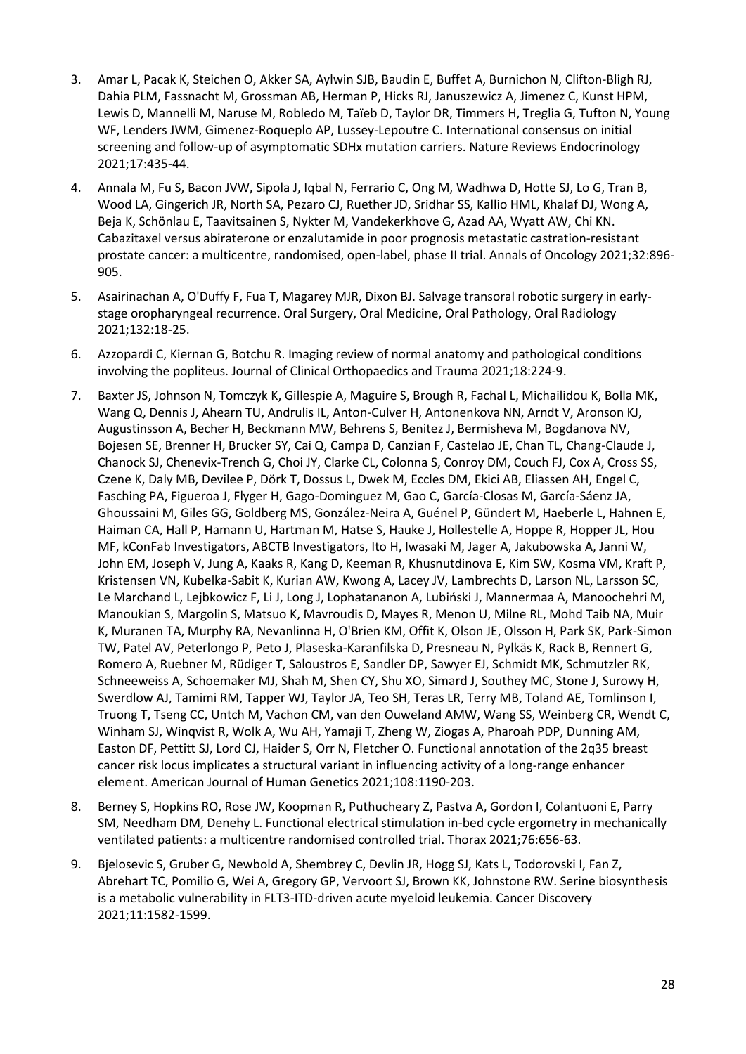- 3. Amar L, Pacak K, Steichen O, Akker SA, Aylwin SJB, Baudin E, Buffet A, Burnichon N, Clifton-Bligh RJ, Dahia PLM, Fassnacht M, Grossman AB, Herman P, Hicks RJ, Januszewicz A, Jimenez C, Kunst HPM, Lewis D, Mannelli M, Naruse M, Robledo M, Taïeb D, Taylor DR, Timmers H, Treglia G, Tufton N, Young WF, Lenders JWM, Gimenez-Roqueplo AP, Lussey-Lepoutre C. International consensus on initial screening and follow-up of asymptomatic SDHx mutation carriers. Nature Reviews Endocrinology 2021;17:435-44.
- 4. Annala M, Fu S, Bacon JVW, Sipola J, Iqbal N, Ferrario C, Ong M, Wadhwa D, Hotte SJ, Lo G, Tran B, Wood LA, Gingerich JR, North SA, Pezaro CJ, Ruether JD, Sridhar SS, Kallio HML, Khalaf DJ, Wong A, Beja K, Schönlau E, Taavitsainen S, Nykter M, Vandekerkhove G, Azad AA, Wyatt AW, Chi KN. Cabazitaxel versus abiraterone or enzalutamide in poor prognosis metastatic castration-resistant prostate cancer: a multicentre, randomised, open-label, phase II trial. Annals of Oncology 2021;32:896- 905.
- 5. Asairinachan A, O'Duffy F, Fua T, Magarey MJR, Dixon BJ. Salvage transoral robotic surgery in earlystage oropharyngeal recurrence. Oral Surgery, Oral Medicine, Oral Pathology, Oral Radiology 2021;132:18-25.
- 6. Azzopardi C, Kiernan G, Botchu R. Imaging review of normal anatomy and pathological conditions involving the popliteus. Journal of Clinical Orthopaedics and Trauma 2021;18:224-9.
- 7. Baxter JS, Johnson N, Tomczyk K, Gillespie A, Maguire S, Brough R, Fachal L, Michailidou K, Bolla MK, Wang Q, Dennis J, Ahearn TU, Andrulis IL, Anton-Culver H, Antonenkova NN, Arndt V, Aronson KJ, Augustinsson A, Becher H, Beckmann MW, Behrens S, Benitez J, Bermisheva M, Bogdanova NV, Bojesen SE, Brenner H, Brucker SY, Cai Q, Campa D, Canzian F, Castelao JE, Chan TL, Chang-Claude J, Chanock SJ, Chenevix-Trench G, Choi JY, Clarke CL, Colonna S, Conroy DM, Couch FJ, Cox A, Cross SS, Czene K, Daly MB, Devilee P, Dörk T, Dossus L, Dwek M, Eccles DM, Ekici AB, Eliassen AH, Engel C, Fasching PA, Figueroa J, Flyger H, Gago-Dominguez M, Gao C, García-Closas M, García-Sáenz JA, Ghoussaini M, Giles GG, Goldberg MS, González-Neira A, Guénel P, Gündert M, Haeberle L, Hahnen E, Haiman CA, Hall P, Hamann U, Hartman M, Hatse S, Hauke J, Hollestelle A, Hoppe R, Hopper JL, Hou MF, kConFab Investigators, ABCTB Investigators, Ito H, Iwasaki M, Jager A, Jakubowska A, Janni W, John EM, Joseph V, Jung A, Kaaks R, Kang D, Keeman R, Khusnutdinova E, Kim SW, Kosma VM, Kraft P, Kristensen VN, Kubelka-Sabit K, Kurian AW, Kwong A, Lacey JV, Lambrechts D, Larson NL, Larsson SC, Le Marchand L, Lejbkowicz F, Li J, Long J, Lophatananon A, Lubiński J, Mannermaa A, Manoochehri M, Manoukian S, Margolin S, Matsuo K, Mavroudis D, Mayes R, Menon U, Milne RL, Mohd Taib NA, Muir K, Muranen TA, Murphy RA, Nevanlinna H, O'Brien KM, Offit K, Olson JE, Olsson H, Park SK, Park-Simon TW, Patel AV, Peterlongo P, Peto J, Plaseska-Karanfilska D, Presneau N, Pylkäs K, Rack B, Rennert G, Romero A, Ruebner M, Rüdiger T, Saloustros E, Sandler DP, Sawyer EJ, Schmidt MK, Schmutzler RK, Schneeweiss A, Schoemaker MJ, Shah M, Shen CY, Shu XO, Simard J, Southey MC, Stone J, Surowy H, Swerdlow AJ, Tamimi RM, Tapper WJ, Taylor JA, Teo SH, Teras LR, Terry MB, Toland AE, Tomlinson I, Truong T, Tseng CC, Untch M, Vachon CM, van den Ouweland AMW, Wang SS, Weinberg CR, Wendt C, Winham SJ, Winqvist R, Wolk A, Wu AH, Yamaji T, Zheng W, Ziogas A, Pharoah PDP, Dunning AM, Easton DF, Pettitt SJ, Lord CJ, Haider S, Orr N, Fletcher O. Functional annotation of the 2q35 breast cancer risk locus implicates a structural variant in influencing activity of a long-range enhancer element. American Journal of Human Genetics 2021;108:1190-203.
- 8. Berney S, Hopkins RO, Rose JW, Koopman R, Puthucheary Z, Pastva A, Gordon I, Colantuoni E, Parry SM, Needham DM, Denehy L. Functional electrical stimulation in-bed cycle ergometry in mechanically ventilated patients: a multicentre randomised controlled trial. Thorax 2021;76:656-63.
- 9. Bjelosevic S, Gruber G, Newbold A, Shembrey C, Devlin JR, Hogg SJ, Kats L, Todorovski I, Fan Z, Abrehart TC, Pomilio G, Wei A, Gregory GP, Vervoort SJ, Brown KK, Johnstone RW. Serine biosynthesis is a metabolic vulnerability in FLT3-ITD-driven acute myeloid leukemia. Cancer Discovery 2021;11:1582-1599.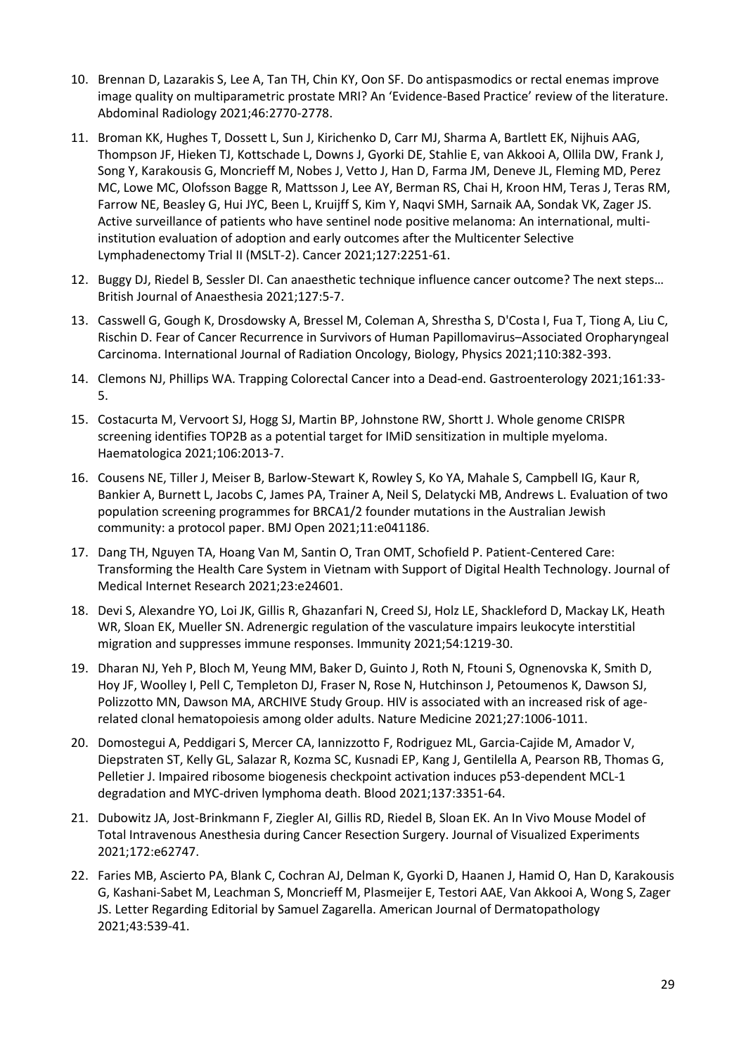- 10. Brennan D, Lazarakis S, Lee A, Tan TH, Chin KY, Oon SF. Do antispasmodics or rectal enemas improve image quality on multiparametric prostate MRI? An 'Evidence-Based Practice' review of the literature. Abdominal Radiology 2021;46:2770-2778.
- 11. Broman KK, Hughes T, Dossett L, Sun J, Kirichenko D, Carr MJ, Sharma A, Bartlett EK, Nijhuis AAG, Thompson JF, Hieken TJ, Kottschade L, Downs J, Gyorki DE, Stahlie E, van Akkooi A, Ollila DW, Frank J, Song Y, Karakousis G, Moncrieff M, Nobes J, Vetto J, Han D, Farma JM, Deneve JL, Fleming MD, Perez MC, Lowe MC, Olofsson Bagge R, Mattsson J, Lee AY, Berman RS, Chai H, Kroon HM, Teras J, Teras RM, Farrow NE, Beasley G, Hui JYC, Been L, Kruijff S, Kim Y, Naqvi SMH, Sarnaik AA, Sondak VK, Zager JS. Active surveillance of patients who have sentinel node positive melanoma: An international, multiinstitution evaluation of adoption and early outcomes after the Multicenter Selective Lymphadenectomy Trial II (MSLT-2). Cancer 2021;127:2251-61.
- 12. Buggy DJ, Riedel B, Sessler DI. Can anaesthetic technique influence cancer outcome? The next steps… British Journal of Anaesthesia 2021;127:5-7.
- 13. Casswell G, Gough K, Drosdowsky A, Bressel M, Coleman A, Shrestha S, D'Costa I, Fua T, Tiong A, Liu C, Rischin D. Fear of Cancer Recurrence in Survivors of Human Papillomavirus–Associated Oropharyngeal Carcinoma. International Journal of Radiation Oncology, Biology, Physics 2021;110:382-393.
- 14. Clemons NJ, Phillips WA. Trapping Colorectal Cancer into a Dead-end. Gastroenterology 2021;161:33- 5.
- 15. Costacurta M, Vervoort SJ, Hogg SJ, Martin BP, Johnstone RW, Shortt J. Whole genome CRISPR screening identifies TOP2B as a potential target for IMiD sensitization in multiple myeloma. Haematologica 2021;106:2013-7.
- 16. Cousens NE, Tiller J, Meiser B, Barlow-Stewart K, Rowley S, Ko YA, Mahale S, Campbell IG, Kaur R, Bankier A, Burnett L, Jacobs C, James PA, Trainer A, Neil S, Delatycki MB, Andrews L. Evaluation of two population screening programmes for BRCA1/2 founder mutations in the Australian Jewish community: a protocol paper. BMJ Open 2021;11:e041186.
- 17. Dang TH, Nguyen TA, Hoang Van M, Santin O, Tran OMT, Schofield P. Patient-Centered Care: Transforming the Health Care System in Vietnam with Support of Digital Health Technology. Journal of Medical Internet Research 2021;23:e24601.
- 18. Devi S, Alexandre YO, Loi JK, Gillis R, Ghazanfari N, Creed SJ, Holz LE, Shackleford D, Mackay LK, Heath WR, Sloan EK, Mueller SN. Adrenergic regulation of the vasculature impairs leukocyte interstitial migration and suppresses immune responses. Immunity 2021;54:1219-30.
- 19. Dharan NJ, Yeh P, Bloch M, Yeung MM, Baker D, Guinto J, Roth N, Ftouni S, Ognenovska K, Smith D, Hoy JF, Woolley I, Pell C, Templeton DJ, Fraser N, Rose N, Hutchinson J, Petoumenos K, Dawson SJ, Polizzotto MN, Dawson MA, ARCHIVE Study Group. HIV is associated with an increased risk of agerelated clonal hematopoiesis among older adults. Nature Medicine 2021;27:1006-1011.
- 20. Domostegui A, Peddigari S, Mercer CA, Iannizzotto F, Rodriguez ML, Garcia-Cajide M, Amador V, Diepstraten ST, Kelly GL, Salazar R, Kozma SC, Kusnadi EP, Kang J, Gentilella A, Pearson RB, Thomas G, Pelletier J. Impaired ribosome biogenesis checkpoint activation induces p53-dependent MCL-1 degradation and MYC-driven lymphoma death. Blood 2021;137:3351-64.
- 21. Dubowitz JA, Jost-Brinkmann F, Ziegler AI, Gillis RD, Riedel B, Sloan EK. An In Vivo Mouse Model of Total Intravenous Anesthesia during Cancer Resection Surgery. Journal of Visualized Experiments 2021;172:e62747.
- 22. Faries MB, Ascierto PA, Blank C, Cochran AJ, Delman K, Gyorki D, Haanen J, Hamid O, Han D, Karakousis G, Kashani-Sabet M, Leachman S, Moncrieff M, Plasmeijer E, Testori AAE, Van Akkooi A, Wong S, Zager JS. Letter Regarding Editorial by Samuel Zagarella. American Journal of Dermatopathology 2021;43:539-41.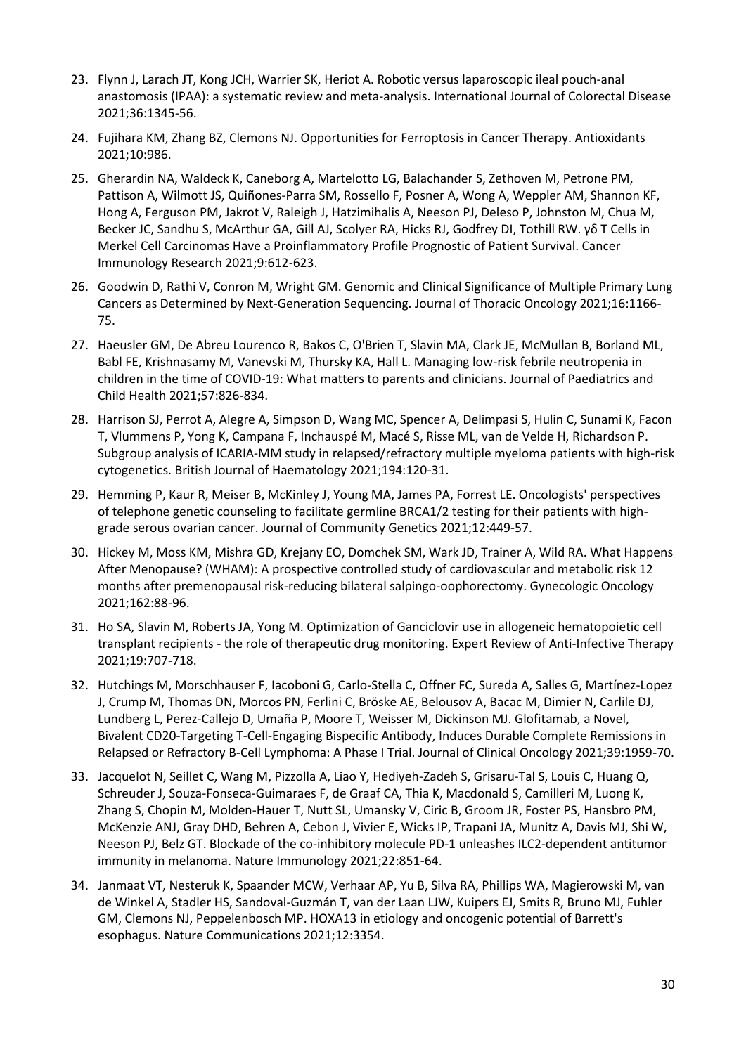- 23. Flynn J, Larach JT, Kong JCH, Warrier SK, Heriot A. Robotic versus laparoscopic ileal pouch-anal anastomosis (IPAA): a systematic review and meta-analysis. International Journal of Colorectal Disease 2021;36:1345-56.
- 24. Fujihara KM, Zhang BZ, Clemons NJ. Opportunities for Ferroptosis in Cancer Therapy. Antioxidants 2021;10:986.
- 25. Gherardin NA, Waldeck K, Caneborg A, Martelotto LG, Balachander S, Zethoven M, Petrone PM, Pattison A, Wilmott JS, Quiñones-Parra SM, Rossello F, Posner A, Wong A, Weppler AM, Shannon KF, Hong A, Ferguson PM, Jakrot V, Raleigh J, Hatzimihalis A, Neeson PJ, Deleso P, Johnston M, Chua M, Becker JC, Sandhu S, McArthur GA, Gill AJ, Scolyer RA, Hicks RJ, Godfrey DI, Tothill RW. γδ T Cells in Merkel Cell Carcinomas Have a Proinflammatory Profile Prognostic of Patient Survival. Cancer Immunology Research 2021;9:612-623.
- 26. Goodwin D, Rathi V, Conron M, Wright GM. Genomic and Clinical Significance of Multiple Primary Lung Cancers as Determined by Next-Generation Sequencing. Journal of Thoracic Oncology 2021;16:1166- 75.
- 27. Haeusler GM, De Abreu Lourenco R, Bakos C, O'Brien T, Slavin MA, Clark JE, McMullan B, Borland ML, Babl FE, Krishnasamy M, Vanevski M, Thursky KA, Hall L. Managing low-risk febrile neutropenia in children in the time of COVID-19: What matters to parents and clinicians. Journal of Paediatrics and Child Health 2021;57:826-834.
- 28. Harrison SJ, Perrot A, Alegre A, Simpson D, Wang MC, Spencer A, Delimpasi S, Hulin C, Sunami K, Facon T, Vlummens P, Yong K, Campana F, Inchauspé M, Macé S, Risse ML, van de Velde H, Richardson P. Subgroup analysis of ICARIA-MM study in relapsed/refractory multiple myeloma patients with high-risk cytogenetics. British Journal of Haematology 2021;194:120-31.
- 29. Hemming P, Kaur R, Meiser B, McKinley J, Young MA, James PA, Forrest LE. Oncologists' perspectives of telephone genetic counseling to facilitate germline BRCA1/2 testing for their patients with highgrade serous ovarian cancer. Journal of Community Genetics 2021;12:449-57.
- 30. Hickey M, Moss KM, Mishra GD, Krejany EO, Domchek SM, Wark JD, Trainer A, Wild RA. What Happens After Menopause? (WHAM): A prospective controlled study of cardiovascular and metabolic risk 12 months after premenopausal risk-reducing bilateral salpingo-oophorectomy. Gynecologic Oncology 2021;162:88-96.
- 31. Ho SA, Slavin M, Roberts JA, Yong M. Optimization of Ganciclovir use in allogeneic hematopoietic cell transplant recipients - the role of therapeutic drug monitoring. Expert Review of Anti-Infective Therapy 2021;19:707-718.
- 32. Hutchings M, Morschhauser F, Iacoboni G, Carlo-Stella C, Offner FC, Sureda A, Salles G, Martínez-Lopez J, Crump M, Thomas DN, Morcos PN, Ferlini C, Bröske AE, Belousov A, Bacac M, Dimier N, Carlile DJ, Lundberg L, Perez-Callejo D, Umaña P, Moore T, Weisser M, Dickinson MJ. Glofitamab, a Novel, Bivalent CD20-Targeting T-Cell-Engaging Bispecific Antibody, Induces Durable Complete Remissions in Relapsed or Refractory B-Cell Lymphoma: A Phase I Trial. Journal of Clinical Oncology 2021;39:1959-70.
- 33. Jacquelot N, Seillet C, Wang M, Pizzolla A, Liao Y, Hediyeh-Zadeh S, Grisaru-Tal S, Louis C, Huang Q, Schreuder J, Souza-Fonseca-Guimaraes F, de Graaf CA, Thia K, Macdonald S, Camilleri M, Luong K, Zhang S, Chopin M, Molden-Hauer T, Nutt SL, Umansky V, Ciric B, Groom JR, Foster PS, Hansbro PM, McKenzie ANJ, Gray DHD, Behren A, Cebon J, Vivier E, Wicks IP, Trapani JA, Munitz A, Davis MJ, Shi W, Neeson PJ, Belz GT. Blockade of the co-inhibitory molecule PD-1 unleashes ILC2-dependent antitumor immunity in melanoma. Nature Immunology 2021;22:851-64.
- 34. Janmaat VT, Nesteruk K, Spaander MCW, Verhaar AP, Yu B, Silva RA, Phillips WA, Magierowski M, van de Winkel A, Stadler HS, Sandoval-Guzmán T, van der Laan LJW, Kuipers EJ, Smits R, Bruno MJ, Fuhler GM, Clemons NJ, Peppelenbosch MP. HOXA13 in etiology and oncogenic potential of Barrett's esophagus. Nature Communications 2021;12:3354.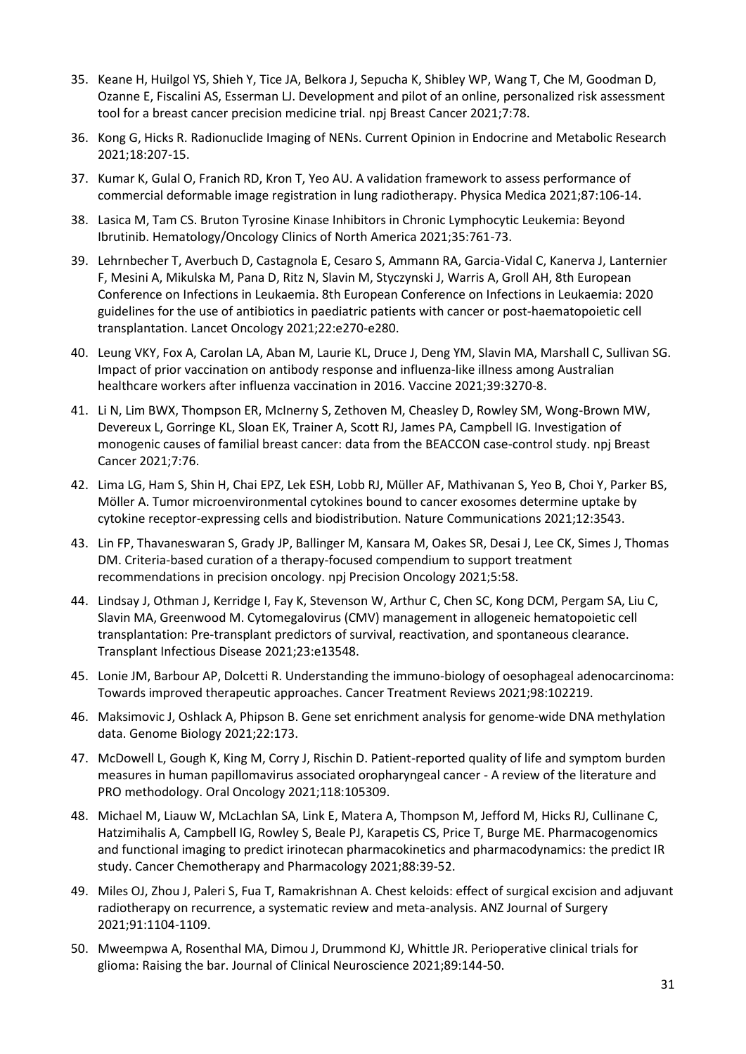- 35. Keane H, Huilgol YS, Shieh Y, Tice JA, Belkora J, Sepucha K, Shibley WP, Wang T, Che M, Goodman D, Ozanne E, Fiscalini AS, Esserman LJ. Development and pilot of an online, personalized risk assessment tool for a breast cancer precision medicine trial. npj Breast Cancer 2021;7:78.
- 36. Kong G, Hicks R. Radionuclide Imaging of NENs. Current Opinion in Endocrine and Metabolic Research 2021;18:207-15.
- 37. Kumar K, Gulal O, Franich RD, Kron T, Yeo AU. A validation framework to assess performance of commercial deformable image registration in lung radiotherapy. Physica Medica 2021;87:106-14.
- 38. Lasica M, Tam CS. Bruton Tyrosine Kinase Inhibitors in Chronic Lymphocytic Leukemia: Beyond Ibrutinib. Hematology/Oncology Clinics of North America 2021;35:761-73.
- 39. Lehrnbecher T, Averbuch D, Castagnola E, Cesaro S, Ammann RA, Garcia-Vidal C, Kanerva J, Lanternier F, Mesini A, Mikulska M, Pana D, Ritz N, Slavin M, Styczynski J, Warris A, Groll AH, 8th European Conference on Infections in Leukaemia. 8th European Conference on Infections in Leukaemia: 2020 guidelines for the use of antibiotics in paediatric patients with cancer or post-haematopoietic cell transplantation. Lancet Oncology 2021;22:e270-e280.
- 40. Leung VKY, Fox A, Carolan LA, Aban M, Laurie KL, Druce J, Deng YM, Slavin MA, Marshall C, Sullivan SG. Impact of prior vaccination on antibody response and influenza-like illness among Australian healthcare workers after influenza vaccination in 2016. Vaccine 2021;39:3270-8.
- 41. Li N, Lim BWX, Thompson ER, McInerny S, Zethoven M, Cheasley D, Rowley SM, Wong-Brown MW, Devereux L, Gorringe KL, Sloan EK, Trainer A, Scott RJ, James PA, Campbell IG. Investigation of monogenic causes of familial breast cancer: data from the BEACCON case-control study. npj Breast Cancer 2021;7:76.
- 42. Lima LG, Ham S, Shin H, Chai EPZ, Lek ESH, Lobb RJ, Müller AF, Mathivanan S, Yeo B, Choi Y, Parker BS, Möller A. Tumor microenvironmental cytokines bound to cancer exosomes determine uptake by cytokine receptor-expressing cells and biodistribution. Nature Communications 2021;12:3543.
- 43. Lin FP, Thavaneswaran S, Grady JP, Ballinger M, Kansara M, Oakes SR, Desai J, Lee CK, Simes J, Thomas DM. Criteria-based curation of a therapy-focused compendium to support treatment recommendations in precision oncology. npj Precision Oncology 2021;5:58.
- 44. Lindsay J, Othman J, Kerridge I, Fay K, Stevenson W, Arthur C, Chen SC, Kong DCM, Pergam SA, Liu C, Slavin MA, Greenwood M. Cytomegalovirus (CMV) management in allogeneic hematopoietic cell transplantation: Pre-transplant predictors of survival, reactivation, and spontaneous clearance. Transplant Infectious Disease 2021;23:e13548.
- 45. Lonie JM, Barbour AP, Dolcetti R. Understanding the immuno-biology of oesophageal adenocarcinoma: Towards improved therapeutic approaches. Cancer Treatment Reviews 2021;98:102219.
- 46. Maksimovic J, Oshlack A, Phipson B. Gene set enrichment analysis for genome-wide DNA methylation data. Genome Biology 2021;22:173.
- 47. McDowell L, Gough K, King M, Corry J, Rischin D. Patient-reported quality of life and symptom burden measures in human papillomavirus associated oropharyngeal cancer - A review of the literature and PRO methodology. Oral Oncology 2021;118:105309.
- 48. Michael M, Liauw W, McLachlan SA, Link E, Matera A, Thompson M, Jefford M, Hicks RJ, Cullinane C, Hatzimihalis A, Campbell IG, Rowley S, Beale PJ, Karapetis CS, Price T, Burge ME. Pharmacogenomics and functional imaging to predict irinotecan pharmacokinetics and pharmacodynamics: the predict IR study. Cancer Chemotherapy and Pharmacology 2021;88:39-52.
- 49. Miles OJ, Zhou J, Paleri S, Fua T, Ramakrishnan A. Chest keloids: effect of surgical excision and adjuvant radiotherapy on recurrence, a systematic review and meta-analysis. ANZ Journal of Surgery 2021;91:1104-1109.
- 50. Mweempwa A, Rosenthal MA, Dimou J, Drummond KJ, Whittle JR. Perioperative clinical trials for glioma: Raising the bar. Journal of Clinical Neuroscience 2021;89:144-50.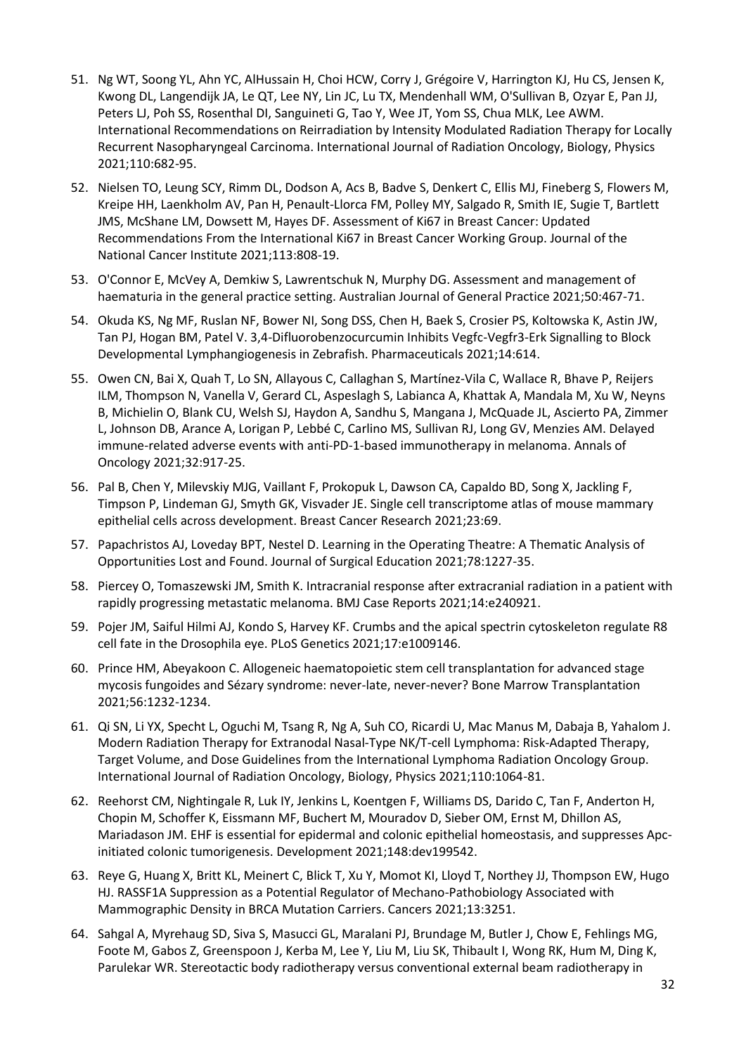- 51. Ng WT, Soong YL, Ahn YC, AlHussain H, Choi HCW, Corry J, Grégoire V, Harrington KJ, Hu CS, Jensen K, Kwong DL, Langendijk JA, Le QT, Lee NY, Lin JC, Lu TX, Mendenhall WM, O'Sullivan B, Ozyar E, Pan JJ, Peters LJ, Poh SS, Rosenthal DI, Sanguineti G, Tao Y, Wee JT, Yom SS, Chua MLK, Lee AWM. International Recommendations on Reirradiation by Intensity Modulated Radiation Therapy for Locally Recurrent Nasopharyngeal Carcinoma. International Journal of Radiation Oncology, Biology, Physics 2021;110:682-95.
- 52. Nielsen TO, Leung SCY, Rimm DL, Dodson A, Acs B, Badve S, Denkert C, Ellis MJ, Fineberg S, Flowers M, Kreipe HH, Laenkholm AV, Pan H, Penault-Llorca FM, Polley MY, Salgado R, Smith IE, Sugie T, Bartlett JMS, McShane LM, Dowsett M, Hayes DF. Assessment of Ki67 in Breast Cancer: Updated Recommendations From the International Ki67 in Breast Cancer Working Group. Journal of the National Cancer Institute 2021;113:808-19.
- 53. O'Connor E, McVey A, Demkiw S, Lawrentschuk N, Murphy DG. Assessment and management of haematuria in the general practice setting. Australian Journal of General Practice 2021;50:467-71.
- 54. Okuda KS, Ng MF, Ruslan NF, Bower NI, Song DSS, Chen H, Baek S, Crosier PS, Koltowska K, Astin JW, Tan PJ, Hogan BM, Patel V. 3,4-Difluorobenzocurcumin Inhibits Vegfc-Vegfr3-Erk Signalling to Block Developmental Lymphangiogenesis in Zebrafish. Pharmaceuticals 2021;14:614.
- 55. Owen CN, Bai X, Quah T, Lo SN, Allayous C, Callaghan S, Martínez-Vila C, Wallace R, Bhave P, Reijers ILM, Thompson N, Vanella V, Gerard CL, Aspeslagh S, Labianca A, Khattak A, Mandala M, Xu W, Neyns B, Michielin O, Blank CU, Welsh SJ, Haydon A, Sandhu S, Mangana J, McQuade JL, Ascierto PA, Zimmer L, Johnson DB, Arance A, Lorigan P, Lebbé C, Carlino MS, Sullivan RJ, Long GV, Menzies AM. Delayed immune-related adverse events with anti-PD-1-based immunotherapy in melanoma. Annals of Oncology 2021;32:917-25.
- 56. Pal B, Chen Y, Milevskiy MJG, Vaillant F, Prokopuk L, Dawson CA, Capaldo BD, Song X, Jackling F, Timpson P, Lindeman GJ, Smyth GK, Visvader JE. Single cell transcriptome atlas of mouse mammary epithelial cells across development. Breast Cancer Research 2021;23:69.
- 57. Papachristos AJ, Loveday BPT, Nestel D. Learning in the Operating Theatre: A Thematic Analysis of Opportunities Lost and Found. Journal of Surgical Education 2021;78:1227-35.
- 58. Piercey O, Tomaszewski JM, Smith K. Intracranial response after extracranial radiation in a patient with rapidly progressing metastatic melanoma. BMJ Case Reports 2021;14:e240921.
- 59. Pojer JM, Saiful Hilmi AJ, Kondo S, Harvey KF. Crumbs and the apical spectrin cytoskeleton regulate R8 cell fate in the Drosophila eye. PLoS Genetics 2021;17:e1009146.
- 60. Prince HM, Abeyakoon C. Allogeneic haematopoietic stem cell transplantation for advanced stage mycosis fungoides and Sézary syndrome: never-late, never-never? Bone Marrow Transplantation 2021;56:1232-1234.
- 61. Qi SN, Li YX, Specht L, Oguchi M, Tsang R, Ng A, Suh CO, Ricardi U, Mac Manus M, Dabaja B, Yahalom J. Modern Radiation Therapy for Extranodal Nasal-Type NK/T-cell Lymphoma: Risk-Adapted Therapy, Target Volume, and Dose Guidelines from the International Lymphoma Radiation Oncology Group. International Journal of Radiation Oncology, Biology, Physics 2021;110:1064-81.
- 62. Reehorst CM, Nightingale R, Luk IY, Jenkins L, Koentgen F, Williams DS, Darido C, Tan F, Anderton H, Chopin M, Schoffer K, Eissmann MF, Buchert M, Mouradov D, Sieber OM, Ernst M, Dhillon AS, Mariadason JM. EHF is essential for epidermal and colonic epithelial homeostasis, and suppresses Apcinitiated colonic tumorigenesis. Development 2021;148:dev199542.
- 63. Reye G, Huang X, Britt KL, Meinert C, Blick T, Xu Y, Momot KI, Lloyd T, Northey JJ, Thompson EW, Hugo HJ. RASSF1A Suppression as a Potential Regulator of Mechano-Pathobiology Associated with Mammographic Density in BRCA Mutation Carriers. Cancers 2021;13:3251.
- 64. Sahgal A, Myrehaug SD, Siva S, Masucci GL, Maralani PJ, Brundage M, Butler J, Chow E, Fehlings MG, Foote M, Gabos Z, Greenspoon J, Kerba M, Lee Y, Liu M, Liu SK, Thibault I, Wong RK, Hum M, Ding K, Parulekar WR. Stereotactic body radiotherapy versus conventional external beam radiotherapy in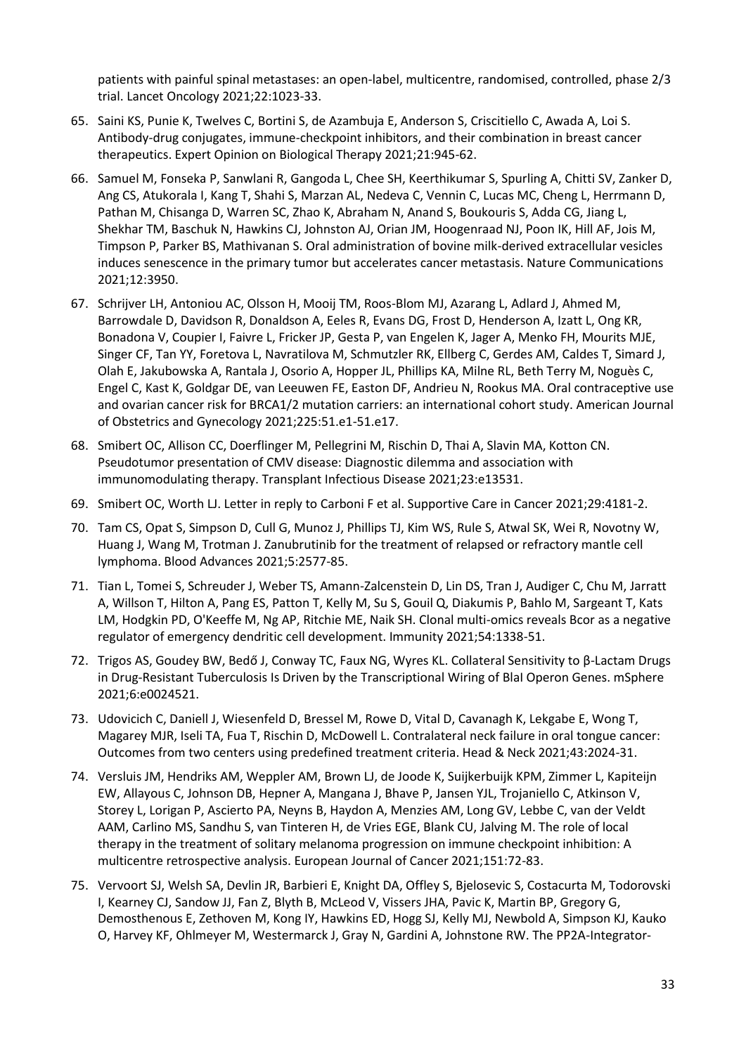patients with painful spinal metastases: an open-label, multicentre, randomised, controlled, phase 2/3 trial. Lancet Oncology 2021;22:1023-33.

- 65. Saini KS, Punie K, Twelves C, Bortini S, de Azambuja E, Anderson S, Criscitiello C, Awada A, Loi S. Antibody-drug conjugates, immune-checkpoint inhibitors, and their combination in breast cancer therapeutics. Expert Opinion on Biological Therapy 2021;21:945-62.
- 66. Samuel M, Fonseka P, Sanwlani R, Gangoda L, Chee SH, Keerthikumar S, Spurling A, Chitti SV, Zanker D, Ang CS, Atukorala I, Kang T, Shahi S, Marzan AL, Nedeva C, Vennin C, Lucas MC, Cheng L, Herrmann D, Pathan M, Chisanga D, Warren SC, Zhao K, Abraham N, Anand S, Boukouris S, Adda CG, Jiang L, Shekhar TM, Baschuk N, Hawkins CJ, Johnston AJ, Orian JM, Hoogenraad NJ, Poon IK, Hill AF, Jois M, Timpson P, Parker BS, Mathivanan S. Oral administration of bovine milk-derived extracellular vesicles induces senescence in the primary tumor but accelerates cancer metastasis. Nature Communications 2021;12:3950.
- 67. Schrijver LH, Antoniou AC, Olsson H, Mooij TM, Roos-Blom MJ, Azarang L, Adlard J, Ahmed M, Barrowdale D, Davidson R, Donaldson A, Eeles R, Evans DG, Frost D, Henderson A, Izatt L, Ong KR, Bonadona V, Coupier I, Faivre L, Fricker JP, Gesta P, van Engelen K, Jager A, Menko FH, Mourits MJE, Singer CF, Tan YY, Foretova L, Navratilova M, Schmutzler RK, Ellberg C, Gerdes AM, Caldes T, Simard J, Olah E, Jakubowska A, Rantala J, Osorio A, Hopper JL, Phillips KA, Milne RL, Beth Terry M, Noguès C, Engel C, Kast K, Goldgar DE, van Leeuwen FE, Easton DF, Andrieu N, Rookus MA. Oral contraceptive use and ovarian cancer risk for BRCA1/2 mutation carriers: an international cohort study. American Journal of Obstetrics and Gynecology 2021;225:51.e1-51.e17.
- 68. Smibert OC, Allison CC, Doerflinger M, Pellegrini M, Rischin D, Thai A, Slavin MA, Kotton CN. Pseudotumor presentation of CMV disease: Diagnostic dilemma and association with immunomodulating therapy. Transplant Infectious Disease 2021;23:e13531.
- 69. Smibert OC, Worth LJ. Letter in reply to Carboni F et al. Supportive Care in Cancer 2021;29:4181-2.
- 70. Tam CS, Opat S, Simpson D, Cull G, Munoz J, Phillips TJ, Kim WS, Rule S, Atwal SK, Wei R, Novotny W, Huang J, Wang M, Trotman J. Zanubrutinib for the treatment of relapsed or refractory mantle cell lymphoma. Blood Advances 2021;5:2577-85.
- 71. Tian L, Tomei S, Schreuder J, Weber TS, Amann-Zalcenstein D, Lin DS, Tran J, Audiger C, Chu M, Jarratt A, Willson T, Hilton A, Pang ES, Patton T, Kelly M, Su S, Gouil Q, Diakumis P, Bahlo M, Sargeant T, Kats LM, Hodgkin PD, O'Keeffe M, Ng AP, Ritchie ME, Naik SH. Clonal multi-omics reveals Bcor as a negative regulator of emergency dendritic cell development. Immunity 2021;54:1338-51.
- 72. Trigos AS, Goudey BW, Bedő J, Conway TC, Faux NG, Wyres KL. Collateral Sensitivity to β-Lactam Drugs in Drug-Resistant Tuberculosis Is Driven by the Transcriptional Wiring of BlaI Operon Genes. mSphere 2021;6:e0024521.
- 73. Udovicich C, Daniell J, Wiesenfeld D, Bressel M, Rowe D, Vital D, Cavanagh K, Lekgabe E, Wong T, Magarey MJR, Iseli TA, Fua T, Rischin D, McDowell L. Contralateral neck failure in oral tongue cancer: Outcomes from two centers using predefined treatment criteria. Head & Neck 2021;43:2024-31.
- 74. Versluis JM, Hendriks AM, Weppler AM, Brown LJ, de Joode K, Suijkerbuijk KPM, Zimmer L, Kapiteijn EW, Allayous C, Johnson DB, Hepner A, Mangana J, Bhave P, Jansen YJL, Trojaniello C, Atkinson V, Storey L, Lorigan P, Ascierto PA, Neyns B, Haydon A, Menzies AM, Long GV, Lebbe C, van der Veldt AAM, Carlino MS, Sandhu S, van Tinteren H, de Vries EGE, Blank CU, Jalving M. The role of local therapy in the treatment of solitary melanoma progression on immune checkpoint inhibition: A multicentre retrospective analysis. European Journal of Cancer 2021;151:72-83.
- 75. Vervoort SJ, Welsh SA, Devlin JR, Barbieri E, Knight DA, Offley S, Bjelosevic S, Costacurta M, Todorovski I, Kearney CJ, Sandow JJ, Fan Z, Blyth B, McLeod V, Vissers JHA, Pavic K, Martin BP, Gregory G, Demosthenous E, Zethoven M, Kong IY, Hawkins ED, Hogg SJ, Kelly MJ, Newbold A, Simpson KJ, Kauko O, Harvey KF, Ohlmeyer M, Westermarck J, Gray N, Gardini A, Johnstone RW. The PP2A-Integrator-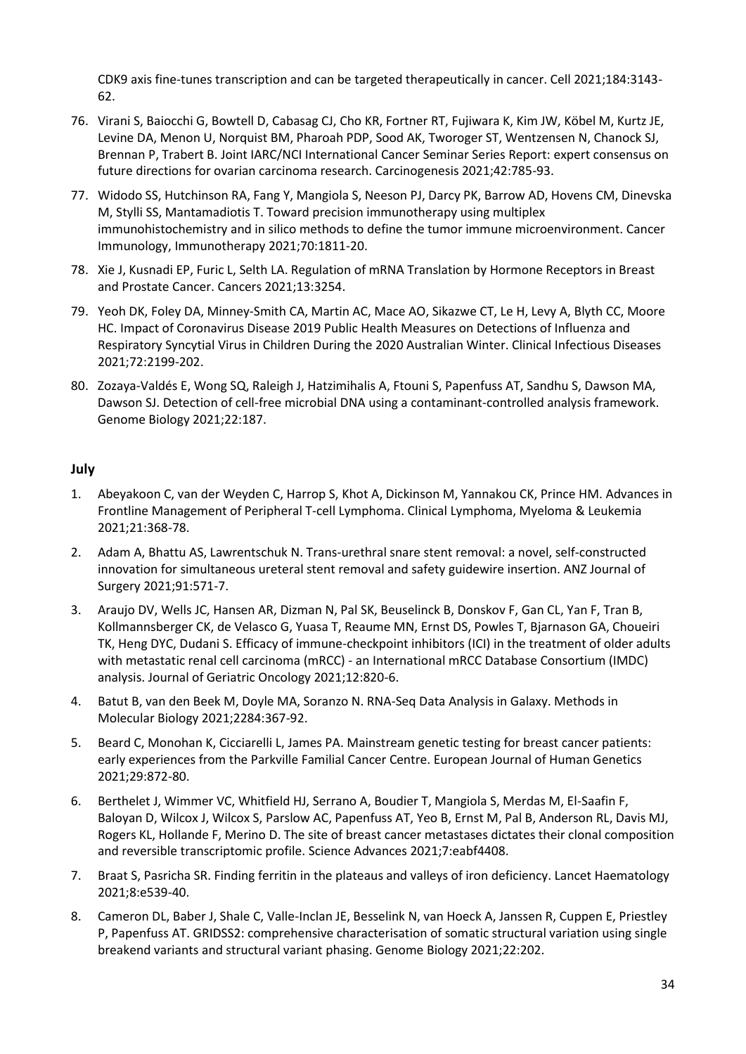CDK9 axis fine-tunes transcription and can be targeted therapeutically in cancer. Cell 2021;184:3143- 62.

- 76. Virani S, Baiocchi G, Bowtell D, Cabasag CJ, Cho KR, Fortner RT, Fujiwara K, Kim JW, Köbel M, Kurtz JE, Levine DA, Menon U, Norquist BM, Pharoah PDP, Sood AK, Tworoger ST, Wentzensen N, Chanock SJ, Brennan P, Trabert B. Joint IARC/NCI International Cancer Seminar Series Report: expert consensus on future directions for ovarian carcinoma research. Carcinogenesis 2021;42:785-93.
- 77. Widodo SS, Hutchinson RA, Fang Y, Mangiola S, Neeson PJ, Darcy PK, Barrow AD, Hovens CM, Dinevska M, Stylli SS, Mantamadiotis T. Toward precision immunotherapy using multiplex immunohistochemistry and in silico methods to define the tumor immune microenvironment. Cancer Immunology, Immunotherapy 2021;70:1811-20.
- 78. Xie J, Kusnadi EP, Furic L, Selth LA. Regulation of mRNA Translation by Hormone Receptors in Breast and Prostate Cancer. Cancers 2021;13:3254.
- 79. Yeoh DK, Foley DA, Minney-Smith CA, Martin AC, Mace AO, Sikazwe CT, Le H, Levy A, Blyth CC, Moore HC. Impact of Coronavirus Disease 2019 Public Health Measures on Detections of Influenza and Respiratory Syncytial Virus in Children During the 2020 Australian Winter. Clinical Infectious Diseases 2021;72:2199-202.
- 80. Zozaya-Valdés E, Wong SQ, Raleigh J, Hatzimihalis A, Ftouni S, Papenfuss AT, Sandhu S, Dawson MA, Dawson SJ. Detection of cell-free microbial DNA using a contaminant-controlled analysis framework. Genome Biology 2021;22:187.

# **July**

- 1. Abeyakoon C, van der Weyden C, Harrop S, Khot A, Dickinson M, Yannakou CK, Prince HM. Advances in Frontline Management of Peripheral T-cell Lymphoma. Clinical Lymphoma, Myeloma & Leukemia 2021;21:368-78.
- 2. Adam A, Bhattu AS, Lawrentschuk N. Trans-urethral snare stent removal: a novel, self-constructed innovation for simultaneous ureteral stent removal and safety guidewire insertion. ANZ Journal of Surgery 2021;91:571-7.
- 3. Araujo DV, Wells JC, Hansen AR, Dizman N, Pal SK, Beuselinck B, Donskov F, Gan CL, Yan F, Tran B, Kollmannsberger CK, de Velasco G, Yuasa T, Reaume MN, Ernst DS, Powles T, Bjarnason GA, Choueiri TK, Heng DYC, Dudani S. Efficacy of immune-checkpoint inhibitors (ICI) in the treatment of older adults with metastatic renal cell carcinoma (mRCC) - an International mRCC Database Consortium (IMDC) analysis. Journal of Geriatric Oncology 2021;12:820-6.
- 4. Batut B, van den Beek M, Doyle MA, Soranzo N. RNA-Seq Data Analysis in Galaxy. Methods in Molecular Biology 2021;2284:367-92.
- 5. Beard C, Monohan K, Cicciarelli L, James PA. Mainstream genetic testing for breast cancer patients: early experiences from the Parkville Familial Cancer Centre. European Journal of Human Genetics 2021;29:872-80.
- 6. Berthelet J, Wimmer VC, Whitfield HJ, Serrano A, Boudier T, Mangiola S, Merdas M, El-Saafin F, Baloyan D, Wilcox J, Wilcox S, Parslow AC, Papenfuss AT, Yeo B, Ernst M, Pal B, Anderson RL, Davis MJ, Rogers KL, Hollande F, Merino D. The site of breast cancer metastases dictates their clonal composition and reversible transcriptomic profile. Science Advances 2021;7:eabf4408.
- 7. Braat S, Pasricha SR. Finding ferritin in the plateaus and valleys of iron deficiency. Lancet Haematology 2021;8:e539-40.
- 8. Cameron DL, Baber J, Shale C, Valle-Inclan JE, Besselink N, van Hoeck A, Janssen R, Cuppen E, Priestley P, Papenfuss AT. GRIDSS2: comprehensive characterisation of somatic structural variation using single breakend variants and structural variant phasing. Genome Biology 2021;22:202.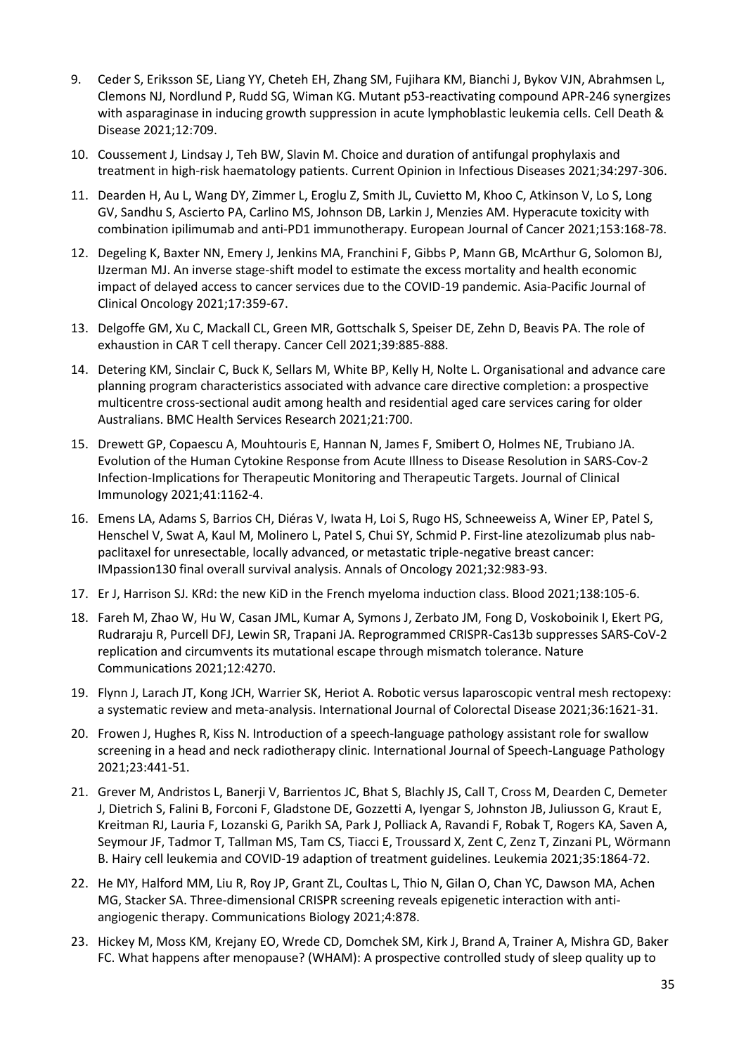- 9. Ceder S, Eriksson SE, Liang YY, Cheteh EH, Zhang SM, Fujihara KM, Bianchi J, Bykov VJN, Abrahmsen L, Clemons NJ, Nordlund P, Rudd SG, Wiman KG. Mutant p53-reactivating compound APR-246 synergizes with asparaginase in inducing growth suppression in acute lymphoblastic leukemia cells. Cell Death & Disease 2021;12:709.
- 10. Coussement J, Lindsay J, Teh BW, Slavin M. Choice and duration of antifungal prophylaxis and treatment in high-risk haematology patients. Current Opinion in Infectious Diseases 2021;34:297-306.
- 11. Dearden H, Au L, Wang DY, Zimmer L, Eroglu Z, Smith JL, Cuvietto M, Khoo C, Atkinson V, Lo S, Long GV, Sandhu S, Ascierto PA, Carlino MS, Johnson DB, Larkin J, Menzies AM. Hyperacute toxicity with combination ipilimumab and anti-PD1 immunotherapy. European Journal of Cancer 2021;153:168-78.
- 12. Degeling K, Baxter NN, Emery J, Jenkins MA, Franchini F, Gibbs P, Mann GB, McArthur G, Solomon BJ, IJzerman MJ. An inverse stage-shift model to estimate the excess mortality and health economic impact of delayed access to cancer services due to the COVID-19 pandemic. Asia-Pacific Journal of Clinical Oncology 2021;17:359-67.
- 13. Delgoffe GM, Xu C, Mackall CL, Green MR, Gottschalk S, Speiser DE, Zehn D, Beavis PA. The role of exhaustion in CAR T cell therapy. Cancer Cell 2021;39:885-888.
- 14. Detering KM, Sinclair C, Buck K, Sellars M, White BP, Kelly H, Nolte L. Organisational and advance care planning program characteristics associated with advance care directive completion: a prospective multicentre cross-sectional audit among health and residential aged care services caring for older Australians. BMC Health Services Research 2021;21:700.
- 15. Drewett GP, Copaescu A, Mouhtouris E, Hannan N, James F, Smibert O, Holmes NE, Trubiano JA. Evolution of the Human Cytokine Response from Acute Illness to Disease Resolution in SARS-Cov-2 Infection-Implications for Therapeutic Monitoring and Therapeutic Targets. Journal of Clinical Immunology 2021;41:1162-4.
- 16. Emens LA, Adams S, Barrios CH, Diéras V, Iwata H, Loi S, Rugo HS, Schneeweiss A, Winer EP, Patel S, Henschel V, Swat A, Kaul M, Molinero L, Patel S, Chui SY, Schmid P. First-line atezolizumab plus nabpaclitaxel for unresectable, locally advanced, or metastatic triple-negative breast cancer: IMpassion130 final overall survival analysis. Annals of Oncology 2021;32:983-93.
- 17. Er J, Harrison SJ. KRd: the new KiD in the French myeloma induction class. Blood 2021;138:105-6.
- 18. Fareh M, Zhao W, Hu W, Casan JML, Kumar A, Symons J, Zerbato JM, Fong D, Voskoboinik I, Ekert PG, Rudraraju R, Purcell DFJ, Lewin SR, Trapani JA. Reprogrammed CRISPR-Cas13b suppresses SARS-CoV-2 replication and circumvents its mutational escape through mismatch tolerance. Nature Communications 2021;12:4270.
- 19. Flynn J, Larach JT, Kong JCH, Warrier SK, Heriot A. Robotic versus laparoscopic ventral mesh rectopexy: a systematic review and meta-analysis. International Journal of Colorectal Disease 2021;36:1621-31.
- 20. Frowen J, Hughes R, Kiss N. Introduction of a speech-language pathology assistant role for swallow screening in a head and neck radiotherapy clinic. International Journal of Speech-Language Pathology 2021;23:441-51.
- 21. Grever M, Andristos L, Banerji V, Barrientos JC, Bhat S, Blachly JS, Call T, Cross M, Dearden C, Demeter J, Dietrich S, Falini B, Forconi F, Gladstone DE, Gozzetti A, Iyengar S, Johnston JB, Juliusson G, Kraut E, Kreitman RJ, Lauria F, Lozanski G, Parikh SA, Park J, Polliack A, Ravandi F, Robak T, Rogers KA, Saven A, Seymour JF, Tadmor T, Tallman MS, Tam CS, Tiacci E, Troussard X, Zent C, Zenz T, Zinzani PL, Wörmann B. Hairy cell leukemia and COVID-19 adaption of treatment guidelines. Leukemia 2021;35:1864-72.
- 22. He MY, Halford MM, Liu R, Roy JP, Grant ZL, Coultas L, Thio N, Gilan O, Chan YC, Dawson MA, Achen MG, Stacker SA. Three-dimensional CRISPR screening reveals epigenetic interaction with antiangiogenic therapy. Communications Biology 2021;4:878.
- 23. Hickey M, Moss KM, Krejany EO, Wrede CD, Domchek SM, Kirk J, Brand A, Trainer A, Mishra GD, Baker FC. What happens after menopause? (WHAM): A prospective controlled study of sleep quality up to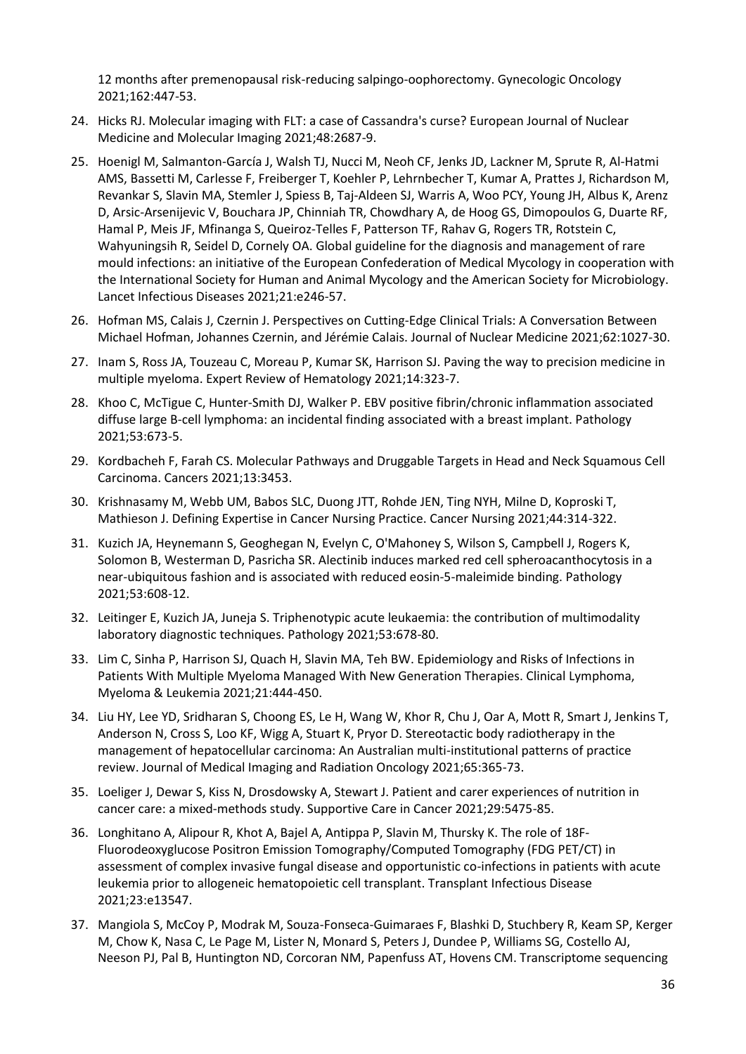12 months after premenopausal risk-reducing salpingo-oophorectomy. Gynecologic Oncology 2021;162:447-53.

- 24. Hicks RJ. Molecular imaging with FLT: a case of Cassandra's curse? European Journal of Nuclear Medicine and Molecular Imaging 2021;48:2687-9.
- 25. Hoenigl M, Salmanton-García J, Walsh TJ, Nucci M, Neoh CF, Jenks JD, Lackner M, Sprute R, Al-Hatmi AMS, Bassetti M, Carlesse F, Freiberger T, Koehler P, Lehrnbecher T, Kumar A, Prattes J, Richardson M, Revankar S, Slavin MA, Stemler J, Spiess B, Taj-Aldeen SJ, Warris A, Woo PCY, Young JH, Albus K, Arenz D, Arsic-Arsenijevic V, Bouchara JP, Chinniah TR, Chowdhary A, de Hoog GS, Dimopoulos G, Duarte RF, Hamal P, Meis JF, Mfinanga S, Queiroz-Telles F, Patterson TF, Rahav G, Rogers TR, Rotstein C, Wahyuningsih R, Seidel D, Cornely OA. Global guideline for the diagnosis and management of rare mould infections: an initiative of the European Confederation of Medical Mycology in cooperation with the International Society for Human and Animal Mycology and the American Society for Microbiology. Lancet Infectious Diseases 2021;21:e246-57.
- 26. Hofman MS, Calais J, Czernin J. Perspectives on Cutting-Edge Clinical Trials: A Conversation Between Michael Hofman, Johannes Czernin, and Jérémie Calais. Journal of Nuclear Medicine 2021;62:1027-30.
- 27. Inam S, Ross JA, Touzeau C, Moreau P, Kumar SK, Harrison SJ. Paving the way to precision medicine in multiple myeloma. Expert Review of Hematology 2021;14:323-7.
- 28. Khoo C, McTigue C, Hunter-Smith DJ, Walker P. EBV positive fibrin/chronic inflammation associated diffuse large B-cell lymphoma: an incidental finding associated with a breast implant. Pathology 2021;53:673-5.
- 29. Kordbacheh F, Farah CS. Molecular Pathways and Druggable Targets in Head and Neck Squamous Cell Carcinoma. Cancers 2021;13:3453.
- 30. Krishnasamy M, Webb UM, Babos SLC, Duong JTT, Rohde JEN, Ting NYH, Milne D, Koproski T, Mathieson J. Defining Expertise in Cancer Nursing Practice. Cancer Nursing 2021;44:314-322.
- 31. Kuzich JA, Heynemann S, Geoghegan N, Evelyn C, O'Mahoney S, Wilson S, Campbell J, Rogers K, Solomon B, Westerman D, Pasricha SR. Alectinib induces marked red cell spheroacanthocytosis in a near-ubiquitous fashion and is associated with reduced eosin-5-maleimide binding. Pathology 2021;53:608-12.
- 32. Leitinger E, Kuzich JA, Juneja S. Triphenotypic acute leukaemia: the contribution of multimodality laboratory diagnostic techniques. Pathology 2021;53:678-80.
- 33. Lim C, Sinha P, Harrison SJ, Quach H, Slavin MA, Teh BW. Epidemiology and Risks of Infections in Patients With Multiple Myeloma Managed With New Generation Therapies. Clinical Lymphoma, Myeloma & Leukemia 2021;21:444-450.
- 34. Liu HY, Lee YD, Sridharan S, Choong ES, Le H, Wang W, Khor R, Chu J, Oar A, Mott R, Smart J, Jenkins T, Anderson N, Cross S, Loo KF, Wigg A, Stuart K, Pryor D. Stereotactic body radiotherapy in the management of hepatocellular carcinoma: An Australian multi-institutional patterns of practice review. Journal of Medical Imaging and Radiation Oncology 2021;65:365-73.
- 35. Loeliger J, Dewar S, Kiss N, Drosdowsky A, Stewart J. Patient and carer experiences of nutrition in cancer care: a mixed-methods study. Supportive Care in Cancer 2021;29:5475-85.
- 36. Longhitano A, Alipour R, Khot A, Bajel A, Antippa P, Slavin M, Thursky K. The role of 18F-Fluorodeoxyglucose Positron Emission Tomography/Computed Tomography (FDG PET/CT) in assessment of complex invasive fungal disease and opportunistic co-infections in patients with acute leukemia prior to allogeneic hematopoietic cell transplant. Transplant Infectious Disease 2021;23:e13547.
- 37. Mangiola S, McCoy P, Modrak M, Souza-Fonseca-Guimaraes F, Blashki D, Stuchbery R, Keam SP, Kerger M, Chow K, Nasa C, Le Page M, Lister N, Monard S, Peters J, Dundee P, Williams SG, Costello AJ, Neeson PJ, Pal B, Huntington ND, Corcoran NM, Papenfuss AT, Hovens CM. Transcriptome sequencing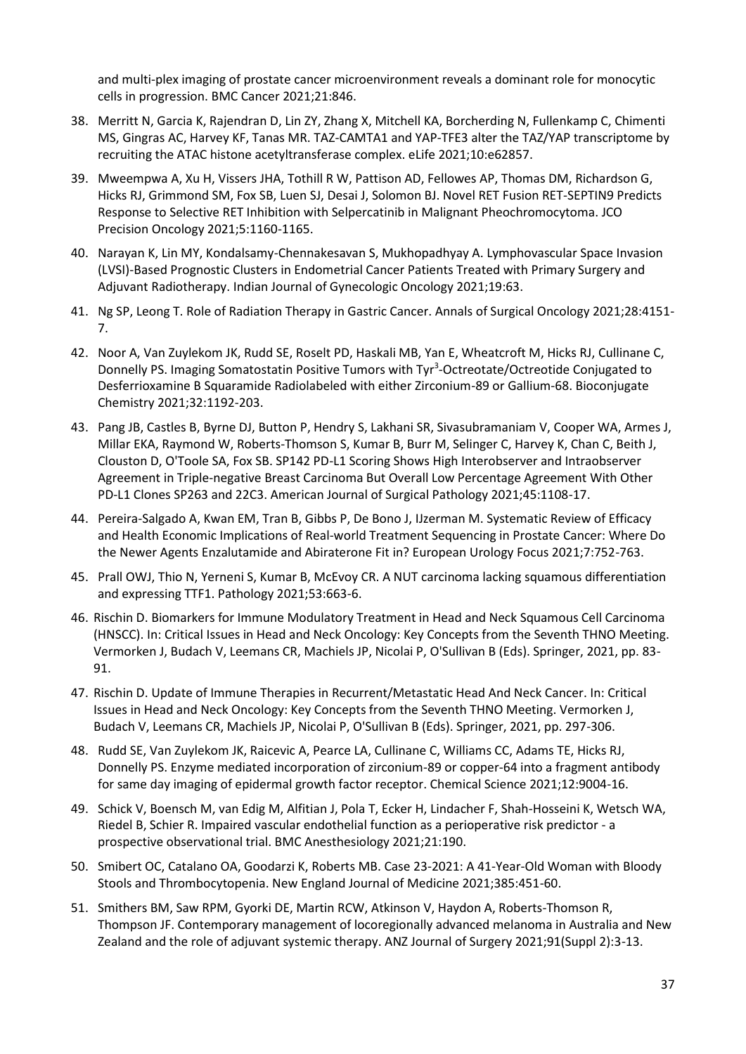and multi-plex imaging of prostate cancer microenvironment reveals a dominant role for monocytic cells in progression. BMC Cancer 2021;21:846.

- 38. Merritt N, Garcia K, Rajendran D, Lin ZY, Zhang X, Mitchell KA, Borcherding N, Fullenkamp C, Chimenti MS, Gingras AC, Harvey KF, Tanas MR. TAZ-CAMTA1 and YAP-TFE3 alter the TAZ/YAP transcriptome by recruiting the ATAC histone acetyltransferase complex. eLife 2021;10:e62857.
- 39. Mweempwa A, Xu H, Vissers JHA, Tothill R W, Pattison AD, Fellowes AP, Thomas DM, Richardson G, Hicks RJ, Grimmond SM, Fox SB, Luen SJ, Desai J, Solomon BJ. Novel RET Fusion RET-SEPTIN9 Predicts Response to Selective RET Inhibition with Selpercatinib in Malignant Pheochromocytoma. JCO Precision Oncology 2021;5:1160-1165.
- 40. Narayan K, Lin MY, Kondalsamy-Chennakesavan S, Mukhopadhyay A. Lymphovascular Space Invasion (LVSI)-Based Prognostic Clusters in Endometrial Cancer Patients Treated with Primary Surgery and Adjuvant Radiotherapy. Indian Journal of Gynecologic Oncology 2021;19:63.
- 41. Ng SP, Leong T. Role of Radiation Therapy in Gastric Cancer. Annals of Surgical Oncology 2021;28:4151- 7.
- 42. Noor A, Van Zuylekom JK, Rudd SE, Roselt PD, Haskali MB, Yan E, Wheatcroft M, Hicks RJ, Cullinane C, Donnelly PS. Imaging Somatostatin Positive Tumors with Tyr<sup>3</sup>-Octreotate/Octreotide Conjugated to Desferrioxamine B Squaramide Radiolabeled with either Zirconium-89 or Gallium-68. Bioconjugate Chemistry 2021;32:1192-203.
- 43. Pang JB, Castles B, Byrne DJ, Button P, Hendry S, Lakhani SR, Sivasubramaniam V, Cooper WA, Armes J, Millar EKA, Raymond W, Roberts-Thomson S, Kumar B, Burr M, Selinger C, Harvey K, Chan C, Beith J, Clouston D, O'Toole SA, Fox SB. SP142 PD-L1 Scoring Shows High Interobserver and Intraobserver Agreement in Triple-negative Breast Carcinoma But Overall Low Percentage Agreement With Other PD-L1 Clones SP263 and 22C3. American Journal of Surgical Pathology 2021;45:1108-17.
- 44. Pereira-Salgado A, Kwan EM, Tran B, Gibbs P, De Bono J, IJzerman M. Systematic Review of Efficacy and Health Economic Implications of Real-world Treatment Sequencing in Prostate Cancer: Where Do the Newer Agents Enzalutamide and Abiraterone Fit in? European Urology Focus 2021;7:752-763.
- 45. Prall OWJ, Thio N, Yerneni S, Kumar B, McEvoy CR. A NUT carcinoma lacking squamous differentiation and expressing TTF1. Pathology 2021;53:663-6.
- 46. Rischin D. Biomarkers for Immune Modulatory Treatment in Head and Neck Squamous Cell Carcinoma (HNSCC). In: Critical Issues in Head and Neck Oncology: Key Concepts from the Seventh THNO Meeting. Vermorken J, Budach V, Leemans CR, Machiels JP, Nicolai P, O'Sullivan B (Eds). Springer, 2021, pp. 83- 91.
- 47. Rischin D. Update of Immune Therapies in Recurrent/Metastatic Head And Neck Cancer. In: Critical Issues in Head and Neck Oncology: Key Concepts from the Seventh THNO Meeting. Vermorken J, Budach V, Leemans CR, Machiels JP, Nicolai P, O'Sullivan B (Eds). Springer, 2021, pp. 297-306.
- 48. Rudd SE, Van Zuylekom JK, Raicevic A, Pearce LA, Cullinane C, Williams CC, Adams TE, Hicks RJ, Donnelly PS. Enzyme mediated incorporation of zirconium-89 or copper-64 into a fragment antibody for same day imaging of epidermal growth factor receptor. Chemical Science 2021;12:9004-16.
- 49. Schick V, Boensch M, van Edig M, Alfitian J, Pola T, Ecker H, Lindacher F, Shah-Hosseini K, Wetsch WA, Riedel B, Schier R. Impaired vascular endothelial function as a perioperative risk predictor - a prospective observational trial. BMC Anesthesiology 2021;21:190.
- 50. Smibert OC, Catalano OA, Goodarzi K, Roberts MB. Case 23-2021: A 41-Year-Old Woman with Bloody Stools and Thrombocytopenia. New England Journal of Medicine 2021;385:451-60.
- 51. Smithers BM, Saw RPM, Gyorki DE, Martin RCW, Atkinson V, Haydon A, Roberts-Thomson R, Thompson JF. Contemporary management of locoregionally advanced melanoma in Australia and New Zealand and the role of adjuvant systemic therapy. ANZ Journal of Surgery 2021;91(Suppl 2):3-13.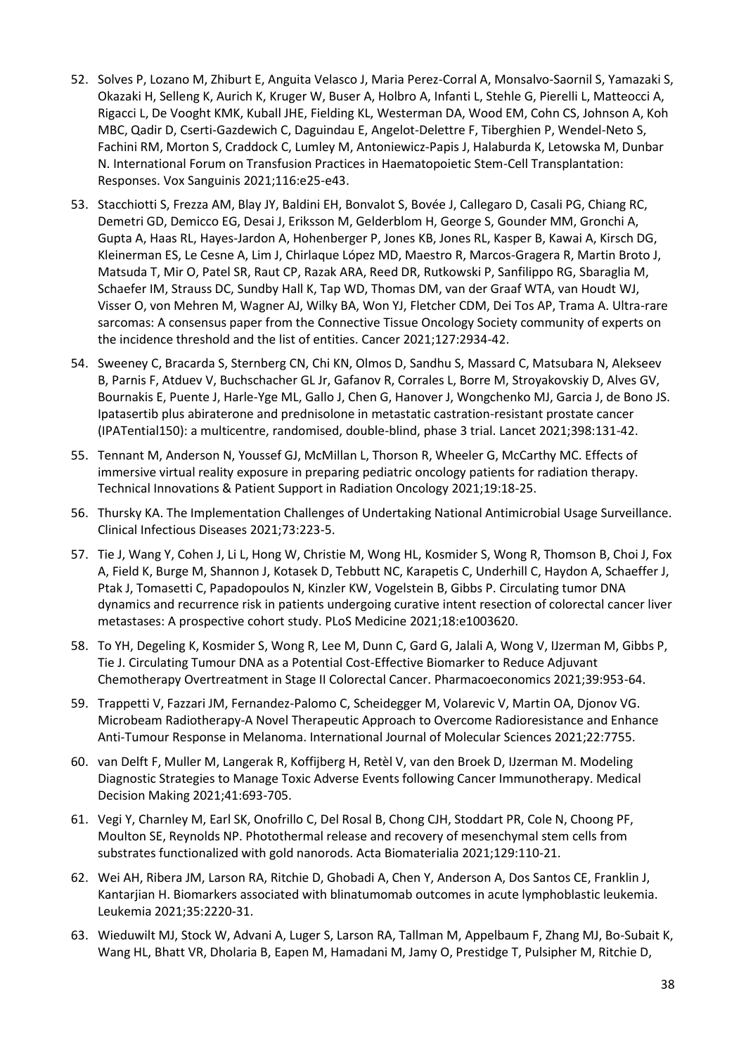- 52. Solves P, Lozano M, Zhiburt E, Anguita Velasco J, Maria Perez-Corral A, Monsalvo-Saornil S, Yamazaki S, Okazaki H, Selleng K, Aurich K, Kruger W, Buser A, Holbro A, Infanti L, Stehle G, Pierelli L, Matteocci A, Rigacci L, De Vooght KMK, Kuball JHE, Fielding KL, Westerman DA, Wood EM, Cohn CS, Johnson A, Koh MBC, Qadir D, Cserti-Gazdewich C, Daguindau E, Angelot-Delettre F, Tiberghien P, Wendel-Neto S, Fachini RM, Morton S, Craddock C, Lumley M, Antoniewicz-Papis J, Halaburda K, Letowska M, Dunbar N. International Forum on Transfusion Practices in Haematopoietic Stem-Cell Transplantation: Responses. Vox Sanguinis 2021;116:e25-e43.
- 53. Stacchiotti S, Frezza AM, Blay JY, Baldini EH, Bonvalot S, Bovée J, Callegaro D, Casali PG, Chiang RC, Demetri GD, Demicco EG, Desai J, Eriksson M, Gelderblom H, George S, Gounder MM, Gronchi A, Gupta A, Haas RL, Hayes-Jardon A, Hohenberger P, Jones KB, Jones RL, Kasper B, Kawai A, Kirsch DG, Kleinerman ES, Le Cesne A, Lim J, Chirlaque López MD, Maestro R, Marcos-Gragera R, Martin Broto J, Matsuda T, Mir O, Patel SR, Raut CP, Razak ARA, Reed DR, Rutkowski P, Sanfilippo RG, Sbaraglia M, Schaefer IM, Strauss DC, Sundby Hall K, Tap WD, Thomas DM, van der Graaf WTA, van Houdt WJ, Visser O, von Mehren M, Wagner AJ, Wilky BA, Won YJ, Fletcher CDM, Dei Tos AP, Trama A. Ultra-rare sarcomas: A consensus paper from the Connective Tissue Oncology Society community of experts on the incidence threshold and the list of entities. Cancer 2021;127:2934-42.
- 54. Sweeney C, Bracarda S, Sternberg CN, Chi KN, Olmos D, Sandhu S, Massard C, Matsubara N, Alekseev B, Parnis F, Atduev V, Buchschacher GL Jr, Gafanov R, Corrales L, Borre M, Stroyakovskiy D, Alves GV, Bournakis E, Puente J, Harle-Yge ML, Gallo J, Chen G, Hanover J, Wongchenko MJ, Garcia J, de Bono JS. Ipatasertib plus abiraterone and prednisolone in metastatic castration-resistant prostate cancer (IPATential150): a multicentre, randomised, double-blind, phase 3 trial. Lancet 2021;398:131-42.
- 55. Tennant M, Anderson N, Youssef GJ, McMillan L, Thorson R, Wheeler G, McCarthy MC. Effects of immersive virtual reality exposure in preparing pediatric oncology patients for radiation therapy. Technical Innovations & Patient Support in Radiation Oncology 2021;19:18-25.
- 56. Thursky KA. The Implementation Challenges of Undertaking National Antimicrobial Usage Surveillance. Clinical Infectious Diseases 2021;73:223-5.
- 57. Tie J, Wang Y, Cohen J, Li L, Hong W, Christie M, Wong HL, Kosmider S, Wong R, Thomson B, Choi J, Fox A, Field K, Burge M, Shannon J, Kotasek D, Tebbutt NC, Karapetis C, Underhill C, Haydon A, Schaeffer J, Ptak J, Tomasetti C, Papadopoulos N, Kinzler KW, Vogelstein B, Gibbs P. Circulating tumor DNA dynamics and recurrence risk in patients undergoing curative intent resection of colorectal cancer liver metastases: A prospective cohort study. PLoS Medicine 2021;18:e1003620.
- 58. To YH, Degeling K, Kosmider S, Wong R, Lee M, Dunn C, Gard G, Jalali A, Wong V, IJzerman M, Gibbs P, Tie J. Circulating Tumour DNA as a Potential Cost-Effective Biomarker to Reduce Adjuvant Chemotherapy Overtreatment in Stage II Colorectal Cancer. Pharmacoeconomics 2021;39:953-64.
- 59. Trappetti V, Fazzari JM, Fernandez-Palomo C, Scheidegger M, Volarevic V, Martin OA, Djonov VG. Microbeam Radiotherapy-A Novel Therapeutic Approach to Overcome Radioresistance and Enhance Anti-Tumour Response in Melanoma. International Journal of Molecular Sciences 2021;22:7755.
- 60. van Delft F, Muller M, Langerak R, Koffijberg H, Retèl V, van den Broek D, IJzerman M. Modeling Diagnostic Strategies to Manage Toxic Adverse Events following Cancer Immunotherapy. Medical Decision Making 2021;41:693-705.
- 61. Vegi Y, Charnley M, Earl SK, Onofrillo C, Del Rosal B, Chong CJH, Stoddart PR, Cole N, Choong PF, Moulton SE, Reynolds NP. Photothermal release and recovery of mesenchymal stem cells from substrates functionalized with gold nanorods. Acta Biomaterialia 2021;129:110-21.
- 62. Wei AH, Ribera JM, Larson RA, Ritchie D, Ghobadi A, Chen Y, Anderson A, Dos Santos CE, Franklin J, Kantarjian H. Biomarkers associated with blinatumomab outcomes in acute lymphoblastic leukemia. Leukemia 2021;35:2220-31.
- 63. Wieduwilt MJ, Stock W, Advani A, Luger S, Larson RA, Tallman M, Appelbaum F, Zhang MJ, Bo-Subait K, Wang HL, Bhatt VR, Dholaria B, Eapen M, Hamadani M, Jamy O, Prestidge T, Pulsipher M, Ritchie D,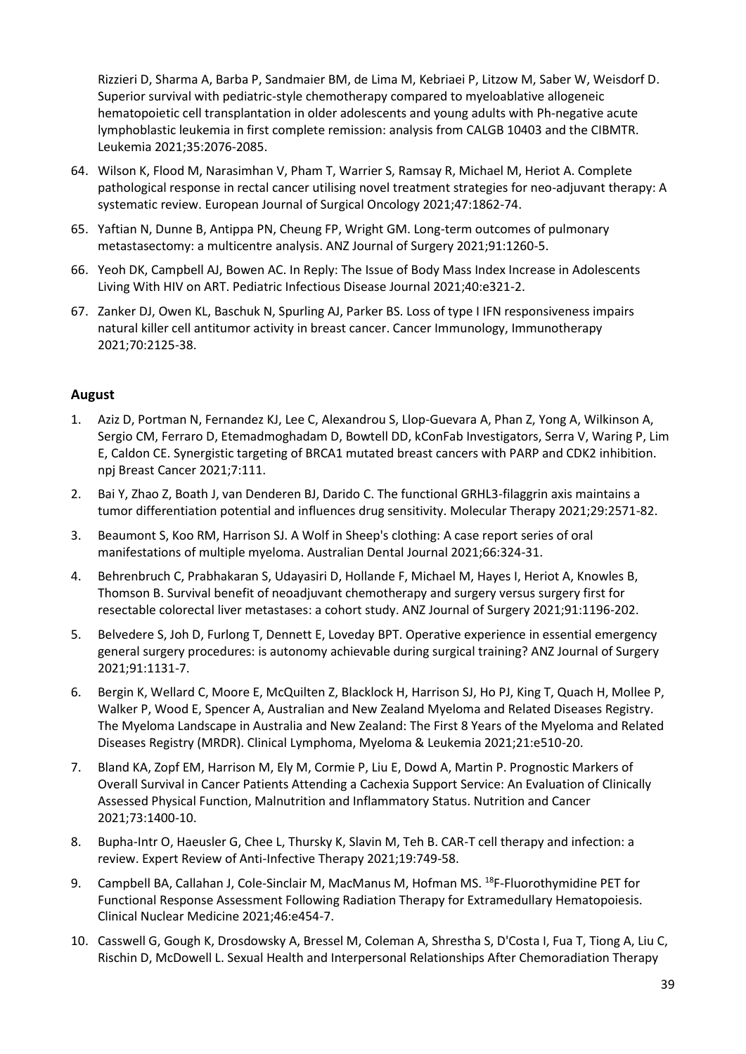Rizzieri D, Sharma A, Barba P, Sandmaier BM, de Lima M, Kebriaei P, Litzow M, Saber W, Weisdorf D. Superior survival with pediatric-style chemotherapy compared to myeloablative allogeneic hematopoietic cell transplantation in older adolescents and young adults with Ph-negative acute lymphoblastic leukemia in first complete remission: analysis from CALGB 10403 and the CIBMTR. Leukemia 2021;35:2076-2085.

- 64. Wilson K, Flood M, Narasimhan V, Pham T, Warrier S, Ramsay R, Michael M, Heriot A. Complete pathological response in rectal cancer utilising novel treatment strategies for neo-adjuvant therapy: A systematic review. European Journal of Surgical Oncology 2021;47:1862-74.
- 65. Yaftian N, Dunne B, Antippa PN, Cheung FP, Wright GM. Long-term outcomes of pulmonary metastasectomy: a multicentre analysis. ANZ Journal of Surgery 2021;91:1260-5.
- 66. Yeoh DK, Campbell AJ, Bowen AC. In Reply: The Issue of Body Mass Index Increase in Adolescents Living With HIV on ART. Pediatric Infectious Disease Journal 2021;40:e321-2.
- 67. Zanker DJ, Owen KL, Baschuk N, Spurling AJ, Parker BS. Loss of type I IFN responsiveness impairs natural killer cell antitumor activity in breast cancer. Cancer Immunology, Immunotherapy 2021;70:2125-38.

## **August**

- 1. Aziz D, Portman N, Fernandez KJ, Lee C, Alexandrou S, Llop-Guevara A, Phan Z, Yong A, Wilkinson A, Sergio CM, Ferraro D, Etemadmoghadam D, Bowtell DD, kConFab Investigators, Serra V, Waring P, Lim E, Caldon CE. Synergistic targeting of BRCA1 mutated breast cancers with PARP and CDK2 inhibition. npj Breast Cancer 2021;7:111.
- 2. Bai Y, Zhao Z, Boath J, van Denderen BJ, Darido C. The functional GRHL3-filaggrin axis maintains a tumor differentiation potential and influences drug sensitivity. Molecular Therapy 2021;29:2571-82.
- 3. Beaumont S, Koo RM, Harrison SJ. A Wolf in Sheep's clothing: A case report series of oral manifestations of multiple myeloma. Australian Dental Journal 2021;66:324-31.
- 4. Behrenbruch C, Prabhakaran S, Udayasiri D, Hollande F, Michael M, Hayes I, Heriot A, Knowles B, Thomson B. Survival benefit of neoadjuvant chemotherapy and surgery versus surgery first for resectable colorectal liver metastases: a cohort study. ANZ Journal of Surgery 2021;91:1196-202.
- 5. Belvedere S, Joh D, Furlong T, Dennett E, Loveday BPT. Operative experience in essential emergency general surgery procedures: is autonomy achievable during surgical training? ANZ Journal of Surgery 2021;91:1131-7.
- 6. Bergin K, Wellard C, Moore E, McQuilten Z, Blacklock H, Harrison SJ, Ho PJ, King T, Quach H, Mollee P, Walker P, Wood E, Spencer A, Australian and New Zealand Myeloma and Related Diseases Registry. The Myeloma Landscape in Australia and New Zealand: The First 8 Years of the Myeloma and Related Diseases Registry (MRDR). Clinical Lymphoma, Myeloma & Leukemia 2021;21:e510-20.
- 7. Bland KA, Zopf EM, Harrison M, Ely M, Cormie P, Liu E, Dowd A, Martin P. Prognostic Markers of Overall Survival in Cancer Patients Attending a Cachexia Support Service: An Evaluation of Clinically Assessed Physical Function, Malnutrition and Inflammatory Status. Nutrition and Cancer 2021;73:1400-10.
- 8. Bupha-Intr O, Haeusler G, Chee L, Thursky K, Slavin M, Teh B. CAR-T cell therapy and infection: a review. Expert Review of Anti-Infective Therapy 2021;19:749-58.
- 9. Campbell BA, Callahan J, Cole-Sinclair M, MacManus M, Hofman MS. <sup>18</sup>F-Fluorothymidine PET for Functional Response Assessment Following Radiation Therapy for Extramedullary Hematopoiesis. Clinical Nuclear Medicine 2021;46:e454-7.
- 10. Casswell G, Gough K, Drosdowsky A, Bressel M, Coleman A, Shrestha S, D'Costa I, Fua T, Tiong A, Liu C, Rischin D, McDowell L. Sexual Health and Interpersonal Relationships After Chemoradiation Therapy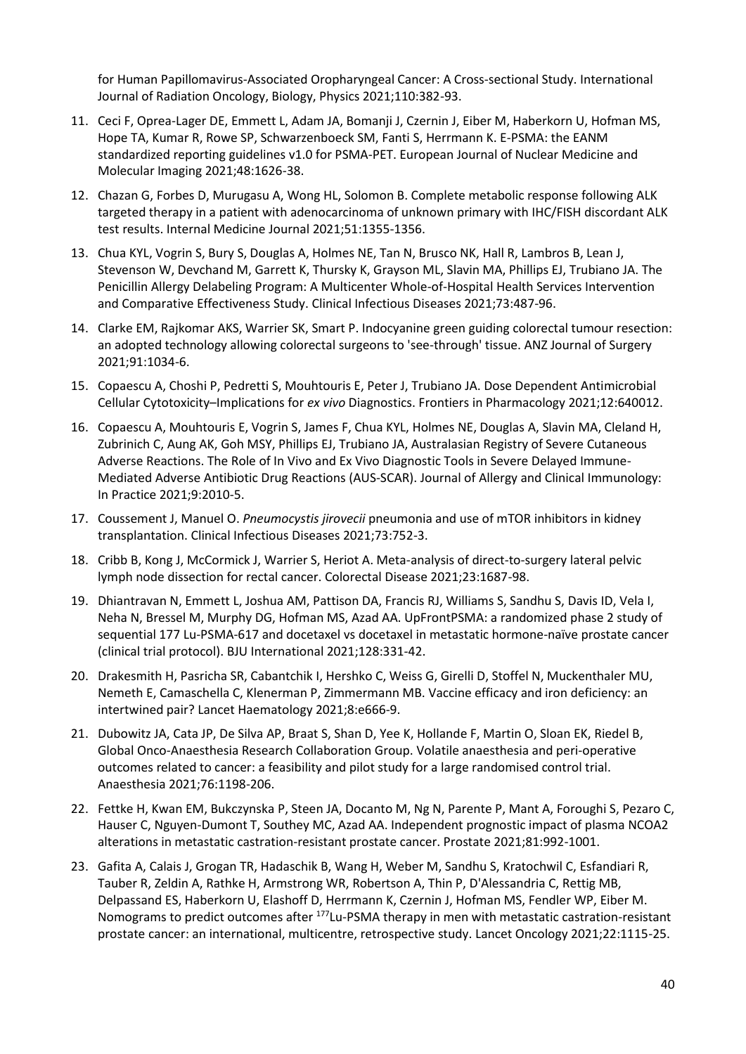for Human Papillomavirus-Associated Oropharyngeal Cancer: A Cross-sectional Study. International Journal of Radiation Oncology, Biology, Physics 2021;110:382-93.

- 11. Ceci F, Oprea-Lager DE, Emmett L, Adam JA, Bomanji J, Czernin J, Eiber M, Haberkorn U, Hofman MS, Hope TA, Kumar R, Rowe SP, Schwarzenboeck SM, Fanti S, Herrmann K. E-PSMA: the EANM standardized reporting guidelines v1.0 for PSMA-PET. European Journal of Nuclear Medicine and Molecular Imaging 2021;48:1626-38.
- 12. Chazan G, Forbes D, Murugasu A, Wong HL, Solomon B. Complete metabolic response following ALK targeted therapy in a patient with adenocarcinoma of unknown primary with IHC/FISH discordant ALK test results. Internal Medicine Journal 2021;51:1355-1356.
- 13. Chua KYL, Vogrin S, Bury S, Douglas A, Holmes NE, Tan N, Brusco NK, Hall R, Lambros B, Lean J, Stevenson W, Devchand M, Garrett K, Thursky K, Grayson ML, Slavin MA, Phillips EJ, Trubiano JA. The Penicillin Allergy Delabeling Program: A Multicenter Whole-of-Hospital Health Services Intervention and Comparative Effectiveness Study. Clinical Infectious Diseases 2021;73:487-96.
- 14. Clarke EM, Rajkomar AKS, Warrier SK, Smart P. Indocyanine green guiding colorectal tumour resection: an adopted technology allowing colorectal surgeons to 'see-through' tissue. ANZ Journal of Surgery 2021;91:1034-6.
- 15. Copaescu A, Choshi P, Pedretti S, Mouhtouris E, Peter J, Trubiano JA. Dose Dependent Antimicrobial Cellular Cytotoxicity–Implications for *ex vivo* Diagnostics. Frontiers in Pharmacology 2021;12:640012.
- 16. Copaescu A, Mouhtouris E, Vogrin S, James F, Chua KYL, Holmes NE, Douglas A, Slavin MA, Cleland H, Zubrinich C, Aung AK, Goh MSY, Phillips EJ, Trubiano JA, Australasian Registry of Severe Cutaneous Adverse Reactions. The Role of In Vivo and Ex Vivo Diagnostic Tools in Severe Delayed Immune-Mediated Adverse Antibiotic Drug Reactions (AUS-SCAR). Journal of Allergy and Clinical Immunology: In Practice 2021;9:2010-5.
- 17. Coussement J, Manuel O. *Pneumocystis jirovecii* pneumonia and use of mTOR inhibitors in kidney transplantation. Clinical Infectious Diseases 2021;73:752-3.
- 18. Cribb B, Kong J, McCormick J, Warrier S, Heriot A. Meta-analysis of direct-to-surgery lateral pelvic lymph node dissection for rectal cancer. Colorectal Disease 2021;23:1687-98.
- 19. Dhiantravan N, Emmett L, Joshua AM, Pattison DA, Francis RJ, Williams S, Sandhu S, Davis ID, Vela I, Neha N, Bressel M, Murphy DG, Hofman MS, Azad AA. UpFrontPSMA: a randomized phase 2 study of sequential 177 Lu-PSMA-617 and docetaxel vs docetaxel in metastatic hormone-naïve prostate cancer (clinical trial protocol). BJU International 2021;128:331-42.
- 20. Drakesmith H, Pasricha SR, Cabantchik I, Hershko C, Weiss G, Girelli D, Stoffel N, Muckenthaler MU, Nemeth E, Camaschella C, Klenerman P, Zimmermann MB. Vaccine efficacy and iron deficiency: an intertwined pair? Lancet Haematology 2021;8:e666-9.
- 21. Dubowitz JA, Cata JP, De Silva AP, Braat S, Shan D, Yee K, Hollande F, Martin O, Sloan EK, Riedel B, Global Onco-Anaesthesia Research Collaboration Group. Volatile anaesthesia and peri-operative outcomes related to cancer: a feasibility and pilot study for a large randomised control trial. Anaesthesia 2021;76:1198-206.
- 22. Fettke H, Kwan EM, Bukczynska P, Steen JA, Docanto M, Ng N, Parente P, Mant A, Foroughi S, Pezaro C, Hauser C, Nguyen-Dumont T, Southey MC, Azad AA. Independent prognostic impact of plasma NCOA2 alterations in metastatic castration-resistant prostate cancer. Prostate 2021;81:992-1001.
- 23. Gafita A, Calais J, Grogan TR, Hadaschik B, Wang H, Weber M, Sandhu S, Kratochwil C, Esfandiari R, Tauber R, Zeldin A, Rathke H, Armstrong WR, Robertson A, Thin P, D'Alessandria C, Rettig MB, Delpassand ES, Haberkorn U, Elashoff D, Herrmann K, Czernin J, Hofman MS, Fendler WP, Eiber M. Nomograms to predict outcomes after <sup>177</sup>Lu-PSMA therapy in men with metastatic castration-resistant prostate cancer: an international, multicentre, retrospective study. Lancet Oncology 2021;22:1115-25.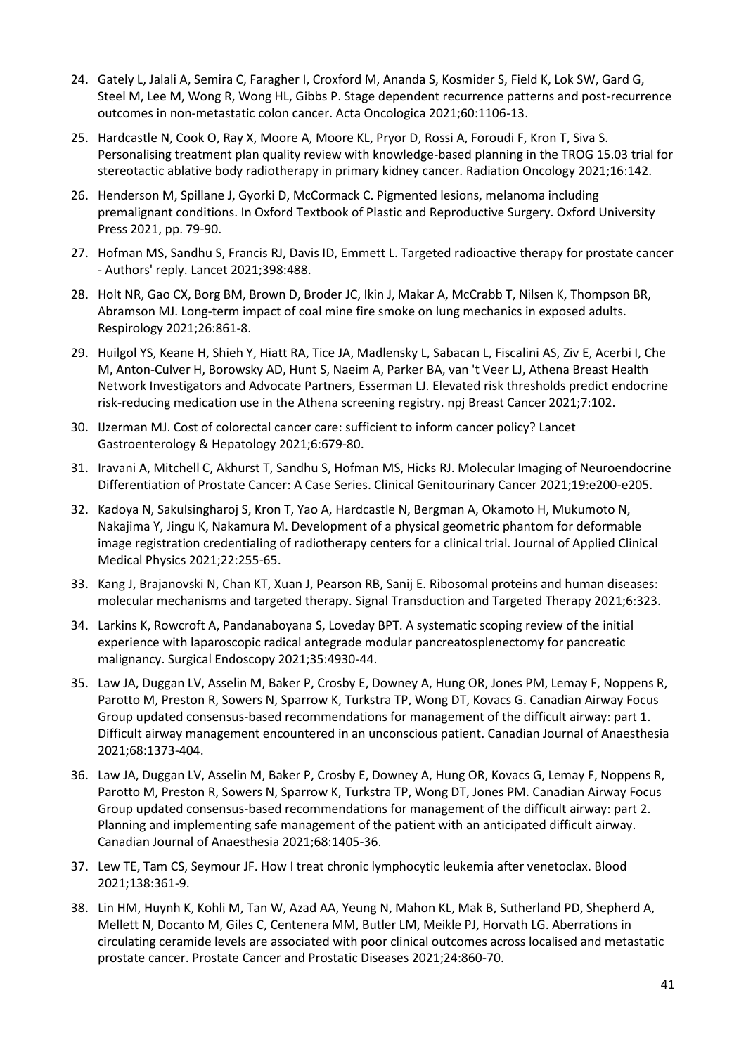- 24. Gately L, Jalali A, Semira C, Faragher I, Croxford M, Ananda S, Kosmider S, Field K, Lok SW, Gard G, Steel M, Lee M, Wong R, Wong HL, Gibbs P. Stage dependent recurrence patterns and post-recurrence outcomes in non-metastatic colon cancer. Acta Oncologica 2021;60:1106-13.
- 25. Hardcastle N, Cook O, Ray X, Moore A, Moore KL, Pryor D, Rossi A, Foroudi F, Kron T, Siva S. Personalising treatment plan quality review with knowledge-based planning in the TROG 15.03 trial for stereotactic ablative body radiotherapy in primary kidney cancer. Radiation Oncology 2021;16:142.
- 26. Henderson M, Spillane J, Gyorki D, McCormack C. Pigmented lesions, melanoma including premalignant conditions. In Oxford Textbook of Plastic and Reproductive Surgery. Oxford University Press 2021, pp. 79-90.
- 27. Hofman MS, Sandhu S, Francis RJ, Davis ID, Emmett L. Targeted radioactive therapy for prostate cancer - Authors' reply. Lancet 2021;398:488.
- 28. Holt NR, Gao CX, Borg BM, Brown D, Broder JC, Ikin J, Makar A, McCrabb T, Nilsen K, Thompson BR, Abramson MJ. Long-term impact of coal mine fire smoke on lung mechanics in exposed adults. Respirology 2021;26:861-8.
- 29. Huilgol YS, Keane H, Shieh Y, Hiatt RA, Tice JA, Madlensky L, Sabacan L, Fiscalini AS, Ziv E, Acerbi I, Che M, Anton-Culver H, Borowsky AD, Hunt S, Naeim A, Parker BA, van 't Veer LJ, Athena Breast Health Network Investigators and Advocate Partners, Esserman LJ. Elevated risk thresholds predict endocrine risk-reducing medication use in the Athena screening registry. npj Breast Cancer 2021;7:102.
- 30. IJzerman MJ. Cost of colorectal cancer care: sufficient to inform cancer policy? Lancet Gastroenterology & Hepatology 2021;6:679-80.
- 31. Iravani A, Mitchell C, Akhurst T, Sandhu S, Hofman MS, Hicks RJ. Molecular Imaging of Neuroendocrine Differentiation of Prostate Cancer: A Case Series. Clinical Genitourinary Cancer 2021;19:e200-e205.
- 32. Kadoya N, Sakulsingharoj S, Kron T, Yao A, Hardcastle N, Bergman A, Okamoto H, Mukumoto N, Nakajima Y, Jingu K, Nakamura M. Development of a physical geometric phantom for deformable image registration credentialing of radiotherapy centers for a clinical trial. Journal of Applied Clinical Medical Physics 2021;22:255-65.
- 33. Kang J, Brajanovski N, Chan KT, Xuan J, Pearson RB, Sanij E. Ribosomal proteins and human diseases: molecular mechanisms and targeted therapy. Signal Transduction and Targeted Therapy 2021;6:323.
- 34. Larkins K, Rowcroft A, Pandanaboyana S, Loveday BPT. A systematic scoping review of the initial experience with laparoscopic radical antegrade modular pancreatosplenectomy for pancreatic malignancy. Surgical Endoscopy 2021;35:4930-44.
- 35. Law JA, Duggan LV, Asselin M, Baker P, Crosby E, Downey A, Hung OR, Jones PM, Lemay F, Noppens R, Parotto M, Preston R, Sowers N, Sparrow K, Turkstra TP, Wong DT, Kovacs G. Canadian Airway Focus Group updated consensus-based recommendations for management of the difficult airway: part 1. Difficult airway management encountered in an unconscious patient. Canadian Journal of Anaesthesia 2021;68:1373-404.
- 36. Law JA, Duggan LV, Asselin M, Baker P, Crosby E, Downey A, Hung OR, Kovacs G, Lemay F, Noppens R, Parotto M, Preston R, Sowers N, Sparrow K, Turkstra TP, Wong DT, Jones PM. Canadian Airway Focus Group updated consensus-based recommendations for management of the difficult airway: part 2. Planning and implementing safe management of the patient with an anticipated difficult airway. Canadian Journal of Anaesthesia 2021;68:1405-36.
- 37. Lew TE, Tam CS, Seymour JF. How I treat chronic lymphocytic leukemia after venetoclax. Blood 2021;138:361-9.
- 38. Lin HM, Huynh K, Kohli M, Tan W, Azad AA, Yeung N, Mahon KL, Mak B, Sutherland PD, Shepherd A, Mellett N, Docanto M, Giles C, Centenera MM, Butler LM, Meikle PJ, Horvath LG. Aberrations in circulating ceramide levels are associated with poor clinical outcomes across localised and metastatic prostate cancer. Prostate Cancer and Prostatic Diseases 2021;24:860-70.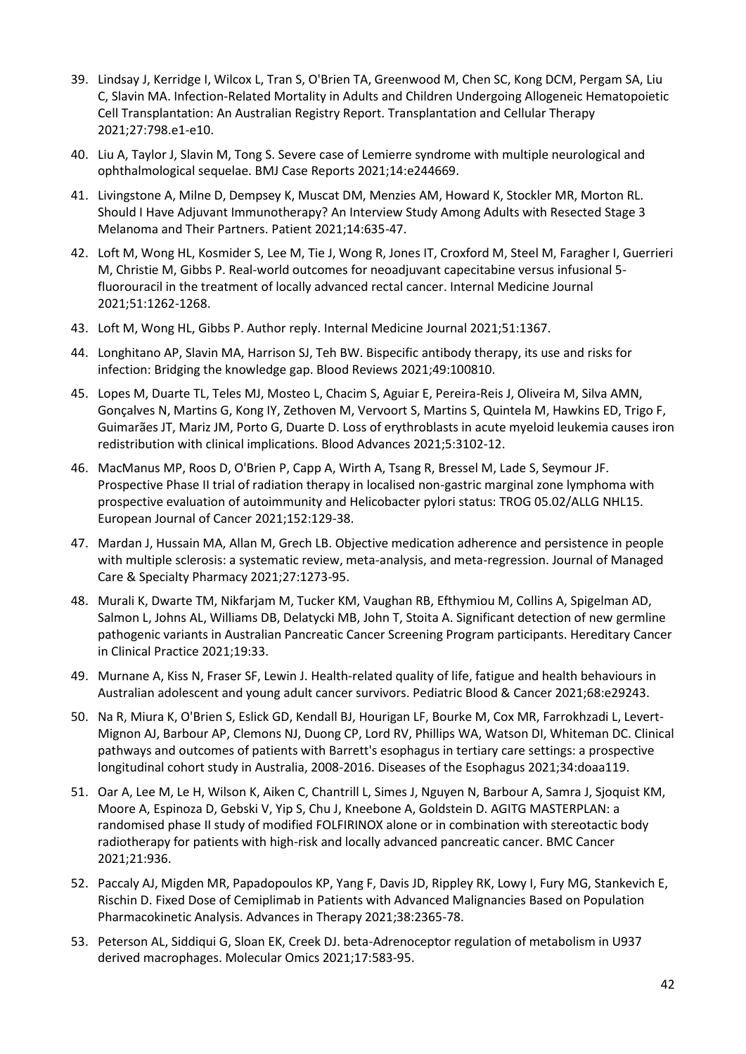- 39. Lindsay J, Kerridge I, Wilcox L, Tran S, O'Brien TA, Greenwood M, Chen SC, Kong DCM, Pergam SA, Liu C, Slavin MA. Infection-Related Mortality in Adults and Children Undergoing Allogeneic Hematopoietic Cell Transplantation: An Australian Registry Report. Transplantation and Cellular Therapy 2021;27:798.e1-e10.
- 40. Liu A, Taylor J, Slavin M, Tong S. Severe case of Lemierre syndrome with multiple neurological and ophthalmological sequelae. BMJ Case Reports 2021;14:e244669.
- 41. Livingstone A, Milne D, Dempsey K, Muscat DM, Menzies AM, Howard K, Stockler MR, Morton RL. Should I Have Adjuvant Immunotherapy? An Interview Study Among Adults with Resected Stage 3 Melanoma and Their Partners. Patient 2021;14:635-47.
- 42. Loft M, Wong HL, Kosmider S, Lee M, Tie J, Wong R, Jones IT, Croxford M, Steel M, Faragher I, Guerrieri M, Christie M, Gibbs P. Real-world outcomes for neoadjuvant capecitabine versus infusional 5 fluorouracil in the treatment of locally advanced rectal cancer. Internal Medicine Journal 2021;51:1262-1268.
- 43. Loft M, Wong HL, Gibbs P. Author reply. Internal Medicine Journal 2021;51:1367.
- 44. Longhitano AP, Slavin MA, Harrison SJ, Teh BW. Bispecific antibody therapy, its use and risks for infection: Bridging the knowledge gap. Blood Reviews 2021;49:100810.
- 45. Lopes M, Duarte TL, Teles MJ, Mosteo L, Chacim S, Aguiar E, Pereira-Reis J, Oliveira M, Silva AMN, Gonçalves N, Martins G, Kong IY, Zethoven M, Vervoort S, Martins S, Quintela M, Hawkins ED, Trigo F, Guimarães JT, Mariz JM, Porto G, Duarte D. Loss of erythroblasts in acute myeloid leukemia causes iron redistribution with clinical implications. Blood Advances 2021;5:3102-12.
- 46. MacManus MP, Roos D, O'Brien P, Capp A, Wirth A, Tsang R, Bressel M, Lade S, Seymour JF. Prospective Phase II trial of radiation therapy in localised non-gastric marginal zone lymphoma with prospective evaluation of autoimmunity and Helicobacter pylori status: TROG 05.02/ALLG NHL15. European Journal of Cancer 2021;152:129-38.
- 47. Mardan J, Hussain MA, Allan M, Grech LB. Objective medication adherence and persistence in people with multiple sclerosis: a systematic review, meta-analysis, and meta-regression. Journal of Managed Care & Specialty Pharmacy 2021;27:1273-95.
- 48. Murali K, Dwarte TM, Nikfarjam M, Tucker KM, Vaughan RB, Efthymiou M, Collins A, Spigelman AD, Salmon L, Johns AL, Williams DB, Delatycki MB, John T, Stoita A. Significant detection of new germline pathogenic variants in Australian Pancreatic Cancer Screening Program participants. Hereditary Cancer in Clinical Practice 2021;19:33.
- 49. Murnane A, Kiss N, Fraser SF, Lewin J. Health-related quality of life, fatigue and health behaviours in Australian adolescent and young adult cancer survivors. Pediatric Blood & Cancer 2021;68:e29243.
- 50. Na R, Miura K, O'Brien S, Eslick GD, Kendall BJ, Hourigan LF, Bourke M, Cox MR, Farrokhzadi L, Levert-Mignon AJ, Barbour AP, Clemons NJ, Duong CP, Lord RV, Phillips WA, Watson DI, Whiteman DC. Clinical pathways and outcomes of patients with Barrett's esophagus in tertiary care settings: a prospective longitudinal cohort study in Australia, 2008-2016. Diseases of the Esophagus 2021;34:doaa119.
- 51. Oar A, Lee M, Le H, Wilson K, Aiken C, Chantrill L, Simes J, Nguyen N, Barbour A, Samra J, Sjoquist KM, Moore A, Espinoza D, Gebski V, Yip S, Chu J, Kneebone A, Goldstein D. AGITG MASTERPLAN: a randomised phase II study of modified FOLFIRINOX alone or in combination with stereotactic body radiotherapy for patients with high-risk and locally advanced pancreatic cancer. BMC Cancer 2021;21:936.
- 52. Paccaly AJ, Migden MR, Papadopoulos KP, Yang F, Davis JD, Rippley RK, Lowy I, Fury MG, Stankevich E, Rischin D. Fixed Dose of Cemiplimab in Patients with Advanced Malignancies Based on Population Pharmacokinetic Analysis. Advances in Therapy 2021;38:2365-78.
- 53. Peterson AL, Siddiqui G, Sloan EK, Creek DJ. beta-Adrenoceptor regulation of metabolism in U937 derived macrophages. Molecular Omics 2021;17:583-95.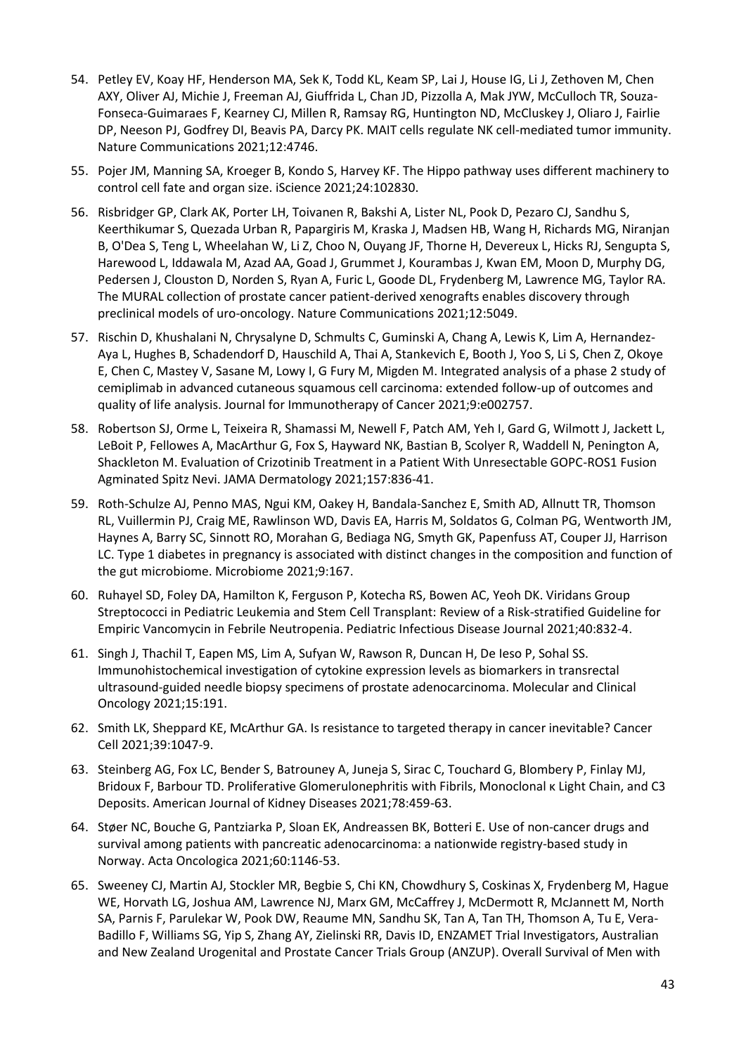- 54. Petley EV, Koay HF, Henderson MA, Sek K, Todd KL, Keam SP, Lai J, House IG, Li J, Zethoven M, Chen AXY, Oliver AJ, Michie J, Freeman AJ, Giuffrida L, Chan JD, Pizzolla A, Mak JYW, McCulloch TR, Souza-Fonseca-Guimaraes F, Kearney CJ, Millen R, Ramsay RG, Huntington ND, McCluskey J, Oliaro J, Fairlie DP, Neeson PJ, Godfrey DI, Beavis PA, Darcy PK. MAIT cells regulate NK cell-mediated tumor immunity. Nature Communications 2021;12:4746.
- 55. Pojer JM, Manning SA, Kroeger B, Kondo S, Harvey KF. The Hippo pathway uses different machinery to control cell fate and organ size. iScience 2021;24:102830.
- 56. Risbridger GP, Clark AK, Porter LH, Toivanen R, Bakshi A, Lister NL, Pook D, Pezaro CJ, Sandhu S, Keerthikumar S, Quezada Urban R, Papargiris M, Kraska J, Madsen HB, Wang H, Richards MG, Niranjan B, O'Dea S, Teng L, Wheelahan W, Li Z, Choo N, Ouyang JF, Thorne H, Devereux L, Hicks RJ, Sengupta S, Harewood L, Iddawala M, Azad AA, Goad J, Grummet J, Kourambas J, Kwan EM, Moon D, Murphy DG, Pedersen J, Clouston D, Norden S, Ryan A, Furic L, Goode DL, Frydenberg M, Lawrence MG, Taylor RA. The MURAL collection of prostate cancer patient-derived xenografts enables discovery through preclinical models of uro-oncology. Nature Communications 2021;12:5049.
- 57. Rischin D, Khushalani N, Chrysalyne D, Schmults C, Guminski A, Chang A, Lewis K, Lim A, Hernandez-Aya L, Hughes B, Schadendorf D, Hauschild A, Thai A, Stankevich E, Booth J, Yoo S, Li S, Chen Z, Okoye E, Chen C, Mastey V, Sasane M, Lowy I, G Fury M, Migden M. Integrated analysis of a phase 2 study of cemiplimab in advanced cutaneous squamous cell carcinoma: extended follow-up of outcomes and quality of life analysis. Journal for Immunotherapy of Cancer 2021;9:e002757.
- 58. Robertson SJ, Orme L, Teixeira R, Shamassi M, Newell F, Patch AM, Yeh I, Gard G, Wilmott J, Jackett L, LeBoit P, Fellowes A, MacArthur G, Fox S, Hayward NK, Bastian B, Scolyer R, Waddell N, Penington A, Shackleton M. Evaluation of Crizotinib Treatment in a Patient With Unresectable GOPC-ROS1 Fusion Agminated Spitz Nevi. JAMA Dermatology 2021;157:836-41.
- 59. Roth-Schulze AJ, Penno MAS, Ngui KM, Oakey H, Bandala-Sanchez E, Smith AD, Allnutt TR, Thomson RL, Vuillermin PJ, Craig ME, Rawlinson WD, Davis EA, Harris M, Soldatos G, Colman PG, Wentworth JM, Haynes A, Barry SC, Sinnott RO, Morahan G, Bediaga NG, Smyth GK, Papenfuss AT, Couper JJ, Harrison LC. Type 1 diabetes in pregnancy is associated with distinct changes in the composition and function of the gut microbiome. Microbiome 2021;9:167.
- 60. Ruhayel SD, Foley DA, Hamilton K, Ferguson P, Kotecha RS, Bowen AC, Yeoh DK. Viridans Group Streptococci in Pediatric Leukemia and Stem Cell Transplant: Review of a Risk-stratified Guideline for Empiric Vancomycin in Febrile Neutropenia. Pediatric Infectious Disease Journal 2021;40:832-4.
- 61. Singh J, Thachil T, Eapen MS, Lim A, Sufyan W, Rawson R, Duncan H, De Ieso P, Sohal SS. Immunohistochemical investigation of cytokine expression levels as biomarkers in transrectal ultrasound-guided needle biopsy specimens of prostate adenocarcinoma. Molecular and Clinical Oncology 2021;15:191.
- 62. Smith LK, Sheppard KE, McArthur GA. Is resistance to targeted therapy in cancer inevitable? Cancer Cell 2021;39:1047-9.
- 63. Steinberg AG, Fox LC, Bender S, Batrouney A, Juneja S, Sirac C, Touchard G, Blombery P, Finlay MJ, Bridoux F, Barbour TD. Proliferative Glomerulonephritis with Fibrils, Monoclonal κ Light Chain, and C3 Deposits. American Journal of Kidney Diseases 2021;78:459-63.
- 64. Støer NC, Bouche G, Pantziarka P, Sloan EK, Andreassen BK, Botteri E. Use of non-cancer drugs and survival among patients with pancreatic adenocarcinoma: a nationwide registry-based study in Norway. Acta Oncologica 2021;60:1146-53.
- 65. Sweeney CJ, Martin AJ, Stockler MR, Begbie S, Chi KN, Chowdhury S, Coskinas X, Frydenberg M, Hague WE, Horvath LG, Joshua AM, Lawrence NJ, Marx GM, McCaffrey J, McDermott R, McJannett M, North SA, Parnis F, Parulekar W, Pook DW, Reaume MN, Sandhu SK, Tan A, Tan TH, Thomson A, Tu E, Vera-Badillo F, Williams SG, Yip S, Zhang AY, Zielinski RR, Davis ID, ENZAMET Trial Investigators, Australian and New Zealand Urogenital and Prostate Cancer Trials Group (ANZUP). Overall Survival of Men with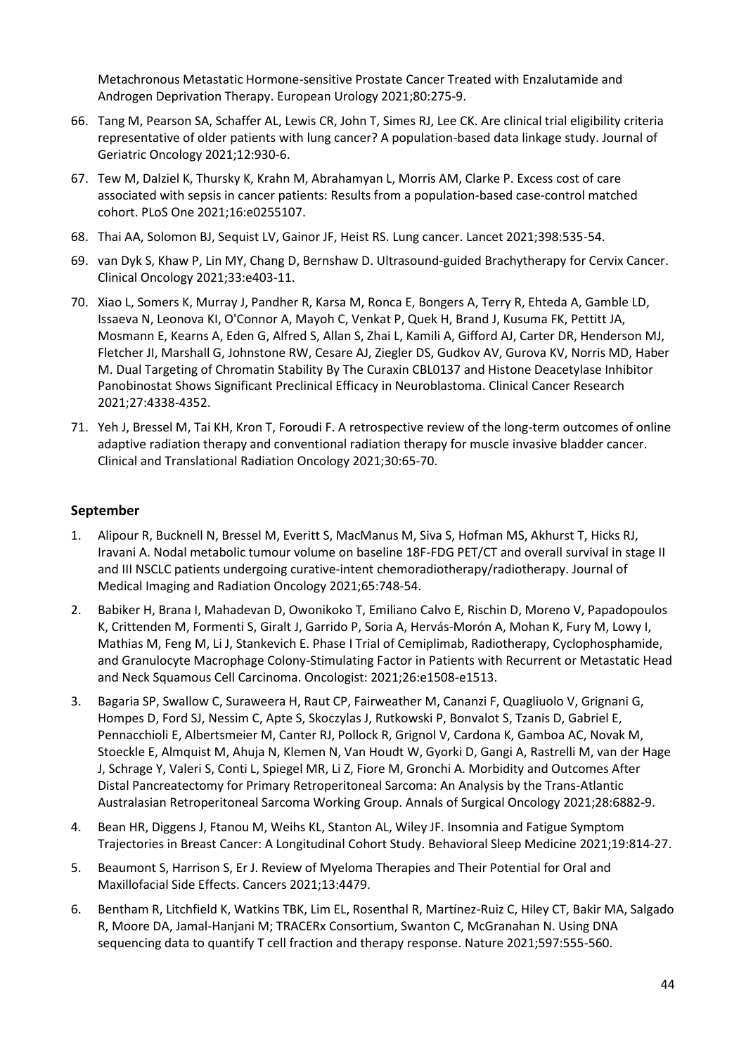Metachronous Metastatic Hormone-sensitive Prostate Cancer Treated with Enzalutamide and Androgen Deprivation Therapy. European Urology 2021;80:275-9.

- 66. Tang M, Pearson SA, Schaffer AL, Lewis CR, John T, Simes RJ, Lee CK. Are clinical trial eligibility criteria representative of older patients with lung cancer? A population-based data linkage study. Journal of Geriatric Oncology 2021;12:930-6.
- 67. Tew M, Dalziel K, Thursky K, Krahn M, Abrahamyan L, Morris AM, Clarke P. Excess cost of care associated with sepsis in cancer patients: Results from a population-based case-control matched cohort. PLoS One 2021;16:e0255107.
- 68. Thai AA, Solomon BJ, Sequist LV, Gainor JF, Heist RS. Lung cancer. Lancet 2021;398:535-54.
- 69. van Dyk S, Khaw P, Lin MY, Chang D, Bernshaw D. Ultrasound-guided Brachytherapy for Cervix Cancer. Clinical Oncology 2021;33:e403-11.
- 70. Xiao L, Somers K, Murray J, Pandher R, Karsa M, Ronca E, Bongers A, Terry R, Ehteda A, Gamble LD, Issaeva N, Leonova KI, O'Connor A, Mayoh C, Venkat P, Quek H, Brand J, Kusuma FK, Pettitt JA, Mosmann E, Kearns A, Eden G, Alfred S, Allan S, Zhai L, Kamili A, Gifford AJ, Carter DR, Henderson MJ, Fletcher JI, Marshall G, Johnstone RW, Cesare AJ, Ziegler DS, Gudkov AV, Gurova KV, Norris MD, Haber M. Dual Targeting of Chromatin Stability By The Curaxin CBL0137 and Histone Deacetylase Inhibitor Panobinostat Shows Significant Preclinical Efficacy in Neuroblastoma. Clinical Cancer Research 2021;27:4338-4352.
- 71. Yeh J, Bressel M, Tai KH, Kron T, Foroudi F. A retrospective review of the long-term outcomes of online adaptive radiation therapy and conventional radiation therapy for muscle invasive bladder cancer. Clinical and Translational Radiation Oncology 2021;30:65-70.

## **September**

- 1. Alipour R, Bucknell N, Bressel M, Everitt S, MacManus M, Siva S, Hofman MS, Akhurst T, Hicks RJ, Iravani A. Nodal metabolic tumour volume on baseline 18F-FDG PET/CT and overall survival in stage II and III NSCLC patients undergoing curative-intent chemoradiotherapy/radiotherapy. Journal of Medical Imaging and Radiation Oncology 2021;65:748-54.
- 2. Babiker H, Brana I, Mahadevan D, Owonikoko T, Emiliano Calvo E, Rischin D, Moreno V, Papadopoulos K, Crittenden M, Formenti S, Giralt J, Garrido P, Soria A, Hervás-Morón A, Mohan K, Fury M, Lowy I, Mathias M, Feng M, Li J, Stankevich E. Phase I Trial of Cemiplimab, Radiotherapy, Cyclophosphamide, and Granulocyte Macrophage Colony-Stimulating Factor in Patients with Recurrent or Metastatic Head and Neck Squamous Cell Carcinoma. Oncologist: 2021;26:e1508-e1513.
- 3. Bagaria SP, Swallow C, Suraweera H, Raut CP, Fairweather M, Cananzi F, Quagliuolo V, Grignani G, Hompes D, Ford SJ, Nessim C, Apte S, Skoczylas J, Rutkowski P, Bonvalot S, Tzanis D, Gabriel E, Pennacchioli E, Albertsmeier M, Canter RJ, Pollock R, Grignol V, Cardona K, Gamboa AC, Novak M, Stoeckle E, Almquist M, Ahuja N, Klemen N, Van Houdt W, Gyorki D, Gangi A, Rastrelli M, van der Hage J, Schrage Y, Valeri S, Conti L, Spiegel MR, Li Z, Fiore M, Gronchi A. Morbidity and Outcomes After Distal Pancreatectomy for Primary Retroperitoneal Sarcoma: An Analysis by the Trans-Atlantic Australasian Retroperitoneal Sarcoma Working Group. Annals of Surgical Oncology 2021;28:6882-9.
- 4. Bean HR, Diggens J, Ftanou M, Weihs KL, Stanton AL, Wiley JF. Insomnia and Fatigue Symptom Trajectories in Breast Cancer: A Longitudinal Cohort Study. Behavioral Sleep Medicine 2021;19:814-27.
- 5. Beaumont S, Harrison S, Er J. Review of Myeloma Therapies and Their Potential for Oral and Maxillofacial Side Effects. Cancers 2021;13:4479.
- 6. Bentham R, Litchfield K, Watkins TBK, Lim EL, Rosenthal R, Martínez-Ruiz C, Hiley CT, Bakir MA, Salgado R, Moore DA, Jamal-Hanjani M; TRACERx Consortium, Swanton C, McGranahan N. Using DNA sequencing data to quantify T cell fraction and therapy response. Nature 2021;597:555-560.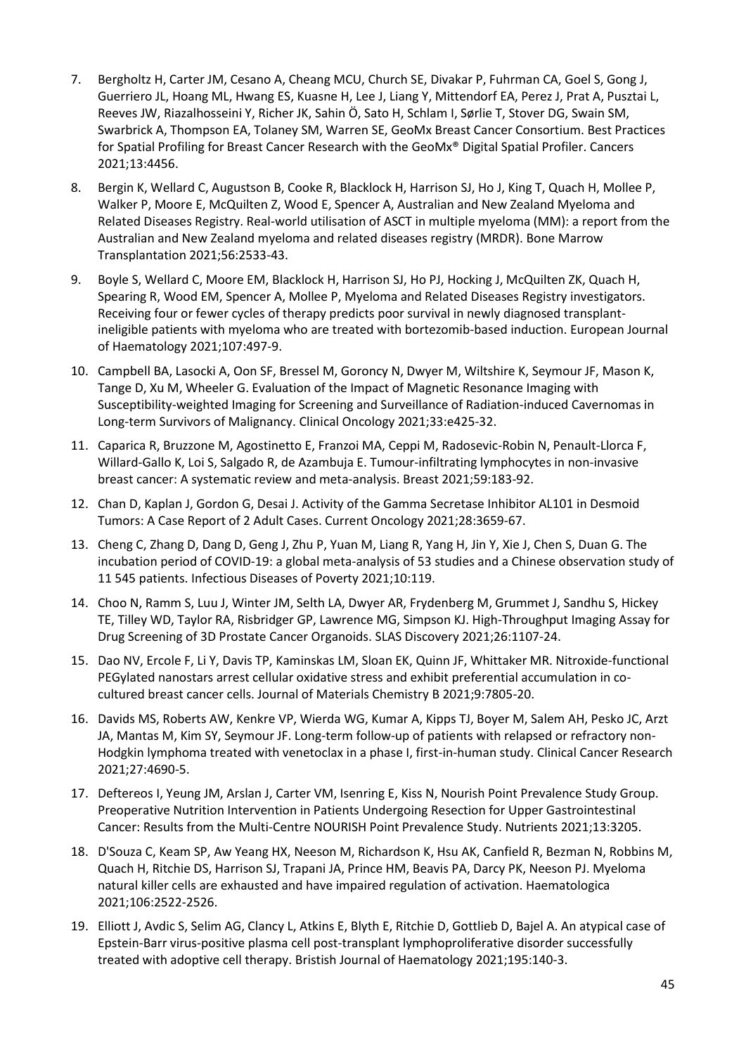- 7. Bergholtz H, Carter JM, Cesano A, Cheang MCU, Church SE, Divakar P, Fuhrman CA, Goel S, Gong J, Guerriero JL, Hoang ML, Hwang ES, Kuasne H, Lee J, Liang Y, Mittendorf EA, Perez J, Prat A, Pusztai L, Reeves JW, Riazalhosseini Y, Richer JK, Sahin Ö, Sato H, Schlam I, Sørlie T, Stover DG, Swain SM, Swarbrick A, Thompson EA, Tolaney SM, Warren SE, GeoMx Breast Cancer Consortium. Best Practices for Spatial Profiling for Breast Cancer Research with the GeoMx® Digital Spatial Profiler. Cancers 2021;13:4456.
- 8. Bergin K, Wellard C, Augustson B, Cooke R, Blacklock H, Harrison SJ, Ho J, King T, Quach H, Mollee P, Walker P, Moore E, McQuilten Z, Wood E, Spencer A, Australian and New Zealand Myeloma and Related Diseases Registry. Real-world utilisation of ASCT in multiple myeloma (MM): a report from the Australian and New Zealand myeloma and related diseases registry (MRDR). Bone Marrow Transplantation 2021;56:2533-43.
- 9. Boyle S, Wellard C, Moore EM, Blacklock H, Harrison SJ, Ho PJ, Hocking J, McQuilten ZK, Quach H, Spearing R, Wood EM, Spencer A, Mollee P, Myeloma and Related Diseases Registry investigators. Receiving four or fewer cycles of therapy predicts poor survival in newly diagnosed transplantineligible patients with myeloma who are treated with bortezomib-based induction. European Journal of Haematology 2021;107:497-9.
- 10. Campbell BA, Lasocki A, Oon SF, Bressel M, Goroncy N, Dwyer M, Wiltshire K, Seymour JF, Mason K, Tange D, Xu M, Wheeler G. Evaluation of the Impact of Magnetic Resonance Imaging with Susceptibility-weighted Imaging for Screening and Surveillance of Radiation-induced Cavernomas in Long-term Survivors of Malignancy. Clinical Oncology 2021;33:e425-32.
- 11. Caparica R, Bruzzone M, Agostinetto E, Franzoi MA, Ceppi M, Radosevic-Robin N, Penault-Llorca F, Willard-Gallo K, Loi S, Salgado R, de Azambuja E. Tumour-infiltrating lymphocytes in non-invasive breast cancer: A systematic review and meta-analysis. Breast 2021;59:183-92.
- 12. Chan D, Kaplan J, Gordon G, Desai J. Activity of the Gamma Secretase Inhibitor AL101 in Desmoid Tumors: A Case Report of 2 Adult Cases. Current Oncology 2021;28:3659-67.
- 13. Cheng C, Zhang D, Dang D, Geng J, Zhu P, Yuan M, Liang R, Yang H, Jin Y, Xie J, Chen S, Duan G. The incubation period of COVID-19: a global meta-analysis of 53 studies and a Chinese observation study of 11 545 patients. Infectious Diseases of Poverty 2021;10:119.
- 14. Choo N, Ramm S, Luu J, Winter JM, Selth LA, Dwyer AR, Frydenberg M, Grummet J, Sandhu S, Hickey TE, Tilley WD, Taylor RA, Risbridger GP, Lawrence MG, Simpson KJ. High-Throughput Imaging Assay for Drug Screening of 3D Prostate Cancer Organoids. SLAS Discovery 2021;26:1107-24.
- 15. Dao NV, Ercole F, Li Y, Davis TP, Kaminskas LM, Sloan EK, Quinn JF, Whittaker MR. Nitroxide-functional PEGylated nanostars arrest cellular oxidative stress and exhibit preferential accumulation in cocultured breast cancer cells. Journal of Materials Chemistry B 2021;9:7805-20.
- 16. Davids MS, Roberts AW, Kenkre VP, Wierda WG, Kumar A, Kipps TJ, Boyer M, Salem AH, Pesko JC, Arzt JA, Mantas M, Kim SY, Seymour JF. Long-term follow-up of patients with relapsed or refractory non-Hodgkin lymphoma treated with venetoclax in a phase I, first-in-human study. Clinical Cancer Research 2021;27:4690-5.
- 17. Deftereos I, Yeung JM, Arslan J, Carter VM, Isenring E, Kiss N, Nourish Point Prevalence Study Group. Preoperative Nutrition Intervention in Patients Undergoing Resection for Upper Gastrointestinal Cancer: Results from the Multi-Centre NOURISH Point Prevalence Study. Nutrients 2021;13:3205.
- 18. D'Souza C, Keam SP, Aw Yeang HX, Neeson M, Richardson K, Hsu AK, Canfield R, Bezman N, Robbins M, Quach H, Ritchie DS, Harrison SJ, Trapani JA, Prince HM, Beavis PA, Darcy PK, Neeson PJ. Myeloma natural killer cells are exhausted and have impaired regulation of activation. Haematologica 2021;106:2522-2526.
- 19. Elliott J, Avdic S, Selim AG, Clancy L, Atkins E, Blyth E, Ritchie D, Gottlieb D, Bajel A. An atypical case of Epstein-Barr virus-positive plasma cell post-transplant lymphoproliferative disorder successfully treated with adoptive cell therapy. Bristish Journal of Haematology 2021;195:140-3.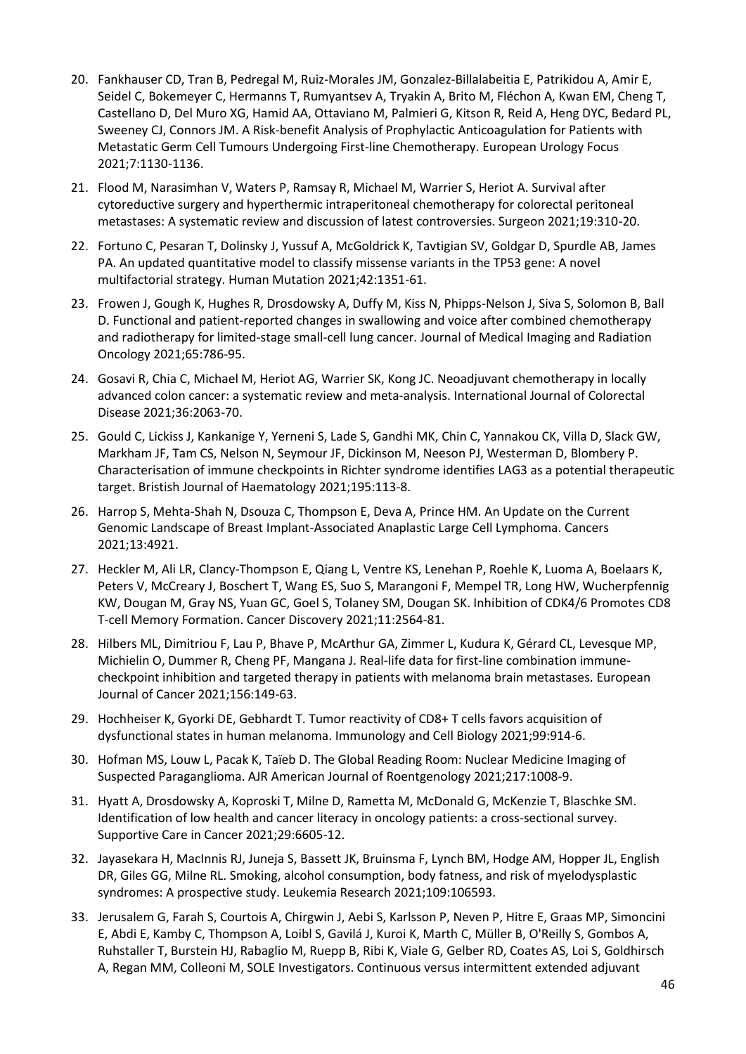- 20. Fankhauser CD, Tran B, Pedregal M, Ruiz-Morales JM, Gonzalez-Billalabeitia E, Patrikidou A, Amir E, Seidel C, Bokemeyer C, Hermanns T, Rumyantsev A, Tryakin A, Brito M, Fléchon A, Kwan EM, Cheng T, Castellano D, Del Muro XG, Hamid AA, Ottaviano M, Palmieri G, Kitson R, Reid A, Heng DYC, Bedard PL, Sweeney CJ, Connors JM. A Risk-benefit Analysis of Prophylactic Anticoagulation for Patients with Metastatic Germ Cell Tumours Undergoing First-line Chemotherapy. European Urology Focus 2021;7:1130-1136.
- 21. Flood M, Narasimhan V, Waters P, Ramsay R, Michael M, Warrier S, Heriot A. Survival after cytoreductive surgery and hyperthermic intraperitoneal chemotherapy for colorectal peritoneal metastases: A systematic review and discussion of latest controversies. Surgeon 2021;19:310-20.
- 22. Fortuno C, Pesaran T, Dolinsky J, Yussuf A, McGoldrick K, Tavtigian SV, Goldgar D, Spurdle AB, James PA. An updated quantitative model to classify missense variants in the TP53 gene: A novel multifactorial strategy. Human Mutation 2021;42:1351-61.
- 23. Frowen J, Gough K, Hughes R, Drosdowsky A, Duffy M, Kiss N, Phipps-Nelson J, Siva S, Solomon B, Ball D. Functional and patient-reported changes in swallowing and voice after combined chemotherapy and radiotherapy for limited-stage small-cell lung cancer. Journal of Medical Imaging and Radiation Oncology 2021;65:786-95.
- 24. Gosavi R, Chia C, Michael M, Heriot AG, Warrier SK, Kong JC. Neoadjuvant chemotherapy in locally advanced colon cancer: a systematic review and meta-analysis. International Journal of Colorectal Disease 2021;36:2063-70.
- 25. Gould C, Lickiss J, Kankanige Y, Yerneni S, Lade S, Gandhi MK, Chin C, Yannakou CK, Villa D, Slack GW, Markham JF, Tam CS, Nelson N, Seymour JF, Dickinson M, Neeson PJ, Westerman D, Blombery P. Characterisation of immune checkpoints in Richter syndrome identifies LAG3 as a potential therapeutic target. Bristish Journal of Haematology 2021;195:113-8.
- 26. Harrop S, Mehta-Shah N, Dsouza C, Thompson E, Deva A, Prince HM. An Update on the Current Genomic Landscape of Breast Implant-Associated Anaplastic Large Cell Lymphoma. Cancers 2021;13:4921.
- 27. Heckler M, Ali LR, Clancy-Thompson E, Qiang L, Ventre KS, Lenehan P, Roehle K, Luoma A, Boelaars K, Peters V, McCreary J, Boschert T, Wang ES, Suo S, Marangoni F, Mempel TR, Long HW, Wucherpfennig KW, Dougan M, Gray NS, Yuan GC, Goel S, Tolaney SM, Dougan SK. Inhibition of CDK4/6 Promotes CD8 T-cell Memory Formation. Cancer Discovery 2021;11:2564-81.
- 28. Hilbers ML, Dimitriou F, Lau P, Bhave P, McArthur GA, Zimmer L, Kudura K, Gérard CL, Levesque MP, Michielin O, Dummer R, Cheng PF, Mangana J. Real-life data for first-line combination immunecheckpoint inhibition and targeted therapy in patients with melanoma brain metastases. European Journal of Cancer 2021;156:149-63.
- 29. Hochheiser K, Gyorki DE, Gebhardt T. Tumor reactivity of CD8+ T cells favors acquisition of dysfunctional states in human melanoma. Immunology and Cell Biology 2021;99:914-6.
- 30. Hofman MS, Louw L, Pacak K, Taïeb D. The Global Reading Room: Nuclear Medicine Imaging of Suspected Paraganglioma. AJR American Journal of Roentgenology 2021;217:1008-9.
- 31. Hyatt A, Drosdowsky A, Koproski T, Milne D, Rametta M, McDonald G, McKenzie T, Blaschke SM. Identification of low health and cancer literacy in oncology patients: a cross-sectional survey. Supportive Care in Cancer 2021;29:6605-12.
- 32. Jayasekara H, MacInnis RJ, Juneja S, Bassett JK, Bruinsma F, Lynch BM, Hodge AM, Hopper JL, English DR, Giles GG, Milne RL. Smoking, alcohol consumption, body fatness, and risk of myelodysplastic syndromes: A prospective study. Leukemia Research 2021;109:106593.
- 33. Jerusalem G, Farah S, Courtois A, Chirgwin J, Aebi S, Karlsson P, Neven P, Hitre E, Graas MP, Simoncini E, Abdi E, Kamby C, Thompson A, Loibl S, Gavilá J, Kuroi K, Marth C, Müller B, O'Reilly S, Gombos A, Ruhstaller T, Burstein HJ, Rabaglio M, Ruepp B, Ribi K, Viale G, Gelber RD, Coates AS, Loi S, Goldhirsch A, Regan MM, Colleoni M, SOLE Investigators. Continuous versus intermittent extended adjuvant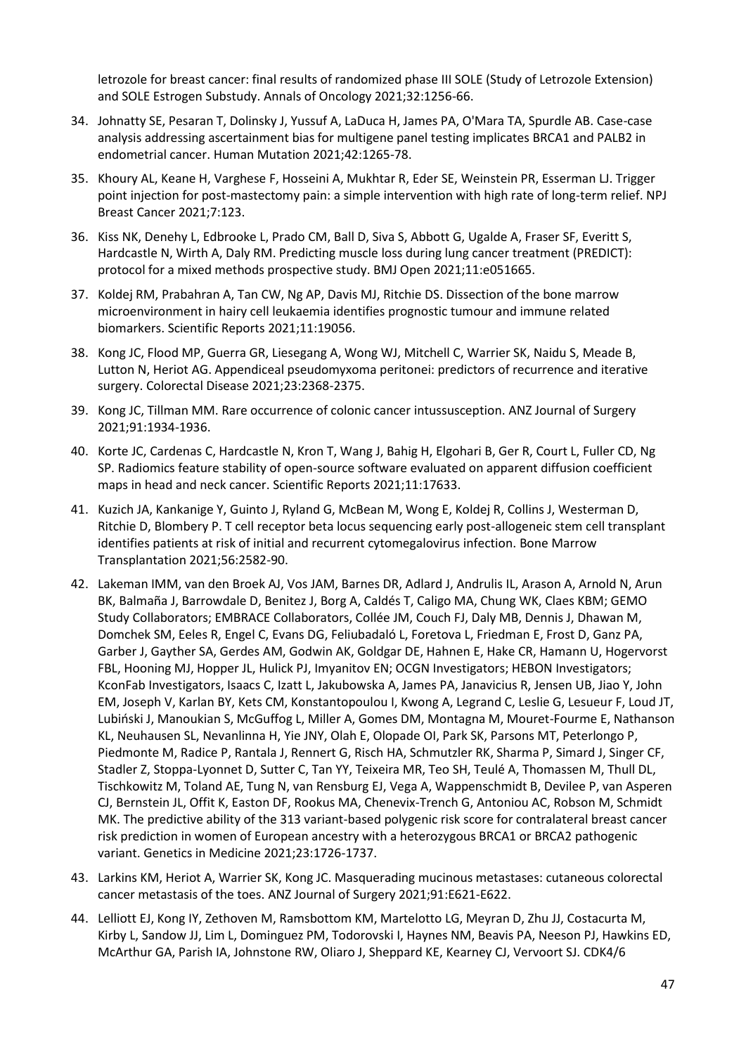letrozole for breast cancer: final results of randomized phase III SOLE (Study of Letrozole Extension) and SOLE Estrogen Substudy. Annals of Oncology 2021;32:1256-66.

- 34. Johnatty SE, Pesaran T, Dolinsky J, Yussuf A, LaDuca H, James PA, O'Mara TA, Spurdle AB. Case-case analysis addressing ascertainment bias for multigene panel testing implicates BRCA1 and PALB2 in endometrial cancer. Human Mutation 2021;42:1265-78.
- 35. Khoury AL, Keane H, Varghese F, Hosseini A, Mukhtar R, Eder SE, Weinstein PR, Esserman LJ. Trigger point injection for post-mastectomy pain: a simple intervention with high rate of long-term relief. NPJ Breast Cancer 2021;7:123.
- 36. Kiss NK, Denehy L, Edbrooke L, Prado CM, Ball D, Siva S, Abbott G, Ugalde A, Fraser SF, Everitt S, Hardcastle N, Wirth A, Daly RM. Predicting muscle loss during lung cancer treatment (PREDICT): protocol for a mixed methods prospective study. BMJ Open 2021;11:e051665.
- 37. Koldej RM, Prabahran A, Tan CW, Ng AP, Davis MJ, Ritchie DS. Dissection of the bone marrow microenvironment in hairy cell leukaemia identifies prognostic tumour and immune related biomarkers. Scientific Reports 2021;11:19056.
- 38. Kong JC, Flood MP, Guerra GR, Liesegang A, Wong WJ, Mitchell C, Warrier SK, Naidu S, Meade B, Lutton N, Heriot AG. Appendiceal pseudomyxoma peritonei: predictors of recurrence and iterative surgery. Colorectal Disease 2021;23:2368-2375.
- 39. Kong JC, Tillman MM. Rare occurrence of colonic cancer intussusception. ANZ Journal of Surgery 2021;91:1934-1936.
- 40. Korte JC, Cardenas C, Hardcastle N, Kron T, Wang J, Bahig H, Elgohari B, Ger R, Court L, Fuller CD, Ng SP. Radiomics feature stability of open-source software evaluated on apparent diffusion coefficient maps in head and neck cancer. Scientific Reports 2021;11:17633.
- 41. Kuzich JA, Kankanige Y, Guinto J, Ryland G, McBean M, Wong E, Koldej R, Collins J, Westerman D, Ritchie D, Blombery P. T cell receptor beta locus sequencing early post-allogeneic stem cell transplant identifies patients at risk of initial and recurrent cytomegalovirus infection. Bone Marrow Transplantation 2021;56:2582-90.
- 42. Lakeman IMM, van den Broek AJ, Vos JAM, Barnes DR, Adlard J, Andrulis IL, Arason A, Arnold N, Arun BK, Balmaña J, Barrowdale D, Benitez J, Borg A, Caldés T, Caligo MA, Chung WK, Claes KBM; GEMO Study Collaborators; EMBRACE Collaborators, Collée JM, Couch FJ, Daly MB, Dennis J, Dhawan M, Domchek SM, Eeles R, Engel C, Evans DG, Feliubadaló L, Foretova L, Friedman E, Frost D, Ganz PA, Garber J, Gayther SA, Gerdes AM, Godwin AK, Goldgar DE, Hahnen E, Hake CR, Hamann U, Hogervorst FBL, Hooning MJ, Hopper JL, Hulick PJ, Imyanitov EN; OCGN Investigators; HEBON Investigators; KconFab Investigators, Isaacs C, Izatt L, Jakubowska A, James PA, Janavicius R, Jensen UB, Jiao Y, John EM, Joseph V, Karlan BY, Kets CM, Konstantopoulou I, Kwong A, Legrand C, Leslie G, Lesueur F, Loud JT, Lubiński J, Manoukian S, McGuffog L, Miller A, Gomes DM, Montagna M, Mouret-Fourme E, Nathanson KL, Neuhausen SL, Nevanlinna H, Yie JNY, Olah E, Olopade OI, Park SK, Parsons MT, Peterlongo P, Piedmonte M, Radice P, Rantala J, Rennert G, Risch HA, Schmutzler RK, Sharma P, Simard J, Singer CF, Stadler Z, Stoppa-Lyonnet D, Sutter C, Tan YY, Teixeira MR, Teo SH, Teulé A, Thomassen M, Thull DL, Tischkowitz M, Toland AE, Tung N, van Rensburg EJ, Vega A, Wappenschmidt B, Devilee P, van Asperen CJ, Bernstein JL, Offit K, Easton DF, Rookus MA, Chenevix-Trench G, Antoniou AC, Robson M, Schmidt MK. The predictive ability of the 313 variant-based polygenic risk score for contralateral breast cancer risk prediction in women of European ancestry with a heterozygous BRCA1 or BRCA2 pathogenic variant. Genetics in Medicine 2021;23:1726-1737.
- 43. Larkins KM, Heriot A, Warrier SK, Kong JC. Masquerading mucinous metastases: cutaneous colorectal cancer metastasis of the toes. ANZ Journal of Surgery 2021;91:E621-E622.
- 44. Lelliott EJ, Kong IY, Zethoven M, Ramsbottom KM, Martelotto LG, Meyran D, Zhu JJ, Costacurta M, Kirby L, Sandow JJ, Lim L, Dominguez PM, Todorovski I, Haynes NM, Beavis PA, Neeson PJ, Hawkins ED, McArthur GA, Parish IA, Johnstone RW, Oliaro J, Sheppard KE, Kearney CJ, Vervoort SJ. CDK4/6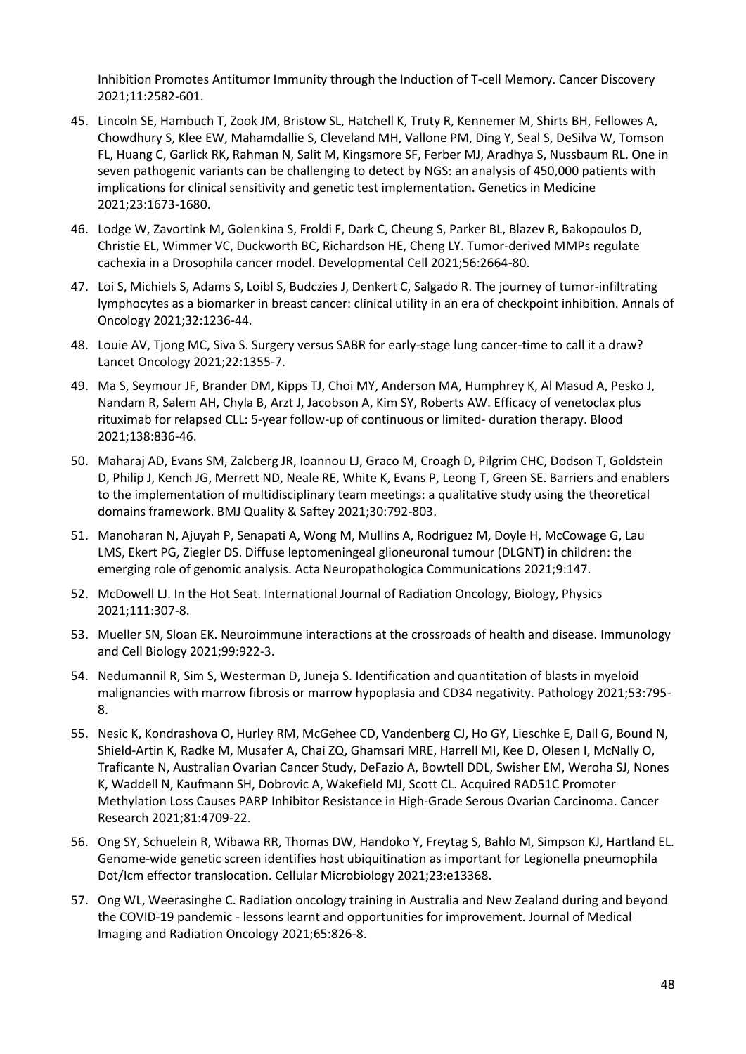Inhibition Promotes Antitumor Immunity through the Induction of T-cell Memory. Cancer Discovery 2021;11:2582-601.

- 45. Lincoln SE, Hambuch T, Zook JM, Bristow SL, Hatchell K, Truty R, Kennemer M, Shirts BH, Fellowes A, Chowdhury S, Klee EW, Mahamdallie S, Cleveland MH, Vallone PM, Ding Y, Seal S, DeSilva W, Tomson FL, Huang C, Garlick RK, Rahman N, Salit M, Kingsmore SF, Ferber MJ, Aradhya S, Nussbaum RL. One in seven pathogenic variants can be challenging to detect by NGS: an analysis of 450,000 patients with implications for clinical sensitivity and genetic test implementation. Genetics in Medicine 2021;23:1673-1680.
- 46. Lodge W, Zavortink M, Golenkina S, Froldi F, Dark C, Cheung S, Parker BL, Blazev R, Bakopoulos D, Christie EL, Wimmer VC, Duckworth BC, Richardson HE, Cheng LY. Tumor-derived MMPs regulate cachexia in a Drosophila cancer model. Developmental Cell 2021;56:2664-80.
- 47. Loi S, Michiels S, Adams S, Loibl S, Budczies J, Denkert C, Salgado R. The journey of tumor-infiltrating lymphocytes as a biomarker in breast cancer: clinical utility in an era of checkpoint inhibition. Annals of Oncology 2021;32:1236-44.
- 48. Louie AV, Tjong MC, Siva S. Surgery versus SABR for early-stage lung cancer-time to call it a draw? Lancet Oncology 2021;22:1355-7.
- 49. Ma S, Seymour JF, Brander DM, Kipps TJ, Choi MY, Anderson MA, Humphrey K, Al Masud A, Pesko J, Nandam R, Salem AH, Chyla B, Arzt J, Jacobson A, Kim SY, Roberts AW. Efficacy of venetoclax plus rituximab for relapsed CLL: 5-year follow-up of continuous or limited- duration therapy. Blood 2021;138:836-46.
- 50. Maharaj AD, Evans SM, Zalcberg JR, Ioannou LJ, Graco M, Croagh D, Pilgrim CHC, Dodson T, Goldstein D, Philip J, Kench JG, Merrett ND, Neale RE, White K, Evans P, Leong T, Green SE. Barriers and enablers to the implementation of multidisciplinary team meetings: a qualitative study using the theoretical domains framework. BMJ Quality & Saftey 2021;30:792-803.
- 51. Manoharan N, Ajuyah P, Senapati A, Wong M, Mullins A, Rodriguez M, Doyle H, McCowage G, Lau LMS, Ekert PG, Ziegler DS. Diffuse leptomeningeal glioneuronal tumour (DLGNT) in children: the emerging role of genomic analysis. Acta Neuropathologica Communications 2021;9:147.
- 52. McDowell LJ. In the Hot Seat. International Journal of Radiation Oncology, Biology, Physics 2021;111:307-8.
- 53. Mueller SN, Sloan EK. Neuroimmune interactions at the crossroads of health and disease. Immunology and Cell Biology 2021;99:922-3.
- 54. Nedumannil R, Sim S, Westerman D, Juneja S. Identification and quantitation of blasts in myeloid malignancies with marrow fibrosis or marrow hypoplasia and CD34 negativity. Pathology 2021;53:795- 8.
- 55. Nesic K, Kondrashova O, Hurley RM, McGehee CD, Vandenberg CJ, Ho GY, Lieschke E, Dall G, Bound N, Shield-Artin K, Radke M, Musafer A, Chai ZQ, Ghamsari MRE, Harrell MI, Kee D, Olesen I, McNally O, Traficante N, Australian Ovarian Cancer Study, DeFazio A, Bowtell DDL, Swisher EM, Weroha SJ, Nones K, Waddell N, Kaufmann SH, Dobrovic A, Wakefield MJ, Scott CL. Acquired RAD51C Promoter Methylation Loss Causes PARP Inhibitor Resistance in High-Grade Serous Ovarian Carcinoma. Cancer Research 2021;81:4709-22.
- 56. Ong SY, Schuelein R, Wibawa RR, Thomas DW, Handoko Y, Freytag S, Bahlo M, Simpson KJ, Hartland EL. Genome-wide genetic screen identifies host ubiquitination as important for Legionella pneumophila Dot/Icm effector translocation. Cellular Microbiology 2021;23:e13368.
- 57. Ong WL, Weerasinghe C. Radiation oncology training in Australia and New Zealand during and beyond the COVID-19 pandemic - lessons learnt and opportunities for improvement. Journal of Medical Imaging and Radiation Oncology 2021;65:826-8.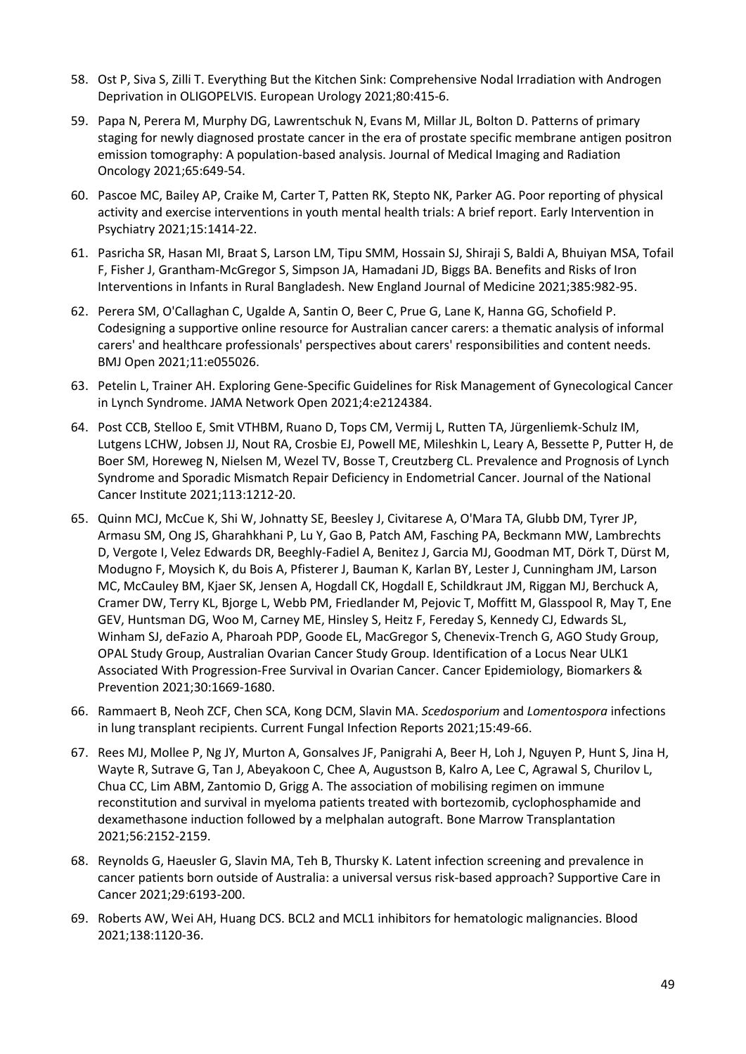- 58. Ost P, Siva S, Zilli T. Everything But the Kitchen Sink: Comprehensive Nodal Irradiation with Androgen Deprivation in OLIGOPELVIS. European Urology 2021;80:415-6.
- 59. Papa N, Perera M, Murphy DG, Lawrentschuk N, Evans M, Millar JL, Bolton D. Patterns of primary staging for newly diagnosed prostate cancer in the era of prostate specific membrane antigen positron emission tomography: A population-based analysis. Journal of Medical Imaging and Radiation Oncology 2021;65:649-54.
- 60. Pascoe MC, Bailey AP, Craike M, Carter T, Patten RK, Stepto NK, Parker AG. Poor reporting of physical activity and exercise interventions in youth mental health trials: A brief report. Early Intervention in Psychiatry 2021;15:1414-22.
- 61. Pasricha SR, Hasan MI, Braat S, Larson LM, Tipu SMM, Hossain SJ, Shiraji S, Baldi A, Bhuiyan MSA, Tofail F, Fisher J, Grantham-McGregor S, Simpson JA, Hamadani JD, Biggs BA. Benefits and Risks of Iron Interventions in Infants in Rural Bangladesh. New England Journal of Medicine 2021;385:982-95.
- 62. Perera SM, O'Callaghan C, Ugalde A, Santin O, Beer C, Prue G, Lane K, Hanna GG, Schofield P. Codesigning a supportive online resource for Australian cancer carers: a thematic analysis of informal carers' and healthcare professionals' perspectives about carers' responsibilities and content needs. BMJ Open 2021;11:e055026.
- 63. Petelin L, Trainer AH. Exploring Gene-Specific Guidelines for Risk Management of Gynecological Cancer in Lynch Syndrome. JAMA Network Open 2021;4:e2124384.
- 64. Post CCB, Stelloo E, Smit VTHBM, Ruano D, Tops CM, Vermij L, Rutten TA, Jürgenliemk-Schulz IM, Lutgens LCHW, Jobsen JJ, Nout RA, Crosbie EJ, Powell ME, Mileshkin L, Leary A, Bessette P, Putter H, de Boer SM, Horeweg N, Nielsen M, Wezel TV, Bosse T, Creutzberg CL. Prevalence and Prognosis of Lynch Syndrome and Sporadic Mismatch Repair Deficiency in Endometrial Cancer. Journal of the National Cancer Institute 2021;113:1212-20.
- 65. Quinn MCJ, McCue K, Shi W, Johnatty SE, Beesley J, Civitarese A, O'Mara TA, Glubb DM, Tyrer JP, Armasu SM, Ong JS, Gharahkhani P, Lu Y, Gao B, Patch AM, Fasching PA, Beckmann MW, Lambrechts D, Vergote I, Velez Edwards DR, Beeghly-Fadiel A, Benitez J, Garcia MJ, Goodman MT, Dörk T, Dürst M, Modugno F, Moysich K, du Bois A, Pfisterer J, Bauman K, Karlan BY, Lester J, Cunningham JM, Larson MC, McCauley BM, Kjaer SK, Jensen A, Hogdall CK, Hogdall E, Schildkraut JM, Riggan MJ, Berchuck A, Cramer DW, Terry KL, Bjorge L, Webb PM, Friedlander M, Pejovic T, Moffitt M, Glasspool R, May T, Ene GEV, Huntsman DG, Woo M, Carney ME, Hinsley S, Heitz F, Fereday S, Kennedy CJ, Edwards SL, Winham SJ, deFazio A, Pharoah PDP, Goode EL, MacGregor S, Chenevix-Trench G, AGO Study Group, OPAL Study Group, Australian Ovarian Cancer Study Group. Identification of a Locus Near ULK1 Associated With Progression-Free Survival in Ovarian Cancer. Cancer Epidemiology, Biomarkers & Prevention 2021;30:1669-1680.
- 66. Rammaert B, Neoh ZCF, Chen SCA, Kong DCM, Slavin MA. *Scedosporium* and *Lomentospora* infections in lung transplant recipients. Current Fungal Infection Reports 2021;15:49-66.
- 67. Rees MJ, Mollee P, Ng JY, Murton A, Gonsalves JF, Panigrahi A, Beer H, Loh J, Nguyen P, Hunt S, Jina H, Wayte R, Sutrave G, Tan J, Abeyakoon C, Chee A, Augustson B, Kalro A, Lee C, Agrawal S, Churilov L, Chua CC, Lim ABM, Zantomio D, Grigg A. The association of mobilising regimen on immune reconstitution and survival in myeloma patients treated with bortezomib, cyclophosphamide and dexamethasone induction followed by a melphalan autograft. Bone Marrow Transplantation 2021;56:2152-2159.
- 68. Reynolds G, Haeusler G, Slavin MA, Teh B, Thursky K. Latent infection screening and prevalence in cancer patients born outside of Australia: a universal versus risk-based approach? Supportive Care in Cancer 2021;29:6193-200.
- 69. Roberts AW, Wei AH, Huang DCS. BCL2 and MCL1 inhibitors for hematologic malignancies. Blood 2021;138:1120-36.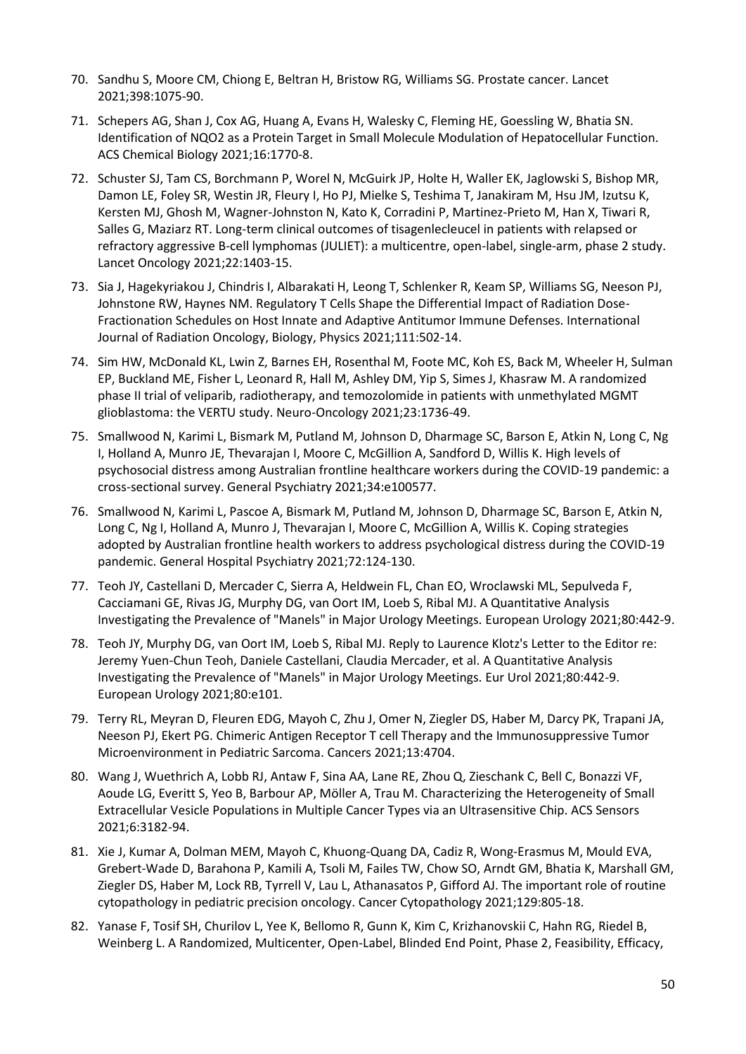- 70. Sandhu S, Moore CM, Chiong E, Beltran H, Bristow RG, Williams SG. Prostate cancer. Lancet 2021;398:1075-90.
- 71. Schepers AG, Shan J, Cox AG, Huang A, Evans H, Walesky C, Fleming HE, Goessling W, Bhatia SN. Identification of NQO2 as a Protein Target in Small Molecule Modulation of Hepatocellular Function. ACS Chemical Biology 2021;16:1770-8.
- 72. Schuster SJ, Tam CS, Borchmann P, Worel N, McGuirk JP, Holte H, Waller EK, Jaglowski S, Bishop MR, Damon LE, Foley SR, Westin JR, Fleury I, Ho PJ, Mielke S, Teshima T, Janakiram M, Hsu JM, Izutsu K, Kersten MJ, Ghosh M, Wagner-Johnston N, Kato K, Corradini P, Martinez-Prieto M, Han X, Tiwari R, Salles G, Maziarz RT. Long-term clinical outcomes of tisagenlecleucel in patients with relapsed or refractory aggressive B-cell lymphomas (JULIET): a multicentre, open-label, single-arm, phase 2 study. Lancet Oncology 2021;22:1403-15.
- 73. Sia J, Hagekyriakou J, Chindris I, Albarakati H, Leong T, Schlenker R, Keam SP, Williams SG, Neeson PJ, Johnstone RW, Haynes NM. Regulatory T Cells Shape the Differential Impact of Radiation Dose-Fractionation Schedules on Host Innate and Adaptive Antitumor Immune Defenses. International Journal of Radiation Oncology, Biology, Physics 2021;111:502-14.
- 74. Sim HW, McDonald KL, Lwin Z, Barnes EH, Rosenthal M, Foote MC, Koh ES, Back M, Wheeler H, Sulman EP, Buckland ME, Fisher L, Leonard R, Hall M, Ashley DM, Yip S, Simes J, Khasraw M. A randomized phase II trial of veliparib, radiotherapy, and temozolomide in patients with unmethylated MGMT glioblastoma: the VERTU study. Neuro-Oncology 2021;23:1736-49.
- 75. Smallwood N, Karimi L, Bismark M, Putland M, Johnson D, Dharmage SC, Barson E, Atkin N, Long C, Ng I, Holland A, Munro JE, Thevarajan I, Moore C, McGillion A, Sandford D, Willis K. High levels of psychosocial distress among Australian frontline healthcare workers during the COVID-19 pandemic: a cross-sectional survey. General Psychiatry 2021;34:e100577.
- 76. Smallwood N, Karimi L, Pascoe A, Bismark M, Putland M, Johnson D, Dharmage SC, Barson E, Atkin N, Long C, Ng I, Holland A, Munro J, Thevarajan I, Moore C, McGillion A, Willis K. Coping strategies adopted by Australian frontline health workers to address psychological distress during the COVID-19 pandemic. General Hospital Psychiatry 2021;72:124-130.
- 77. Teoh JY, Castellani D, Mercader C, Sierra A, Heldwein FL, Chan EO, Wroclawski ML, Sepulveda F, Cacciamani GE, Rivas JG, Murphy DG, van Oort IM, Loeb S, Ribal MJ. A Quantitative Analysis Investigating the Prevalence of "Manels" in Major Urology Meetings. European Urology 2021;80:442-9.
- 78. Teoh JY, Murphy DG, van Oort IM, Loeb S, Ribal MJ. Reply to Laurence Klotz's Letter to the Editor re: Jeremy Yuen-Chun Teoh, Daniele Castellani, Claudia Mercader, et al. A Quantitative Analysis Investigating the Prevalence of "Manels" in Major Urology Meetings. Eur Urol 2021;80:442-9. European Urology 2021;80:e101.
- 79. Terry RL, Meyran D, Fleuren EDG, Mayoh C, Zhu J, Omer N, Ziegler DS, Haber M, Darcy PK, Trapani JA, Neeson PJ, Ekert PG. Chimeric Antigen Receptor T cell Therapy and the Immunosuppressive Tumor Microenvironment in Pediatric Sarcoma. Cancers 2021;13:4704.
- 80. Wang J, Wuethrich A, Lobb RJ, Antaw F, Sina AA, Lane RE, Zhou Q, Zieschank C, Bell C, Bonazzi VF, Aoude LG, Everitt S, Yeo B, Barbour AP, Möller A, Trau M. Characterizing the Heterogeneity of Small Extracellular Vesicle Populations in Multiple Cancer Types via an Ultrasensitive Chip. ACS Sensors 2021;6:3182-94.
- 81. Xie J, Kumar A, Dolman MEM, Mayoh C, Khuong-Quang DA, Cadiz R, Wong-Erasmus M, Mould EVA, Grebert-Wade D, Barahona P, Kamili A, Tsoli M, Failes TW, Chow SO, Arndt GM, Bhatia K, Marshall GM, Ziegler DS, Haber M, Lock RB, Tyrrell V, Lau L, Athanasatos P, Gifford AJ. The important role of routine cytopathology in pediatric precision oncology. Cancer Cytopathology 2021;129:805-18.
- 82. Yanase F, Tosif SH, Churilov L, Yee K, Bellomo R, Gunn K, Kim C, Krizhanovskii C, Hahn RG, Riedel B, Weinberg L. A Randomized, Multicenter, Open-Label, Blinded End Point, Phase 2, Feasibility, Efficacy,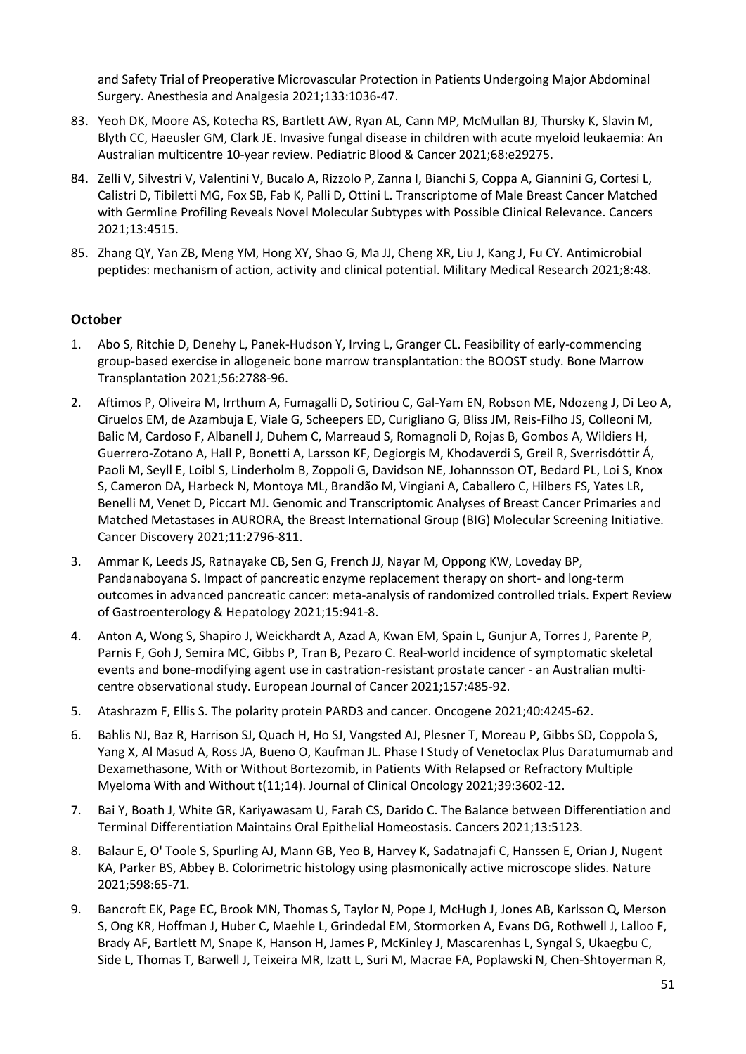and Safety Trial of Preoperative Microvascular Protection in Patients Undergoing Major Abdominal Surgery. Anesthesia and Analgesia 2021;133:1036-47.

- 83. Yeoh DK, Moore AS, Kotecha RS, Bartlett AW, Ryan AL, Cann MP, McMullan BJ, Thursky K, Slavin M, Blyth CC, Haeusler GM, Clark JE. Invasive fungal disease in children with acute myeloid leukaemia: An Australian multicentre 10-year review. Pediatric Blood & Cancer 2021;68:e29275.
- 84. Zelli V, Silvestri V, Valentini V, Bucalo A, Rizzolo P, Zanna I, Bianchi S, Coppa A, Giannini G, Cortesi L, Calistri D, Tibiletti MG, Fox SB, Fab K, Palli D, Ottini L. Transcriptome of Male Breast Cancer Matched with Germline Profiling Reveals Novel Molecular Subtypes with Possible Clinical Relevance. Cancers 2021;13:4515.
- 85. Zhang QY, Yan ZB, Meng YM, Hong XY, Shao G, Ma JJ, Cheng XR, Liu J, Kang J, Fu CY. Antimicrobial peptides: mechanism of action, activity and clinical potential. Military Medical Research 2021;8:48.

## **October**

- 1. Abo S, Ritchie D, Denehy L, Panek-Hudson Y, Irving L, Granger CL. Feasibility of early-commencing group-based exercise in allogeneic bone marrow transplantation: the BOOST study. Bone Marrow Transplantation 2021;56:2788-96.
- 2. Aftimos P, Oliveira M, Irrthum A, Fumagalli D, Sotiriou C, Gal-Yam EN, Robson ME, Ndozeng J, Di Leo A, Ciruelos EM, de Azambuja E, Viale G, Scheepers ED, Curigliano G, Bliss JM, Reis-Filho JS, Colleoni M, Balic M, Cardoso F, Albanell J, Duhem C, Marreaud S, Romagnoli D, Rojas B, Gombos A, Wildiers H, Guerrero-Zotano A, Hall P, Bonetti A, Larsson KF, Degiorgis M, Khodaverdi S, Greil R, Sverrisdóttir Á, Paoli M, Seyll E, Loibl S, Linderholm B, Zoppoli G, Davidson NE, Johannsson OT, Bedard PL, Loi S, Knox S, Cameron DA, Harbeck N, Montoya ML, Brandão M, Vingiani A, Caballero C, Hilbers FS, Yates LR, Benelli M, Venet D, Piccart MJ. Genomic and Transcriptomic Analyses of Breast Cancer Primaries and Matched Metastases in AURORA, the Breast International Group (BIG) Molecular Screening Initiative. Cancer Discovery 2021;11:2796-811.
- 3. Ammar K, Leeds JS, Ratnayake CB, Sen G, French JJ, Nayar M, Oppong KW, Loveday BP, Pandanaboyana S. Impact of pancreatic enzyme replacement therapy on short- and long-term outcomes in advanced pancreatic cancer: meta-analysis of randomized controlled trials. Expert Review of Gastroenterology & Hepatology 2021;15:941-8.
- 4. Anton A, Wong S, Shapiro J, Weickhardt A, Azad A, Kwan EM, Spain L, Gunjur A, Torres J, Parente P, Parnis F, Goh J, Semira MC, Gibbs P, Tran B, Pezaro C. Real-world incidence of symptomatic skeletal events and bone-modifying agent use in castration-resistant prostate cancer - an Australian multicentre observational study. European Journal of Cancer 2021;157:485-92.
- 5. Atashrazm F, Ellis S. The polarity protein PARD3 and cancer. Oncogene 2021;40:4245-62.
- 6. Bahlis NJ, Baz R, Harrison SJ, Quach H, Ho SJ, Vangsted AJ, Plesner T, Moreau P, Gibbs SD, Coppola S, Yang X, Al Masud A, Ross JA, Bueno O, Kaufman JL. Phase I Study of Venetoclax Plus Daratumumab and Dexamethasone, With or Without Bortezomib, in Patients With Relapsed or Refractory Multiple Myeloma With and Without t(11;14). Journal of Clinical Oncology 2021;39:3602-12.
- 7. Bai Y, Boath J, White GR, Kariyawasam U, Farah CS, Darido C. The Balance between Differentiation and Terminal Differentiation Maintains Oral Epithelial Homeostasis. Cancers 2021;13:5123.
- 8. Balaur E, O' Toole S, Spurling AJ, Mann GB, Yeo B, Harvey K, Sadatnajafi C, Hanssen E, Orian J, Nugent KA, Parker BS, Abbey B. Colorimetric histology using plasmonically active microscope slides. Nature 2021;598:65-71.
- 9. Bancroft EK, Page EC, Brook MN, Thomas S, Taylor N, Pope J, McHugh J, Jones AB, Karlsson Q, Merson S, Ong KR, Hoffman J, Huber C, Maehle L, Grindedal EM, Stormorken A, Evans DG, Rothwell J, Lalloo F, Brady AF, Bartlett M, Snape K, Hanson H, James P, McKinley J, Mascarenhas L, Syngal S, Ukaegbu C, Side L, Thomas T, Barwell J, Teixeira MR, Izatt L, Suri M, Macrae FA, Poplawski N, Chen-Shtoyerman R,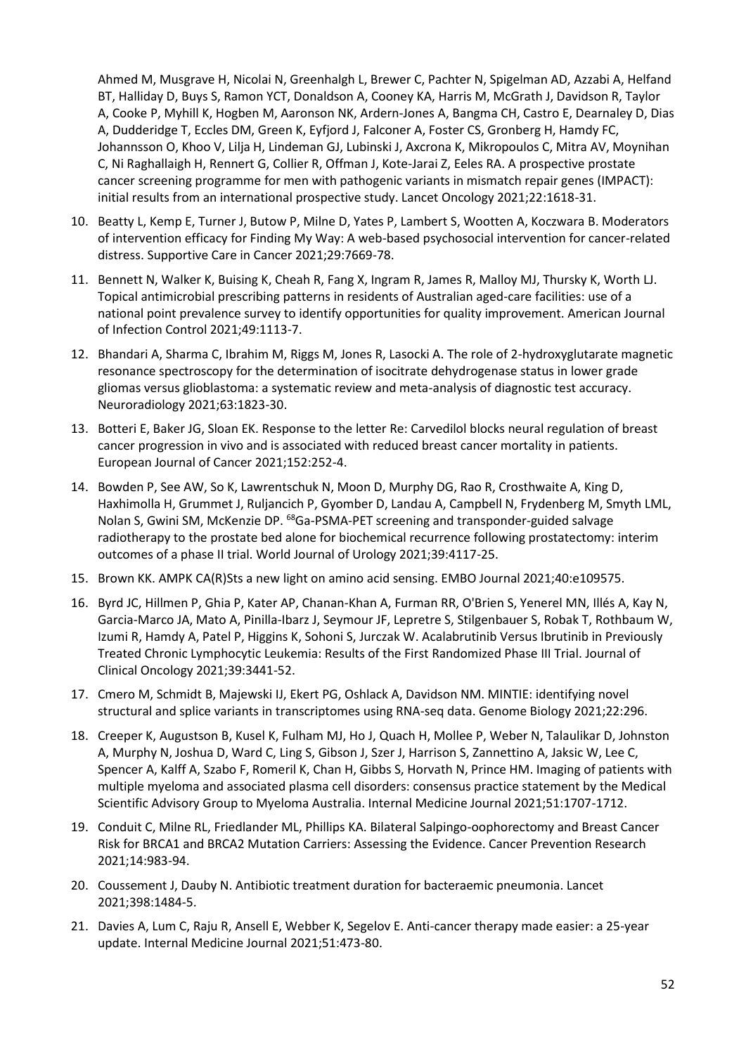Ahmed M, Musgrave H, Nicolai N, Greenhalgh L, Brewer C, Pachter N, Spigelman AD, Azzabi A, Helfand BT, Halliday D, Buys S, Ramon YCT, Donaldson A, Cooney KA, Harris M, McGrath J, Davidson R, Taylor A, Cooke P, Myhill K, Hogben M, Aaronson NK, Ardern-Jones A, Bangma CH, Castro E, Dearnaley D, Dias A, Dudderidge T, Eccles DM, Green K, Eyfjord J, Falconer A, Foster CS, Gronberg H, Hamdy FC, Johannsson O, Khoo V, Lilja H, Lindeman GJ, Lubinski J, Axcrona K, Mikropoulos C, Mitra AV, Moynihan C, Ni Raghallaigh H, Rennert G, Collier R, Offman J, Kote-Jarai Z, Eeles RA. A prospective prostate cancer screening programme for men with pathogenic variants in mismatch repair genes (IMPACT): initial results from an international prospective study. Lancet Oncology 2021;22:1618-31.

- 10. Beatty L, Kemp E, Turner J, Butow P, Milne D, Yates P, Lambert S, Wootten A, Koczwara B. Moderators of intervention efficacy for Finding My Way: A web-based psychosocial intervention for cancer-related distress. Supportive Care in Cancer 2021;29:7669-78.
- 11. Bennett N, Walker K, Buising K, Cheah R, Fang X, Ingram R, James R, Malloy MJ, Thursky K, Worth LJ. Topical antimicrobial prescribing patterns in residents of Australian aged-care facilities: use of a national point prevalence survey to identify opportunities for quality improvement. American Journal of Infection Control 2021;49:1113-7.
- 12. Bhandari A, Sharma C, Ibrahim M, Riggs M, Jones R, Lasocki A. The role of 2-hydroxyglutarate magnetic resonance spectroscopy for the determination of isocitrate dehydrogenase status in lower grade gliomas versus glioblastoma: a systematic review and meta-analysis of diagnostic test accuracy. Neuroradiology 2021;63:1823-30.
- 13. Botteri E, Baker JG, Sloan EK. Response to the letter Re: Carvedilol blocks neural regulation of breast cancer progression in vivo and is associated with reduced breast cancer mortality in patients. European Journal of Cancer 2021;152:252-4.
- 14. Bowden P, See AW, So K, Lawrentschuk N, Moon D, Murphy DG, Rao R, Crosthwaite A, King D, Haxhimolla H, Grummet J, Ruljancich P, Gyomber D, Landau A, Campbell N, Frydenberg M, Smyth LML, Nolan S, Gwini SM, McKenzie DP. <sup>68</sup>Ga-PSMA-PET screening and transponder-guided salvage radiotherapy to the prostate bed alone for biochemical recurrence following prostatectomy: interim outcomes of a phase II trial. World Journal of Urology 2021;39:4117-25.
- 15. Brown KK. AMPK CA(R)Sts a new light on amino acid sensing. EMBO Journal 2021;40:e109575.
- 16. Byrd JC, Hillmen P, Ghia P, Kater AP, Chanan-Khan A, Furman RR, O'Brien S, Yenerel MN, Illés A, Kay N, Garcia-Marco JA, Mato A, Pinilla-Ibarz J, Seymour JF, Lepretre S, Stilgenbauer S, Robak T, Rothbaum W, Izumi R, Hamdy A, Patel P, Higgins K, Sohoni S, Jurczak W. Acalabrutinib Versus Ibrutinib in Previously Treated Chronic Lymphocytic Leukemia: Results of the First Randomized Phase III Trial. Journal of Clinical Oncology 2021;39:3441-52.
- 17. Cmero M, Schmidt B, Majewski IJ, Ekert PG, Oshlack A, Davidson NM. MINTIE: identifying novel structural and splice variants in transcriptomes using RNA-seq data. Genome Biology 2021;22:296.
- 18. Creeper K, Augustson B, Kusel K, Fulham MJ, Ho J, Quach H, Mollee P, Weber N, Talaulikar D, Johnston A, Murphy N, Joshua D, Ward C, Ling S, Gibson J, Szer J, Harrison S, Zannettino A, Jaksic W, Lee C, Spencer A, Kalff A, Szabo F, Romeril K, Chan H, Gibbs S, Horvath N, Prince HM. Imaging of patients with multiple myeloma and associated plasma cell disorders: consensus practice statement by the Medical Scientific Advisory Group to Myeloma Australia. Internal Medicine Journal 2021;51:1707-1712.
- 19. Conduit C, Milne RL, Friedlander ML, Phillips KA. Bilateral Salpingo-oophorectomy and Breast Cancer Risk for BRCA1 and BRCA2 Mutation Carriers: Assessing the Evidence. Cancer Prevention Research 2021;14:983-94.
- 20. Coussement J, Dauby N. Antibiotic treatment duration for bacteraemic pneumonia. Lancet 2021;398:1484-5.
- 21. Davies A, Lum C, Raju R, Ansell E, Webber K, Segelov E. Anti-cancer therapy made easier: a 25-year update. Internal Medicine Journal 2021;51:473-80.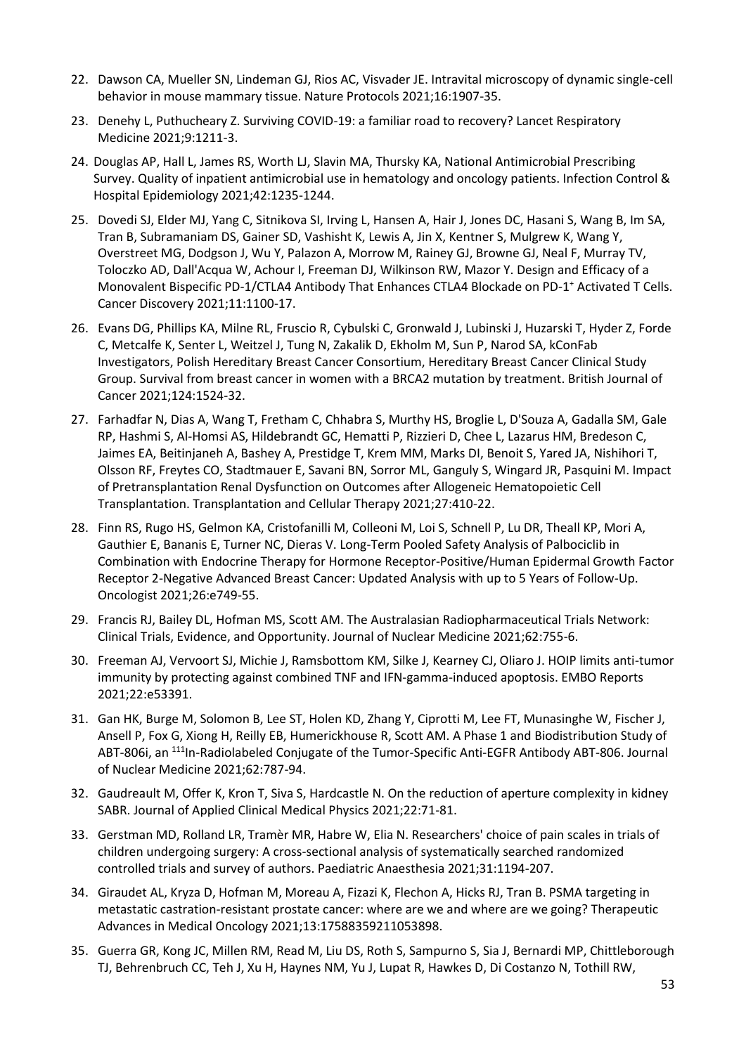- 22. Dawson CA, Mueller SN, Lindeman GJ, Rios AC, Visvader JE. Intravital microscopy of dynamic single-cell behavior in mouse mammary tissue. Nature Protocols 2021;16:1907-35.
- 23. Denehy L, Puthucheary Z. Surviving COVID-19: a familiar road to recovery? Lancet Respiratory Medicine 2021;9:1211-3.
- 24. Douglas AP, Hall L, James RS, Worth LJ, Slavin MA, Thursky KA, National Antimicrobial Prescribing Survey. Quality of inpatient antimicrobial use in hematology and oncology patients. Infection Control & Hospital Epidemiology 2021;42:1235-1244.
- 25. Dovedi SJ, Elder MJ, Yang C, Sitnikova SI, Irving L, Hansen A, Hair J, Jones DC, Hasani S, Wang B, Im SA, Tran B, Subramaniam DS, Gainer SD, Vashisht K, Lewis A, Jin X, Kentner S, Mulgrew K, Wang Y, Overstreet MG, Dodgson J, Wu Y, Palazon A, Morrow M, Rainey GJ, Browne GJ, Neal F, Murray TV, Toloczko AD, Dall'Acqua W, Achour I, Freeman DJ, Wilkinson RW, Mazor Y. Design and Efficacy of a Monovalent Bispecific PD-1/CTLA4 Antibody That Enhances CTLA4 Blockade on PD-1 <sup>+</sup> Activated T Cells. Cancer Discovery 2021;11:1100-17.
- 26. Evans DG, Phillips KA, Milne RL, Fruscio R, Cybulski C, Gronwald J, Lubinski J, Huzarski T, Hyder Z, Forde C, Metcalfe K, Senter L, Weitzel J, Tung N, Zakalik D, Ekholm M, Sun P, Narod SA, kConFab Investigators, Polish Hereditary Breast Cancer Consortium, Hereditary Breast Cancer Clinical Study Group. Survival from breast cancer in women with a BRCA2 mutation by treatment. British Journal of Cancer 2021;124:1524-32.
- 27. Farhadfar N, Dias A, Wang T, Fretham C, Chhabra S, Murthy HS, Broglie L, D'Souza A, Gadalla SM, Gale RP, Hashmi S, Al-Homsi AS, Hildebrandt GC, Hematti P, Rizzieri D, Chee L, Lazarus HM, Bredeson C, Jaimes EA, Beitinjaneh A, Bashey A, Prestidge T, Krem MM, Marks DI, Benoit S, Yared JA, Nishihori T, Olsson RF, Freytes CO, Stadtmauer E, Savani BN, Sorror ML, Ganguly S, Wingard JR, Pasquini M. Impact of Pretransplantation Renal Dysfunction on Outcomes after Allogeneic Hematopoietic Cell Transplantation. Transplantation and Cellular Therapy 2021;27:410-22.
- 28. Finn RS, Rugo HS, Gelmon KA, Cristofanilli M, Colleoni M, Loi S, Schnell P, Lu DR, Theall KP, Mori A, Gauthier E, Bananis E, Turner NC, Dieras V. Long-Term Pooled Safety Analysis of Palbociclib in Combination with Endocrine Therapy for Hormone Receptor-Positive/Human Epidermal Growth Factor Receptor 2-Negative Advanced Breast Cancer: Updated Analysis with up to 5 Years of Follow-Up. Oncologist 2021;26:e749-55.
- 29. Francis RJ, Bailey DL, Hofman MS, Scott AM. The Australasian Radiopharmaceutical Trials Network: Clinical Trials, Evidence, and Opportunity. Journal of Nuclear Medicine 2021;62:755-6.
- 30. Freeman AJ, Vervoort SJ, Michie J, Ramsbottom KM, Silke J, Kearney CJ, Oliaro J. HOIP limits anti-tumor immunity by protecting against combined TNF and IFN-gamma-induced apoptosis. EMBO Reports 2021;22:e53391.
- 31. Gan HK, Burge M, Solomon B, Lee ST, Holen KD, Zhang Y, Ciprotti M, Lee FT, Munasinghe W, Fischer J, Ansell P, Fox G, Xiong H, Reilly EB, Humerickhouse R, Scott AM. A Phase 1 and Biodistribution Study of ABT-806i, an <sup>111</sup>In-Radiolabeled Conjugate of the Tumor-Specific Anti-EGFR Antibody ABT-806. Journal of Nuclear Medicine 2021;62:787-94.
- 32. Gaudreault M, Offer K, Kron T, Siva S, Hardcastle N. On the reduction of aperture complexity in kidney SABR. Journal of Applied Clinical Medical Physics 2021;22:71-81.
- 33. Gerstman MD, Rolland LR, Tramèr MR, Habre W, Elia N. Researchers' choice of pain scales in trials of children undergoing surgery: A cross-sectional analysis of systematically searched randomized controlled trials and survey of authors. Paediatric Anaesthesia 2021;31:1194-207.
- 34. Giraudet AL, Kryza D, Hofman M, Moreau A, Fizazi K, Flechon A, Hicks RJ, Tran B. PSMA targeting in metastatic castration-resistant prostate cancer: where are we and where are we going? Therapeutic Advances in Medical Oncology 2021;13:17588359211053898.
- 35. Guerra GR, Kong JC, Millen RM, Read M, Liu DS, Roth S, Sampurno S, Sia J, Bernardi MP, Chittleborough TJ, Behrenbruch CC, Teh J, Xu H, Haynes NM, Yu J, Lupat R, Hawkes D, Di Costanzo N, Tothill RW,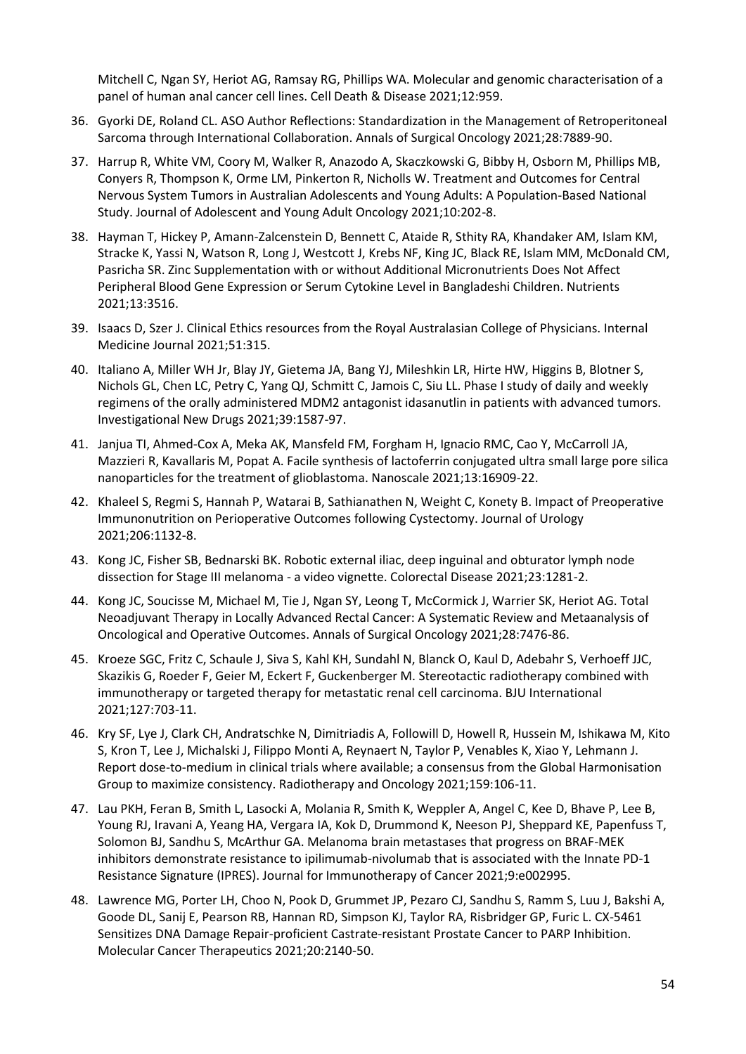Mitchell C, Ngan SY, Heriot AG, Ramsay RG, Phillips WA. Molecular and genomic characterisation of a panel of human anal cancer cell lines. Cell Death & Disease 2021;12:959.

- 36. Gyorki DE, Roland CL. ASO Author Reflections: Standardization in the Management of Retroperitoneal Sarcoma through International Collaboration. Annals of Surgical Oncology 2021;28:7889-90.
- 37. Harrup R, White VM, Coory M, Walker R, Anazodo A, Skaczkowski G, Bibby H, Osborn M, Phillips MB, Conyers R, Thompson K, Orme LM, Pinkerton R, Nicholls W. Treatment and Outcomes for Central Nervous System Tumors in Australian Adolescents and Young Adults: A Population-Based National Study. Journal of Adolescent and Young Adult Oncology 2021;10:202-8.
- 38. Hayman T, Hickey P, Amann-Zalcenstein D, Bennett C, Ataide R, Sthity RA, Khandaker AM, Islam KM, Stracke K, Yassi N, Watson R, Long J, Westcott J, Krebs NF, King JC, Black RE, Islam MM, McDonald CM, Pasricha SR. Zinc Supplementation with or without Additional Micronutrients Does Not Affect Peripheral Blood Gene Expression or Serum Cytokine Level in Bangladeshi Children. Nutrients 2021;13:3516.
- 39. Isaacs D, Szer J. Clinical Ethics resources from the Royal Australasian College of Physicians. Internal Medicine Journal 2021;51:315.
- 40. Italiano A, Miller WH Jr, Blay JY, Gietema JA, Bang YJ, Mileshkin LR, Hirte HW, Higgins B, Blotner S, Nichols GL, Chen LC, Petry C, Yang QJ, Schmitt C, Jamois C, Siu LL. Phase I study of daily and weekly regimens of the orally administered MDM2 antagonist idasanutlin in patients with advanced tumors. Investigational New Drugs 2021;39:1587-97.
- 41. Janjua TI, Ahmed-Cox A, Meka AK, Mansfeld FM, Forgham H, Ignacio RMC, Cao Y, McCarroll JA, Mazzieri R, Kavallaris M, Popat A. Facile synthesis of lactoferrin conjugated ultra small large pore silica nanoparticles for the treatment of glioblastoma. Nanoscale 2021;13:16909-22.
- 42. Khaleel S, Regmi S, Hannah P, Watarai B, Sathianathen N, Weight C, Konety B. Impact of Preoperative Immunonutrition on Perioperative Outcomes following Cystectomy. Journal of Urology 2021;206:1132-8.
- 43. Kong JC, Fisher SB, Bednarski BK. Robotic external iliac, deep inguinal and obturator lymph node dissection for Stage III melanoma - a video vignette. Colorectal Disease 2021;23:1281-2.
- 44. Kong JC, Soucisse M, Michael M, Tie J, Ngan SY, Leong T, McCormick J, Warrier SK, Heriot AG. Total Neoadjuvant Therapy in Locally Advanced Rectal Cancer: A Systematic Review and Metaanalysis of Oncological and Operative Outcomes. Annals of Surgical Oncology 2021;28:7476-86.
- 45. Kroeze SGC, Fritz C, Schaule J, Siva S, Kahl KH, Sundahl N, Blanck O, Kaul D, Adebahr S, Verhoeff JJC, Skazikis G, Roeder F, Geier M, Eckert F, Guckenberger M. Stereotactic radiotherapy combined with immunotherapy or targeted therapy for metastatic renal cell carcinoma. BJU International 2021;127:703-11.
- 46. Kry SF, Lye J, Clark CH, Andratschke N, Dimitriadis A, Followill D, Howell R, Hussein M, Ishikawa M, Kito S, Kron T, Lee J, Michalski J, Filippo Monti A, Reynaert N, Taylor P, Venables K, Xiao Y, Lehmann J. Report dose-to-medium in clinical trials where available; a consensus from the Global Harmonisation Group to maximize consistency. Radiotherapy and Oncology 2021;159:106-11.
- 47. Lau PKH, Feran B, Smith L, Lasocki A, Molania R, Smith K, Weppler A, Angel C, Kee D, Bhave P, Lee B, Young RJ, Iravani A, Yeang HA, Vergara IA, Kok D, Drummond K, Neeson PJ, Sheppard KE, Papenfuss T, Solomon BJ, Sandhu S, McArthur GA. Melanoma brain metastases that progress on BRAF-MEK inhibitors demonstrate resistance to ipilimumab-nivolumab that is associated with the Innate PD-1 Resistance Signature (IPRES). Journal for Immunotherapy of Cancer 2021;9:e002995.
- 48. Lawrence MG, Porter LH, Choo N, Pook D, Grummet JP, Pezaro CJ, Sandhu S, Ramm S, Luu J, Bakshi A, Goode DL, Sanij E, Pearson RB, Hannan RD, Simpson KJ, Taylor RA, Risbridger GP, Furic L. CX-5461 Sensitizes DNA Damage Repair-proficient Castrate-resistant Prostate Cancer to PARP Inhibition. Molecular Cancer Therapeutics 2021;20:2140-50.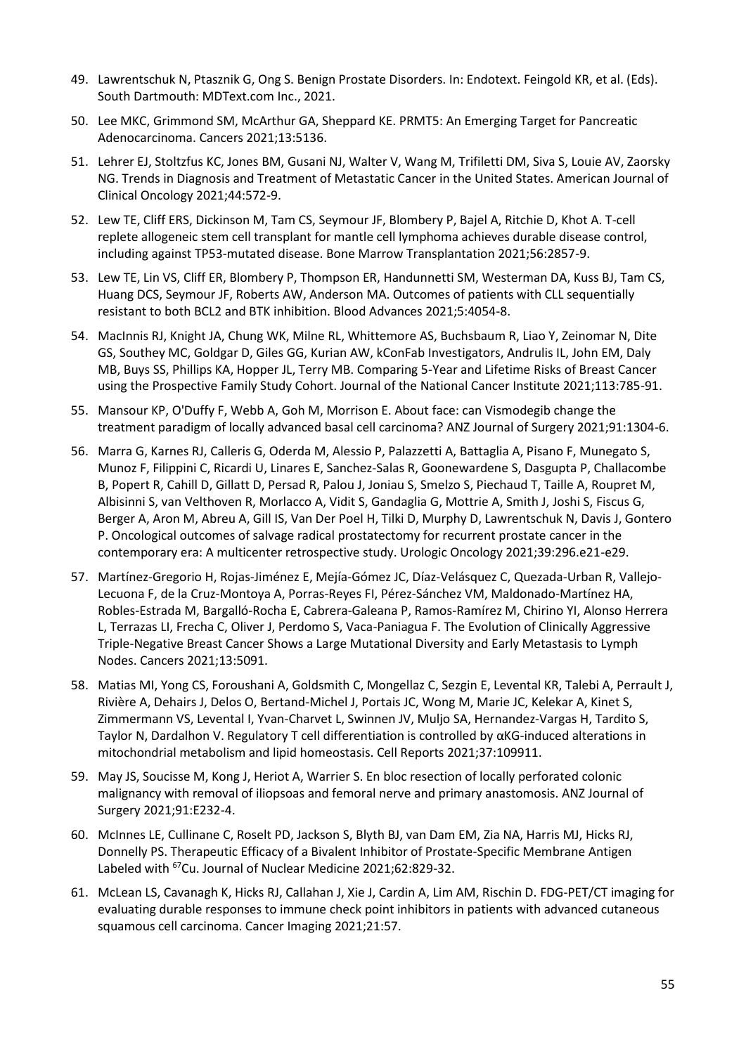- 49. Lawrentschuk N, Ptasznik G, Ong S. Benign Prostate Disorders. In: Endotext. Feingold KR, et al. (Eds). South Dartmouth: MDText.com Inc., 2021.
- 50. Lee MKC, Grimmond SM, McArthur GA, Sheppard KE. PRMT5: An Emerging Target for Pancreatic Adenocarcinoma. Cancers 2021;13:5136.
- 51. Lehrer EJ, Stoltzfus KC, Jones BM, Gusani NJ, Walter V, Wang M, Trifiletti DM, Siva S, Louie AV, Zaorsky NG. Trends in Diagnosis and Treatment of Metastatic Cancer in the United States. American Journal of Clinical Oncology 2021;44:572-9.
- 52. Lew TE, Cliff ERS, Dickinson M, Tam CS, Seymour JF, Blombery P, Bajel A, Ritchie D, Khot A. T-cell replete allogeneic stem cell transplant for mantle cell lymphoma achieves durable disease control, including against TP53-mutated disease. Bone Marrow Transplantation 2021;56:2857-9.
- 53. Lew TE, Lin VS, Cliff ER, Blombery P, Thompson ER, Handunnetti SM, Westerman DA, Kuss BJ, Tam CS, Huang DCS, Seymour JF, Roberts AW, Anderson MA. Outcomes of patients with CLL sequentially resistant to both BCL2 and BTK inhibition. Blood Advances 2021;5:4054-8.
- 54. MacInnis RJ, Knight JA, Chung WK, Milne RL, Whittemore AS, Buchsbaum R, Liao Y, Zeinomar N, Dite GS, Southey MC, Goldgar D, Giles GG, Kurian AW, kConFab Investigators, Andrulis IL, John EM, Daly MB, Buys SS, Phillips KA, Hopper JL, Terry MB. Comparing 5-Year and Lifetime Risks of Breast Cancer using the Prospective Family Study Cohort. Journal of the National Cancer Institute 2021;113:785-91.
- 55. Mansour KP, O'Duffy F, Webb A, Goh M, Morrison E. About face: can Vismodegib change the treatment paradigm of locally advanced basal cell carcinoma? ANZ Journal of Surgery 2021;91:1304-6.
- 56. Marra G, Karnes RJ, Calleris G, Oderda M, Alessio P, Palazzetti A, Battaglia A, Pisano F, Munegato S, Munoz F, Filippini C, Ricardi U, Linares E, Sanchez-Salas R, Goonewardene S, Dasgupta P, Challacombe B, Popert R, Cahill D, Gillatt D, Persad R, Palou J, Joniau S, Smelzo S, Piechaud T, Taille A, Roupret M, Albisinni S, van Velthoven R, Morlacco A, Vidit S, Gandaglia G, Mottrie A, Smith J, Joshi S, Fiscus G, Berger A, Aron M, Abreu A, Gill IS, Van Der Poel H, Tilki D, Murphy D, Lawrentschuk N, Davis J, Gontero P. Oncological outcomes of salvage radical prostatectomy for recurrent prostate cancer in the contemporary era: A multicenter retrospective study. Urologic Oncology 2021;39:296.e21-e29.
- 57. Martínez-Gregorio H, Rojas-Jiménez E, Mejía-Gómez JC, Díaz-Velásquez C, Quezada-Urban R, Vallejo-Lecuona F, de la Cruz-Montoya A, Porras-Reyes FI, Pérez-Sánchez VM, Maldonado-Martínez HA, Robles-Estrada M, Bargalló-Rocha E, Cabrera-Galeana P, Ramos-Ramírez M, Chirino YI, Alonso Herrera L, Terrazas LI, Frecha C, Oliver J, Perdomo S, Vaca-Paniagua F. The Evolution of Clinically Aggressive Triple-Negative Breast Cancer Shows a Large Mutational Diversity and Early Metastasis to Lymph Nodes. Cancers 2021;13:5091.
- 58. Matias MI, Yong CS, Foroushani A, Goldsmith C, Mongellaz C, Sezgin E, Levental KR, Talebi A, Perrault J, Rivière A, Dehairs J, Delos O, Bertand-Michel J, Portais JC, Wong M, Marie JC, Kelekar A, Kinet S, Zimmermann VS, Levental I, Yvan-Charvet L, Swinnen JV, Muljo SA, Hernandez-Vargas H, Tardito S, Taylor N, Dardalhon V. Regulatory T cell differentiation is controlled by αKG-induced alterations in mitochondrial metabolism and lipid homeostasis. Cell Reports 2021;37:109911.
- 59. May JS, Soucisse M, Kong J, Heriot A, Warrier S. En bloc resection of locally perforated colonic malignancy with removal of iliopsoas and femoral nerve and primary anastomosis. ANZ Journal of Surgery 2021;91:E232-4.
- 60. McInnes LE, Cullinane C, Roselt PD, Jackson S, Blyth BJ, van Dam EM, Zia NA, Harris MJ, Hicks RJ, Donnelly PS. Therapeutic Efficacy of a Bivalent Inhibitor of Prostate-Specific Membrane Antigen Labeled with <sup>67</sup>Cu. Journal of Nuclear Medicine 2021;62:829-32.
- 61. McLean LS, Cavanagh K, Hicks RJ, Callahan J, Xie J, Cardin A, Lim AM, Rischin D. FDG-PET/CT imaging for evaluating durable responses to immune check point inhibitors in patients with advanced cutaneous squamous cell carcinoma. Cancer Imaging 2021;21:57.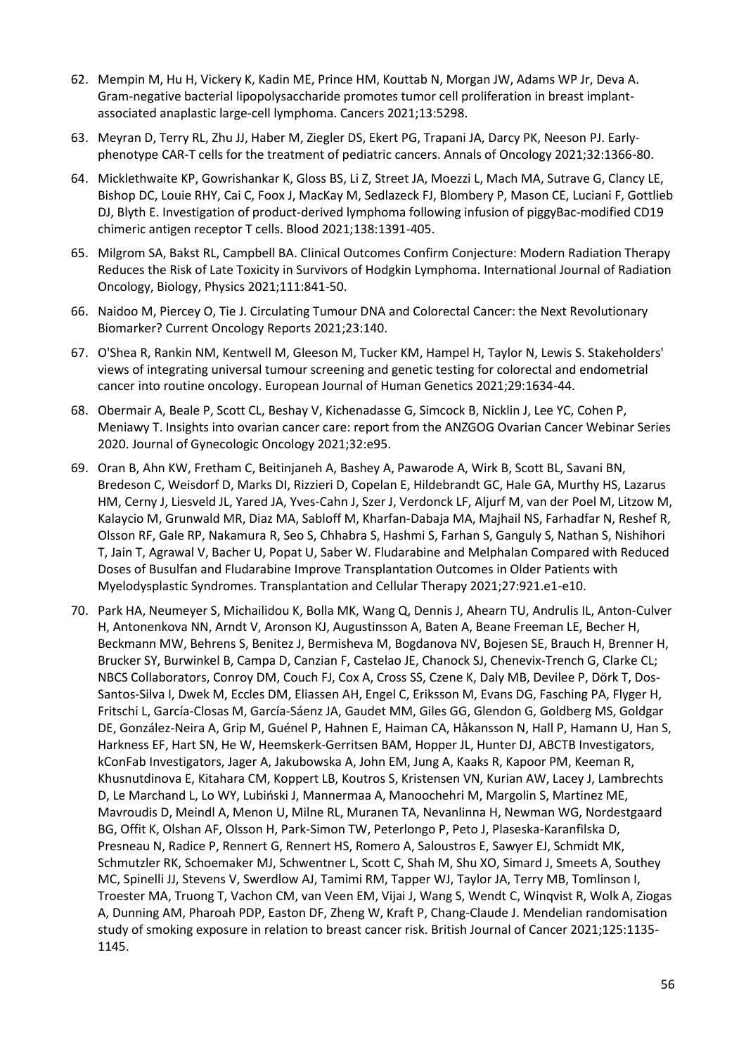- 62. Mempin M, Hu H, Vickery K, Kadin ME, Prince HM, Kouttab N, Morgan JW, Adams WP Jr, Deva A. Gram-negative bacterial lipopolysaccharide promotes tumor cell proliferation in breast implantassociated anaplastic large-cell lymphoma. Cancers 2021;13:5298.
- 63. Meyran D, Terry RL, Zhu JJ, Haber M, Ziegler DS, Ekert PG, Trapani JA, Darcy PK, Neeson PJ. Earlyphenotype CAR-T cells for the treatment of pediatric cancers. Annals of Oncology 2021;32:1366-80.
- 64. Micklethwaite KP, Gowrishankar K, Gloss BS, Li Z, Street JA, Moezzi L, Mach MA, Sutrave G, Clancy LE, Bishop DC, Louie RHY, Cai C, Foox J, MacKay M, Sedlazeck FJ, Blombery P, Mason CE, Luciani F, Gottlieb DJ, Blyth E. Investigation of product-derived lymphoma following infusion of piggyBac-modified CD19 chimeric antigen receptor T cells. Blood 2021;138:1391-405.
- 65. Milgrom SA, Bakst RL, Campbell BA. Clinical Outcomes Confirm Conjecture: Modern Radiation Therapy Reduces the Risk of Late Toxicity in Survivors of Hodgkin Lymphoma. International Journal of Radiation Oncology, Biology, Physics 2021;111:841-50.
- 66. Naidoo M, Piercey O, Tie J. Circulating Tumour DNA and Colorectal Cancer: the Next Revolutionary Biomarker? Current Oncology Reports 2021;23:140.
- 67. O'Shea R, Rankin NM, Kentwell M, Gleeson M, Tucker KM, Hampel H, Taylor N, Lewis S. Stakeholders' views of integrating universal tumour screening and genetic testing for colorectal and endometrial cancer into routine oncology. European Journal of Human Genetics 2021;29:1634-44.
- 68. Obermair A, Beale P, Scott CL, Beshay V, Kichenadasse G, Simcock B, Nicklin J, Lee YC, Cohen P, Meniawy T. Insights into ovarian cancer care: report from the ANZGOG Ovarian Cancer Webinar Series 2020. Journal of Gynecologic Oncology 2021;32:e95.
- 69. Oran B, Ahn KW, Fretham C, Beitinjaneh A, Bashey A, Pawarode A, Wirk B, Scott BL, Savani BN, Bredeson C, Weisdorf D, Marks DI, Rizzieri D, Copelan E, Hildebrandt GC, Hale GA, Murthy HS, Lazarus HM, Cerny J, Liesveld JL, Yared JA, Yves-Cahn J, Szer J, Verdonck LF, Aljurf M, van der Poel M, Litzow M, Kalaycio M, Grunwald MR, Diaz MA, Sabloff M, Kharfan-Dabaja MA, Majhail NS, Farhadfar N, Reshef R, Olsson RF, Gale RP, Nakamura R, Seo S, Chhabra S, Hashmi S, Farhan S, Ganguly S, Nathan S, Nishihori T, Jain T, Agrawal V, Bacher U, Popat U, Saber W. Fludarabine and Melphalan Compared with Reduced Doses of Busulfan and Fludarabine Improve Transplantation Outcomes in Older Patients with Myelodysplastic Syndromes. Transplantation and Cellular Therapy 2021;27:921.e1-e10.
- 70. Park HA, Neumeyer S, Michailidou K, Bolla MK, Wang Q, Dennis J, Ahearn TU, Andrulis IL, Anton-Culver H, Antonenkova NN, Arndt V, Aronson KJ, Augustinsson A, Baten A, Beane Freeman LE, Becher H, Beckmann MW, Behrens S, Benitez J, Bermisheva M, Bogdanova NV, Bojesen SE, Brauch H, Brenner H, Brucker SY, Burwinkel B, Campa D, Canzian F, Castelao JE, Chanock SJ, Chenevix-Trench G, Clarke CL; NBCS Collaborators, Conroy DM, Couch FJ, Cox A, Cross SS, Czene K, Daly MB, Devilee P, Dörk T, Dos-Santos-Silva I, Dwek M, Eccles DM, Eliassen AH, Engel C, Eriksson M, Evans DG, Fasching PA, Flyger H, Fritschi L, García-Closas M, García-Sáenz JA, Gaudet MM, Giles GG, Glendon G, Goldberg MS, Goldgar DE, González-Neira A, Grip M, Guénel P, Hahnen E, Haiman CA, Håkansson N, Hall P, Hamann U, Han S, Harkness EF, Hart SN, He W, Heemskerk-Gerritsen BAM, Hopper JL, Hunter DJ, ABCTB Investigators, kConFab Investigators, Jager A, Jakubowska A, John EM, Jung A, Kaaks R, Kapoor PM, Keeman R, Khusnutdinova E, Kitahara CM, Koppert LB, Koutros S, Kristensen VN, Kurian AW, Lacey J, Lambrechts D, Le Marchand L, Lo WY, Lubiński J, Mannermaa A, Manoochehri M, Margolin S, Martinez ME, Mavroudis D, Meindl A, Menon U, Milne RL, Muranen TA, Nevanlinna H, Newman WG, Nordestgaard BG, Offit K, Olshan AF, Olsson H, Park-Simon TW, Peterlongo P, Peto J, Plaseska-Karanfilska D, Presneau N, Radice P, Rennert G, Rennert HS, Romero A, Saloustros E, Sawyer EJ, Schmidt MK, Schmutzler RK, Schoemaker MJ, Schwentner L, Scott C, Shah M, Shu XO, Simard J, Smeets A, Southey MC, Spinelli JJ, Stevens V, Swerdlow AJ, Tamimi RM, Tapper WJ, Taylor JA, Terry MB, Tomlinson I, Troester MA, Truong T, Vachon CM, van Veen EM, Vijai J, Wang S, Wendt C, Winqvist R, Wolk A, Ziogas A, Dunning AM, Pharoah PDP, Easton DF, Zheng W, Kraft P, Chang-Claude J. Mendelian randomisation study of smoking exposure in relation to breast cancer risk. British Journal of Cancer 2021;125:1135- 1145.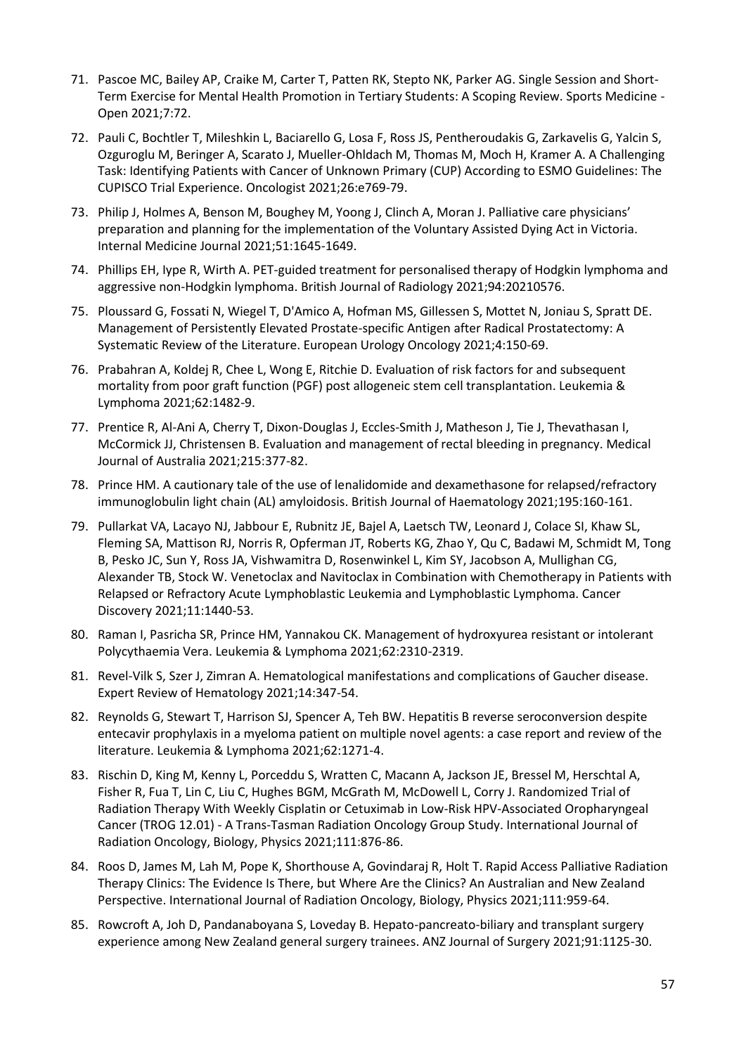- 71. Pascoe MC, Bailey AP, Craike M, Carter T, Patten RK, Stepto NK, Parker AG. Single Session and Short-Term Exercise for Mental Health Promotion in Tertiary Students: A Scoping Review. Sports Medicine - Open 2021;7:72.
- 72. Pauli C, Bochtler T, Mileshkin L, Baciarello G, Losa F, Ross JS, Pentheroudakis G, Zarkavelis G, Yalcin S, Ozguroglu M, Beringer A, Scarato J, Mueller-Ohldach M, Thomas M, Moch H, Kramer A. A Challenging Task: Identifying Patients with Cancer of Unknown Primary (CUP) According to ESMO Guidelines: The CUPISCO Trial Experience. Oncologist 2021;26:e769-79.
- 73. Philip J, Holmes A, Benson M, Boughey M, Yoong J, Clinch A, Moran J. Palliative care physicians' preparation and planning for the implementation of the Voluntary Assisted Dying Act in Victoria. Internal Medicine Journal 2021;51:1645-1649.
- 74. Phillips EH, Iype R, Wirth A. PET-guided treatment for personalised therapy of Hodgkin lymphoma and aggressive non-Hodgkin lymphoma. British Journal of Radiology 2021;94:20210576.
- 75. Ploussard G, Fossati N, Wiegel T, D'Amico A, Hofman MS, Gillessen S, Mottet N, Joniau S, Spratt DE. Management of Persistently Elevated Prostate-specific Antigen after Radical Prostatectomy: A Systematic Review of the Literature. European Urology Oncology 2021;4:150-69.
- 76. Prabahran A, Koldej R, Chee L, Wong E, Ritchie D. Evaluation of risk factors for and subsequent mortality from poor graft function (PGF) post allogeneic stem cell transplantation. Leukemia & Lymphoma 2021;62:1482-9.
- 77. Prentice R, Al-Ani A, Cherry T, Dixon-Douglas J, Eccles-Smith J, Matheson J, Tie J, Thevathasan I, McCormick JJ, Christensen B. Evaluation and management of rectal bleeding in pregnancy. Medical Journal of Australia 2021;215:377-82.
- 78. Prince HM. A cautionary tale of the use of lenalidomide and dexamethasone for relapsed/refractory immunoglobulin light chain (AL) amyloidosis. British Journal of Haematology 2021;195:160-161.
- 79. Pullarkat VA, Lacayo NJ, Jabbour E, Rubnitz JE, Bajel A, Laetsch TW, Leonard J, Colace SI, Khaw SL, Fleming SA, Mattison RJ, Norris R, Opferman JT, Roberts KG, Zhao Y, Qu C, Badawi M, Schmidt M, Tong B, Pesko JC, Sun Y, Ross JA, Vishwamitra D, Rosenwinkel L, Kim SY, Jacobson A, Mullighan CG, Alexander TB, Stock W. Venetoclax and Navitoclax in Combination with Chemotherapy in Patients with Relapsed or Refractory Acute Lymphoblastic Leukemia and Lymphoblastic Lymphoma. Cancer Discovery 2021;11:1440-53.
- 80. Raman I, Pasricha SR, Prince HM, Yannakou CK. Management of hydroxyurea resistant or intolerant Polycythaemia Vera. Leukemia & Lymphoma 2021;62:2310-2319.
- 81. Revel-Vilk S, Szer J, Zimran A. Hematological manifestations and complications of Gaucher disease. Expert Review of Hematology 2021;14:347-54.
- 82. Reynolds G, Stewart T, Harrison SJ, Spencer A, Teh BW. Hepatitis B reverse seroconversion despite entecavir prophylaxis in a myeloma patient on multiple novel agents: a case report and review of the literature. Leukemia & Lymphoma 2021;62:1271-4.
- 83. Rischin D, King M, Kenny L, Porceddu S, Wratten C, Macann A, Jackson JE, Bressel M, Herschtal A, Fisher R, Fua T, Lin C, Liu C, Hughes BGM, McGrath M, McDowell L, Corry J. Randomized Trial of Radiation Therapy With Weekly Cisplatin or Cetuximab in Low-Risk HPV-Associated Oropharyngeal Cancer (TROG 12.01) - A Trans-Tasman Radiation Oncology Group Study. International Journal of Radiation Oncology, Biology, Physics 2021;111:876-86.
- 84. Roos D, James M, Lah M, Pope K, Shorthouse A, Govindaraj R, Holt T. Rapid Access Palliative Radiation Therapy Clinics: The Evidence Is There, but Where Are the Clinics? An Australian and New Zealand Perspective. International Journal of Radiation Oncology, Biology, Physics 2021;111:959-64.
- 85. Rowcroft A, Joh D, Pandanaboyana S, Loveday B. Hepato-pancreato-biliary and transplant surgery experience among New Zealand general surgery trainees. ANZ Journal of Surgery 2021;91:1125-30.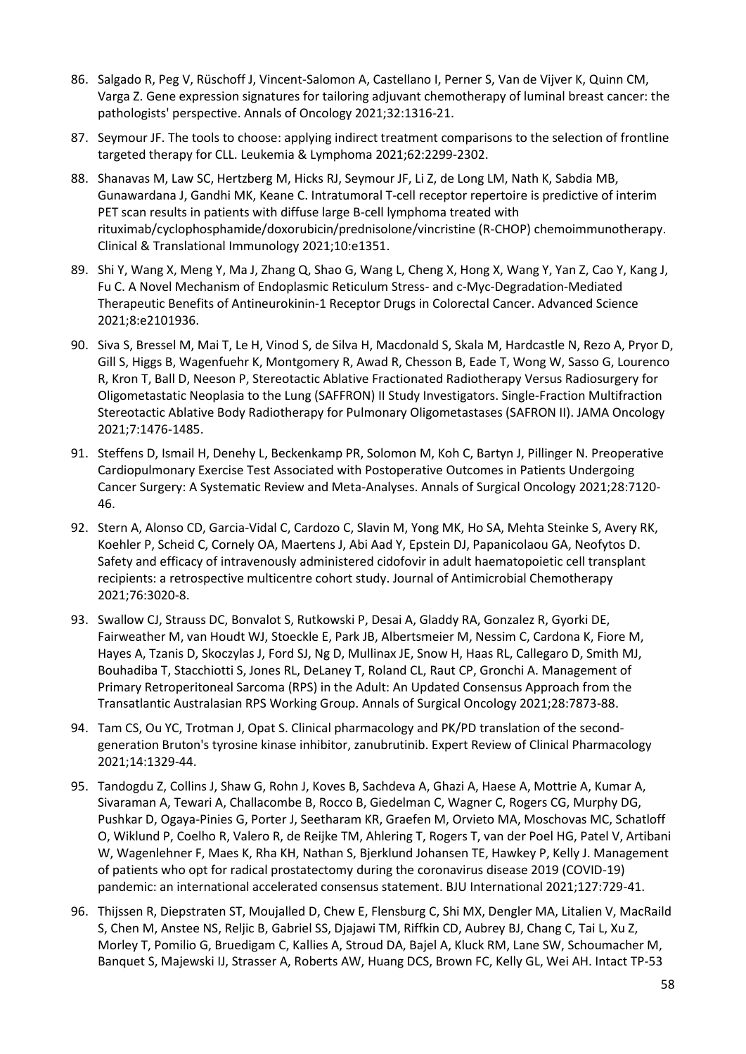- 86. Salgado R, Peg V, Rüschoff J, Vincent-Salomon A, Castellano I, Perner S, Van de Vijver K, Quinn CM, Varga Z. Gene expression signatures for tailoring adjuvant chemotherapy of luminal breast cancer: the pathologists' perspective. Annals of Oncology 2021;32:1316-21.
- 87. Seymour JF. The tools to choose: applying indirect treatment comparisons to the selection of frontline targeted therapy for CLL. Leukemia & Lymphoma 2021;62:2299-2302.
- 88. Shanavas M, Law SC, Hertzberg M, Hicks RJ, Seymour JF, Li Z, de Long LM, Nath K, Sabdia MB, Gunawardana J, Gandhi MK, Keane C. Intratumoral T-cell receptor repertoire is predictive of interim PET scan results in patients with diffuse large B-cell lymphoma treated with rituximab/cyclophosphamide/doxorubicin/prednisolone/vincristine (R-CHOP) chemoimmunotherapy. Clinical & Translational Immunology 2021;10:e1351.
- 89. Shi Y, Wang X, Meng Y, Ma J, Zhang Q, Shao G, Wang L, Cheng X, Hong X, Wang Y, Yan Z, Cao Y, Kang J, Fu C. A Novel Mechanism of Endoplasmic Reticulum Stress- and c-Myc-Degradation-Mediated Therapeutic Benefits of Antineurokinin-1 Receptor Drugs in Colorectal Cancer. Advanced Science 2021;8:e2101936.
- 90. Siva S, Bressel M, Mai T, Le H, Vinod S, de Silva H, Macdonald S, Skala M, Hardcastle N, Rezo A, Pryor D, Gill S, Higgs B, Wagenfuehr K, Montgomery R, Awad R, Chesson B, Eade T, Wong W, Sasso G, Lourenco R, Kron T, Ball D, Neeson P, Stereotactic Ablative Fractionated Radiotherapy Versus Radiosurgery for Oligometastatic Neoplasia to the Lung (SAFFRON) II Study Investigators. Single-Fraction Multifraction Stereotactic Ablative Body Radiotherapy for Pulmonary Oligometastases (SAFRON II). JAMA Oncology 2021;7:1476-1485.
- 91. Steffens D, Ismail H, Denehy L, Beckenkamp PR, Solomon M, Koh C, Bartyn J, Pillinger N. Preoperative Cardiopulmonary Exercise Test Associated with Postoperative Outcomes in Patients Undergoing Cancer Surgery: A Systematic Review and Meta-Analyses. Annals of Surgical Oncology 2021;28:7120- 46.
- 92. Stern A, Alonso CD, Garcia-Vidal C, Cardozo C, Slavin M, Yong MK, Ho SA, Mehta Steinke S, Avery RK, Koehler P, Scheid C, Cornely OA, Maertens J, Abi Aad Y, Epstein DJ, Papanicolaou GA, Neofytos D. Safety and efficacy of intravenously administered cidofovir in adult haematopoietic cell transplant recipients: a retrospective multicentre cohort study. Journal of Antimicrobial Chemotherapy 2021;76:3020-8.
- 93. Swallow CJ, Strauss DC, Bonvalot S, Rutkowski P, Desai A, Gladdy RA, Gonzalez R, Gyorki DE, Fairweather M, van Houdt WJ, Stoeckle E, Park JB, Albertsmeier M, Nessim C, Cardona K, Fiore M, Hayes A, Tzanis D, Skoczylas J, Ford SJ, Ng D, Mullinax JE, Snow H, Haas RL, Callegaro D, Smith MJ, Bouhadiba T, Stacchiotti S, Jones RL, DeLaney T, Roland CL, Raut CP, Gronchi A. Management of Primary Retroperitoneal Sarcoma (RPS) in the Adult: An Updated Consensus Approach from the Transatlantic Australasian RPS Working Group. Annals of Surgical Oncology 2021;28:7873-88.
- 94. Tam CS, Ou YC, Trotman J, Opat S. Clinical pharmacology and PK/PD translation of the secondgeneration Bruton's tyrosine kinase inhibitor, zanubrutinib. Expert Review of Clinical Pharmacology 2021;14:1329-44.
- 95. Tandogdu Z, Collins J, Shaw G, Rohn J, Koves B, Sachdeva A, Ghazi A, Haese A, Mottrie A, Kumar A, Sivaraman A, Tewari A, Challacombe B, Rocco B, Giedelman C, Wagner C, Rogers CG, Murphy DG, Pushkar D, Ogaya-Pinies G, Porter J, Seetharam KR, Graefen M, Orvieto MA, Moschovas MC, Schatloff O, Wiklund P, Coelho R, Valero R, de Reijke TM, Ahlering T, Rogers T, van der Poel HG, Patel V, Artibani W, Wagenlehner F, Maes K, Rha KH, Nathan S, Bjerklund Johansen TE, Hawkey P, Kelly J. Management of patients who opt for radical prostatectomy during the coronavirus disease 2019 (COVID-19) pandemic: an international accelerated consensus statement. BJU International 2021;127:729-41.
- 96. Thijssen R, Diepstraten ST, Moujalled D, Chew E, Flensburg C, Shi MX, Dengler MA, Litalien V, MacRaild S, Chen M, Anstee NS, Reljic B, Gabriel SS, Djajawi TM, Riffkin CD, Aubrey BJ, Chang C, Tai L, Xu Z, Morley T, Pomilio G, Bruedigam C, Kallies A, Stroud DA, Bajel A, Kluck RM, Lane SW, Schoumacher M, Banquet S, Majewski IJ, Strasser A, Roberts AW, Huang DCS, Brown FC, Kelly GL, Wei AH. Intact TP-53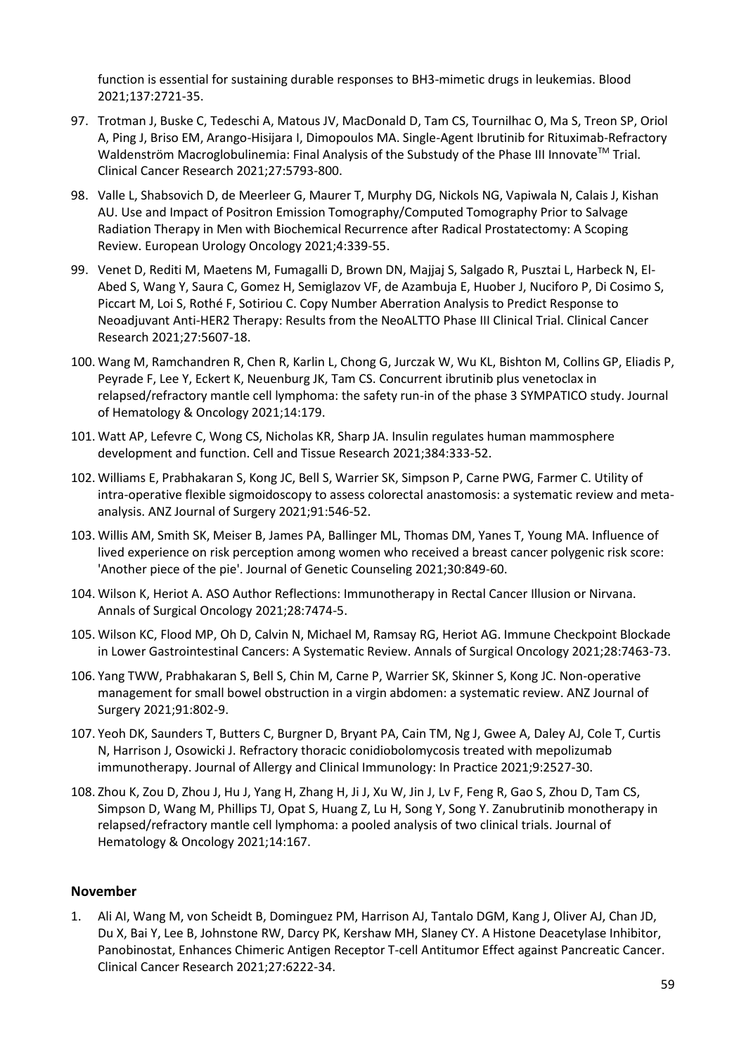function is essential for sustaining durable responses to BH3-mimetic drugs in leukemias. Blood 2021;137:2721-35.

- 97. Trotman J, Buske C, Tedeschi A, Matous JV, MacDonald D, Tam CS, Tournilhac O, Ma S, Treon SP, Oriol A, Ping J, Briso EM, Arango-Hisijara I, Dimopoulos MA. Single-Agent Ibrutinib for Rituximab-Refractory Waldenström Macroglobulinemia: Final Analysis of the Substudy of the Phase III Innovate™ Trial. Clinical Cancer Research 2021;27:5793-800.
- 98. Valle L, Shabsovich D, de Meerleer G, Maurer T, Murphy DG, Nickols NG, Vapiwala N, Calais J, Kishan AU. Use and Impact of Positron Emission Tomography/Computed Tomography Prior to Salvage Radiation Therapy in Men with Biochemical Recurrence after Radical Prostatectomy: A Scoping Review. European Urology Oncology 2021;4:339-55.
- 99. Venet D, Rediti M, Maetens M, Fumagalli D, Brown DN, Majjaj S, Salgado R, Pusztai L, Harbeck N, El-Abed S, Wang Y, Saura C, Gomez H, Semiglazov VF, de Azambuja E, Huober J, Nuciforo P, Di Cosimo S, Piccart M, Loi S, Rothé F, Sotiriou C. Copy Number Aberration Analysis to Predict Response to Neoadjuvant Anti-HER2 Therapy: Results from the NeoALTTO Phase III Clinical Trial. Clinical Cancer Research 2021;27:5607-18.
- 100. Wang M, Ramchandren R, Chen R, Karlin L, Chong G, Jurczak W, Wu KL, Bishton M, Collins GP, Eliadis P, Peyrade F, Lee Y, Eckert K, Neuenburg JK, Tam CS. Concurrent ibrutinib plus venetoclax in relapsed/refractory mantle cell lymphoma: the safety run-in of the phase 3 SYMPATICO study. Journal of Hematology & Oncology 2021;14:179.
- 101. Watt AP, Lefevre C, Wong CS, Nicholas KR, Sharp JA. Insulin regulates human mammosphere development and function. Cell and Tissue Research 2021;384:333-52.
- 102. Williams E, Prabhakaran S, Kong JC, Bell S, Warrier SK, Simpson P, Carne PWG, Farmer C. Utility of intra-operative flexible sigmoidoscopy to assess colorectal anastomosis: a systematic review and metaanalysis. ANZ Journal of Surgery 2021;91:546-52.
- 103. Willis AM, Smith SK, Meiser B, James PA, Ballinger ML, Thomas DM, Yanes T, Young MA. Influence of lived experience on risk perception among women who received a breast cancer polygenic risk score: 'Another piece of the pie'. Journal of Genetic Counseling 2021;30:849-60.
- 104. Wilson K, Heriot A. ASO Author Reflections: Immunotherapy in Rectal Cancer Illusion or Nirvana. Annals of Surgical Oncology 2021;28:7474-5.
- 105. Wilson KC, Flood MP, Oh D, Calvin N, Michael M, Ramsay RG, Heriot AG. Immune Checkpoint Blockade in Lower Gastrointestinal Cancers: A Systematic Review. Annals of Surgical Oncology 2021;28:7463-73.
- 106. Yang TWW, Prabhakaran S, Bell S, Chin M, Carne P, Warrier SK, Skinner S, Kong JC. Non-operative management for small bowel obstruction in a virgin abdomen: a systematic review. ANZ Journal of Surgery 2021;91:802-9.
- 107. Yeoh DK, Saunders T, Butters C, Burgner D, Bryant PA, Cain TM, Ng J, Gwee A, Daley AJ, Cole T, Curtis N, Harrison J, Osowicki J. Refractory thoracic conidiobolomycosis treated with mepolizumab immunotherapy. Journal of Allergy and Clinical Immunology: In Practice 2021;9:2527-30.
- 108. Zhou K, Zou D, Zhou J, Hu J, Yang H, Zhang H, Ji J, Xu W, Jin J, Lv F, Feng R, Gao S, Zhou D, Tam CS, Simpson D, Wang M, Phillips TJ, Opat S, Huang Z, Lu H, Song Y, Song Y. Zanubrutinib monotherapy in relapsed/refractory mantle cell lymphoma: a pooled analysis of two clinical trials. Journal of Hematology & Oncology 2021;14:167.

#### **November**

1. Ali AI, Wang M, von Scheidt B, Dominguez PM, Harrison AJ, Tantalo DGM, Kang J, Oliver AJ, Chan JD, Du X, Bai Y, Lee B, Johnstone RW, Darcy PK, Kershaw MH, Slaney CY. A Histone Deacetylase Inhibitor, Panobinostat, Enhances Chimeric Antigen Receptor T-cell Antitumor Effect against Pancreatic Cancer. Clinical Cancer Research 2021;27:6222-34.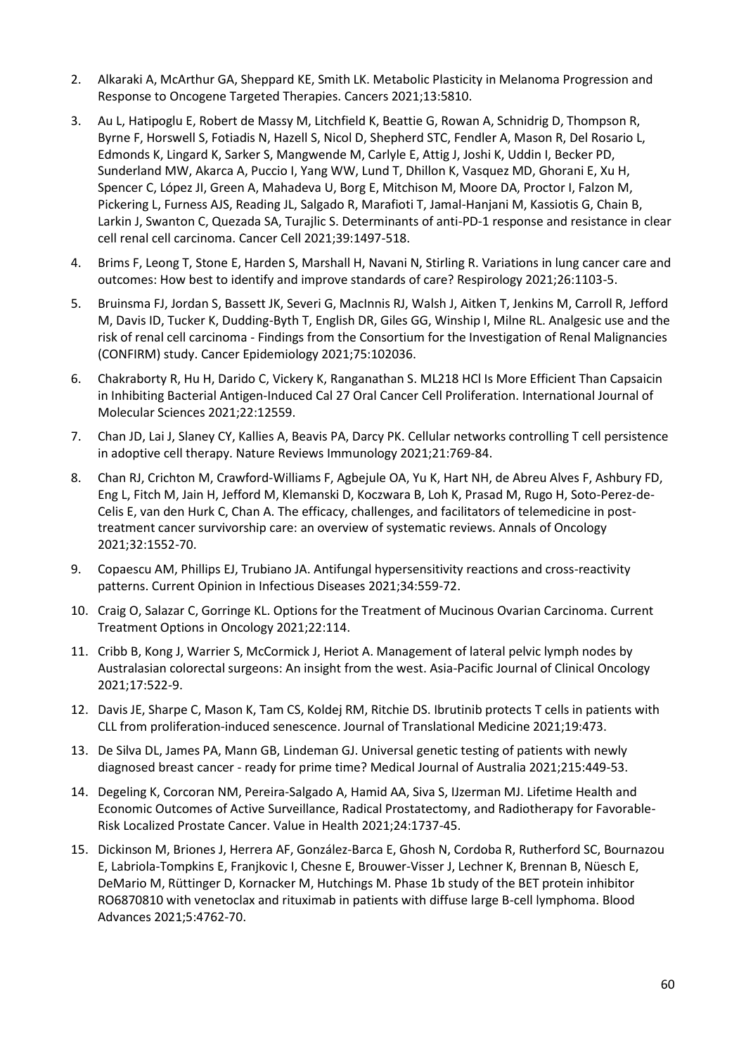- 2. Alkaraki A, McArthur GA, Sheppard KE, Smith LK. Metabolic Plasticity in Melanoma Progression and Response to Oncogene Targeted Therapies. Cancers 2021;13:5810.
- 3. Au L, Hatipoglu E, Robert de Massy M, Litchfield K, Beattie G, Rowan A, Schnidrig D, Thompson R, Byrne F, Horswell S, Fotiadis N, Hazell S, Nicol D, Shepherd STC, Fendler A, Mason R, Del Rosario L, Edmonds K, Lingard K, Sarker S, Mangwende M, Carlyle E, Attig J, Joshi K, Uddin I, Becker PD, Sunderland MW, Akarca A, Puccio I, Yang WW, Lund T, Dhillon K, Vasquez MD, Ghorani E, Xu H, Spencer C, López JI, Green A, Mahadeva U, Borg E, Mitchison M, Moore DA, Proctor I, Falzon M, Pickering L, Furness AJS, Reading JL, Salgado R, Marafioti T, Jamal-Hanjani M, Kassiotis G, Chain B, Larkin J, Swanton C, Quezada SA, Turajlic S. Determinants of anti-PD-1 response and resistance in clear cell renal cell carcinoma. Cancer Cell 2021;39:1497-518.
- 4. Brims F, Leong T, Stone E, Harden S, Marshall H, Navani N, Stirling R. Variations in lung cancer care and outcomes: How best to identify and improve standards of care? Respirology 2021;26:1103-5.
- 5. Bruinsma FJ, Jordan S, Bassett JK, Severi G, MacInnis RJ, Walsh J, Aitken T, Jenkins M, Carroll R, Jefford M, Davis ID, Tucker K, Dudding-Byth T, English DR, Giles GG, Winship I, Milne RL. Analgesic use and the risk of renal cell carcinoma - Findings from the Consortium for the Investigation of Renal Malignancies (CONFIRM) study. Cancer Epidemiology 2021;75:102036.
- 6. Chakraborty R, Hu H, Darido C, Vickery K, Ranganathan S. ML218 HCl Is More Efficient Than Capsaicin in Inhibiting Bacterial Antigen-Induced Cal 27 Oral Cancer Cell Proliferation. International Journal of Molecular Sciences 2021;22:12559.
- 7. Chan JD, Lai J, Slaney CY, Kallies A, Beavis PA, Darcy PK. Cellular networks controlling T cell persistence in adoptive cell therapy. Nature Reviews Immunology 2021;21:769-84.
- 8. Chan RJ, Crichton M, Crawford-Williams F, Agbejule OA, Yu K, Hart NH, de Abreu Alves F, Ashbury FD, Eng L, Fitch M, Jain H, Jefford M, Klemanski D, Koczwara B, Loh K, Prasad M, Rugo H, Soto-Perez-de-Celis E, van den Hurk C, Chan A. The efficacy, challenges, and facilitators of telemedicine in posttreatment cancer survivorship care: an overview of systematic reviews. Annals of Oncology 2021;32:1552-70.
- 9. Copaescu AM, Phillips EJ, Trubiano JA. Antifungal hypersensitivity reactions and cross-reactivity patterns. Current Opinion in Infectious Diseases 2021;34:559-72.
- 10. Craig O, Salazar C, Gorringe KL. Options for the Treatment of Mucinous Ovarian Carcinoma. Current Treatment Options in Oncology 2021;22:114.
- 11. Cribb B, Kong J, Warrier S, McCormick J, Heriot A. Management of lateral pelvic lymph nodes by Australasian colorectal surgeons: An insight from the west. Asia-Pacific Journal of Clinical Oncology 2021;17:522-9.
- 12. Davis JE, Sharpe C, Mason K, Tam CS, Koldej RM, Ritchie DS. Ibrutinib protects T cells in patients with CLL from proliferation-induced senescence. Journal of Translational Medicine 2021;19:473.
- 13. De Silva DL, James PA, Mann GB, Lindeman GJ. Universal genetic testing of patients with newly diagnosed breast cancer - ready for prime time? Medical Journal of Australia 2021;215:449-53.
- 14. Degeling K, Corcoran NM, Pereira-Salgado A, Hamid AA, Siva S, IJzerman MJ. Lifetime Health and Economic Outcomes of Active Surveillance, Radical Prostatectomy, and Radiotherapy for Favorable-Risk Localized Prostate Cancer. Value in Health 2021;24:1737-45.
- 15. Dickinson M, Briones J, Herrera AF, González-Barca E, Ghosh N, Cordoba R, Rutherford SC, Bournazou E, Labriola-Tompkins E, Franjkovic I, Chesne E, Brouwer-Visser J, Lechner K, Brennan B, Nüesch E, DeMario M, Rüttinger D, Kornacker M, Hutchings M. Phase 1b study of the BET protein inhibitor RO6870810 with venetoclax and rituximab in patients with diffuse large B-cell lymphoma. Blood Advances 2021;5:4762-70.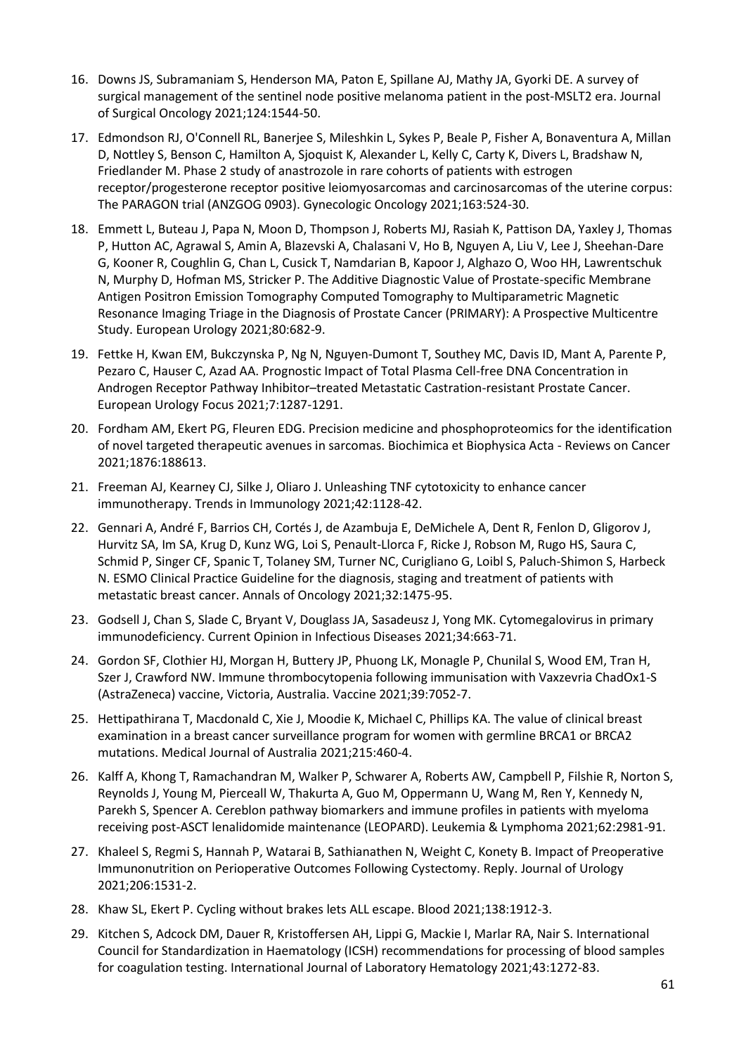- 16. Downs JS, Subramaniam S, Henderson MA, Paton E, Spillane AJ, Mathy JA, Gyorki DE. A survey of surgical management of the sentinel node positive melanoma patient in the post-MSLT2 era. Journal of Surgical Oncology 2021;124:1544-50.
- 17. Edmondson RJ, O'Connell RL, Banerjee S, Mileshkin L, Sykes P, Beale P, Fisher A, Bonaventura A, Millan D, Nottley S, Benson C, Hamilton A, Sjoquist K, Alexander L, Kelly C, Carty K, Divers L, Bradshaw N, Friedlander M. Phase 2 study of anastrozole in rare cohorts of patients with estrogen receptor/progesterone receptor positive leiomyosarcomas and carcinosarcomas of the uterine corpus: The PARAGON trial (ANZGOG 0903). Gynecologic Oncology 2021;163:524-30.
- 18. Emmett L, Buteau J, Papa N, Moon D, Thompson J, Roberts MJ, Rasiah K, Pattison DA, Yaxley J, Thomas P, Hutton AC, Agrawal S, Amin A, Blazevski A, Chalasani V, Ho B, Nguyen A, Liu V, Lee J, Sheehan-Dare G, Kooner R, Coughlin G, Chan L, Cusick T, Namdarian B, Kapoor J, Alghazo O, Woo HH, Lawrentschuk N, Murphy D, Hofman MS, Stricker P. The Additive Diagnostic Value of Prostate-specific Membrane Antigen Positron Emission Tomography Computed Tomography to Multiparametric Magnetic Resonance Imaging Triage in the Diagnosis of Prostate Cancer (PRIMARY): A Prospective Multicentre Study. European Urology 2021;80:682-9.
- 19. Fettke H, Kwan EM, Bukczynska P, Ng N, Nguyen-Dumont T, Southey MC, Davis ID, Mant A, Parente P, Pezaro C, Hauser C, Azad AA. Prognostic Impact of Total Plasma Cell-free DNA Concentration in Androgen Receptor Pathway Inhibitor–treated Metastatic Castration-resistant Prostate Cancer. European Urology Focus 2021;7:1287-1291.
- 20. Fordham AM, Ekert PG, Fleuren EDG. Precision medicine and phosphoproteomics for the identification of novel targeted therapeutic avenues in sarcomas. Biochimica et Biophysica Acta - Reviews on Cancer 2021;1876:188613.
- 21. Freeman AJ, Kearney CJ, Silke J, Oliaro J. Unleashing TNF cytotoxicity to enhance cancer immunotherapy. Trends in Immunology 2021;42:1128-42.
- 22. Gennari A, André F, Barrios CH, Cortés J, de Azambuja E, DeMichele A, Dent R, Fenlon D, Gligorov J, Hurvitz SA, Im SA, Krug D, Kunz WG, Loi S, Penault-Llorca F, Ricke J, Robson M, Rugo HS, Saura C, Schmid P, Singer CF, Spanic T, Tolaney SM, Turner NC, Curigliano G, Loibl S, Paluch-Shimon S, Harbeck N. ESMO Clinical Practice Guideline for the diagnosis, staging and treatment of patients with metastatic breast cancer. Annals of Oncology 2021;32:1475-95.
- 23. Godsell J, Chan S, Slade C, Bryant V, Douglass JA, Sasadeusz J, Yong MK. Cytomegalovirus in primary immunodeficiency. Current Opinion in Infectious Diseases 2021;34:663-71.
- 24. Gordon SF, Clothier HJ, Morgan H, Buttery JP, Phuong LK, Monagle P, Chunilal S, Wood EM, Tran H, Szer J, Crawford NW. Immune thrombocytopenia following immunisation with Vaxzevria ChadOx1-S (AstraZeneca) vaccine, Victoria, Australia. Vaccine 2021;39:7052-7.
- 25. Hettipathirana T, Macdonald C, Xie J, Moodie K, Michael C, Phillips KA. The value of clinical breast examination in a breast cancer surveillance program for women with germline BRCA1 or BRCA2 mutations. Medical Journal of Australia 2021;215:460-4.
- 26. Kalff A, Khong T, Ramachandran M, Walker P, Schwarer A, Roberts AW, Campbell P, Filshie R, Norton S, Reynolds J, Young M, Pierceall W, Thakurta A, Guo M, Oppermann U, Wang M, Ren Y, Kennedy N, Parekh S, Spencer A. Cereblon pathway biomarkers and immune profiles in patients with myeloma receiving post-ASCT lenalidomide maintenance (LEOPARD). Leukemia & Lymphoma 2021;62:2981-91.
- 27. Khaleel S, Regmi S, Hannah P, Watarai B, Sathianathen N, Weight C, Konety B. Impact of Preoperative Immunonutrition on Perioperative Outcomes Following Cystectomy. Reply. Journal of Urology 2021;206:1531-2.
- 28. Khaw SL, Ekert P. Cycling without brakes lets ALL escape. Blood 2021;138:1912-3.
- 29. Kitchen S, Adcock DM, Dauer R, Kristoffersen AH, Lippi G, Mackie I, Marlar RA, Nair S. International Council for Standardization in Haematology (ICSH) recommendations for processing of blood samples for coagulation testing. International Journal of Laboratory Hematology 2021;43:1272-83.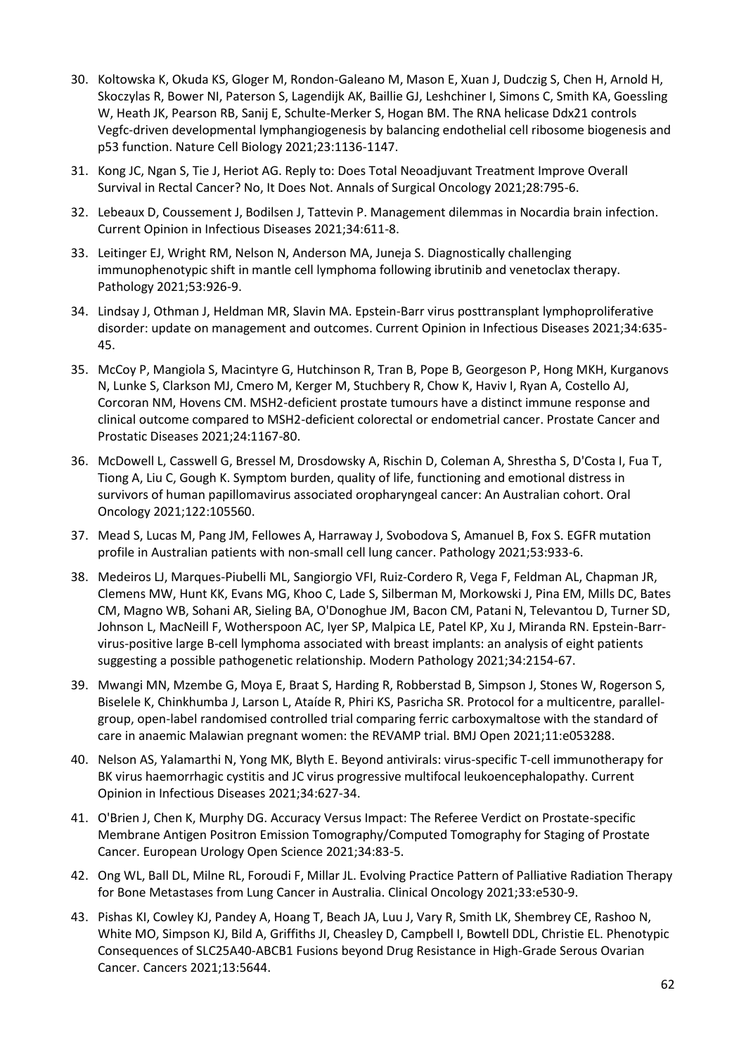- 30. Koltowska K, Okuda KS, Gloger M, Rondon-Galeano M, Mason E, Xuan J, Dudczig S, Chen H, Arnold H, Skoczylas R, Bower NI, Paterson S, Lagendijk AK, Baillie GJ, Leshchiner I, Simons C, Smith KA, Goessling W, Heath JK, Pearson RB, Sanij E, Schulte-Merker S, Hogan BM. The RNA helicase Ddx21 controls Vegfc-driven developmental lymphangiogenesis by balancing endothelial cell ribosome biogenesis and p53 function. Nature Cell Biology 2021;23:1136-1147.
- 31. Kong JC, Ngan S, Tie J, Heriot AG. Reply to: Does Total Neoadjuvant Treatment Improve Overall Survival in Rectal Cancer? No, It Does Not. Annals of Surgical Oncology 2021;28:795-6.
- 32. Lebeaux D, Coussement J, Bodilsen J, Tattevin P. Management dilemmas in Nocardia brain infection. Current Opinion in Infectious Diseases 2021;34:611-8.
- 33. Leitinger EJ, Wright RM, Nelson N, Anderson MA, Juneja S. Diagnostically challenging immunophenotypic shift in mantle cell lymphoma following ibrutinib and venetoclax therapy. Pathology 2021;53:926-9.
- 34. Lindsay J, Othman J, Heldman MR, Slavin MA. Epstein-Barr virus posttransplant lymphoproliferative disorder: update on management and outcomes. Current Opinion in Infectious Diseases 2021;34:635- 45.
- 35. McCoy P, Mangiola S, Macintyre G, Hutchinson R, Tran B, Pope B, Georgeson P, Hong MKH, Kurganovs N, Lunke S, Clarkson MJ, Cmero M, Kerger M, Stuchbery R, Chow K, Haviv I, Ryan A, Costello AJ, Corcoran NM, Hovens CM. MSH2-deficient prostate tumours have a distinct immune response and clinical outcome compared to MSH2-deficient colorectal or endometrial cancer. Prostate Cancer and Prostatic Diseases 2021;24:1167-80.
- 36. McDowell L, Casswell G, Bressel M, Drosdowsky A, Rischin D, Coleman A, Shrestha S, D'Costa I, Fua T, Tiong A, Liu C, Gough K. Symptom burden, quality of life, functioning and emotional distress in survivors of human papillomavirus associated oropharyngeal cancer: An Australian cohort. Oral Oncology 2021;122:105560.
- 37. Mead S, Lucas M, Pang JM, Fellowes A, Harraway J, Svobodova S, Amanuel B, Fox S. EGFR mutation profile in Australian patients with non-small cell lung cancer. Pathology 2021;53:933-6.
- 38. Medeiros LJ, Marques-Piubelli ML, Sangiorgio VFI, Ruiz-Cordero R, Vega F, Feldman AL, Chapman JR, Clemens MW, Hunt KK, Evans MG, Khoo C, Lade S, Silberman M, Morkowski J, Pina EM, Mills DC, Bates CM, Magno WB, Sohani AR, Sieling BA, O'Donoghue JM, Bacon CM, Patani N, Televantou D, Turner SD, Johnson L, MacNeill F, Wotherspoon AC, Iyer SP, Malpica LE, Patel KP, Xu J, Miranda RN. Epstein-Barrvirus-positive large B-cell lymphoma associated with breast implants: an analysis of eight patients suggesting a possible pathogenetic relationship. Modern Pathology 2021;34:2154-67.
- 39. Mwangi MN, Mzembe G, Moya E, Braat S, Harding R, Robberstad B, Simpson J, Stones W, Rogerson S, Biselele K, Chinkhumba J, Larson L, Ataíde R, Phiri KS, Pasricha SR. Protocol for a multicentre, parallelgroup, open-label randomised controlled trial comparing ferric carboxymaltose with the standard of care in anaemic Malawian pregnant women: the REVAMP trial. BMJ Open 2021;11:e053288.
- 40. Nelson AS, Yalamarthi N, Yong MK, Blyth E. Beyond antivirals: virus-specific T-cell immunotherapy for BK virus haemorrhagic cystitis and JC virus progressive multifocal leukoencephalopathy. Current Opinion in Infectious Diseases 2021;34:627-34.
- 41. O'Brien J, Chen K, Murphy DG. Accuracy Versus Impact: The Referee Verdict on Prostate-specific Membrane Antigen Positron Emission Tomography/Computed Tomography for Staging of Prostate Cancer. European Urology Open Science 2021;34:83-5.
- 42. Ong WL, Ball DL, Milne RL, Foroudi F, Millar JL. Evolving Practice Pattern of Palliative Radiation Therapy for Bone Metastases from Lung Cancer in Australia. Clinical Oncology 2021;33:e530-9.
- 43. Pishas KI, Cowley KJ, Pandey A, Hoang T, Beach JA, Luu J, Vary R, Smith LK, Shembrey CE, Rashoo N, White MO, Simpson KJ, Bild A, Griffiths JI, Cheasley D, Campbell I, Bowtell DDL, Christie EL. Phenotypic Consequences of SLC25A40-ABCB1 Fusions beyond Drug Resistance in High-Grade Serous Ovarian Cancer. Cancers 2021;13:5644.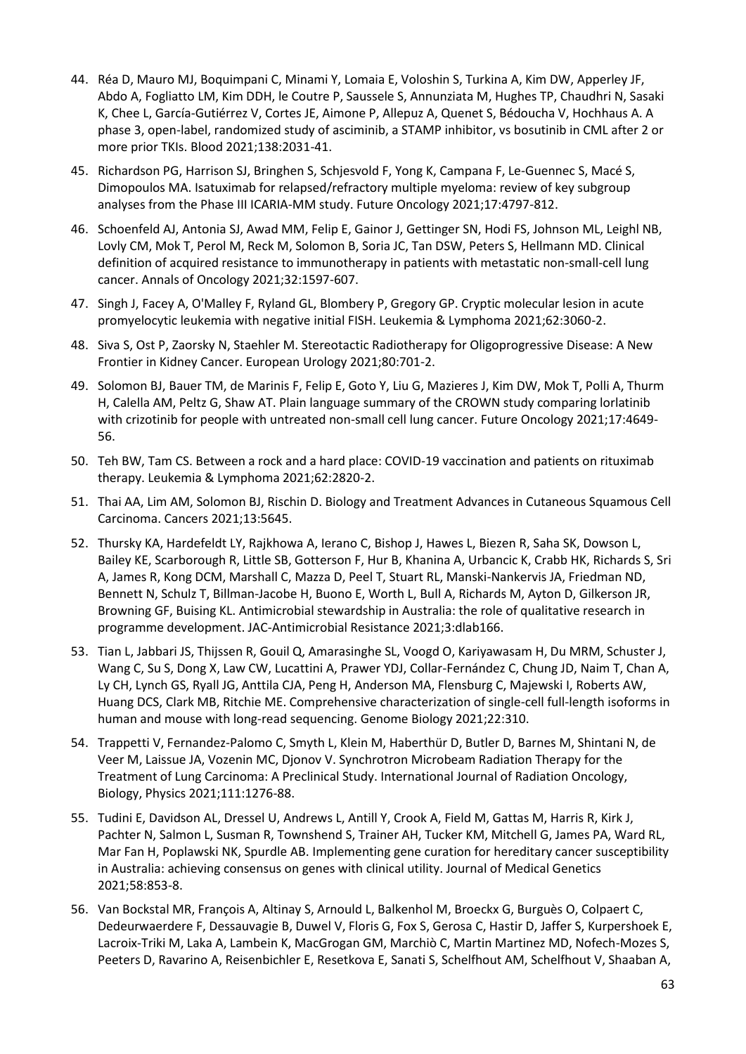- 44. Réa D, Mauro MJ, Boquimpani C, Minami Y, Lomaia E, Voloshin S, Turkina A, Kim DW, Apperley JF, Abdo A, Fogliatto LM, Kim DDH, le Coutre P, Saussele S, Annunziata M, Hughes TP, Chaudhri N, Sasaki K, Chee L, García-Gutiérrez V, Cortes JE, Aimone P, Allepuz A, Quenet S, Bédoucha V, Hochhaus A. A phase 3, open-label, randomized study of asciminib, a STAMP inhibitor, vs bosutinib in CML after 2 or more prior TKIs. Blood 2021;138:2031-41.
- 45. Richardson PG, Harrison SJ, Bringhen S, Schjesvold F, Yong K, Campana F, Le-Guennec S, Macé S, Dimopoulos MA. Isatuximab for relapsed/refractory multiple myeloma: review of key subgroup analyses from the Phase III ICARIA-MM study. Future Oncology 2021;17:4797-812.
- 46. Schoenfeld AJ, Antonia SJ, Awad MM, Felip E, Gainor J, Gettinger SN, Hodi FS, Johnson ML, Leighl NB, Lovly CM, Mok T, Perol M, Reck M, Solomon B, Soria JC, Tan DSW, Peters S, Hellmann MD. Clinical definition of acquired resistance to immunotherapy in patients with metastatic non-small-cell lung cancer. Annals of Oncology 2021;32:1597-607.
- 47. Singh J, Facey A, O'Malley F, Ryland GL, Blombery P, Gregory GP. Cryptic molecular lesion in acute promyelocytic leukemia with negative initial FISH. Leukemia & Lymphoma 2021;62:3060-2.
- 48. Siva S, Ost P, Zaorsky N, Staehler M. Stereotactic Radiotherapy for Oligoprogressive Disease: A New Frontier in Kidney Cancer. European Urology 2021;80:701-2.
- 49. Solomon BJ, Bauer TM, de Marinis F, Felip E, Goto Y, Liu G, Mazieres J, Kim DW, Mok T, Polli A, Thurm H, Calella AM, Peltz G, Shaw AT. Plain language summary of the CROWN study comparing lorlatinib with crizotinib for people with untreated non-small cell lung cancer. Future Oncology 2021;17:4649-56.
- 50. Teh BW, Tam CS. Between a rock and a hard place: COVID-19 vaccination and patients on rituximab therapy. Leukemia & Lymphoma 2021;62:2820-2.
- 51. Thai AA, Lim AM, Solomon BJ, Rischin D. Biology and Treatment Advances in Cutaneous Squamous Cell Carcinoma. Cancers 2021;13:5645.
- 52. Thursky KA, Hardefeldt LY, Rajkhowa A, Ierano C, Bishop J, Hawes L, Biezen R, Saha SK, Dowson L, Bailey KE, Scarborough R, Little SB, Gotterson F, Hur B, Khanina A, Urbancic K, Crabb HK, Richards S, Sri A, James R, Kong DCM, Marshall C, Mazza D, Peel T, Stuart RL, Manski-Nankervis JA, Friedman ND, Bennett N, Schulz T, Billman-Jacobe H, Buono E, Worth L, Bull A, Richards M, Ayton D, Gilkerson JR, Browning GF, Buising KL. Antimicrobial stewardship in Australia: the role of qualitative research in programme development. JAC-Antimicrobial Resistance 2021;3:dlab166.
- 53. Tian L, Jabbari JS, Thijssen R, Gouil Q, Amarasinghe SL, Voogd O, Kariyawasam H, Du MRM, Schuster J, Wang C, Su S, Dong X, Law CW, Lucattini A, Prawer YDJ, Collar-Fernández C, Chung JD, Naim T, Chan A, Ly CH, Lynch GS, Ryall JG, Anttila CJA, Peng H, Anderson MA, Flensburg C, Majewski I, Roberts AW, Huang DCS, Clark MB, Ritchie ME. Comprehensive characterization of single-cell full-length isoforms in human and mouse with long-read sequencing. Genome Biology 2021;22:310.
- 54. Trappetti V, Fernandez-Palomo C, Smyth L, Klein M, Haberthür D, Butler D, Barnes M, Shintani N, de Veer M, Laissue JA, Vozenin MC, Djonov V. Synchrotron Microbeam Radiation Therapy for the Treatment of Lung Carcinoma: A Preclinical Study. International Journal of Radiation Oncology, Biology, Physics 2021;111:1276-88.
- 55. Tudini E, Davidson AL, Dressel U, Andrews L, Antill Y, Crook A, Field M, Gattas M, Harris R, Kirk J, Pachter N, Salmon L, Susman R, Townshend S, Trainer AH, Tucker KM, Mitchell G, James PA, Ward RL, Mar Fan H, Poplawski NK, Spurdle AB. Implementing gene curation for hereditary cancer susceptibility in Australia: achieving consensus on genes with clinical utility. Journal of Medical Genetics 2021;58:853-8.
- 56. Van Bockstal MR, François A, Altinay S, Arnould L, Balkenhol M, Broeckx G, Burguès O, Colpaert C, Dedeurwaerdere F, Dessauvagie B, Duwel V, Floris G, Fox S, Gerosa C, Hastir D, Jaffer S, Kurpershoek E, Lacroix-Triki M, Laka A, Lambein K, MacGrogan GM, Marchiò C, Martin Martinez MD, Nofech-Mozes S, Peeters D, Ravarino A, Reisenbichler E, Resetkova E, Sanati S, Schelfhout AM, Schelfhout V, Shaaban A,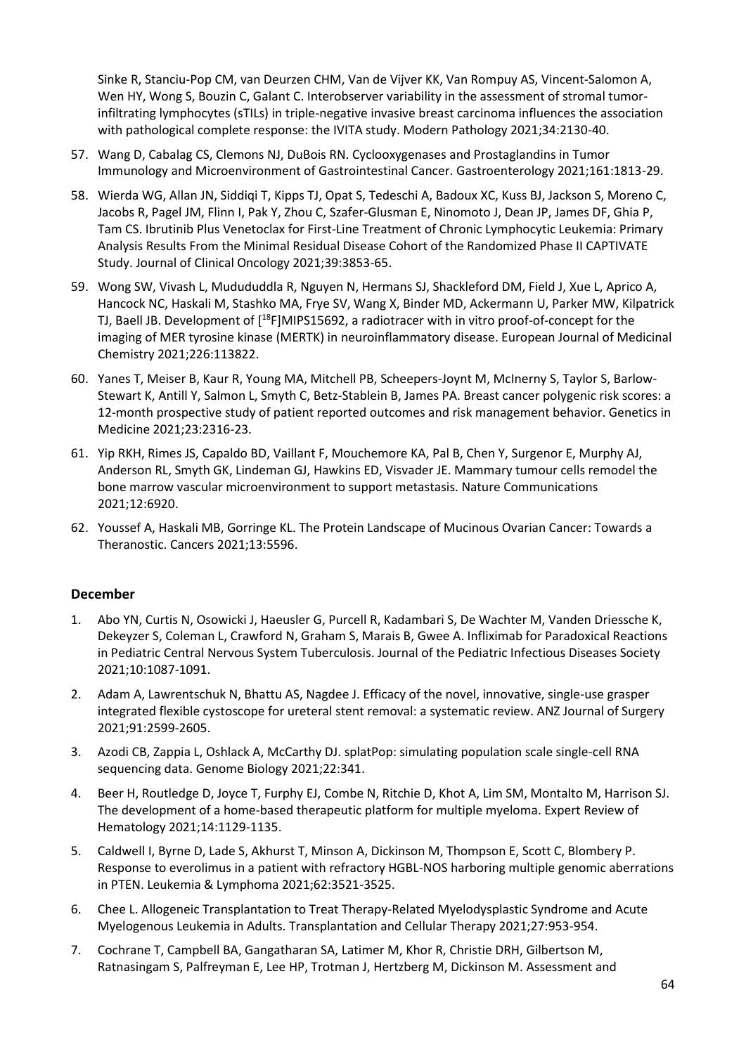Sinke R, Stanciu-Pop CM, van Deurzen CHM, Van de Vijver KK, Van Rompuy AS, Vincent-Salomon A, Wen HY, Wong S, Bouzin C, Galant C. Interobserver variability in the assessment of stromal tumorinfiltrating lymphocytes (sTILs) in triple-negative invasive breast carcinoma influences the association with pathological complete response: the IVITA study. Modern Pathology 2021;34:2130-40.

- 57. Wang D, Cabalag CS, Clemons NJ, DuBois RN. Cyclooxygenases and Prostaglandins in Tumor Immunology and Microenvironment of Gastrointestinal Cancer. Gastroenterology 2021;161:1813-29.
- 58. Wierda WG, Allan JN, Siddiqi T, Kipps TJ, Opat S, Tedeschi A, Badoux XC, Kuss BJ, Jackson S, Moreno C, Jacobs R, Pagel JM, Flinn I, Pak Y, Zhou C, Szafer-Glusman E, Ninomoto J, Dean JP, James DF, Ghia P, Tam CS. Ibrutinib Plus Venetoclax for First-Line Treatment of Chronic Lymphocytic Leukemia: Primary Analysis Results From the Minimal Residual Disease Cohort of the Randomized Phase II CAPTIVATE Study. Journal of Clinical Oncology 2021;39:3853-65.
- 59. Wong SW, Vivash L, Mudududdla R, Nguyen N, Hermans SJ, Shackleford DM, Field J, Xue L, Aprico A, Hancock NC, Haskali M, Stashko MA, Frye SV, Wang X, Binder MD, Ackermann U, Parker MW, Kilpatrick TJ, Baell JB. Development of [<sup>18</sup>F]MIPS15692, a radiotracer with in vitro proof-of-concept for the imaging of MER tyrosine kinase (MERTK) in neuroinflammatory disease. European Journal of Medicinal Chemistry 2021;226:113822.
- 60. Yanes T, Meiser B, Kaur R, Young MA, Mitchell PB, Scheepers-Joynt M, McInerny S, Taylor S, Barlow-Stewart K, Antill Y, Salmon L, Smyth C, Betz-Stablein B, James PA. Breast cancer polygenic risk scores: a 12-month prospective study of patient reported outcomes and risk management behavior. Genetics in Medicine 2021;23:2316-23.
- 61. Yip RKH, Rimes JS, Capaldo BD, Vaillant F, Mouchemore KA, Pal B, Chen Y, Surgenor E, Murphy AJ, Anderson RL, Smyth GK, Lindeman GJ, Hawkins ED, Visvader JE. Mammary tumour cells remodel the bone marrow vascular microenvironment to support metastasis. Nature Communications 2021;12:6920.
- 62. Youssef A, Haskali MB, Gorringe KL. The Protein Landscape of Mucinous Ovarian Cancer: Towards a Theranostic. Cancers 2021;13:5596.

## **December**

- 1. Abo YN, Curtis N, Osowicki J, Haeusler G, Purcell R, Kadambari S, De Wachter M, Vanden Driessche K, Dekeyzer S, Coleman L, Crawford N, Graham S, Marais B, Gwee A. Infliximab for Paradoxical Reactions in Pediatric Central Nervous System Tuberculosis. Journal of the Pediatric Infectious Diseases Society 2021;10:1087-1091.
- 2. Adam A, Lawrentschuk N, Bhattu AS, Nagdee J. Efficacy of the novel, innovative, single-use grasper integrated flexible cystoscope for ureteral stent removal: a systematic review. ANZ Journal of Surgery 2021;91:2599-2605.
- 3. Azodi CB, Zappia L, Oshlack A, McCarthy DJ. splatPop: simulating population scale single-cell RNA sequencing data. Genome Biology 2021;22:341.
- 4. Beer H, Routledge D, Joyce T, Furphy EJ, Combe N, Ritchie D, Khot A, Lim SM, Montalto M, Harrison SJ. The development of a home-based therapeutic platform for multiple myeloma. Expert Review of Hematology 2021;14:1129-1135.
- 5. Caldwell I, Byrne D, Lade S, Akhurst T, Minson A, Dickinson M, Thompson E, Scott C, Blombery P. Response to everolimus in a patient with refractory HGBL-NOS harboring multiple genomic aberrations in PTEN. Leukemia & Lymphoma 2021;62:3521-3525.
- 6. Chee L. Allogeneic Transplantation to Treat Therapy-Related Myelodysplastic Syndrome and Acute Myelogenous Leukemia in Adults. Transplantation and Cellular Therapy 2021;27:953-954.
- 7. Cochrane T, Campbell BA, Gangatharan SA, Latimer M, Khor R, Christie DRH, Gilbertson M, Ratnasingam S, Palfreyman E, Lee HP, Trotman J, Hertzberg M, Dickinson M. Assessment and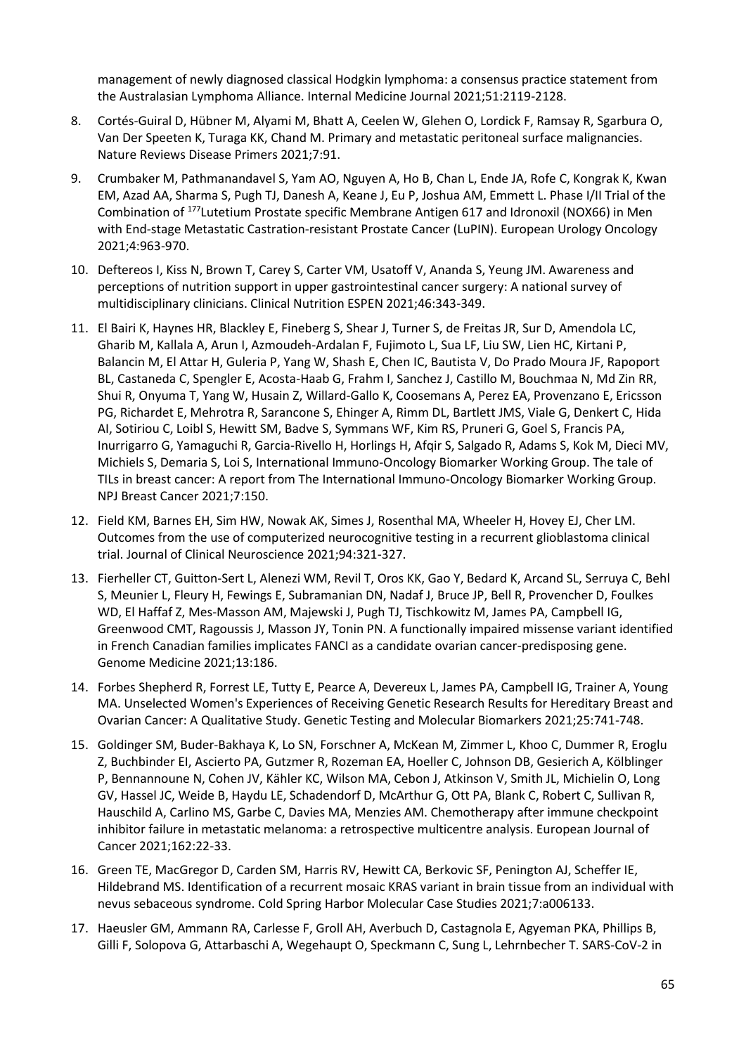management of newly diagnosed classical Hodgkin lymphoma: a consensus practice statement from the Australasian Lymphoma Alliance. Internal Medicine Journal 2021;51:2119-2128.

- 8. Cortés-Guiral D, Hübner M, Alyami M, Bhatt A, Ceelen W, Glehen O, Lordick F, Ramsay R, Sgarbura O, Van Der Speeten K, Turaga KK, Chand M. Primary and metastatic peritoneal surface malignancies. Nature Reviews Disease Primers 2021;7:91.
- 9. Crumbaker M, Pathmanandavel S, Yam AO, Nguyen A, Ho B, Chan L, Ende JA, Rofe C, Kongrak K, Kwan EM, Azad AA, Sharma S, Pugh TJ, Danesh A, Keane J, Eu P, Joshua AM, Emmett L. Phase I/II Trial of the Combination of <sup>177</sup>Lutetium Prostate specific Membrane Antigen 617 and Idronoxil (NOX66) in Men with End-stage Metastatic Castration-resistant Prostate Cancer (LuPIN). European Urology Oncology 2021;4:963-970.
- 10. Deftereos I, Kiss N, Brown T, Carey S, Carter VM, Usatoff V, Ananda S, Yeung JM. Awareness and perceptions of nutrition support in upper gastrointestinal cancer surgery: A national survey of multidisciplinary clinicians. Clinical Nutrition ESPEN 2021;46:343-349.
- 11. El Bairi K, Haynes HR, Blackley E, Fineberg S, Shear J, Turner S, de Freitas JR, Sur D, Amendola LC, Gharib M, Kallala A, Arun I, Azmoudeh-Ardalan F, Fujimoto L, Sua LF, Liu SW, Lien HC, Kirtani P, Balancin M, El Attar H, Guleria P, Yang W, Shash E, Chen IC, Bautista V, Do Prado Moura JF, Rapoport BL, Castaneda C, Spengler E, Acosta-Haab G, Frahm I, Sanchez J, Castillo M, Bouchmaa N, Md Zin RR, Shui R, Onyuma T, Yang W, Husain Z, Willard-Gallo K, Coosemans A, Perez EA, Provenzano E, Ericsson PG, Richardet E, Mehrotra R, Sarancone S, Ehinger A, Rimm DL, Bartlett JMS, Viale G, Denkert C, Hida AI, Sotiriou C, Loibl S, Hewitt SM, Badve S, Symmans WF, Kim RS, Pruneri G, Goel S, Francis PA, Inurrigarro G, Yamaguchi R, Garcia-Rivello H, Horlings H, Afqir S, Salgado R, Adams S, Kok M, Dieci MV, Michiels S, Demaria S, Loi S, International Immuno-Oncology Biomarker Working Group. The tale of TILs in breast cancer: A report from The International Immuno-Oncology Biomarker Working Group. NPJ Breast Cancer 2021;7:150.
- 12. Field KM, Barnes EH, Sim HW, Nowak AK, Simes J, Rosenthal MA, Wheeler H, Hovey EJ, Cher LM. Outcomes from the use of computerized neurocognitive testing in a recurrent glioblastoma clinical trial. Journal of Clinical Neuroscience 2021;94:321-327.
- 13. Fierheller CT, Guitton-Sert L, Alenezi WM, Revil T, Oros KK, Gao Y, Bedard K, Arcand SL, Serruya C, Behl S, Meunier L, Fleury H, Fewings E, Subramanian DN, Nadaf J, Bruce JP, Bell R, Provencher D, Foulkes WD, El Haffaf Z, Mes-Masson AM, Majewski J, Pugh TJ, Tischkowitz M, James PA, Campbell IG, Greenwood CMT, Ragoussis J, Masson JY, Tonin PN. A functionally impaired missense variant identified in French Canadian families implicates FANCI as a candidate ovarian cancer-predisposing gene. Genome Medicine 2021;13:186.
- 14. Forbes Shepherd R, Forrest LE, Tutty E, Pearce A, Devereux L, James PA, Campbell IG, Trainer A, Young MA. Unselected Women's Experiences of Receiving Genetic Research Results for Hereditary Breast and Ovarian Cancer: A Qualitative Study. Genetic Testing and Molecular Biomarkers 2021;25:741-748.
- 15. Goldinger SM, Buder-Bakhaya K, Lo SN, Forschner A, McKean M, Zimmer L, Khoo C, Dummer R, Eroglu Z, Buchbinder EI, Ascierto PA, Gutzmer R, Rozeman EA, Hoeller C, Johnson DB, Gesierich A, Kölblinger P, Bennannoune N, Cohen JV, Kähler KC, Wilson MA, Cebon J, Atkinson V, Smith JL, Michielin O, Long GV, Hassel JC, Weide B, Haydu LE, Schadendorf D, McArthur G, Ott PA, Blank C, Robert C, Sullivan R, Hauschild A, Carlino MS, Garbe C, Davies MA, Menzies AM. Chemotherapy after immune checkpoint inhibitor failure in metastatic melanoma: a retrospective multicentre analysis. European Journal of Cancer 2021;162:22-33.
- 16. Green TE, MacGregor D, Carden SM, Harris RV, Hewitt CA, Berkovic SF, Penington AJ, Scheffer IE, Hildebrand MS. Identification of a recurrent mosaic KRAS variant in brain tissue from an individual with nevus sebaceous syndrome. Cold Spring Harbor Molecular Case Studies 2021;7:a006133.
- 17. Haeusler GM, Ammann RA, Carlesse F, Groll AH, Averbuch D, Castagnola E, Agyeman PKA, Phillips B, Gilli F, Solopova G, Attarbaschi A, Wegehaupt O, Speckmann C, Sung L, Lehrnbecher T. SARS-CoV-2 in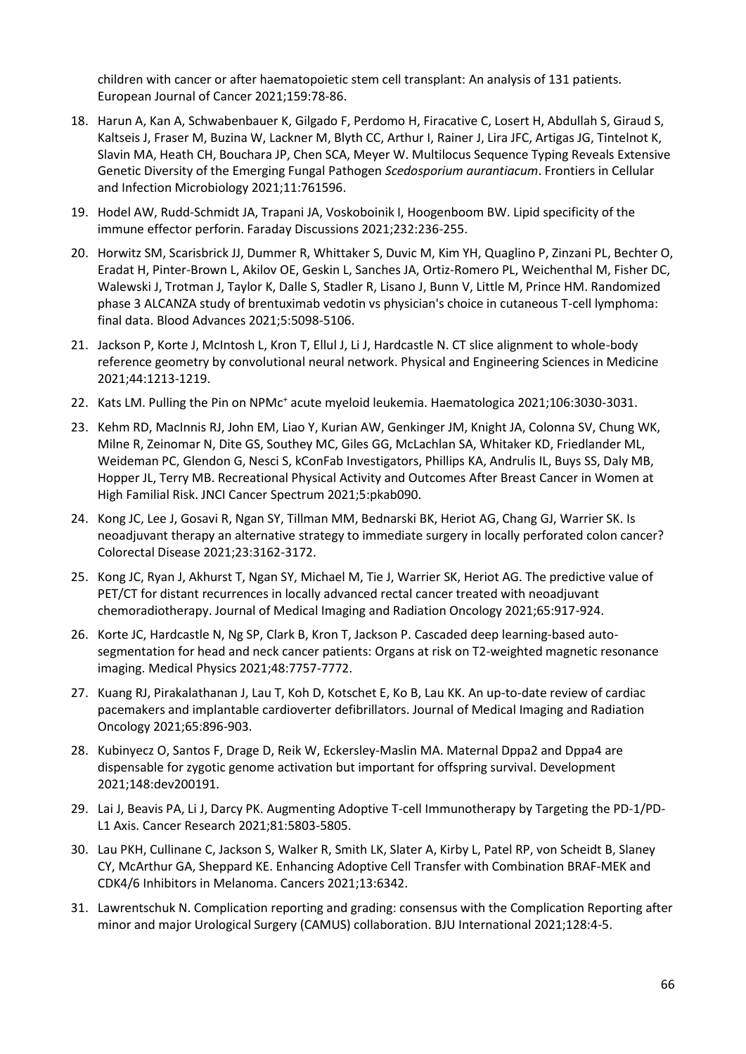children with cancer or after haematopoietic stem cell transplant: An analysis of 131 patients. European Journal of Cancer 2021;159:78-86.

- 18. Harun A, Kan A, Schwabenbauer K, Gilgado F, Perdomo H, Firacative C, Losert H, Abdullah S, Giraud S, Kaltseis J, Fraser M, Buzina W, Lackner M, Blyth CC, Arthur I, Rainer J, Lira JFC, Artigas JG, Tintelnot K, Slavin MA, Heath CH, Bouchara JP, Chen SCA, Meyer W. Multilocus Sequence Typing Reveals Extensive Genetic Diversity of the Emerging Fungal Pathogen *Scedosporium aurantiacum*. Frontiers in Cellular and Infection Microbiology 2021;11:761596.
- 19. Hodel AW, Rudd-Schmidt JA, Trapani JA, Voskoboinik I, Hoogenboom BW. Lipid specificity of the immune effector perforin. Faraday Discussions 2021;232:236-255.
- 20. Horwitz SM, Scarisbrick JJ, Dummer R, Whittaker S, Duvic M, Kim YH, Quaglino P, Zinzani PL, Bechter O, Eradat H, Pinter-Brown L, Akilov OE, Geskin L, Sanches JA, Ortiz-Romero PL, Weichenthal M, Fisher DC, Walewski J, Trotman J, Taylor K, Dalle S, Stadler R, Lisano J, Bunn V, Little M, Prince HM. Randomized phase 3 ALCANZA study of brentuximab vedotin vs physician's choice in cutaneous T-cell lymphoma: final data. Blood Advances 2021;5:5098-5106.
- 21. Jackson P, Korte J, McIntosh L, Kron T, Ellul J, Li J, Hardcastle N. CT slice alignment to whole-body reference geometry by convolutional neural network. Physical and Engineering Sciences in Medicine 2021;44:1213-1219.
- 22. Kats LM. Pulling the Pin on NPMc<sup>+</sup> acute myeloid leukemia. Haematologica 2021;106:3030-3031.
- 23. Kehm RD, MacInnis RJ, John EM, Liao Y, Kurian AW, Genkinger JM, Knight JA, Colonna SV, Chung WK, Milne R, Zeinomar N, Dite GS, Southey MC, Giles GG, McLachlan SA, Whitaker KD, Friedlander ML, Weideman PC, Glendon G, Nesci S, kConFab Investigators, Phillips KA, Andrulis IL, Buys SS, Daly MB, Hopper JL, Terry MB. Recreational Physical Activity and Outcomes After Breast Cancer in Women at High Familial Risk. JNCI Cancer Spectrum 2021;5:pkab090.
- 24. Kong JC, Lee J, Gosavi R, Ngan SY, Tillman MM, Bednarski BK, Heriot AG, Chang GJ, Warrier SK. Is neoadjuvant therapy an alternative strategy to immediate surgery in locally perforated colon cancer? Colorectal Disease 2021;23:3162-3172.
- 25. Kong JC, Ryan J, Akhurst T, Ngan SY, Michael M, Tie J, Warrier SK, Heriot AG. The predictive value of PET/CT for distant recurrences in locally advanced rectal cancer treated with neoadjuvant chemoradiotherapy. Journal of Medical Imaging and Radiation Oncology 2021;65:917-924.
- 26. Korte JC, Hardcastle N, Ng SP, Clark B, Kron T, Jackson P. Cascaded deep learning-based autosegmentation for head and neck cancer patients: Organs at risk on T2-weighted magnetic resonance imaging. Medical Physics 2021;48:7757-7772.
- 27. Kuang RJ, Pirakalathanan J, Lau T, Koh D, Kotschet E, Ko B, Lau KK. An up-to-date review of cardiac pacemakers and implantable cardioverter defibrillators. Journal of Medical Imaging and Radiation Oncology 2021;65:896-903.
- 28. Kubinyecz O, Santos F, Drage D, Reik W, Eckersley-Maslin MA. Maternal Dppa2 and Dppa4 are dispensable for zygotic genome activation but important for offspring survival. Development 2021;148:dev200191.
- 29. Lai J, Beavis PA, Li J, Darcy PK. Augmenting Adoptive T-cell Immunotherapy by Targeting the PD-1/PD-L1 Axis. Cancer Research 2021;81:5803-5805.
- 30. Lau PKH, Cullinane C, Jackson S, Walker R, Smith LK, Slater A, Kirby L, Patel RP, von Scheidt B, Slaney CY, McArthur GA, Sheppard KE. Enhancing Adoptive Cell Transfer with Combination BRAF-MEK and CDK4/6 Inhibitors in Melanoma. Cancers 2021;13:6342.
- 31. Lawrentschuk N. Complication reporting and grading: consensus with the Complication Reporting after minor and major Urological Surgery (CAMUS) collaboration. BJU International 2021;128:4-5.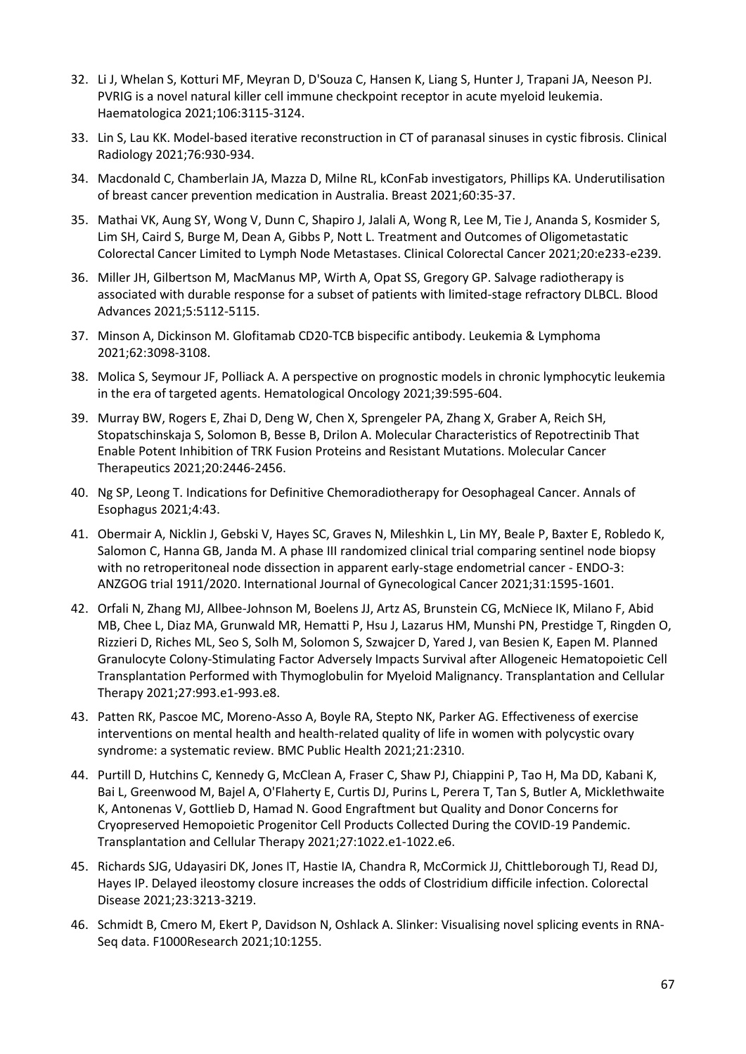- 32. Li J, Whelan S, Kotturi MF, Meyran D, D'Souza C, Hansen K, Liang S, Hunter J, Trapani JA, Neeson PJ. PVRIG is a novel natural killer cell immune checkpoint receptor in acute myeloid leukemia. Haematologica 2021;106:3115-3124.
- 33. Lin S, Lau KK. Model-based iterative reconstruction in CT of paranasal sinuses in cystic fibrosis. Clinical Radiology 2021;76:930-934.
- 34. Macdonald C, Chamberlain JA, Mazza D, Milne RL, kConFab investigators, Phillips KA. Underutilisation of breast cancer prevention medication in Australia. Breast 2021;60:35-37.
- 35. Mathai VK, Aung SY, Wong V, Dunn C, Shapiro J, Jalali A, Wong R, Lee M, Tie J, Ananda S, Kosmider S, Lim SH, Caird S, Burge M, Dean A, Gibbs P, Nott L. Treatment and Outcomes of Oligometastatic Colorectal Cancer Limited to Lymph Node Metastases. Clinical Colorectal Cancer 2021;20:e233-e239.
- 36. Miller JH, Gilbertson M, MacManus MP, Wirth A, Opat SS, Gregory GP. Salvage radiotherapy is associated with durable response for a subset of patients with limited-stage refractory DLBCL. Blood Advances 2021;5:5112-5115.
- 37. Minson A, Dickinson M. Glofitamab CD20-TCB bispecific antibody. Leukemia & Lymphoma 2021;62:3098-3108.
- 38. Molica S, Seymour JF, Polliack A. A perspective on prognostic models in chronic lymphocytic leukemia in the era of targeted agents. Hematological Oncology 2021;39:595-604.
- 39. Murray BW, Rogers E, Zhai D, Deng W, Chen X, Sprengeler PA, Zhang X, Graber A, Reich SH, Stopatschinskaja S, Solomon B, Besse B, Drilon A. Molecular Characteristics of Repotrectinib That Enable Potent Inhibition of TRK Fusion Proteins and Resistant Mutations. Molecular Cancer Therapeutics 2021;20:2446-2456.
- 40. Ng SP, Leong T. Indications for Definitive Chemoradiotherapy for Oesophageal Cancer. Annals of Esophagus 2021;4:43.
- 41. Obermair A, Nicklin J, Gebski V, Hayes SC, Graves N, Mileshkin L, Lin MY, Beale P, Baxter E, Robledo K, Salomon C, Hanna GB, Janda M. A phase III randomized clinical trial comparing sentinel node biopsy with no retroperitoneal node dissection in apparent early-stage endometrial cancer - ENDO-3: ANZGOG trial 1911/2020. International Journal of Gynecological Cancer 2021;31:1595-1601.
- 42. Orfali N, Zhang MJ, Allbee-Johnson M, Boelens JJ, Artz AS, Brunstein CG, McNiece IK, Milano F, Abid MB, Chee L, Diaz MA, Grunwald MR, Hematti P, Hsu J, Lazarus HM, Munshi PN, Prestidge T, Ringden O, Rizzieri D, Riches ML, Seo S, Solh M, Solomon S, Szwajcer D, Yared J, van Besien K, Eapen M. Planned Granulocyte Colony-Stimulating Factor Adversely Impacts Survival after Allogeneic Hematopoietic Cell Transplantation Performed with Thymoglobulin for Myeloid Malignancy. Transplantation and Cellular Therapy 2021;27:993.e1-993.e8.
- 43. Patten RK, Pascoe MC, Moreno-Asso A, Boyle RA, Stepto NK, Parker AG. Effectiveness of exercise interventions on mental health and health-related quality of life in women with polycystic ovary syndrome: a systematic review. BMC Public Health 2021;21:2310.
- 44. Purtill D, Hutchins C, Kennedy G, McClean A, Fraser C, Shaw PJ, Chiappini P, Tao H, Ma DD, Kabani K, Bai L, Greenwood M, Bajel A, O'Flaherty E, Curtis DJ, Purins L, Perera T, Tan S, Butler A, Micklethwaite K, Antonenas V, Gottlieb D, Hamad N. Good Engraftment but Quality and Donor Concerns for Cryopreserved Hemopoietic Progenitor Cell Products Collected During the COVID-19 Pandemic. Transplantation and Cellular Therapy 2021;27:1022.e1-1022.e6.
- 45. Richards SJG, Udayasiri DK, Jones IT, Hastie IA, Chandra R, McCormick JJ, Chittleborough TJ, Read DJ, Hayes IP. Delayed ileostomy closure increases the odds of Clostridium difficile infection. Colorectal Disease 2021;23:3213-3219.
- 46. Schmidt B, Cmero M, Ekert P, Davidson N, Oshlack A. Slinker: Visualising novel splicing events in RNA-Seq data. F1000Research 2021;10:1255.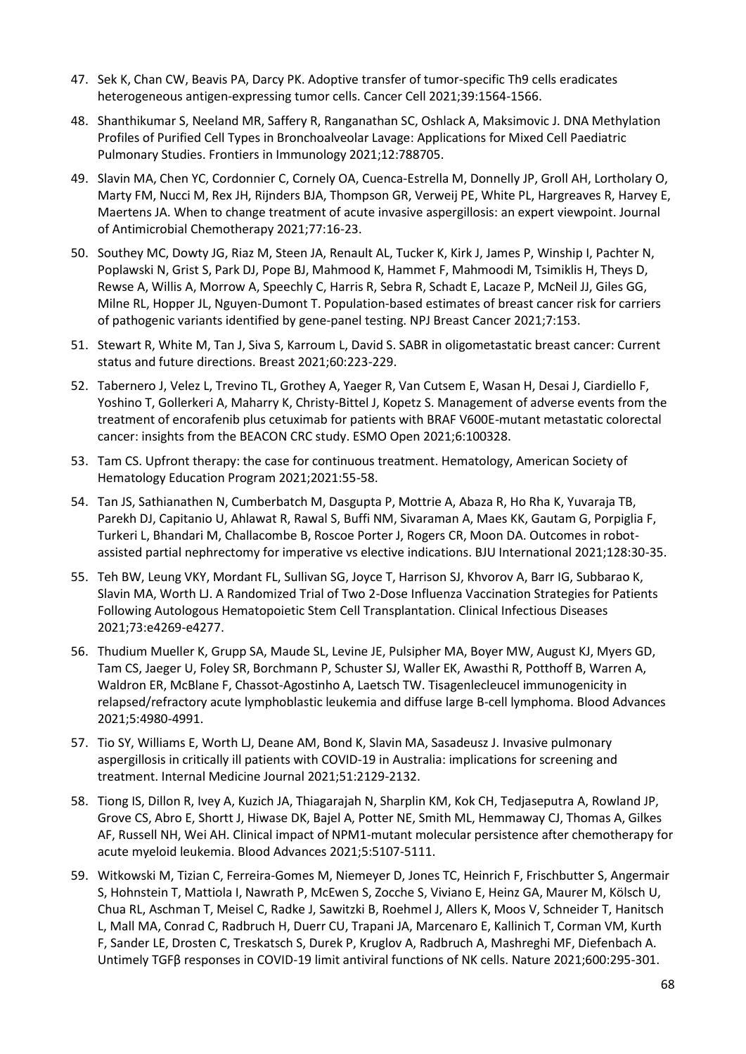- 47. Sek K, Chan CW, Beavis PA, Darcy PK. Adoptive transfer of tumor-specific Th9 cells eradicates heterogeneous antigen-expressing tumor cells. Cancer Cell 2021;39:1564-1566.
- 48. Shanthikumar S, Neeland MR, Saffery R, Ranganathan SC, Oshlack A, Maksimovic J. DNA Methylation Profiles of Purified Cell Types in Bronchoalveolar Lavage: Applications for Mixed Cell Paediatric Pulmonary Studies. Frontiers in Immunology 2021;12:788705.
- 49. Slavin MA, Chen YC, Cordonnier C, Cornely OA, Cuenca-Estrella M, Donnelly JP, Groll AH, Lortholary O, Marty FM, Nucci M, Rex JH, Rijnders BJA, Thompson GR, Verweij PE, White PL, Hargreaves R, Harvey E, Maertens JA. When to change treatment of acute invasive aspergillosis: an expert viewpoint. Journal of Antimicrobial Chemotherapy 2021;77:16-23.
- 50. Southey MC, Dowty JG, Riaz M, Steen JA, Renault AL, Tucker K, Kirk J, James P, Winship I, Pachter N, Poplawski N, Grist S, Park DJ, Pope BJ, Mahmood K, Hammet F, Mahmoodi M, Tsimiklis H, Theys D, Rewse A, Willis A, Morrow A, Speechly C, Harris R, Sebra R, Schadt E, Lacaze P, McNeil JJ, Giles GG, Milne RL, Hopper JL, Nguyen-Dumont T. Population-based estimates of breast cancer risk for carriers of pathogenic variants identified by gene-panel testing. NPJ Breast Cancer 2021;7:153.
- 51. Stewart R, White M, Tan J, Siva S, Karroum L, David S. SABR in oligometastatic breast cancer: Current status and future directions. Breast 2021;60:223-229.
- 52. Tabernero J, Velez L, Trevino TL, Grothey A, Yaeger R, Van Cutsem E, Wasan H, Desai J, Ciardiello F, Yoshino T, Gollerkeri A, Maharry K, Christy-Bittel J, Kopetz S. Management of adverse events from the treatment of encorafenib plus cetuximab for patients with BRAF V600E-mutant metastatic colorectal cancer: insights from the BEACON CRC study. ESMO Open 2021;6:100328.
- 53. Tam CS. Upfront therapy: the case for continuous treatment. Hematology, American Society of Hematology Education Program 2021;2021:55-58.
- 54. Tan JS, Sathianathen N, Cumberbatch M, Dasgupta P, Mottrie A, Abaza R, Ho Rha K, Yuvaraja TB, Parekh DJ, Capitanio U, Ahlawat R, Rawal S, Buffi NM, Sivaraman A, Maes KK, Gautam G, Porpiglia F, Turkeri L, Bhandari M, Challacombe B, Roscoe Porter J, Rogers CR, Moon DA. Outcomes in robotassisted partial nephrectomy for imperative vs elective indications. BJU International 2021;128:30-35.
- 55. Teh BW, Leung VKY, Mordant FL, Sullivan SG, Joyce T, Harrison SJ, Khvorov A, Barr IG, Subbarao K, Slavin MA, Worth LJ. A Randomized Trial of Two 2-Dose Influenza Vaccination Strategies for Patients Following Autologous Hematopoietic Stem Cell Transplantation. Clinical Infectious Diseases 2021;73:e4269-e4277.
- 56. Thudium Mueller K, Grupp SA, Maude SL, Levine JE, Pulsipher MA, Boyer MW, August KJ, Myers GD, Tam CS, Jaeger U, Foley SR, Borchmann P, Schuster SJ, Waller EK, Awasthi R, Potthoff B, Warren A, Waldron ER, McBlane F, Chassot-Agostinho A, Laetsch TW. Tisagenlecleucel immunogenicity in relapsed/refractory acute lymphoblastic leukemia and diffuse large B-cell lymphoma. Blood Advances 2021;5:4980-4991.
- 57. Tio SY, Williams E, Worth LJ, Deane AM, Bond K, Slavin MA, Sasadeusz J. Invasive pulmonary aspergillosis in critically ill patients with COVID-19 in Australia: implications for screening and treatment. Internal Medicine Journal 2021;51:2129-2132.
- 58. Tiong IS, Dillon R, Ivey A, Kuzich JA, Thiagarajah N, Sharplin KM, Kok CH, Tedjaseputra A, Rowland JP, Grove CS, Abro E, Shortt J, Hiwase DK, Bajel A, Potter NE, Smith ML, Hemmaway CJ, Thomas A, Gilkes AF, Russell NH, Wei AH. Clinical impact of NPM1-mutant molecular persistence after chemotherapy for acute myeloid leukemia. Blood Advances 2021;5:5107-5111.
- 59. Witkowski M, Tizian C, Ferreira-Gomes M, Niemeyer D, Jones TC, Heinrich F, Frischbutter S, Angermair S, Hohnstein T, Mattiola I, Nawrath P, McEwen S, Zocche S, Viviano E, Heinz GA, Maurer M, Kölsch U, Chua RL, Aschman T, Meisel C, Radke J, Sawitzki B, Roehmel J, Allers K, Moos V, Schneider T, Hanitsch L, Mall MA, Conrad C, Radbruch H, Duerr CU, Trapani JA, Marcenaro E, Kallinich T, Corman VM, Kurth F, Sander LE, Drosten C, Treskatsch S, Durek P, Kruglov A, Radbruch A, Mashreghi MF, Diefenbach A. Untimely TGFβ responses in COVID-19 limit antiviral functions of NK cells. Nature 2021;600:295-301.